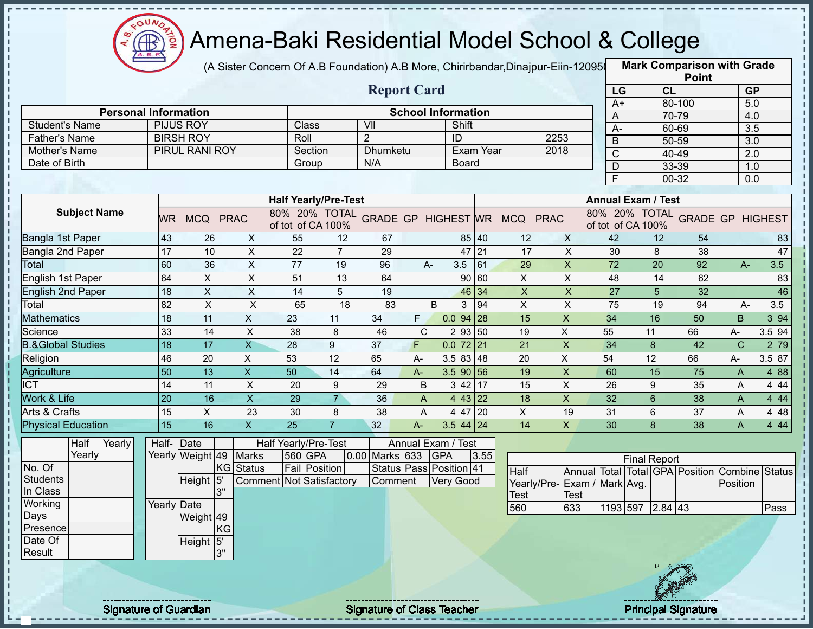

(A Sister Concern Of A.B Foundation) A.B More, Chirirbandar,Dinajpur-Eiin-120950

|                                       |                 |                                      |                           |                                 |                |                                   |       |                                    |           |                                            |                           |                |                                                     | <b>Point</b> |                  |               |
|---------------------------------------|-----------------|--------------------------------------|---------------------------|---------------------------------|----------------|-----------------------------------|-------|------------------------------------|-----------|--------------------------------------------|---------------------------|----------------|-----------------------------------------------------|--------------|------------------|---------------|
|                                       |                 |                                      |                           |                                 |                | <b>Report Card</b>                |       |                                    |           |                                            |                           | LG             | <b>CL</b>                                           |              | <b>GP</b>        |               |
|                                       |                 |                                      |                           |                                 |                |                                   |       |                                    |           |                                            |                           | $A+$           |                                                     | 80-100       | 5.0              |               |
| <b>Personal Information</b>           |                 |                                      |                           | Class                           |                | VII                               |       | <b>School Information</b><br>Shift |           |                                            |                           | A              |                                                     | 70-79        | 4.0              |               |
| <b>Student's Name</b>                 |                 | <b>PIJUS ROY</b><br><b>BIRSH ROY</b> |                           | Roll                            |                | $\overline{2}$                    |       |                                    |           | 2253                                       |                           | А-             |                                                     | 60-69        | 3.5              |               |
| <b>Father's Name</b><br>Mother's Name |                 | PIRUL RANI ROY                       |                           | Section                         |                | Dhumketu                          |       | ID                                 | Exam Year | 2018                                       |                           | $\overline{B}$ |                                                     | 50-59        | $\overline{3.0}$ |               |
| Date of Birth                         |                 |                                      |                           |                                 |                | N/A                               |       | <b>Board</b>                       |           |                                            |                           | C              |                                                     | 40-49        | 2.0              |               |
|                                       |                 |                                      |                           | Group                           |                |                                   |       |                                    |           |                                            |                           | D              |                                                     | 33-39        | 1.0              |               |
|                                       |                 |                                      |                           |                                 |                |                                   |       |                                    |           |                                            |                           | E              |                                                     | 00-32        | 0.0              |               |
|                                       |                 |                                      |                           | <b>Half Yearly/Pre-Test</b>     |                |                                   |       |                                    |           |                                            |                           |                | <b>Annual Exam / Test</b>                           |              |                  |               |
| <b>Subject Name</b>                   | <b>WR</b>       | MCQ PRAC                             |                           | of tot of CA 100%               |                |                                   |       |                                    |           | 80% 20% TOTAL GRADE GP HIGHEST WR MCQ PRAC |                           |                | 80% 20% TOTAL GRADE GP HIGHEST<br>of tot of CA 100% |              |                  |               |
| Bangla 1st Paper                      | 43              | 26                                   | X                         | 55                              | 12             | 67                                |       |                                    | 85 40     | 12                                         | $\mathsf{X}$              | 42             | 12                                                  | 54           |                  | 83            |
| Bangla 2nd Paper                      | $\overline{17}$ | 10                                   | $\mathsf{X}$              | 22                              | $\overline{7}$ | 29                                |       | $47$ 21                            |           | 17                                         | X                         | 30             | 8                                                   | 38           |                  | 47            |
| Total                                 | 60              | 36                                   | $\pmb{\times}$            | 77                              | 19             | 96                                | A-    | 3.5                                | 61        | 29                                         | $\mathsf{X}$              | 72             | 20                                                  | 92           | $A-$             | 3.5           |
| English 1st Paper                     | 64              | $\pmb{\times}$                       | $\pmb{\times}$            | 51                              | 13             | 64                                |       |                                    | 90 60     | X                                          | $\times$                  | 48             | 14                                                  | 62           |                  | 83            |
| English 2nd Paper                     | 18              | $\boldsymbol{\mathsf{X}}$            | X                         | 14                              | 5              | 19                                |       |                                    | 46 34     | $\boldsymbol{\mathsf{X}}$                  | $\pmb{\times}$            | 27             | 5                                                   | 32           |                  | 46            |
| Total                                 | 82              | $\times$                             | $\pmb{\times}$            | 65                              | 18             | 83                                | B     | 3                                  | 94        | $\boldsymbol{\mathsf{X}}$                  | $\boldsymbol{\mathsf{X}}$ | 75             | 19                                                  | 94           | A-               | 3.5           |
| <b>Mathematics</b>                    | 18              | 11                                   | $\mathsf X$               | 23                              | 11             | 34                                | F     | 0.0<br>94 28                       |           | 15                                         | $\mathsf X$               | 34             | 16                                                  | 50           | <sub>B</sub>     | 3 94          |
| Science                               | 33              | 14                                   | $\pmb{\times}$            | 38                              | 8              | 46                                | C     | 2 93 50                            |           | 19                                         | X                         | 55             | 11                                                  | 66           | А-               | 3.5 94        |
| <b>B.&amp;Global Studies</b>          | 18              | 17                                   | $\overline{\mathsf{X}}$   | 28                              | $9\,$          | 37                                | F     | 72 21<br>0.0                       |           | 21                                         | $\boldsymbol{\mathsf{X}}$ | 34             | 8                                                   | 42           | $\mathsf{C}$     | 2 79          |
| Religion                              | 46              | 20                                   | $\pmb{\times}$            | 53                              | 12             | 65                                | A-    | 3.5 83 48                          |           | 20                                         | $\pmb{\times}$            | 54             | 12                                                  | 66           | A-               | 3.5 87        |
| Agriculture                           | 50              | 13                                   | $\boldsymbol{\mathsf{X}}$ | 50                              | 14             | 64                                | $A-$  | $3.590$ 56                         |           | 19                                         | $\pmb{\mathsf{X}}$        | 60             | 15                                                  | 75           | A                | 4 88          |
| <b>ICT</b>                            | 14              | 11                                   | $\boldsymbol{\mathsf{X}}$ | 20                              | 9              | 29                                | B     | $342$ 17                           |           | 15                                         | X                         | 26             | 9                                                   | 35           | A                | 4 4 4         |
| <b>Work &amp; Life</b>                | 20              | 16                                   | $\overline{\mathsf{x}}$   | 29                              | $\overline{7}$ | 36                                | A     | $443$ 22                           |           | 18                                         | $\overline{X}$            | 32             | $6\overline{6}$                                     | 38           | $\overline{A}$   | 4 4 4         |
| Arts & Crafts                         | 15              | X                                    | 23                        | 30                              | 8              | 38                                | A     | 4 47 20                            |           | X                                          | 19                        | 31             | 6                                                   | 37           | A                | 4 4 8         |
| <b>Physical Education</b>             | 15              | 16                                   | $\mathsf{X}$              | 25                              | $\overline{7}$ | 32                                | $A -$ | $3.544$ 24                         |           | 14                                         | $\mathsf{X}$              | 30             | 8                                                   | 38           | A                | 4 4 4         |
| Half<br>Yearly                        | Half-           | $\vert$ Date                         |                           | Half Yearly/Pre-Test            |                |                                   |       | Annual Exam / Test                 |           |                                            |                           |                |                                                     |              |                  |               |
| Yearly                                |                 | Yearly Weight 49 Marks               |                           | 560 GPA                         |                | 0.00 Marks 633                    |       | <b>GPA</b>                         | 3.55      |                                            |                           |                | <b>Final Report</b>                                 |              |                  |               |
| No. Of                                |                 |                                      | KG Status                 | Fail Position                   |                |                                   |       | Status Pass Position 41            |           | <b>Half</b>                                |                           |                | Annual Total Total GPA Position Combine             |              |                  | <b>Status</b> |
| <b>Students</b>                       |                 | Height 5                             |                           | <b>Comment Not Satisfactory</b> |                | Comment                           |       | <b>Very Good</b>                   |           | Yearly/Pre- Exam / Mark Avg.               |                           |                |                                                     |              | Position         |               |
| In Class                              |                 | 3"                                   |                           |                                 |                |                                   |       |                                    |           | Test                                       | Test                      |                |                                                     |              |                  |               |
| Working                               | Yearly Date     |                                      |                           |                                 |                |                                   |       |                                    |           | 560                                        | 633                       |                | 1193 597 2.84 43                                    |              |                  | Pass          |
| Days                                  |                 | Weight 49                            |                           |                                 |                |                                   |       |                                    |           |                                            |                           |                |                                                     |              |                  |               |
| Presence                              |                 |                                      | KG                        |                                 |                |                                   |       |                                    |           |                                            |                           |                |                                                     |              |                  |               |
| Date Of                               |                 | Height 5'<br>3"                      |                           |                                 |                |                                   |       |                                    |           |                                            |                           |                |                                                     |              |                  |               |
| Result                                |                 |                                      |                           |                                 |                |                                   |       |                                    |           |                                            |                           |                |                                                     |              |                  |               |
|                                       |                 |                                      |                           |                                 |                |                                   |       |                                    |           |                                            |                           |                |                                                     |              |                  |               |
|                                       |                 |                                      |                           |                                 |                |                                   |       |                                    |           |                                            |                           |                |                                                     |              |                  |               |
|                                       |                 |                                      |                           |                                 |                |                                   |       |                                    |           |                                            |                           |                |                                                     |              |                  |               |
| <b>Signature of Guardian</b>          |                 |                                      |                           |                                 |                | <b>Signature of Class Teacher</b> |       |                                    |           |                                            |                           |                | <b>Principal Signature</b>                          |              |                  |               |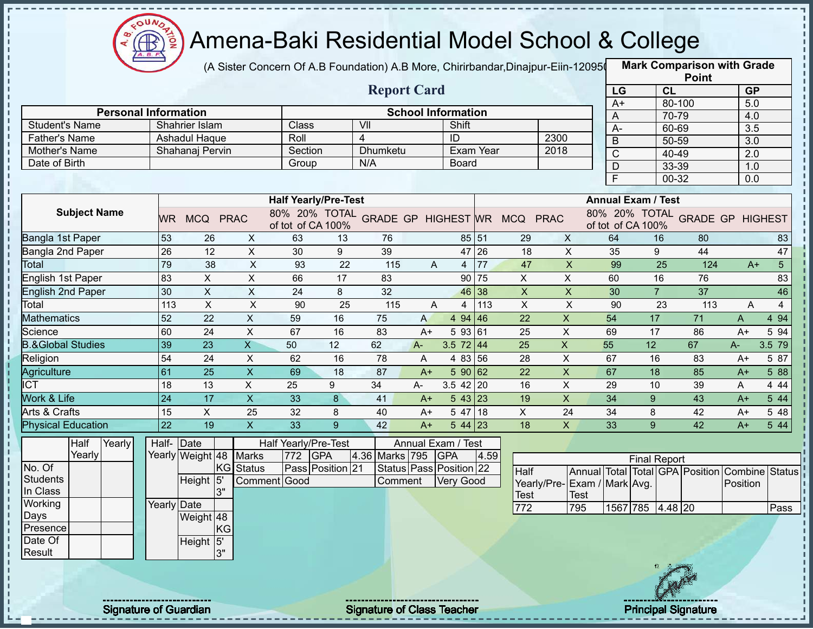

(A Sister Concern Of A.B Foundation) A.B More, Chirirbandar,Dinajpur-Eiin-120950

|                                |             |                           |    |                           |                      |                             |                                   |              |                           |      |                                            |                             |                           |                     |                | <b>Point</b>                    |                  |                |
|--------------------------------|-------------|---------------------------|----|---------------------------|----------------------|-----------------------------|-----------------------------------|--------------|---------------------------|------|--------------------------------------------|-----------------------------|---------------------------|---------------------|----------------|---------------------------------|------------------|----------------|
|                                |             |                           |    |                           |                      |                             | <b>Report Card</b>                |              |                           |      |                                            |                             | LG                        |                     | <b>CL</b>      |                                 | <b>GP</b>        |                |
|                                |             |                           |    |                           |                      |                             |                                   |              |                           |      |                                            |                             | $A+$                      |                     | 80-100         |                                 | 5.0              |                |
| <b>Personal Information</b>    |             |                           |    |                           |                      |                             |                                   |              | <b>School Information</b> |      |                                            |                             | Α                         |                     | 70-79          |                                 | 4.0              |                |
| <b>Student's Name</b>          |             | Shahrier Islam            |    |                           | Class                |                             | VII                               |              | Shift<br>ID               |      |                                            |                             | $A-$                      |                     | 60-69          |                                 | $\overline{3.5}$ |                |
| <b>Father's Name</b>           |             | Ashadul Haque             |    |                           | Roll<br>Section      |                             | 4<br><b>Dhumketu</b>              |              | Exam Year                 |      |                                            | 2300<br>2018                | $\overline{B}$            |                     | 50-59          |                                 | $\overline{3.0}$ |                |
| Mother's Name<br>Date of Birth |             | Shahanaj Pervin           |    |                           |                      |                             | N/A                               |              | <b>Board</b>              |      |                                            |                             | $\mathsf C$               |                     | 40-49          |                                 | 2.0              |                |
|                                |             |                           |    |                           | Group                |                             |                                   |              |                           |      |                                            |                             | $\mathsf D$               |                     | 33-39          |                                 | 1.0              |                |
|                                |             |                           |    |                           |                      |                             |                                   |              |                           |      |                                            |                             | F                         |                     | 00-32          |                                 | 0.0              |                |
|                                |             |                           |    |                           |                      | <b>Half Yearly/Pre-Test</b> |                                   |              |                           |      |                                            |                             | <b>Annual Exam / Test</b> |                     |                |                                 |                  |                |
| <b>Subject Name</b>            |             | WR MCQ PRAC               |    |                           | of tot of CA 100%    |                             |                                   |              |                           |      | 80% 20% TOTAL GRADE GP HIGHEST WR MCQ PRAC |                             | of tot of CA 100%         |                     |                | 80% 20% TOTAL GRADE GP HIGHEST  |                  |                |
| Bangla 1st Paper               | 53          | 26                        |    | $\mathsf{X}$              | 63                   | 13                          | 76                                |              | 85 51                     |      | 29                                         | $\mathsf{X}$                | 64                        |                     | 16             | 80                              |                  | 83             |
| Bangla 2nd Paper               | 26          | 12                        |    | $\mathsf X$               | 30                   | 9                           | 39                                |              | 47 26                     |      | 18                                         | X                           | 35                        |                     | 9              | 44                              |                  | 47             |
| <b>Total</b>                   | 79          | 38                        |    | $\pmb{\times}$            | 93                   | 22                          | 115                               | A            | $\overline{4}$            | 77   | 47                                         | $\boldsymbol{\mathsf{X}}$   | 99                        |                     | 25             | 124                             | $A+$             | 5 <sup>5</sup> |
| English 1st Paper              | 83          | $\pmb{\times}$            |    | $\mathsf X$               | 66                   | 17                          | 83                                |              | 90 75                     |      | X                                          | X                           | 60                        |                     | 16             | 76                              |                  | 83             |
| <b>English 2nd Paper</b>       | 30          | $\boldsymbol{\mathsf{X}}$ |    | $\mathsf X$               | 24                   | 8                           | 32                                |              | 46 38                     |      | $\mathsf X$                                | $\pmb{\mathsf{X}}$          | 30                        |                     | $\overline{7}$ | 37                              |                  | 46             |
| Total                          | 113         | $\pmb{\times}$            |    | $\boldsymbol{\mathsf{X}}$ | 90                   | 25                          | 115                               | A            | 4                         | 113  | $\pmb{\times}$                             | $\pmb{\times}$              | 90                        |                     | 23             | 113                             | A                | 4              |
| <b>Mathematics</b>             | 52          | 22                        |    | X                         | 59                   | 16                          | 75                                | $\mathsf{A}$ | 4 94 46                   |      | 22                                         | $\mathsf X$                 | 54                        | 17                  |                | 71                              | A                | 4 9 4          |
| Science                        | 60          | 24                        |    | $\mathsf X$               | 67                   | 16                          | 83                                | $A+$         | 5 93 61                   |      | 25                                         | X                           | 69                        | 17                  |                | 86                              | $A+$             | 5 94           |
| <b>B.&amp;Global Studies</b>   | 39          | 23                        |    | $\overline{\mathsf{X}}$   | 50                   | 12                          | 62                                | $A -$        | 3.5 $72 \mid 44$          |      | 25                                         | $\boldsymbol{\mathsf{X}}$   | 55                        | 12                  |                | 67                              | A-               | 3.5 79         |
| Religion                       | 54          | 24                        |    | $\sf X$                   | 62                   | 16                          | 78                                | A            | 4 83 56                   |      | 28                                         | X                           | 67                        | 16                  |                | 83                              | $A+$             | 5 87           |
| Agriculture                    | 61          | 25                        |    | X                         | 69                   | 18                          | 87                                | $A+$         | 590 62                    |      | 22                                         | $\mathsf X$                 | 67                        | 18                  |                | 85                              | $A+$             | 5 88           |
| <b>ICT</b>                     | 18          | 13                        |    | $\pmb{\times}$            | 25                   | 9                           | 34                                | A-           | $3.5$ 42 20               |      | 16                                         | X                           | 29                        | 10                  |                | 39                              | A                | 4 4 4          |
| Work & Life                    | 24          | 17                        |    | $\overline{X}$            | 33                   | $\bf{8}$                    | 41                                | $A+$         | 543 23                    |      | 19                                         | $\overline{X}$              | 34                        | 9                   |                | 43                              | $A+$             | 5 44           |
| Arts & Crafts                  | 15          | $\mathsf{X}$              |    | 25                        | 32                   | 8                           | 40                                | $A+$         | 5 47 18                   |      | X                                          | 24                          | 34                        | 8                   |                | 42                              | $A+$             | 5 48           |
| <b>Physical Education</b>      | 22          | 19                        |    | $\boldsymbol{\mathsf{X}}$ | 33                   | 9                           | 42                                | $A+$         | $544$ 23                  |      | 18                                         | $\mathsf{X}$                | 33                        | 9                   |                | 42                              | $A+$             | 5 44           |
| Half<br>Yearly                 | Half-Date   |                           |    |                           | Half Yearly/Pre-Test |                             |                                   |              | Annual Exam / Test        |      |                                            |                             |                           |                     |                |                                 |                  |                |
| Yearly                         |             | Yearly Weight 48 Marks    |    |                           | 772 GPA              |                             | 4.36 Marks 795                    |              | <b>GPA</b>                | 4.59 |                                            |                             |                           | <b>Final Report</b> |                |                                 |                  |                |
| No. Of                         |             |                           |    | KG Status                 |                      | Pass Position 21            |                                   |              | Status Pass Position 22   |      | Half                                       |                             |                           |                     |                | Annual Total Total GPA Position |                  | Combine Status |
| <b>Students</b>                |             | Height 5                  |    | Comment Good              |                      |                             | Comment                           |              | <b>Very Good</b>          |      |                                            | Yearly/Pre-Exam / Mark Avg. |                           |                     |                |                                 | Position         |                |
| In Class                       |             |                           | 3" |                           |                      |                             |                                   |              |                           |      | Test                                       | <b>Test</b>                 |                           |                     |                |                                 |                  |                |
| Working                        | Yearly Date |                           |    |                           |                      |                             |                                   |              |                           |      | 772                                        | 795                         |                           | 1567 785 4.48 20    |                |                                 |                  | Pass           |
| Days                           |             | Weight 48                 |    |                           |                      |                             |                                   |              |                           |      |                                            |                             |                           |                     |                |                                 |                  |                |
| Presence                       |             |                           | KG |                           |                      |                             |                                   |              |                           |      |                                            |                             |                           |                     |                |                                 |                  |                |
| Date Of                        |             | Height 5'                 |    |                           |                      |                             |                                   |              |                           |      |                                            |                             |                           |                     |                |                                 |                  |                |
| Result                         |             |                           | 3" |                           |                      |                             |                                   |              |                           |      |                                            |                             |                           |                     |                |                                 |                  |                |
|                                |             |                           |    |                           |                      |                             |                                   |              |                           |      |                                            |                             |                           |                     |                |                                 |                  |                |
|                                |             |                           |    |                           |                      |                             |                                   |              |                           |      |                                            |                             |                           |                     |                |                                 |                  |                |
| <b>Signature of Guardian</b>   |             |                           |    |                           |                      |                             | <b>Signature of Class Teacher</b> |              |                           |      |                                            |                             |                           |                     |                | <b>Principal Signature</b>      |                  |                |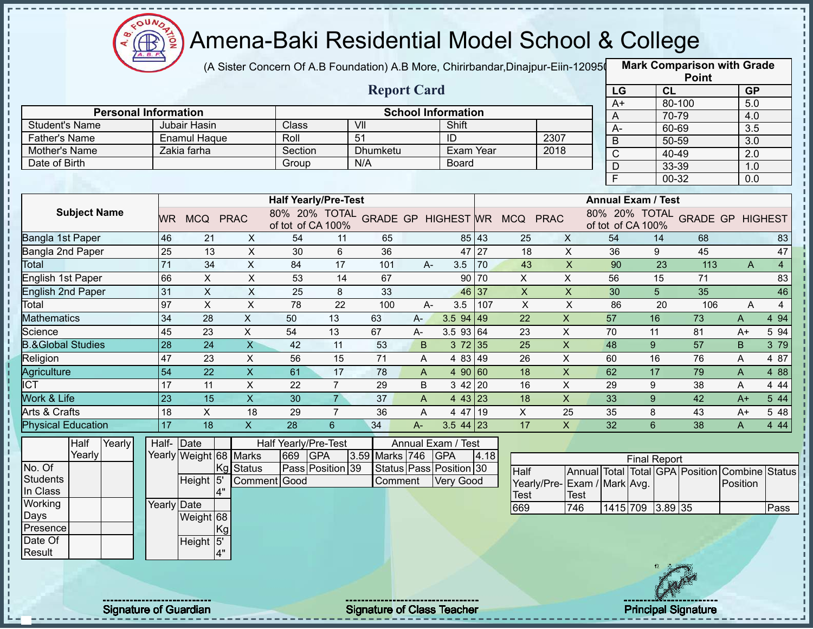

(A Sister Concern Of A.B Foundation) A.B More, Chirirbandar,Dinajpur-Eiin-120950

|                                       |                 |                                    |                           |                             |                 |                                   |       |                           |       |                                            |                           |                |                           | <b>Point</b>                    |                  |                |
|---------------------------------------|-----------------|------------------------------------|---------------------------|-----------------------------|-----------------|-----------------------------------|-------|---------------------------|-------|--------------------------------------------|---------------------------|----------------|---------------------------|---------------------------------|------------------|----------------|
|                                       |                 |                                    |                           |                             |                 | <b>Report Card</b>                |       |                           |       |                                            |                           | LG             |                           | CL                              | <b>GP</b>        |                |
| <b>Personal Information</b>           |                 |                                    |                           |                             |                 |                                   |       |                           |       |                                            |                           | $A+$           |                           | 80-100                          | 5.0              |                |
|                                       |                 |                                    |                           |                             |                 |                                   |       | <b>School Information</b> |       |                                            |                           | A              |                           | 70-79                           | 4.0              |                |
| <b>Student's Name</b>                 |                 | Jubair Hasin                       |                           | Class<br>Roll               |                 | VII<br>$\overline{51}$            |       | Shift<br>ID               |       | 2307                                       |                           | $A -$          |                           | 60-69                           | 3.5              |                |
| <b>Father's Name</b><br>Mother's Name |                 | <b>Enamul Haque</b><br>Zakia farha |                           | Section                     |                 | Dhumketu                          |       | Exam Year                 |       | 2018                                       |                           | $\overline{B}$ |                           | 50-59                           | $\overline{3.0}$ |                |
| Date of Birth                         |                 |                                    |                           |                             |                 | N/A                               |       | <b>Board</b>              |       |                                            |                           | $\mathsf{C}$   |                           | 40-49                           | 2.0              |                |
|                                       |                 |                                    |                           | Group                       |                 |                                   |       |                           |       |                                            |                           | $\mathsf D$    |                           | 33-39                           | 1.0              |                |
|                                       |                 |                                    |                           |                             |                 |                                   |       |                           |       |                                            |                           | F              |                           | 00-32                           | 0.0              |                |
|                                       |                 |                                    |                           | <b>Half Yearly/Pre-Test</b> |                 |                                   |       |                           |       |                                            |                           |                | <b>Annual Exam / Test</b> |                                 |                  |                |
| <b>Subject Name</b>                   | WR.             | MCQ PRAC                           |                           | of tot of CA 100%           |                 |                                   |       |                           |       | 80% 20% TOTAL GRADE GP HIGHEST WR MCQ PRAC |                           |                | of tot of CA 100%         | 80% 20% TOTAL GRADE GP HIGHEST  |                  |                |
| Bangla 1st Paper                      | 46              | 21                                 | X                         | 54                          | 11              | 65                                |       | 85 43                     |       | 25                                         | X                         | 54             | 14                        | 68                              |                  | 83             |
| Bangla 2nd Paper                      | 25              | 13                                 | $\mathsf X$               | 30                          | 6               | 36                                |       | 47 27                     |       | 18                                         | $\mathsf{X}$              | 36             | 9                         | 45                              |                  | 47             |
| Total                                 | 71              | 34                                 | $\mathsf X$               | 84                          | 17              | 101                               | $A -$ | 3.5                       | 70    | 43                                         | $\boldsymbol{\mathsf{X}}$ | 90             | 23                        | 113                             | A                | $\overline{4}$ |
| English 1st Paper                     | 66              | $\boldsymbol{\mathsf{X}}$          | $\pmb{\times}$            | 53                          | 14              | 67                                |       |                           | 90 70 | X                                          | X                         | 56             | 15                        | 71                              |                  | 83             |
| <b>English 2nd Paper</b>              | 31              | $\mathsf X$                        | $\sf X$                   | 25                          | 8               | 33                                |       | 46 37                     |       | $\boldsymbol{\mathsf{X}}$                  | $\boldsymbol{\mathsf{X}}$ | 30             | 5 <sup>5</sup>            | 35                              |                  | 46             |
| Total                                 | 97              | $\pmb{\times}$                     | $\boldsymbol{\mathsf{X}}$ | 78                          | 22              | 100                               | $A -$ | 3.5                       | 107   | $\boldsymbol{\mathsf{X}}$                  | $\pmb{\times}$            | 86             | 20                        | 106                             | Α                | $\overline{4}$ |
| <b>Mathematics</b>                    | 34              | 28                                 | $\mathsf X$               | 50                          | 13              | 63                                | $A -$ | $3.594$ 49                |       | 22                                         | $\boldsymbol{\mathsf{X}}$ | 57             | 16                        | 73                              | A                | 4 9 4          |
| Science                               | 45              | 23                                 | $\pmb{\times}$            | 54                          | 13              | 67                                | $A-$  | 3.5 93 64                 |       | 23                                         | X                         | 70             | 11                        | 81                              | $A+$             | 5 94           |
| <b>B.&amp;Global Studies</b>          | 28              | 24                                 | $\overline{\mathsf{X}}$   | 42                          | 11              | 53                                | B     | 372 35                    |       | 25                                         | $\boldsymbol{\mathsf{X}}$ | 48             | 9                         | 57                              | B                | 3 79           |
| Religion                              | 47              | 23                                 | $\sf X$                   | 56                          | 15              | 71                                | A     | 4 83 49                   |       | 26                                         | $\mathsf{X}$              | 60             | 16                        | 76                              | Α                | 4 87           |
| Agriculture                           | 54              | 22                                 | $\mathsf X$               | 61                          | 17              | 78                                | A     | 4 90 60                   |       | 18                                         | $\boldsymbol{\mathsf{X}}$ | 62             | 17                        | 79                              | A                | 4 8 8          |
| $\overline{ICT}$                      | 17              | 11                                 | $\pmb{\times}$            | 22                          | $\overline{7}$  | 29                                | B     | 3 42 20                   |       | 16                                         | $\pmb{\times}$            | 29             | 9                         | 38                              | A                | 4 4 4          |
| <b>Work &amp; Life</b>                | $\overline{23}$ | 15                                 | $\overline{\mathsf{x}}$   | 30                          | $\overline{7}$  | 37                                | A     | 4 43 23                   |       | 18                                         | $\overline{\mathsf{x}}$   | 33             | 9                         | 42                              | $A+$             | 5 44           |
| Arts & Crafts                         | 18              | X                                  | 18                        | 29                          | $\overline{7}$  | 36                                | A     | 4 47 19                   |       | X                                          | 25                        | 35             | 8                         | 43                              | $A+$             | 5 48           |
| <b>Physical Education</b>             | 17              | 18                                 | $\mathsf{X}$              | 28                          | $6\overline{6}$ | 34                                | $A-$  | $3.544$ 23                |       | 17                                         | $\mathsf{X}$              | 32             | 6                         | 38                              | A                | 4 4 4          |
| Half<br>Yearly                        | Half-Date       |                                    |                           | Half Yearly/Pre-Test        |                 |                                   |       | Annual Exam / Test        |       |                                            |                           |                |                           |                                 |                  |                |
| Yearly                                |                 | Yearly Weight 68 Marks             |                           | 669<br><b>GPA</b>           |                 | 3.59 Marks 746                    |       | <b>GPA</b>                | 4.18  |                                            |                           |                | <b>Final Report</b>       |                                 |                  |                |
| No. Of                                |                 | Kg                                 | Status                    | Pass Position 39            |                 |                                   |       | Status Pass Position 30   |       | Half                                       |                           |                |                           | Annual Total Total GPA Position | Combine          | <b>Status</b>  |
| Students                              |                 | Height 5                           |                           | Comment Good                |                 | Comment                           |       | Very Good                 |       | Yearly/Pre- Exam / Mark Avg.               |                           |                |                           |                                 | Position         |                |
| In Class                              |                 | 4"                                 |                           |                             |                 |                                   |       |                           |       | Test                                       | <b>Test</b>               |                |                           |                                 |                  |                |
| Working                               | Yearly Date     |                                    |                           |                             |                 |                                   |       |                           |       | 669                                        | 746                       |                | 1415 709 3.89 35          |                                 |                  | Pass           |
| Days                                  |                 | Weight 68                          |                           |                             |                 |                                   |       |                           |       |                                            |                           |                |                           |                                 |                  |                |
| Presence                              |                 | Kgl                                |                           |                             |                 |                                   |       |                           |       |                                            |                           |                |                           |                                 |                  |                |
| Date Of                               |                 | Height 5'                          |                           |                             |                 |                                   |       |                           |       |                                            |                           |                |                           |                                 |                  |                |
| Result                                |                 | 4"                                 |                           |                             |                 |                                   |       |                           |       |                                            |                           |                |                           |                                 |                  |                |
|                                       |                 |                                    |                           |                             |                 |                                   |       |                           |       |                                            |                           |                |                           |                                 |                  |                |
|                                       |                 |                                    |                           |                             |                 |                                   |       |                           |       |                                            |                           |                |                           |                                 |                  |                |
|                                       |                 |                                    |                           |                             |                 |                                   |       |                           |       |                                            |                           |                |                           |                                 |                  |                |
| <b>Signature of Guardian</b>          |                 |                                    |                           |                             |                 | <b>Signature of Class Teacher</b> |       |                           |       |                                            |                           |                |                           | <b>Principal Signature</b>      |                  |                |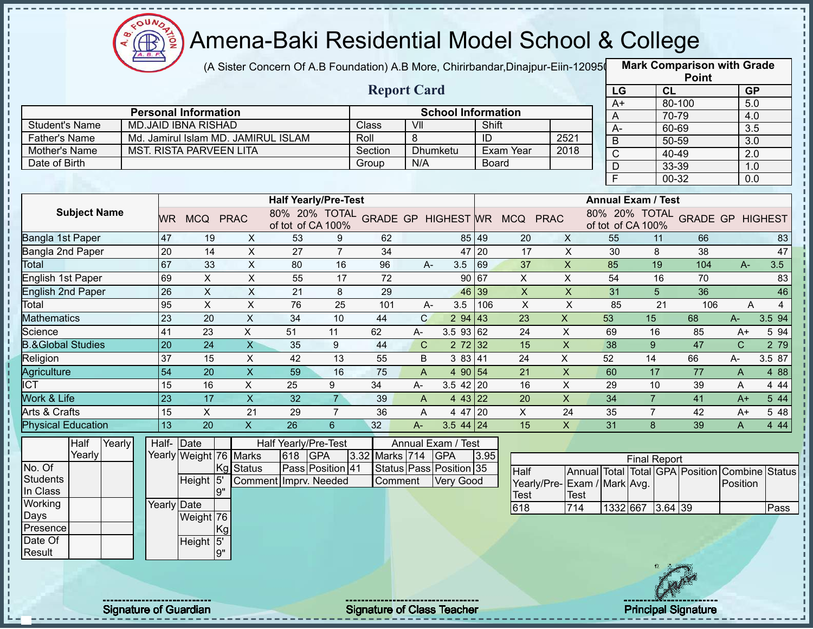

(A Sister Concern Of A.B Foundation) A.B More, Chirirbandar,Dinajpur-Eiin-120950

**Mark Comparison with Grade**

|                              |                 |                                                           |                           |                                     |                  |                |                    |                                  |              |                                            |                             |                           |                     |        | <b>Point</b>    |                                                |                |
|------------------------------|-----------------|-----------------------------------------------------------|---------------------------|-------------------------------------|------------------|----------------|--------------------|----------------------------------|--------------|--------------------------------------------|-----------------------------|---------------------------|---------------------|--------|-----------------|------------------------------------------------|----------------|
|                              |                 |                                                           |                           |                                     |                  |                | <b>Report Card</b> |                                  |              |                                            |                             | LG                        |                     | CL     |                 | <b>GP</b>                                      |                |
|                              |                 |                                                           |                           |                                     |                  |                |                    |                                  |              |                                            |                             | A+                        |                     | 80-100 |                 | 5.0                                            |                |
| <b>Student's Name</b>        |                 | <b>Personal Information</b><br><b>MD.JAID IBNA RISHAD</b> |                           |                                     |                  | Class          | VII                | <b>School Information</b>        | Shift        |                                            |                             | A                         |                     | 70-79  |                 | 4.0                                            |                |
| <b>Father's Name</b>         |                 |                                                           |                           | Md. Jamirul Islam MD. JAMIRUL ISLAM |                  | Roll           | 8                  |                                  | ID           |                                            | 2521                        | $A-$                      |                     | 60-69  |                 | 3.5                                            |                |
| Mother's Name                |                 | <b>MST. RISTA PARVEEN LITA</b>                            |                           |                                     |                  | Section        | Dhumketu           |                                  |              | Exam Year                                  | 2018                        | B                         |                     | 50-59  |                 | 3.0                                            |                |
| Date of Birth                |                 |                                                           |                           |                                     |                  | Group          | N/A                |                                  | <b>Board</b> |                                            |                             | C                         |                     | 40-49  |                 | 2.0                                            |                |
|                              |                 |                                                           |                           |                                     |                  |                |                    |                                  |              |                                            |                             | $\overline{D}$            |                     | 33-39  |                 | 1.0                                            |                |
|                              |                 |                                                           |                           |                                     |                  |                |                    |                                  |              |                                            |                             | $\overline{F}$            |                     | 00-32  |                 | 0.0                                            |                |
|                              |                 |                                                           |                           | <b>Half Yearly/Pre-Test</b>         |                  |                |                    |                                  |              |                                            |                             | <b>Annual Exam / Test</b> |                     |        |                 |                                                |                |
| <b>Subject Name</b>          | WR.             | MCQ PRAC                                                  |                           | of tot of CA 100%                   |                  |                |                    |                                  |              | 80% 20% TOTAL GRADE GP HIGHEST WR MCQ PRAC |                             | of tot of CA 100%         |                     |        |                 | 80% 20% TOTAL GRADE GP HIGHEST                 |                |
| Bangla 1st Paper             | 47              | 19                                                        | X                         | 53                                  | 9                | 62             |                    |                                  | 85 49        | 20                                         | X                           | 55                        | 11                  |        | 66              |                                                | 83             |
| Bangla 2nd Paper             | 20              | 14                                                        | $\sf X$                   | 27                                  | $\overline{7}$   | 34             |                    |                                  | 47 20        | 17                                         | $\mathsf{X}$                | 30                        | 8                   |        | 38              |                                                | 47             |
| Total                        | 67              | 33                                                        | $\pmb{\times}$            | 80                                  | 16               | 96             | $A -$              | 3.5                              | 69           | 37                                         | $\boldsymbol{\mathsf{X}}$   | 85                        | 19                  |        | 104             | $A -$                                          | 3.5            |
| English 1st Paper            | 69              | X                                                         | $\mathsf X$               | 55                                  | 17               | 72             |                    |                                  | 90 67        | $\pmb{\times}$                             | $\mathsf X$                 | 54                        |                     | 16     | 70              |                                                | 83             |
| <b>English 2nd Paper</b>     | 26              | $\pmb{\times}$                                            | $\times$                  | 21                                  | 8                | 29             |                    | 46 39                            |              | $\boldsymbol{\mathsf{X}}$                  | $\boldsymbol{\mathsf{X}}$   | 31                        | 5                   |        | 36              |                                                | 46             |
| Total                        | 95              | $\pmb{\times}$                                            | $\mathsf X$               | 76                                  | 25               | 101            | A-                 | 3.5                              | 106          | $\boldsymbol{X}$                           | $\overline{X}$              | 85                        |                     | 21     | 106             | Α                                              | $\overline{4}$ |
| <b>Mathematics</b>           | $\overline{23}$ | 20                                                        | $\boldsymbol{\mathsf{X}}$ | 34                                  | 10               | 44             | $\mathsf{C}$       | 294   43                         |              | 23                                         | $\boldsymbol{\mathsf{X}}$   | 53                        | 15                  |        | 68              | $A-$                                           | 3.5 94         |
| Science                      | 41              | 23                                                        | $\overline{X}$            | 51                                  | 11               | 62             | A-                 | 3.5 93 62                        |              | 24                                         | X                           | 69                        | 16                  |        | 85              | $A+$                                           | 5 94           |
| <b>B.&amp;Global Studies</b> | 20              | 24                                                        | $\overline{X}$            | 35                                  | 9                | 44             | $\mathbf C$        | $2 \ 72 \ 32$                    |              | 15                                         | $\overline{\mathsf{x}}$     | 38                        | 9                   |        | 47              | $\mathsf{C}$                                   | 2 79           |
| Religion                     | 37              | 15                                                        | $\pmb{\times}$            | 42                                  | 13               | 55             | B                  | 3 83 41                          |              | 24                                         | $\boldsymbol{\mathsf{X}}$   | 52                        | 14                  |        | 66              | A-                                             | 3.5 87         |
| Agriculture                  | $\overline{54}$ | $\overline{20}$                                           | $\overline{\mathsf{x}}$   | 59                                  | 16               | 75             | $\mathsf{A}$       | 4 90 54                          |              | $\overline{21}$                            | $\overline{\mathsf{x}}$     | 60                        | 17                  |        | $\overline{77}$ | A                                              | 4 8 8          |
| <b>ICT</b>                   | 15              | 16                                                        | $\pmb{\times}$            | $\overline{25}$                     | 9                | 34             | A-                 | $3.5$ 42 20                      |              | 16                                         | $\pmb{\times}$              | 29                        | 10                  |        | 39              | A                                              | 4 4 4          |
| <b>Work &amp; Life</b>       | $\overline{23}$ | 17                                                        | $\overline{X}$            | $\overline{32}$                     | $\overline{7}$   | 39             | $\overline{A}$     | 4 43 22                          |              | 20                                         | $\overline{\mathsf{x}}$     | $\overline{34}$           | $\overline{7}$      |        | $\overline{41}$ | $A+$                                           | 544            |
| Arts & Crafts                | 15              | $\mathsf{X}$                                              | 21                        | 29                                  | $\overline{7}$   | 36             | A                  | 4 47 20                          |              | X                                          | 24                          | 35                        | $\overline{7}$      |        | 42              | A+                                             | 5 48           |
| <b>Physical Education</b>    | 13              | 20                                                        | $\mathsf{X}$              | 26                                  | $6\overline{6}$  | 32             | $A-$               | $3.544$ 24                       |              | 15                                         | $\mathsf{X}$                | 31                        | 8                   |        | 39              | $\overline{A}$                                 | 4 4 4          |
| Half<br>Yearly<br>Yearly     | Half- Date      | Yearly Weight 76 Marks                                    |                           | Half Yearly/Pre-Test<br>618         | <b>GPA</b>       | 3.32 Marks 714 |                    | Annual Exam / Test<br><b>GPA</b> | 3.95         |                                            |                             |                           |                     |        |                 |                                                |                |
| No. Of                       |                 | Kg                                                        | <b>Status</b>             |                                     | Pass Position 41 |                |                    | Status Pass Position 35          |              | Half                                       |                             |                           | <b>Final Report</b> |        |                 | Annual Total Total GPA Position Combine Status |                |
| <b>Students</b>              |                 | Height <sup>15</sup>                                      |                           | Comment Imprv. Needed               |                  | Comment        |                    | <b>Very Good</b>                 |              |                                            | Yearly/Pre-Exam / Mark Avg. |                           |                     |        |                 | Position                                       |                |
| In Class                     |                 | <b>g"</b>                                                 |                           |                                     |                  |                |                    |                                  |              | <b>Test</b>                                | Test                        |                           |                     |        |                 |                                                |                |
| Working                      | Yearly Date     |                                                           |                           |                                     |                  |                |                    |                                  |              | 618                                        | 714                         |                           | 1332 667 3.64 39    |        |                 |                                                | Pass           |
| Days                         |                 | Weight 76                                                 |                           |                                     |                  |                |                    |                                  |              |                                            |                             |                           |                     |        |                 |                                                |                |
| Presence                     |                 | Kg                                                        |                           |                                     |                  |                |                    |                                  |              |                                            |                             |                           |                     |        |                 |                                                |                |
| Date Of                      |                 | Height 5'                                                 |                           |                                     |                  |                |                    |                                  |              |                                            |                             |                           |                     |        |                 |                                                |                |
| Result                       |                 | 9"                                                        |                           |                                     |                  |                |                    |                                  |              |                                            |                             |                           |                     |        |                 |                                                |                |
|                              |                 |                                                           |                           |                                     |                  |                |                    |                                  |              |                                            |                             |                           |                     |        |                 |                                                |                |
|                              |                 |                                                           |                           |                                     |                  |                |                    |                                  |              |                                            |                             |                           |                     |        |                 |                                                |                |

Signature of Guardian Signature of Class Teacher **Signature of Class Teacher Principal Signature** 

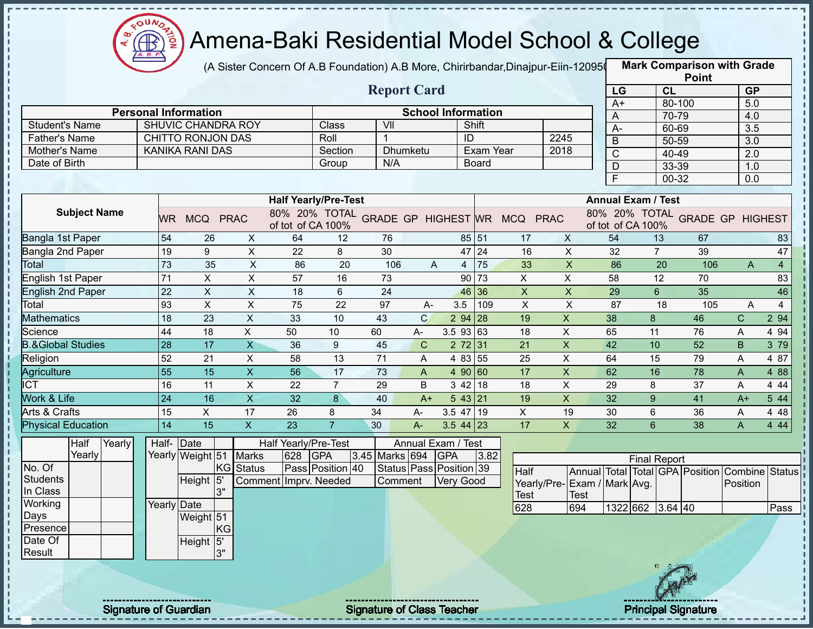

 $\mathbf{I}$ I, I.  $\mathbf{I}$ п

i<br>i

 $\mathbf{I}$  $\mathbf{I}$  $\mathbf I$ 

### Amena-Baki Residential Model School & College

(A Sister Concern Of A.B Foundation) A.B More, Chirirbandar,Dinajpur-Eiin-120950

**Mark Comparison with Grade**

|                              |                 |                             |                           |                       |                             |                                            |              |                           |           |                           |                             |                                  |                           |                    | <b>Point</b>                    |                  |                |
|------------------------------|-----------------|-----------------------------|---------------------------|-----------------------|-----------------------------|--------------------------------------------|--------------|---------------------------|-----------|---------------------------|-----------------------------|----------------------------------|---------------------------|--------------------|---------------------------------|------------------|----------------|
|                              |                 |                             |                           |                       |                             | <b>Report Card</b>                         |              |                           |           |                           |                             | LG                               |                           | CL                 |                                 | <b>GP</b>        |                |
|                              |                 | <b>Personal Information</b> |                           |                       |                             |                                            |              | <b>School Information</b> |           |                           |                             | $A+$                             |                           | 80-100             |                                 | 5.0              |                |
| <b>Student's Name</b>        |                 | SHUVIC CHANDRA ROY          |                           |                       | Class                       | VII                                        |              |                           | Shift     |                           |                             | $\mathsf{A}$                     |                           | 70-79              |                                 | 4.0              |                |
| <b>Father's Name</b>         |                 | CHITTO RONJON DAS           |                           |                       | Roll                        | $\mathbf{1}$                               |              | ID                        |           |                           | 2245                        | $A-$                             |                           | 60-69              |                                 | 3.5              |                |
| Mother's Name                |                 | <b>KANIKA RANI DAS</b>      |                           |                       | Section                     |                                            | Dhumketu     |                           | Exam Year |                           | 2018                        | $\overline{B}$                   |                           | 50-59              |                                 | $\overline{3.0}$ |                |
| Date of Birth                |                 |                             |                           |                       | Group                       | N/A                                        |              |                           | Board     |                           |                             | $\overline{C}$                   |                           | 40-49              |                                 | $\overline{2.0}$ |                |
|                              |                 |                             |                           |                       |                             |                                            |              |                           |           |                           |                             | $\overline{D}$<br>$\overline{F}$ |                           | 33-39<br>$00 - 32$ |                                 | 1.0              |                |
|                              |                 |                             |                           |                       |                             |                                            |              |                           |           |                           |                             |                                  |                           |                    |                                 | 0.0              |                |
|                              |                 |                             |                           |                       | <b>Half Yearly/Pre-Test</b> |                                            |              |                           |           |                           |                             |                                  | <b>Annual Exam / Test</b> |                    |                                 |                  |                |
| <b>Subject Name</b>          |                 | WR MCQ PRAC                 |                           | of tot of CA 100%     |                             | 80% 20% TOTAL GRADE GP HIGHEST WR MCQ PRAC |              |                           |           |                           |                             |                                  | of tot of CA 100%         |                    | 80% 20% TOTAL GRADE GP HIGHEST  |                  |                |
| <b>Bangla 1st Paper</b>      | 54              | 26                          | X                         | 64                    | $12 \overline{ }$           | 76                                         |              |                           | 85 51     | 17                        | $\times$                    | 54                               |                           | 13                 | 67                              |                  | 83             |
| Bangla 2nd Paper             | 19              | 9                           | $\overline{X}$            | $\overline{22}$       | 8                           | 30                                         |              |                           | 47 24     | 16                        | $\overline{X}$              | 32                               |                           | $\overline{7}$     | 39                              |                  | 47             |
| Total                        | 73              | 35                          | $\boldsymbol{\mathsf{X}}$ | 86                    | 20                          | 106                                        | A            | $\overline{4}$            | 75        | 33                        | $\overline{\mathsf{x}}$     | 86                               |                           | 20                 | 106                             | $\mathsf{A}$     | $\overline{4}$ |
| <b>English 1st Paper</b>     | 71              | $\overline{\mathsf{x}}$     | $\overline{X}$            | 57                    | 16                          | 73                                         |              |                           | 90 73     | $\overline{X}$            | $\overline{\mathsf{x}}$     | 58                               |                           | $\overline{12}$    | 70                              |                  | 83             |
| English 2nd Paper            | 22              | $\pmb{\times}$              | $\mathsf X$               | 18                    | 6                           | 24                                         |              |                           | 46 36     | $\boldsymbol{\mathsf{X}}$ | $\boldsymbol{\mathsf{X}}$   | 29                               |                           | $6 \overline{6}$   | 35                              |                  | 46             |
| Total                        | 93              | $\pmb{\times}$              | $\pmb{\times}$            | $\overline{75}$       | 22                          | 97                                         | $A-$         | 3.5                       | 109       | $\pmb{\times}$            | $\boldsymbol{\mathsf{X}}$   | 87                               |                           | 18                 | 105                             | A                | $\overline{4}$ |
| Mathematics                  | $\overline{18}$ | $\overline{23}$             | $\overline{X}$            | 33                    | 10                          | 43                                         | $\mathsf{C}$ | 2 94                      | 28        | 19                        | $\pmb{\times}$              | 38                               | 8                         |                    | 46                              | $\mathbf C$      | 2 94           |
| Science                      | 44              | 18                          | $\mathsf{X}$              | 50                    | 10                          | 60                                         | A-           | 3.5 93 63                 |           | 18                        | $\mathsf X$                 | 65                               | 11                        |                    | 76                              | A                | 4 9 4          |
| <b>B.&amp;Global Studies</b> | 28              | 17                          | $\mathsf X$               | 36                    | 9                           | 45                                         | $\mathbf C$  | 2 72 31                   |           | 21                        | X                           | 42                               | 10                        |                    | 52                              | B.               | 3 79           |
| Religion                     | 52              | 21                          | X                         | 58                    | 13                          | 71                                         | A            | 4 83 55                   |           | 25                        | $\mathsf X$                 | 64                               | 15                        |                    | 79                              | A                | 4 87           |
| Agriculture                  | $\overline{55}$ | 15                          | $\overline{\mathsf{x}}$   | 56                    | 17                          | 73                                         | A            | 4 90 60                   |           | 17                        | $\overline{X}$              | 62                               | 16                        |                    | 78                              | A                | 4 8 8          |
| $\overline{ICT}$             | 16              | 11                          | $\boldsymbol{\mathsf{X}}$ | 22                    | $\overline{7}$              | 29                                         | B            | 342 18                    |           | 18                        | $\boldsymbol{\mathsf{X}}$   | 29                               | 8                         |                    | 37                              | A                | 4 4 4          |
| Work & Life                  | 24              | 16                          | $\overline{\mathsf{x}}$   | $\overline{32}$       | $\bf{8}$                    | 40                                         | $A+$         | 543 21                    |           | 19                        | $\overline{X}$              | $\overline{32}$                  | 9                         |                    | 41                              | $A+$             | 5 44           |
| <b>Arts &amp; Crafts</b>     | 15              | X                           | 17                        | 26                    | 8                           | 34                                         | A-           | $3.5$ 47 19               |           | $\mathsf{X}$              | 19                          | 30                               | 6                         |                    | 36                              | A                | 4 4 8          |
| <b>Physical Education</b>    | 14              | $\overline{15}$             | $\overline{X}$            | 23                    | $\overline{7}$              | 30                                         | $A -$        | $3.5$ 44 23               |           | 17                        | $\mathsf{X}$                | 32                               | $6\phantom{1}6$           |                    | 38                              | A                | 4 4 4          |
| Half<br>Yearly               |                 | Half- Date                  |                           | Half Yearly/Pre-Test  |                             |                                            |              | Annual Exam / Test        |           |                           |                             |                                  |                           |                    |                                 |                  |                |
| Yearly                       |                 | Yearly Weight 51            | <b>Marks</b>              | 628                   | <b>GPA</b>                  | 3.45 Marks 694                             |              | <b>GPA</b>                | 3.82      |                           |                             |                                  | <b>Final Report</b>       |                    |                                 |                  |                |
| No. Of                       |                 |                             | KG Status                 |                       | Pass Position 40            |                                            |              | Status Pass Position 39   |           | Half                      |                             |                                  |                           |                    | Annual Total Total GPA Position | Combine          | Status         |
| <b>Students</b>              |                 | Height 5'                   |                           | Comment Imprv. Needed |                             | Comment                                    |              | Very Good                 |           |                           | Yearly/Pre-Exam / Mark Avg. |                                  |                           |                    |                                 | Position         |                |
| In Class                     |                 | 3"                          |                           |                       |                             |                                            |              |                           |           | Test                      | <b>Test</b>                 |                                  |                           |                    |                                 |                  |                |
| Working                      |                 | <b>Yearly Date</b>          |                           |                       |                             |                                            |              |                           |           | 628                       | 694                         |                                  | 1322 662 3.64 40          |                    |                                 |                  | Pass           |
| Days<br>Presence             |                 | Weight 51                   |                           |                       |                             |                                            |              |                           |           |                           |                             |                                  |                           |                    |                                 |                  |                |
| Date Of                      |                 | KG<br>Height 5'             |                           |                       |                             |                                            |              |                           |           |                           |                             |                                  |                           |                    |                                 |                  |                |
| Result                       |                 | 3"                          |                           |                       |                             |                                            |              |                           |           |                           |                             |                                  |                           |                    |                                 |                  |                |
|                              |                 |                             |                           |                       |                             |                                            |              |                           |           |                           |                             |                                  |                           |                    |                                 |                  |                |
|                              |                 |                             |                           |                       |                             |                                            |              |                           |           |                           |                             |                                  |                           |                    |                                 |                  |                |
|                              |                 |                             |                           |                       |                             |                                            |              |                           |           |                           |                             |                                  |                           |                    |                                 |                  |                |
|                              |                 |                             |                           |                       |                             |                                            |              |                           |           |                           |                             |                                  |                           |                    |                                 |                  |                |

Signature of Guardian Signature of Class Teacher **Signature of Class Teacher Principal Signature** 

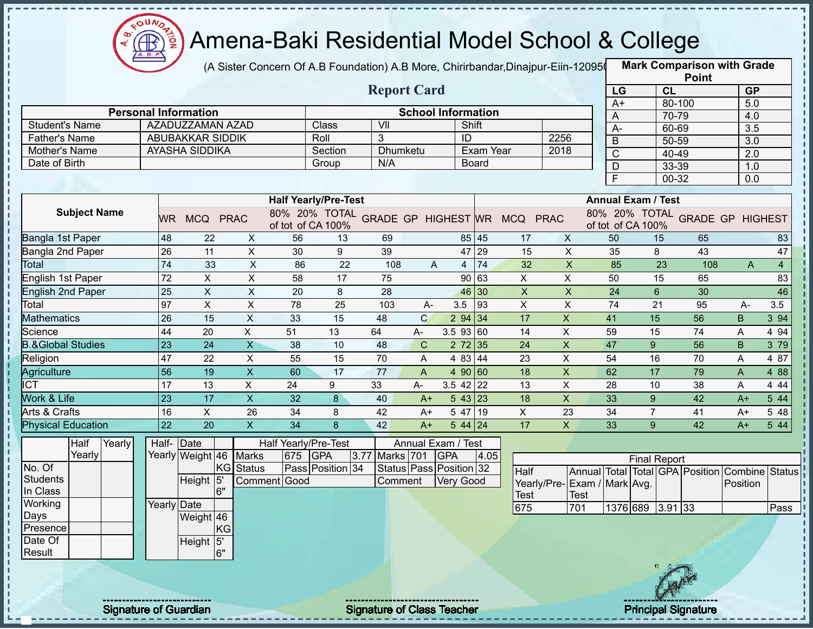

Í

 $\frac{1}{1}$ 

### Amena-Baki Residential Model School & College

(A Sister Concern Of A.B Foundation) A.B More, Chirirbandar,Dinajpur-Eiin-120950

|                              |                              |                        |           |                           |         |                             |                                   |              |                                    |              |                                            |                           |                           |                     |                | <b>Point</b>                    |                  |                |
|------------------------------|------------------------------|------------------------|-----------|---------------------------|---------|-----------------------------|-----------------------------------|--------------|------------------------------------|--------------|--------------------------------------------|---------------------------|---------------------------|---------------------|----------------|---------------------------------|------------------|----------------|
|                              |                              |                        |           |                           |         |                             | <b>Report Card</b>                |              |                                    |              |                                            |                           | LG                        |                     | <b>CL</b>      |                                 | <b>GP</b>        |                |
|                              | <b>Personal Information</b>  |                        |           |                           |         |                             |                                   |              |                                    |              |                                            |                           | $A+$                      |                     | 80-100         |                                 | 5.0              |                |
| <b>Student's Name</b>        |                              | AZADUZZAMAN AZAD       |           |                           |         | Class                       | VII                               |              | <b>School Information</b><br>Shift |              |                                            |                           | A                         |                     | 70-79          |                                 | 4.0              |                |
| <b>Father's Name</b>         |                              | ABUBAKKAR SIDDIK       |           |                           |         | Roll                        | 3                                 |              | ID                                 |              |                                            | 2256                      | $A-$                      |                     | 60-69          |                                 | 3.5              |                |
| Mother's Name                |                              | AYASHA SIDDIKA         |           |                           |         | Section                     | <b>Dhumketu</b>                   |              |                                    | Exam Year    |                                            | 2018                      | B                         |                     | 50-59          |                                 | $\overline{3.0}$ |                |
| Date of Birth                |                              |                        |           |                           |         | Group                       | N/A                               |              |                                    | <b>Board</b> |                                            |                           | $\overline{C}$            |                     | 40-49          |                                 | 2.0              |                |
|                              |                              |                        |           |                           |         |                             |                                   |              |                                    |              |                                            |                           | $\mathsf D$<br>F          |                     | 33-39          |                                 | 1.0              |                |
|                              |                              |                        |           |                           |         |                             |                                   |              |                                    |              |                                            |                           |                           |                     | 00-32          |                                 | 0.0              |                |
|                              |                              |                        |           |                           |         | <b>Half Yearly/Pre-Test</b> |                                   |              |                                    |              |                                            |                           | <b>Annual Exam / Test</b> |                     |                |                                 |                  |                |
| <b>Subject Name</b>          |                              | WR MCQ PRAC            |           |                           |         | of tot of CA 100%           |                                   |              |                                    |              | 80% 20% TOTAL GRADE GP HIGHEST WR MCQ PRAC |                           | of tot of CA 100%         |                     |                | 80% 20% TOTAL GRADE GP HIGHEST  |                  |                |
| Bangla 1st Paper             | 48                           | 22                     |           | X                         | 56      | 13                          | 69                                |              |                                    | 85 45        | 17                                         | $\mathsf{X}$              | 50                        |                     | 15             | 65                              |                  | 83             |
| Bangla 2nd Paper             | 26                           | 11                     |           | $\mathsf X$               | 30      | 9                           | 39                                |              |                                    | 47 29        | 15                                         | X                         | 35                        |                     | 8              | 43                              |                  | 47             |
| <b>Total</b>                 | 74                           | 33                     |           | $\pmb{\times}$            | 86      | 22                          | 108                               | A            | $\overline{4}$                     | 74           | 32                                         | $\boldsymbol{\mathsf{X}}$ | 85                        |                     | 23             | 108                             | $\mathsf{A}$     | $\overline{4}$ |
| <b>English 1st Paper</b>     | 72                           | $\pmb{\times}$         |           | $\mathsf X$               | 58      | 17                          | 75                                |              |                                    | 90 63        | X                                          | X                         | 50                        |                     | 15             | 65                              |                  | 83             |
| <b>English 2nd Paper</b>     | 25                           | $\pmb{\times}$         |           | $\mathsf X$               | 20      | 8                           | 28                                |              |                                    | 46 30        | $\mathsf X$                                | $\pmb{\mathsf{X}}$        | 24                        |                     | $6\phantom{1}$ | 30                              |                  | 46             |
| Total                        | 97                           | $\pmb{\times}$         |           | $\pmb{\times}$            | 78      | 25                          | 103                               | $A -$        | 3.5                                | 93           | $\mathsf X$                                | $\boldsymbol{\mathsf{X}}$ | 74                        |                     | 21             | 95                              | $A-$             | 3.5            |
| <b>Mathematics</b>           | 26                           | 15                     |           | $\mathsf X$               | 33      | 15                          | 48                                | $\mathsf{C}$ | 294 34                             |              | 17                                         | $\mathsf X$               | 41                        | 15                  |                | 56                              | B.               | 3 94           |
| Science                      | 44                           | 20                     |           | X                         | 51      | 13                          | 64                                | $A-$         | $3.5$ 93 60                        |              | 14                                         | X                         | 59                        | 15                  |                | 74                              | A                | 4 9 4          |
| <b>B.&amp;Global Studies</b> | 23                           | 24                     |           | $\overline{\mathsf{X}}$   | 38      | 10                          | 48                                | $\mathbf C$  | $2 \t 72 \t 35$                    |              | 24                                         | $\pmb{\times}$            | 47                        | 9                   |                | 56                              | B                | 3 79           |
| Religion                     | 47                           | 22                     |           | $\sf X$                   | 55      | 15                          | 70                                | A            | 4 83 44                            |              | 23                                         | X                         | 54                        | 16                  |                | 70                              | A                | 4 87           |
| Agriculture                  | 56                           | 19                     |           | X                         | 60      | 17                          | 77                                | A            | 4 90 60                            |              | 18                                         | $\mathsf X$               | 62                        | 17                  |                | 79                              | A                | 4 8 8          |
| <b>ICT</b>                   | 17                           | 13                     |           | $\pmb{\times}$            | 24      | 9                           | 33                                | A-           | $3.5$ 42 22                        |              | 13                                         | X                         | 28                        | 10                  |                | 38                              | A                | 4 4 4          |
| Work & Life                  | 23                           | 17                     |           | $\overline{X}$            | 32      | $\bf{8}$                    | 40                                | $A+$         | 543 23                             |              | 18                                         | $\overline{X}$            | 33                        | 9                   |                | 42                              | $A+$             | 5 44           |
| Arts & Crafts                | 16                           | $\mathsf{X}$           |           | 26                        | 34      | 8                           | 42                                | $A+$         | 5 47 19                            |              | X                                          | 23                        | 34                        | $\overline{7}$      |                | 41                              | $A+$             | 5 48           |
| <b>Physical Education</b>    | 22                           | 20                     |           | $\boldsymbol{\mathsf{X}}$ | 34      | 8                           | 42                                | $A+$         | $544$ 24                           |              | 17                                         | $\mathsf{x}$              | 33                        | 9                   |                | 42                              | $A+$             | 5 44           |
| Half<br>Yearly               |                              | Half- Date             |           |                           |         | Half Yearly/Pre-Test        |                                   |              | Annual Exam / Test                 |              |                                            |                           |                           |                     |                |                                 |                  |                |
| Yearly                       |                              | Yearly Weight 46 Marks |           |                           | 675 GPA |                             | Marks 701<br>3.77                 |              | <b>GPA</b>                         | 4.05         |                                            |                           |                           | <b>Final Report</b> |                |                                 |                  |                |
| No. Of                       |                              |                        | KG Status |                           |         | Pass Position 34            |                                   |              | Status Pass Position 32            |              | Half                                       |                           |                           |                     |                | Annual Total Total GPA Position | Combine Status   |                |
| <b>Students</b>              |                              | Height 5               |           | Comment Good              |         |                             | Comment                           |              | <b>Very Good</b>                   |              | Yearly/Pre-Exam / Mark Avg.                |                           |                           |                     |                |                                 | Position         |                |
| In Class                     |                              |                        | 6"        |                           |         |                             |                                   |              |                                    |              | Test                                       | <b>Test</b>               |                           |                     |                |                                 |                  |                |
| Working                      |                              | Yearly Date            |           |                           |         |                             |                                   |              |                                    |              | 675                                        | 701                       |                           | 1376 689 3.91 33    |                |                                 |                  | Pass           |
| Days                         |                              | Weight 46              |           |                           |         |                             |                                   |              |                                    |              |                                            |                           |                           |                     |                |                                 |                  |                |
| Presence                     |                              |                        | KG        |                           |         |                             |                                   |              |                                    |              |                                            |                           |                           |                     |                |                                 |                  |                |
| Date Of<br>Result            |                              | Height 5'              | 6"        |                           |         |                             |                                   |              |                                    |              |                                            |                           |                           |                     |                |                                 |                  |                |
|                              |                              |                        |           |                           |         |                             |                                   |              |                                    |              |                                            |                           |                           |                     |                |                                 |                  |                |
|                              | <b>Signature of Guardian</b> |                        |           |                           |         |                             | <b>Signature of Class Teacher</b> |              |                                    |              |                                            |                           |                           |                     |                | <b>Principal Signature</b>      |                  |                |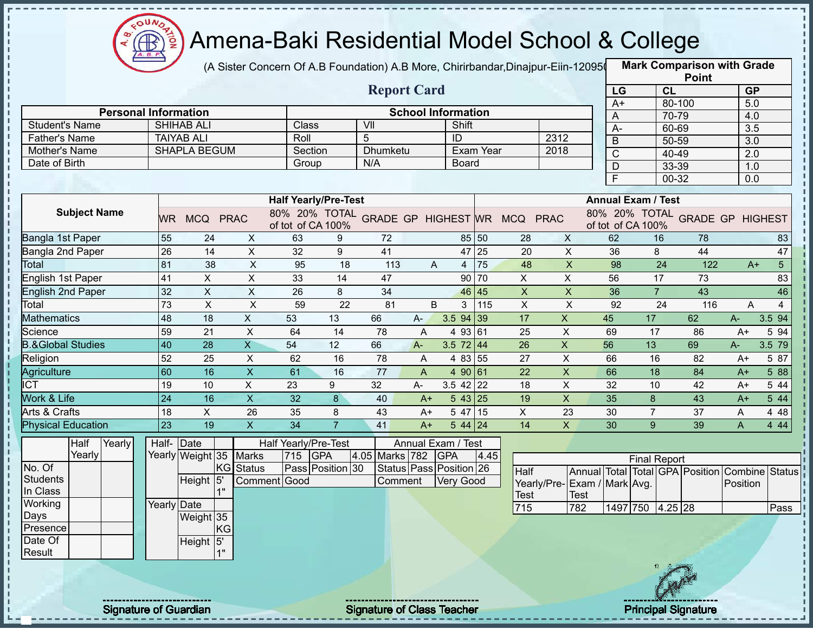

Í

### Amena-Baki Residential Model School & College

(A Sister Concern Of A.B Foundation) A.B More, Chirirbandar,Dinajpur-Eiin-120950

|                                       |                 |                                          |                |                           |                             |                  |                                   |       |                           |                  |                                            |                           |                           |                     |                | <b>Point</b>                    |                  |                |
|---------------------------------------|-----------------|------------------------------------------|----------------|---------------------------|-----------------------------|------------------|-----------------------------------|-------|---------------------------|------------------|--------------------------------------------|---------------------------|---------------------------|---------------------|----------------|---------------------------------|------------------|----------------|
|                                       |                 |                                          |                |                           |                             |                  | <b>Report Card</b>                |       |                           |                  |                                            |                           | LG                        |                     | <b>CL</b>      |                                 | <b>GP</b>        |                |
| <b>Personal Information</b>           |                 |                                          |                |                           |                             |                  |                                   |       |                           |                  |                                            |                           | $A+$                      |                     | 80-100         |                                 | 5.0              |                |
|                                       |                 |                                          |                |                           |                             |                  |                                   |       | <b>School Information</b> |                  |                                            |                           | A                         |                     | 70-79          |                                 | 4.0              |                |
| <b>Student's Name</b>                 |                 | <b>SHIHAB ALI</b>                        |                |                           | Class                       |                  | VII                               |       | Shift                     |                  |                                            |                           | $A-$                      |                     | 60-69          |                                 | $\overline{3.5}$ |                |
| <b>Father's Name</b><br>Mother's Name |                 | <b>TAIYAB ALI</b><br><b>SHAPLA BEGUM</b> |                |                           | Roll<br>Section             |                  | 5<br>Dhumketu                     |       | ID                        | <b>Exam Year</b> | 2312<br>2018                               |                           | $\overline{B}$            |                     | 50-59          |                                 | $\overline{3.0}$ |                |
|                                       |                 |                                          |                |                           |                             |                  | N/A                               |       |                           |                  |                                            |                           | $\mathsf{C}$              |                     | 40-49          |                                 | 2.0              |                |
| Date of Birth                         |                 |                                          |                |                           | Group                       |                  |                                   |       | Board                     |                  |                                            |                           | $\mathsf D$               |                     | 33-39          |                                 | 1.0              |                |
|                                       |                 |                                          |                |                           |                             |                  |                                   |       |                           |                  |                                            |                           | F                         |                     | 00-32          |                                 | 0.0              |                |
|                                       |                 |                                          |                |                           | <b>Half Yearly/Pre-Test</b> |                  |                                   |       |                           |                  |                                            |                           | <b>Annual Exam / Test</b> |                     |                |                                 |                  |                |
| <b>Subject Name</b>                   |                 | WR MCQ PRAC                              |                |                           | of tot of CA 100%           |                  |                                   |       |                           |                  | 80% 20% TOTAL GRADE GP HIGHEST WR MCQ PRAC |                           | of tot of CA 100%         |                     |                | 80% 20% TOTAL GRADE GP HIGHEST  |                  |                |
| Bangla 1st Paper                      | 55              | 24                                       |                | X                         | 63                          | 9                | 72                                |       | 85 50                     |                  | 28                                         | $\mathsf{X}$              | 62                        |                     | 16             | 78                              |                  | 83             |
| Bangla 2nd Paper                      | $\overline{26}$ | 14                                       |                | $\pmb{\times}$            | 32                          | 9                | 41                                |       | 47 25                     |                  | 20                                         | $\pmb{\times}$            | 36                        |                     | 8              | 44                              |                  | 47             |
| Total                                 | 81              | 38                                       |                | $\boldsymbol{\mathsf{X}}$ | 95                          | 18               | 113                               | A     | $\overline{4}$            | 75               | 48                                         | $\boldsymbol{\mathsf{X}}$ | 98                        |                     | 24             | 122                             | $A+$             | 5 <sup>5</sup> |
| English 1st Paper                     | 41              | $\pmb{\times}$                           |                | $\pmb{\times}$            | 33                          | 14               | 47                                |       | 90 70                     |                  | X                                          | X                         | 56                        |                     | 17             | 73                              |                  | 83             |
| <b>English 2nd Paper</b>              | 32              | $\boldsymbol{\mathsf{X}}$                |                | X                         | 26                          | 8                | 34                                |       | 46                        | 45               | $\mathsf X$                                | $\mathsf X$               | 36                        |                     | $\overline{7}$ | 43                              |                  | 46             |
| Total                                 | 73              | $\pmb{\times}$                           |                | $\boldsymbol{\mathsf{X}}$ | 59                          | 22               | 81                                | B     | 3                         | 115              | $\mathsf X$                                | $\pmb{\times}$            | 92                        |                     | 24             | 116                             | A                | $\overline{4}$ |
| <b>Mathematics</b>                    | 48              | 18                                       |                | $\mathsf{X}$              | 53                          | 13               | 66                                | $A -$ | 3.5 94 39                 |                  | 17                                         | $\mathsf{X}$              | 45                        | 17                  |                | 62                              | A-               | 3.5 94         |
| Science                               | 59              | 21                                       |                | X                         | 64                          | 14               | 78                                | A     | 4 93 61                   |                  | 25                                         | X                         | 69                        | 17                  |                | 86                              | $A+$             | 5 94           |
| <b>B.&amp;Global Studies</b>          | 40              | 28                                       |                | $\overline{X}$            | 54                          | 12               | 66                                | $A -$ | $3.5$ 72 44               |                  | 26                                         | $\mathsf{X}$              | 56                        | 13                  |                | 69                              | A-               | 3.5 79         |
| Religion                              | 52              | 25                                       |                | $\pmb{\times}$            | 62                          | 16               | 78                                | A     | 4 8 3                     | 55               | 27                                         | $\mathsf X$               | 66                        | 16                  |                | 82                              | $A+$             | 5 87           |
| Agriculture                           | 60              | 16                                       |                | $\mathsf X$               | 61                          | 16               | 77                                | A     | 4 90                      | 61               | 22                                         | X                         | 66                        | 18                  |                | 84                              | $A+$             | 5 88           |
| $\overline{\text{ICT}}$               | 19              | 10                                       |                | $\pmb{\times}$            | 23                          | 9                | 32                                | A-    | $3.5$ 42 22               |                  | 18                                         | $\boldsymbol{\mathsf{X}}$ | 32                        | 10                  |                | 42                              | $A+$             | 5 44           |
| Work & Life                           | 24              | 16                                       |                | $\overline{X}$            | 32                          | 8                | 40                                | $A+$  | 543 25                    |                  | 19                                         | $\overline{X}$            | 35                        | 8                   |                | 43                              | $A+$             | 5 44           |
| Arts & Crafts                         | 18              | $\mathsf{X}$                             |                | 26                        | 35                          | 8                | 43                                | $A+$  | 5 47 15                   |                  | X                                          | 23                        | 30                        | $\overline{7}$      |                | 37                              | A                | 4 4 8          |
| <b>Physical Education</b>             | 23              | 19                                       |                | $\mathsf X$               | 34                          | $\overline{7}$   | 41                                | $A+$  | 5 44 24                   |                  | 14                                         | $\mathsf{X}$              | 30                        | 9                   |                | 39                              | A                | 4 4 4          |
| Half<br>Yearly                        | Half-Date       |                                          |                |                           | Half Yearly/Pre-Test        |                  |                                   |       | Annual Exam / Test        |                  |                                            |                           |                           |                     |                |                                 |                  |                |
| Yearly                                |                 | Yearly Weight 35                         |                | <b>Marks</b>              | 715 GPA                     |                  | 4.05 Marks 782 GPA                |       |                           | 4.45             |                                            |                           |                           | <b>Final Report</b> |                |                                 |                  |                |
| No. Of                                |                 |                                          |                | KG Status                 |                             | Pass Position 30 |                                   |       | Status Pass Position 26   |                  | Half                                       |                           |                           |                     |                | Annual Total Total GPA Position |                  | Combine Status |
| <b>Students</b>                       |                 | Height 5                                 |                | Comment Good              |                             |                  | Comment                           |       | <b>Very Good</b>          |                  | Yearly/Pre-Exam / Mark Avg.                |                           |                           |                     |                |                                 | Position         |                |
| In Class                              |                 |                                          | 1 <sup>n</sup> |                           |                             |                  |                                   |       |                           |                  | Test                                       | <b>Test</b>               |                           |                     |                |                                 |                  |                |
| Working                               | Yearly Date     |                                          |                |                           |                             |                  |                                   |       |                           |                  | 715                                        | 782                       | 1497 750 4.25 28          |                     |                |                                 |                  | Pass           |
| Days                                  |                 | Weight 35                                |                |                           |                             |                  |                                   |       |                           |                  |                                            |                           |                           |                     |                |                                 |                  |                |
| Presence                              |                 |                                          | KG             |                           |                             |                  |                                   |       |                           |                  |                                            |                           |                           |                     |                |                                 |                  |                |
| Date Of<br>Result                     |                 | Height 5'                                | 1"             |                           |                             |                  |                                   |       |                           |                  |                                            |                           |                           |                     |                |                                 |                  |                |
|                                       |                 |                                          |                |                           |                             |                  |                                   |       |                           |                  |                                            |                           |                           |                     |                |                                 |                  |                |
|                                       |                 |                                          |                |                           |                             |                  |                                   |       |                           |                  |                                            |                           |                           |                     |                |                                 |                  |                |
| <b>Signature of Guardian</b>          |                 |                                          |                |                           |                             |                  | <b>Signature of Class Teacher</b> |       |                           |                  |                                            |                           |                           |                     |                | <b>Principal Signature</b>      |                  |                |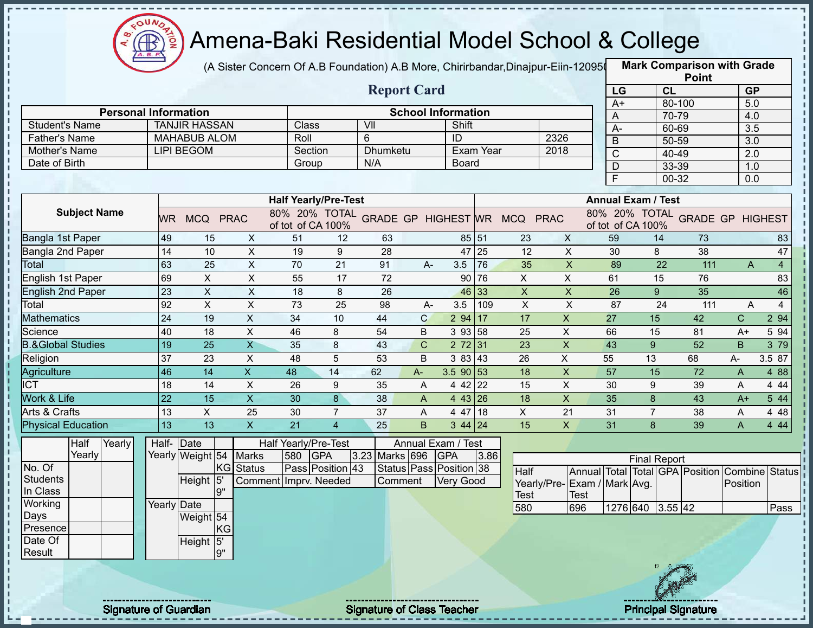

Í

### Amena-Baki Residential Model School & College

(A Sister Concern Of A.B Foundation) A.B More, Chirirbandar,Dinajpur-Eiin-120950

|                                       |                              |                                          |                           |                       |                             |                                   |              |                           |           |                                            |                           |                           |                     |           | <b>Point</b>                    |                  |                |
|---------------------------------------|------------------------------|------------------------------------------|---------------------------|-----------------------|-----------------------------|-----------------------------------|--------------|---------------------------|-----------|--------------------------------------------|---------------------------|---------------------------|---------------------|-----------|---------------------------------|------------------|----------------|
|                                       |                              |                                          |                           |                       |                             | <b>Report Card</b>                |              |                           |           |                                            |                           | LG                        |                     | <b>CL</b> |                                 | <b>GP</b>        |                |
|                                       |                              |                                          |                           |                       |                             |                                   |              |                           |           |                                            |                           | $A+$                      |                     | 80-100    |                                 | 5.0              |                |
|                                       | <b>Personal Information</b>  |                                          |                           | Class                 |                             |                                   |              | <b>School Information</b> |           |                                            |                           | A                         |                     | 70-79     |                                 | 4.0              |                |
| <b>Student's Name</b>                 |                              | <b>TANJIR HASSAN</b>                     |                           |                       |                             | VII                               |              | Shift                     |           |                                            |                           | $A-$                      |                     | 60-69     |                                 | $\overline{3.5}$ |                |
| <b>Father's Name</b><br>Mother's Name |                              | <b>MAHABUB ALOM</b><br><b>LIPI BEGOM</b> |                           | Roll                  | Section                     | 6<br><b>Dhumketu</b>              |              | ID                        | Exam Year | 2326<br>2018                               |                           | $\overline{B}$            |                     | 50-59     |                                 | $\overline{3.0}$ |                |
|                                       |                              |                                          |                           |                       |                             | N/A                               |              |                           |           |                                            |                           | $\mathsf C$               |                     | 40-49     |                                 | 2.0              |                |
| Date of Birth                         |                              |                                          |                           | Group                 |                             |                                   |              | <b>Board</b>              |           |                                            |                           | $\mathsf D$               |                     | 33-39     |                                 | 1.0              |                |
|                                       |                              |                                          |                           |                       |                             |                                   |              |                           |           |                                            |                           | F                         |                     | 00-32     |                                 | 0.0              |                |
|                                       |                              |                                          |                           |                       | <b>Half Yearly/Pre-Test</b> |                                   |              |                           |           |                                            |                           | <b>Annual Exam / Test</b> |                     |           |                                 |                  |                |
| <b>Subject Name</b>                   |                              | WR MCQ PRAC                              |                           |                       | of tot of CA 100%           |                                   |              |                           |           | 80% 20% TOTAL GRADE GP HIGHEST WR MCQ PRAC |                           | of tot of CA 100%         |                     |           | 80% 20% TOTAL GRADE GP HIGHEST  |                  |                |
| Bangla 1st Paper                      | 49                           | 15                                       | $\mathsf{X}$              | 51                    | 12                          | 63                                |              | 85 51                     |           | 23                                         | $\mathsf{X}$              | 59                        |                     | 14        | 73                              |                  | 83             |
| Bangla 2nd Paper                      | 14                           | 10                                       | $\mathsf X$               | 19                    | 9                           | 28                                |              | 47 25                     |           | 12                                         | $\pmb{\times}$            | 30                        | 8                   |           | 38                              |                  | 47             |
| <b>Total</b>                          | 63                           | 25                                       | $\pmb{\times}$            | 70                    | 21                          | 91                                | $A -$        | 3.5                       | 76        | 35                                         | $\boldsymbol{\mathsf{X}}$ | 89                        |                     | 22        | 111                             | $\mathsf{A}$     | $\overline{4}$ |
| English 1st Paper                     | 69                           | $\pmb{\times}$                           | $\mathsf X$               | 55                    | 17                          | 72                                |              | 90                        | 76        | X                                          | X                         | 61                        |                     | 15        | 76                              |                  | 83             |
| <b>English 2nd Paper</b>              | $\overline{23}$              | $\pmb{\times}$                           | $\mathsf X$               | 18                    | 8                           | 26                                |              | 46 33                     |           | $\mathsf X$                                | $\pmb{\mathsf{X}}$        | 26                        | 9                   |           | 35                              |                  | 46             |
| Total                                 | 92                           | $\pmb{\times}$                           | $\boldsymbol{\mathsf{X}}$ | 73                    | 25                          | 98                                | $A -$        | 3.5                       | 109       | $\boldsymbol{\mathsf{X}}$                  | $\pmb{\times}$            | 87                        |                     | 24        | 111                             | A                | $\overline{4}$ |
| <b>Mathematics</b>                    | 24                           | 19                                       | $\mathsf X$               | 34                    | 10                          | 44                                | $\mathsf{C}$ | 294 17                    |           | 17                                         | $\mathsf X$               | 27                        | 15                  |           | 42                              | C.               | 2 94           |
| Science                               | 40                           | 18                                       | $\mathsf X$               | 46                    | 8                           | 54                                | B            | 3 93 58                   |           | 25                                         | X                         | 66                        | 15                  |           | 81                              | $A+$             | 5 94           |
| <b>B.&amp;Global Studies</b>          | 19                           | 25                                       | $\overline{\mathsf{X}}$   | 35                    | 8                           | 43                                | $\mathbf C$  | 272 31                    |           | 23                                         | $\pmb{\times}$            | 43                        | 9                   |           | 52                              | B                | 3 79           |
| Religion                              | 37                           | 23                                       | $\sf X$                   | 48                    | $\overline{5}$              | 53                                | B            | 3 83 43                   |           | 26                                         | $\pmb{\times}$            | 55                        | 13                  |           | 68                              | A-               | 3.5 87         |
| Agriculture                           | 46                           | 14                                       | $\boldsymbol{\mathsf{X}}$ | 48                    | 14                          | 62                                | $A -$        | $3.5$ 90 53               |           | 18                                         | $\mathsf X$               | 57                        | 15                  |           | 72                              | A                | 4 88           |
| <b>ICT</b>                            | 18                           | 14                                       | $\mathsf X$               | 26                    | 9                           | 35                                | Α            | 4 42 22                   |           | 15                                         | X                         | 30                        | 9                   |           | 39                              | A                | 4 4 4          |
| Work & Life                           | 22                           | 15                                       | $\overline{X}$            | 30                    | $\bf{8}$                    | 38                                | A            | 4 43 26                   |           | 18                                         | $\overline{X}$            | 35                        | 8                   |           | 43                              | $A+$             | 5 44           |
| Arts & Crafts                         | 13                           | $\mathsf{X}$                             | 25                        | 30                    | $\overline{7}$              | 37                                | A            | 4 47 18                   |           | X                                          | 21                        | 31                        | $\overline{7}$      |           | 38                              | A                | 4 4 8          |
| <b>Physical Education</b>             | 13                           | 13                                       | $\boldsymbol{\mathsf{X}}$ | 21                    | $\overline{4}$              | 25                                | B            | $344$ 24                  |           | 15                                         | $\mathsf{X}$              | 31                        | 8                   |           | 39                              | A                | 4 4 4          |
| Half<br>Yearly                        | Half-Date                    |                                          |                           | Half Yearly/Pre-Test  |                             |                                   |              | Annual Exam / Test        |           |                                            |                           |                           |                     |           |                                 |                  |                |
| Yearly                                |                              | Yearly Weight 54                         | <b>Marks</b>              | 580 GPA               |                             | 3.23 Marks 696                    |              | <b>GPA</b>                | 3.86      |                                            |                           |                           | <b>Final Report</b> |           |                                 |                  |                |
| No. Of                                |                              |                                          | KG Status                 |                       | Pass Position 43            |                                   |              | Status Pass Position 38   |           | Half                                       |                           |                           |                     |           | Annual Total Total GPA Position |                  | Combine Status |
| <b>Students</b>                       |                              | Height 5                                 |                           | Comment Imprv. Needed |                             | Comment                           |              | <b>Very Good</b>          |           | Yearly/Pre-Exam / Mark Avg.                |                           |                           |                     |           |                                 | Position         |                |
| In Class                              |                              |                                          | 9"                        |                       |                             |                                   |              |                           |           | <b>Test</b>                                | <b>Test</b>               |                           |                     |           |                                 |                  |                |
| Working                               | Yearly Date                  |                                          |                           |                       |                             |                                   |              |                           |           | 580                                        | 696                       |                           | 1276 640 3.55 42    |           |                                 |                  | Pass           |
| Days                                  |                              | Weight 54                                |                           |                       |                             |                                   |              |                           |           |                                            |                           |                           |                     |           |                                 |                  |                |
| Presence                              |                              |                                          | KG                        |                       |                             |                                   |              |                           |           |                                            |                           |                           |                     |           |                                 |                  |                |
| Date Of                               |                              | Height 5'                                |                           |                       |                             |                                   |              |                           |           |                                            |                           |                           |                     |           |                                 |                  |                |
| Result                                |                              |                                          | 9"                        |                       |                             |                                   |              |                           |           |                                            |                           |                           |                     |           |                                 |                  |                |
|                                       |                              |                                          |                           |                       |                             |                                   |              |                           |           |                                            |                           |                           |                     |           |                                 |                  |                |
|                                       |                              |                                          |                           |                       |                             |                                   |              |                           |           |                                            |                           |                           |                     |           |                                 |                  |                |
|                                       | <b>Signature of Guardian</b> |                                          |                           |                       |                             | <b>Signature of Class Teacher</b> |              |                           |           |                                            |                           |                           |                     |           | <b>Principal Signature</b>      |                  |                |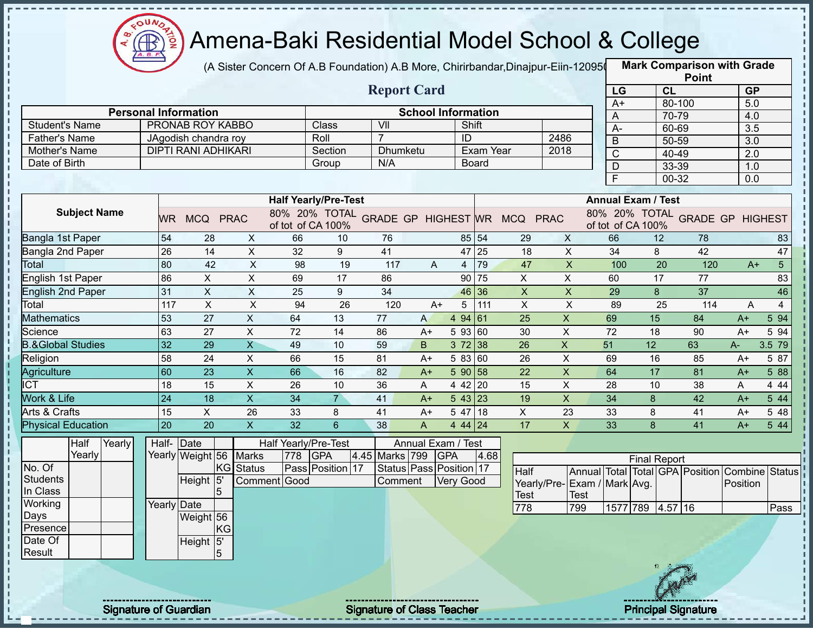

 $\mathbf I$ 

Î  $\mathbf I$ 

 $\frac{1}{1}$ 

 $\mathbf{I}$ 

,,,,,,,,,,,,,,,

 $1 + 1 + 1 + 1 + 1 + 1$ 

 $\frac{1}{1}$ 

### Amena-Baki Residential Model School & College

(A Sister Concern Of A.B Foundation) A.B More, Chirirbandar,Dinajpur-Eiin-120950

|                              |                              |                            |                           |                      |                                    |                                   |              |                           |           |                              |                           |                           |                     |           | <b>Point</b>                    |           |                |
|------------------------------|------------------------------|----------------------------|---------------------------|----------------------|------------------------------------|-----------------------------------|--------------|---------------------------|-----------|------------------------------|---------------------------|---------------------------|---------------------|-----------|---------------------------------|-----------|----------------|
|                              |                              |                            |                           |                      |                                    | <b>Report Card</b>                |              |                           |           |                              |                           | LG                        |                     | <b>CL</b> |                                 | <b>GP</b> |                |
|                              | <b>Personal Information</b>  |                            |                           |                      |                                    |                                   |              | <b>School Information</b> |           |                              |                           | $A+$                      |                     | 80-100    |                                 | 5.0       |                |
| <b>Student's Name</b>        |                              |                            | PRONAB ROY KABBO          |                      | Class                              | VII                               |              | Shift                     |           |                              |                           | A                         |                     | 70-79     |                                 | 4.0       |                |
| <b>Father's Name</b>         |                              | JAgodish chandra roy       |                           |                      | Roll                               | $\overline{7}$                    |              | ID                        |           | 2486                         |                           | $A-$                      |                     | 60-69     |                                 | 3.5       |                |
| Mother's Name                |                              | <b>DIPTI RANI ADHIKARI</b> |                           |                      | Section                            | <b>Dhumketu</b>                   |              |                           | Exam Year | 2018                         |                           | $\overline{B}$            |                     | 50-59     |                                 | 3.0       |                |
| Date of Birth                |                              |                            |                           |                      | Group                              | N/A                               |              |                           | Board     |                              |                           | $\overline{C}$            |                     | 40-49     |                                 | 2.0       |                |
|                              |                              |                            |                           |                      |                                    |                                   |              |                           |           |                              |                           | D                         |                     | 33-39     |                                 | 1.0       |                |
|                              |                              |                            |                           |                      |                                    |                                   |              |                           |           |                              |                           | $\overline{\mathsf{F}}$   |                     | 00-32     |                                 | 0.0       |                |
|                              |                              |                            |                           |                      | <b>Half Yearly/Pre-Test</b>        |                                   |              |                           |           |                              |                           | <b>Annual Exam / Test</b> |                     |           |                                 |           |                |
| <b>Subject Name</b>          |                              | WR MCQ PRAC                |                           |                      | 80% 20% TOTAL<br>of tot of CA 100% |                                   |              |                           |           | GRADE GP HIGHEST WR MCQ PRAC |                           | of tot of CA 100%         |                     |           | 80% 20% TOTAL GRADE GP HIGHEST  |           |                |
| Bangla 1st Paper             | 54                           | 28                         | X                         | 66                   | 10                                 | 76                                |              |                           | 85 54     | 29                           | $\mathsf{X}$              | 66                        |                     | 12        | 78                              |           | 83             |
| Bangla 2nd Paper             | 26                           | 14                         | $\pmb{\times}$            | 32                   | 9                                  | 41                                |              | 47                        | 25        | 18                           | $\pmb{\times}$            | 34                        | 8                   |           | 42                              |           | 47             |
| Total                        | 80                           | 42                         | $\times$                  | 98                   | 19                                 | 117                               | A            | $\overline{4}$            | 79        | 47                           | $\boldsymbol{\mathsf{X}}$ | 100                       |                     | 20        | 120                             | $A+$      | 5 <sup>1</sup> |
| <b>English 1st Paper</b>     | 86                           | X                          | $\pmb{\times}$            | 69                   | 17                                 | 86                                |              | 90                        | 75        | X                            | $\pmb{\times}$            | 60                        |                     | 17        | 77                              |           | 83             |
| <b>English 2nd Paper</b>     | 31                           | $\mathsf X$                | $\mathsf X$               | 25                   | 9                                  | 34                                |              | 46                        | 36        | $\boldsymbol{\mathsf{X}}$    | $\mathsf X$               | 29                        | 8                   |           | 37                              |           | 46             |
| Total                        | 117                          | $\pmb{\times}$             | $\times$                  | 94                   | 26                                 | 120                               | $A+$         | 5                         | 111       | $\pmb{\times}$               | $\pmb{\times}$            | 89                        |                     | 25        | 114                             | A         | $\overline{4}$ |
| <b>Mathematics</b>           | 53                           | 27                         | $\mathsf{X}$              | 64                   | 13                                 | 77                                | $\mathsf{A}$ | 4 94                      | 61        | 25                           | $\pmb{\times}$            | 69                        | 15                  |           | 84                              | $A+$      | 5 94           |
| Science                      | 63                           | 27                         | X                         | 72                   | 14                                 | 86                                | $A+$         | 5 93 60                   |           | 30                           | X                         | 72                        | 18                  |           | 90                              | $A+$      | 5 94           |
| <b>B.&amp;Global Studies</b> | 32                           | 29                         | $\overline{\mathsf{x}}$   | 49                   | 10                                 | 59                                | B.           | 372 38                    |           | 26                           | $\pmb{\times}$            | 51                        | 12                  |           | 63                              | A-        | 3.5 79         |
| Religion                     | 58                           | 24                         | $\pmb{\times}$            | 66                   | 15                                 | 81                                | $A+$         | 5 83 60                   |           | 26                           | $\mathsf X$               | 69                        | 16                  |           | 85                              | $A+$      | 5 87           |
| Agriculture                  | 60                           | 23                         | $\boldsymbol{\mathsf{X}}$ | 66                   | 16                                 | 82                                | $A+$         | 5 90                      | 158       | 22                           | $\mathsf X$               | 64                        | 17                  |           | 81                              | $A+$      | 5 88           |
| <b>ICT</b>                   | 18                           | 15                         | X                         | 26                   | 10                                 | 36                                | A            | 4 4 2                     | 120       | 15                           | X                         | 28                        | 10                  |           | 38                              | A         | 4 4 4          |
| Work & Life                  | 24                           | 18                         | $\overline{\mathsf{x}}$   | 34                   | $\overline{7}$                     | 41                                | $A+$         | 5 43 23                   |           | 19                           | $\overline{X}$            | 34                        | 8                   |           | 42                              | $A+$      | 5 44           |
| Arts & Crafts                | 15                           | X                          | 26                        | 33                   | 8                                  | 41                                | $A+$         | 5 47                      | 18        | $\mathsf{X}$                 | 23                        | 33                        | 8                   |           | 41                              | $A+$      | 5 48           |
| <b>Physical Education</b>    | 20                           | 20                         | $\boldsymbol{\mathsf{X}}$ | 32                   | $6\phantom{1}$                     | 38                                | $\mathsf{A}$ | 4 44 24                   |           | 17                           | $\mathsf{X}$              | 33                        | 8                   |           | 41                              | $A+$      | 5 44           |
| Half<br>Yearly               | Half-Date                    |                            |                           | Half Yearly/Pre-Test |                                    |                                   |              | Annual Exam / Test        |           |                              |                           |                           |                     |           |                                 |           |                |
| Yearly                       |                              | Yearly Weight 56           | <b>Marks</b>              | 778                  | <b>GPA</b>                         | 4.45 Marks 799                    |              | <b>GPA</b>                | 4.68      |                              |                           |                           | <b>Final Report</b> |           |                                 |           |                |
| No. Of                       |                              |                            | KG Status                 |                      | Pass Position 17                   |                                   |              | Status Pass Position 17   |           | Half                         |                           |                           |                     |           | Annual Total Total GPA Position | Combine   | <b>Status</b>  |
| <b>Students</b>              |                              | Height 5'                  |                           | Comment Good         |                                    | Comment                           |              | <b>Very Good</b>          |           | Yearly/Pre-                  |                           | Exam / Mark Avg.          |                     |           |                                 | Position  |                |
| In Class                     |                              |                            | 5                         |                      |                                    |                                   |              |                           |           | Test                         | Test                      |                           |                     |           |                                 |           |                |
| Working                      | Yearly Date                  |                            |                           |                      |                                    |                                   |              |                           |           | 778                          | 799                       |                           | 1577 789 4.57 16    |           |                                 |           | Pass           |
| Days                         |                              | Weight 56                  |                           |                      |                                    |                                   |              |                           |           |                              |                           |                           |                     |           |                                 |           |                |
| Presence                     |                              |                            | KG                        |                      |                                    |                                   |              |                           |           |                              |                           |                           |                     |           |                                 |           |                |
| Date Of                      |                              | Height 5'                  |                           |                      |                                    |                                   |              |                           |           |                              |                           |                           |                     |           |                                 |           |                |
| Result                       |                              |                            |                           |                      |                                    |                                   |              |                           |           |                              |                           |                           |                     |           |                                 |           |                |
|                              |                              |                            |                           |                      |                                    |                                   |              |                           |           |                              |                           |                           |                     |           |                                 |           |                |
|                              | <b>Signature of Guardian</b> |                            |                           |                      |                                    | <b>Signature of Class Teacher</b> |              |                           |           |                              |                           |                           |                     |           | <b>Principal Signature</b>      |           |                |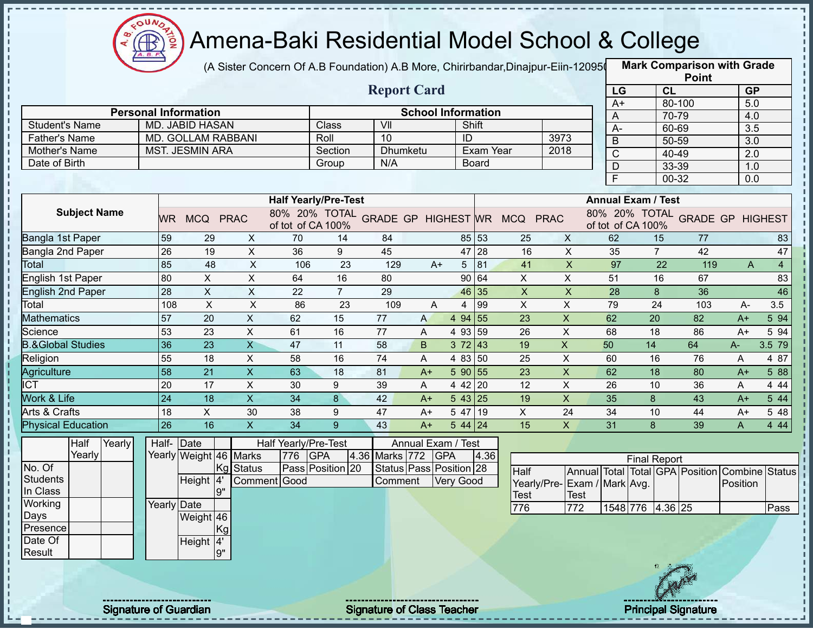

(A Sister Concern Of A.B Foundation) A.B More, Chirirbandar,Dinajpur-Eiin-120950

|                              |                              |                             |                           |                             |                  |                                            |                           |                  |              |                           |                              |                  |                                                     | <b>Point</b>   |                  |                |
|------------------------------|------------------------------|-----------------------------|---------------------------|-----------------------------|------------------|--------------------------------------------|---------------------------|------------------|--------------|---------------------------|------------------------------|------------------|-----------------------------------------------------|----------------|------------------|----------------|
|                              |                              |                             |                           |                             |                  | <b>Report Card</b>                         |                           |                  |              |                           |                              | LG               | CL                                                  |                | <b>GP</b>        |                |
|                              |                              | <b>Personal Information</b> |                           |                             |                  |                                            | <b>School Information</b> |                  |              |                           |                              | $A+$             |                                                     | 80-100         | 5.0              |                |
| <b>Student's Name</b>        |                              | <b>MD. JABID HASAN</b>      |                           |                             | Class            | VII                                        |                           | Shift            |              |                           |                              | A                |                                                     | 70-79          | 4.0              |                |
| <b>Father's Name</b>         |                              | MD. GOLLAM RABBANI          |                           |                             | Roll             | 10                                         |                           | ID               |              |                           | 3973                         | $A -$            |                                                     | 60-69          | 3.5              |                |
| Mother's Name                |                              | <b>MST. JESMIN ARA</b>      |                           |                             | Section          | <b>Dhumketu</b>                            |                           |                  | Exam Year    |                           | 2018                         | $\overline{B}$   |                                                     | 50-59          | $\overline{3.0}$ |                |
| Date of Birth                |                              |                             |                           |                             | Group            | N/A                                        |                           |                  | <b>Board</b> |                           |                              | C                |                                                     | 40-49          | 2.0              |                |
|                              |                              |                             |                           |                             |                  |                                            |                           |                  |              |                           |                              | $\mathsf D$<br>F |                                                     | 33-39<br>00-32 | 1.0<br>0.0       |                |
|                              |                              |                             |                           |                             |                  |                                            |                           |                  |              |                           |                              |                  |                                                     |                |                  |                |
|                              |                              |                             |                           | <b>Half Yearly/Pre-Test</b> |                  |                                            |                           |                  |              |                           |                              |                  | <b>Annual Exam / Test</b>                           |                |                  |                |
| <b>Subject Name</b>          | <b>WR</b>                    | MCQ PRAC                    |                           | of tot of CA 100%           |                  | 80% 20% TOTAL GRADE GP HIGHEST WR MCQ PRAC |                           |                  |              |                           |                              |                  | 80% 20% TOTAL GRADE GP HIGHEST<br>of tot of CA 100% |                |                  |                |
| Bangla 1st Paper             | 59                           | 29                          | X                         | 70                          | 14               | 84                                         |                           | 85 53            |              | 25                        | $\mathsf{X}$                 | 62               | 15                                                  | 77             |                  | 83             |
| Bangla 2nd Paper             | 26                           | 19                          | $\pmb{\times}$            | 36                          | 9                | 45                                         |                           |                  | 47 28        | 16                        | $\mathsf{X}$                 | 35               | $\overline{7}$                                      | 42             |                  | 47             |
| Total                        | 85                           | 48                          | $\pmb{\times}$            | 106                         | 23               | 129                                        | $A+$                      | $5 \mid 81$      |              | 41                        | $\boldsymbol{\mathsf{X}}$    | 97               | 22                                                  | 119            | A                | $\overline{4}$ |
| English 1st Paper            | 80                           | X                           | $\times$                  | 64                          | 16               | 80                                         |                           |                  | 90 64        | X                         | X                            | 51               | 16                                                  | 67             |                  | 83             |
| <b>English 2nd Paper</b>     | 28                           | $\sf X$                     | X                         | 22                          | $\overline{7}$   | 29                                         |                           |                  | 46 35        | $\boldsymbol{\mathsf{X}}$ | $\pmb{\times}$               | 28               | 8                                                   | 36             |                  | 46             |
| Total                        | 108                          | $\boldsymbol{\mathsf{X}}$   | $\boldsymbol{\mathsf{X}}$ | 86                          | 23               | 109                                        | A                         | 4                | 99           | $\pmb{\times}$            | $\pmb{\times}$               | 79               | 24                                                  | 103            | A-               | 3.5            |
| <b>Mathematics</b>           | 57                           | 20                          | $\pmb{\times}$            | 62                          | 15               | 77                                         | A                         | 4 94 55          |              | 23                        | $\mathsf{X}$                 | 62               | 20                                                  | 82             | $A+$             | 5 94           |
| Science                      | 53                           | 23                          | X                         | 61                          | 16               | 77                                         | A                         | 4 93 59          |              | 26                        | $\pmb{\times}$               | 68               | 18                                                  | 86             | $A+$             | 5 94           |
| <b>B.&amp;Global Studies</b> | 36                           | 23                          | $\overline{\mathsf{X}}$   | 47                          | 11               | 58                                         | B                         | 372 43           |              | 19                        | $\mathsf{X}$                 | 50               | 14                                                  | 64             | $A-$             | 3.5 79         |
| Religion                     | 55                           | 18                          | $\mathsf X$               | 58                          | 16               | 74                                         | A                         | 4 83 50          |              | 25                        | $\sf X$                      | 60               | 16                                                  | 76             | Α                | 4 87           |
| Agriculture                  | 58                           | 21                          | $\mathsf X$               | 63                          | 18               | 81                                         | $A+$                      | 5 90 55          |              | 23                        | $\mathsf{X}$                 | 62               | 18                                                  | 80             | $A+$             | 5 88           |
| <b>ICT</b>                   | 20                           | 17                          | $\pmb{\times}$            | 30                          | 9                | 39                                         | A                         | 4 42 20          |              | 12                        | $\mathsf X$                  | 26               | 10                                                  | 36             | A                | 4 4 4          |
| <b>Work &amp; Life</b>       | 24                           | 18                          | $\overline{\mathsf{x}}$   | 34                          | 8                | 42                                         | $A+$                      | 5 43 25          |              | 19                        | $\overline{X}$               | 35               | 8                                                   | 43             | $A+$             | 5 44           |
| Arts & Crafts                | 18                           | $\mathsf{X}$                | 30                        | 38                          | 9                | 47                                         | $A+$                      | 5 47 19          |              | X                         | 24                           | 34               | 10                                                  | 44             | $A+$             | 5 48           |
| <b>Physical Education</b>    | 26                           | 16                          | $\boldsymbol{\mathsf{X}}$ | 34                          | 9                | 43                                         | $A+$                      | $544$ 24         |              | 15                        | $\mathsf{X}$                 | 31               | 8                                                   | 39             | A                | 4 4 4          |
| Half<br>Yearly               |                              | Half- Date                  |                           | Half Yearly/Pre-Test        |                  |                                            | Annual Exam / Test        |                  |              |                           |                              |                  |                                                     |                |                  |                |
| Yearly                       |                              | Yearly Weight 46 Marks      |                           | 776<br><b>GPA</b>           |                  | 4.36 Marks 772                             | <b>GPA</b>                |                  | 4.36         |                           |                              |                  | <b>Final Report</b>                                 |                |                  |                |
| No. Of                       |                              | Kg                          | <b>Status</b>             |                             | Pass Position 20 | Status Pass Position 28                    |                           |                  |              | Half                      |                              |                  | Annual Total Total GPA Position                     |                | Combine          | <b>Status</b>  |
| <b>Students</b>              |                              | Height 4                    |                           | Comment Good                |                  | Comment                                    |                           | <b>Very Good</b> |              |                           | Yearly/Pre- Exam / Mark Avg. |                  |                                                     |                | Position         |                |
| In Class                     |                              | 9"                          |                           |                             |                  |                                            |                           |                  |              | Test                      | <b>Test</b>                  |                  |                                                     |                |                  |                |
| Working<br>Days              |                              | Yearly Date<br>Weight 46    |                           |                             |                  |                                            |                           |                  |              | 776                       | $\overline{772}$             |                  | 1548 776 4.36 25                                    |                |                  | Pass           |
| Presence                     |                              | [Kg]                        |                           |                             |                  |                                            |                           |                  |              |                           |                              |                  |                                                     |                |                  |                |
| Date Of                      |                              | Height 4'                   |                           |                             |                  |                                            |                           |                  |              |                           |                              |                  |                                                     |                |                  |                |
| Result                       |                              | 9"                          |                           |                             |                  |                                            |                           |                  |              |                           |                              |                  |                                                     |                |                  |                |
|                              |                              |                             |                           |                             |                  |                                            |                           |                  |              |                           |                              |                  |                                                     |                |                  |                |
|                              |                              |                             |                           |                             |                  |                                            |                           |                  |              |                           |                              |                  |                                                     |                |                  |                |
|                              |                              |                             |                           |                             |                  |                                            |                           |                  |              |                           |                              |                  |                                                     |                |                  |                |
|                              | <b>Signature of Guardian</b> |                             |                           |                             |                  | <b>Signature of Class Teacher</b>          |                           |                  |              |                           |                              |                  | <b>Principal Signature</b>                          |                |                  |                |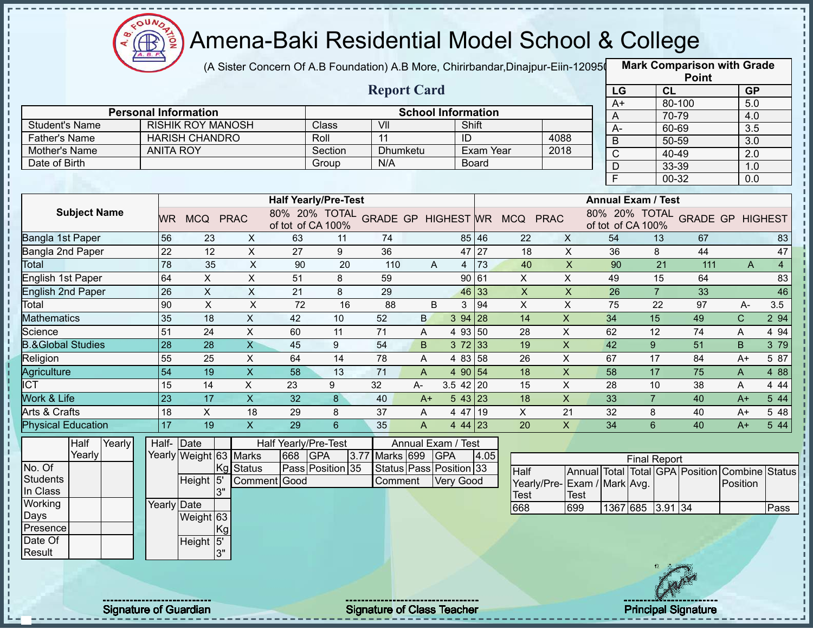

(A Sister Concern Of A.B Foundation) A.B More, Chirirbandar,Dinajpur-Eiin-120950

|                              |                              |                           |                           |                             |                  |                                   |                |                           |              |                                            |                           |                |                           |                | <b>Point</b>               |                                         |                |
|------------------------------|------------------------------|---------------------------|---------------------------|-----------------------------|------------------|-----------------------------------|----------------|---------------------------|--------------|--------------------------------------------|---------------------------|----------------|---------------------------|----------------|----------------------------|-----------------------------------------|----------------|
|                              |                              |                           |                           |                             |                  | <b>Report Card</b>                |                |                           |              |                                            |                           | LG             |                           | <b>CL</b>      |                            | <b>GP</b>                               |                |
|                              | <b>Personal Information</b>  |                           |                           |                             |                  |                                   |                | <b>School Information</b> |              |                                            |                           | $A+$           |                           | 80-100         |                            | 5.0                                     |                |
| <b>Student's Name</b>        |                              | <b>RISHIK ROY MANOSH</b>  |                           |                             | Class            | VII                               |                | Shift                     |              |                                            |                           | A              |                           | 70-79          |                            | 4.0                                     |                |
| <b>Father's Name</b>         |                              | <b>HARISH CHANDRO</b>     |                           |                             | Roll             | 11                                |                | ID                        |              |                                            | 4088                      | $A -$          |                           | 60-69          |                            | $\overline{3.5}$                        |                |
| Mother's Name                | <b>ANITA ROY</b>             |                           |                           |                             | Section          | <b>Dhumketu</b>                   |                |                           | Exam Year    |                                            | 2018                      | $\overline{B}$ |                           | 50-59          |                            | $\overline{3.0}$                        |                |
| Date of Birth                |                              |                           |                           |                             | Group            | N/A                               |                |                           | <b>Board</b> |                                            |                           | $\mathsf C$    |                           | 40-49          |                            | 2.0                                     |                |
|                              |                              |                           |                           |                             |                  |                                   |                |                           |              |                                            |                           | D<br>F         |                           | 33-39<br>00-32 |                            | 1.0<br>0.0                              |                |
|                              |                              |                           |                           |                             |                  |                                   |                |                           |              |                                            |                           |                |                           |                |                            |                                         |                |
|                              |                              |                           |                           | <b>Half Yearly/Pre-Test</b> |                  |                                   |                |                           |              |                                            |                           |                | <b>Annual Exam / Test</b> |                |                            |                                         |                |
| <b>Subject Name</b>          | <b>WR</b>                    | MCQ PRAC                  |                           | of tot of CA 100%           |                  |                                   |                |                           |              | 80% 20% TOTAL GRADE GP HIGHEST WR MCQ PRAC |                           |                | of tot of CA 100%         |                |                            | 80% 20% TOTAL GRADE GP HIGHEST          |                |
| Bangla 1st Paper             | 56                           | 23                        | $\boldsymbol{\mathsf{X}}$ | 63                          | 11               | 74                                |                |                           | 85 46        | 22                                         | $\times$                  | 54             |                           | 13             | 67                         |                                         | 83             |
| Bangla 2nd Paper             | $\overline{22}$              | 12                        | X                         | 27                          | 9                | 36                                |                |                           | 47 27        | 18                                         | $\mathsf{X}$              | 36             |                           | 8              | 44                         |                                         | 47             |
| Total                        | 78                           | 35                        | $\pmb{\times}$            | 90                          | 20               | 110                               | A              |                           | $4 \mid 73$  | 40                                         | $\mathsf{X}$              | 90             |                           | 21             | 111                        | A                                       | $\overline{4}$ |
| English 1st Paper            | 64                           | Χ                         | $\sf X$                   | 51                          | 8                | 59                                |                | 90 61                     |              | X                                          | $\times$                  | 49             |                           | 15             | 64                         |                                         | 83             |
| <b>English 2nd Paper</b>     | 26                           | $\mathsf X$               | X                         | 21                          | 8                | 29                                |                |                           | 46 33        | $\boldsymbol{\mathsf{X}}$                  | $\boldsymbol{\mathsf{X}}$ | 26             |                           | $\overline{7}$ | 33                         |                                         | 46             |
| Total                        | 90                           | $\boldsymbol{\mathsf{X}}$ | $\boldsymbol{\mathsf{X}}$ | 72                          | 16               | 88                                | B              | 3                         | 94           | X                                          | $\pmb{\times}$            | 75             |                           | 22             | 97                         | $A-$                                    | 3.5            |
| <b>Mathematics</b>           | 35                           | 18                        | X                         | 42                          | 10               | 52                                | B.             | $394$ 28                  |              | 14                                         | $\mathsf X$               | 34             | 15                        |                | 49                         | C.                                      | 2 94           |
| Science                      | 51                           | 24                        | X                         | 60                          | 11               | 71                                | A              | 4 93 50                   |              | 28                                         | $\mathsf X$               | 62             | 12                        |                | 74                         | Α                                       | 4 94           |
| <b>B.&amp;Global Studies</b> | 28                           | 28                        | $\overline{\mathsf{X}}$   | 45                          | 9                | 54                                | B.             | $372$ 33                  |              | 19                                         | $\mathsf X$               | 42             | 9                         |                | 51                         | B                                       | 3 79           |
| Religion                     | 55                           | 25                        | $\mathsf X$               | 64                          | 14               | 78                                | A              | 4 83                      | 58           | 26                                         | $\sf X$                   | 67             | 17                        |                | 84                         | $A+$                                    | 5 87           |
| Agriculture                  | 54                           | 19                        | $\mathsf X$               | 58                          | 13               | 71                                | A              | 4 90 54                   |              | 18                                         | $\pmb{\mathsf{X}}$        | 58             | 17                        |                | 75                         | A                                       | 4 8 8          |
| $\overline{\text{ICT}}$      | 15                           | 14                        | X                         | 23                          | 9                | 32                                | A-             | $3.5$ 42 20               |              | 15                                         | $\mathsf X$               | 28             | 10                        |                | 38                         | A                                       | 4 4 4          |
| <b>Work &amp; Life</b>       | 23                           | $\overline{17}$           | $\overline{\mathsf{x}}$   | 32                          | $\bf{8}$         | 40                                | $A+$           | 543 23                    |              | 18                                         | $\overline{X}$            | 33             | $\overline{7}$            |                | 40                         | $A+$                                    | 5 44           |
| Arts & Crafts                | 18                           | $\pmb{\times}$            | 18                        | 29                          | 8                | 37                                | A              | 4 47 19                   |              | X                                          | 21                        | 32             | 8                         |                | 40                         | $A+$                                    | 5 48           |
| <b>Physical Education</b>    | 17                           | 19                        | $\boldsymbol{\mathsf{X}}$ | 29                          | $6\phantom{1}$   | 35                                | $\overline{A}$ | 44 23                     |              | 20                                         | $\mathsf{x}$              | 34             | 6                         |                | 40                         | $A+$                                    | 5 44           |
| Half<br>Yearly               |                              | Half-Date                 |                           | Half Yearly/Pre-Test        |                  |                                   |                | Annual Exam / Test        |              |                                            |                           |                |                           |                |                            |                                         |                |
| Yearly                       |                              | Yearly Weight 63 Marks    |                           | 668                         | <b>GPA</b>       | Marks 699<br>3.77                 |                | <b>GPA</b>                | 4.05         |                                            |                           |                | <b>Final Report</b>       |                |                            |                                         |                |
| No. Of                       |                              |                           | Kg Status                 |                             | Pass Position 35 |                                   |                | Status Pass Position 33   |              | Half                                       |                           |                |                           |                |                            | Annual Total Total GPA Position Combine | <b>Status</b>  |
| Students                     |                              | Height <sup>15</sup>      |                           | Comment Good                |                  | Comment                           |                | <b>Very Good</b>          |              | Yearly/Pre-                                | Exam / Mark Avg.          |                |                           |                |                            | Position                                |                |
| In Class                     |                              | 3"                        |                           |                             |                  |                                   |                |                           |              | Test                                       | <b>Test</b>               |                |                           |                |                            |                                         |                |
| Working<br>Days              | Yearly Date                  |                           |                           |                             |                  |                                   |                |                           |              | 668                                        | 699                       |                | 1367 685 3.91 34          |                |                            |                                         | Pass           |
| Presence                     |                              | Weight 63<br>Kg           |                           |                             |                  |                                   |                |                           |              |                                            |                           |                |                           |                |                            |                                         |                |
| Date Of                      |                              | Height 5'                 |                           |                             |                  |                                   |                |                           |              |                                            |                           |                |                           |                |                            |                                         |                |
| Result                       |                              | 3"                        |                           |                             |                  |                                   |                |                           |              |                                            |                           |                |                           |                |                            |                                         |                |
|                              |                              |                           |                           |                             |                  |                                   |                |                           |              |                                            |                           |                |                           |                |                            |                                         |                |
|                              |                              |                           |                           |                             |                  |                                   |                |                           |              |                                            |                           |                |                           |                |                            |                                         |                |
|                              |                              |                           |                           |                             |                  |                                   |                |                           |              |                                            |                           |                |                           |                |                            |                                         |                |
|                              | <b>Signature of Guardian</b> |                           |                           |                             |                  | <b>Signature of Class Teacher</b> |                |                           |              |                                            |                           |                |                           |                | <b>Principal Signature</b> |                                         |                |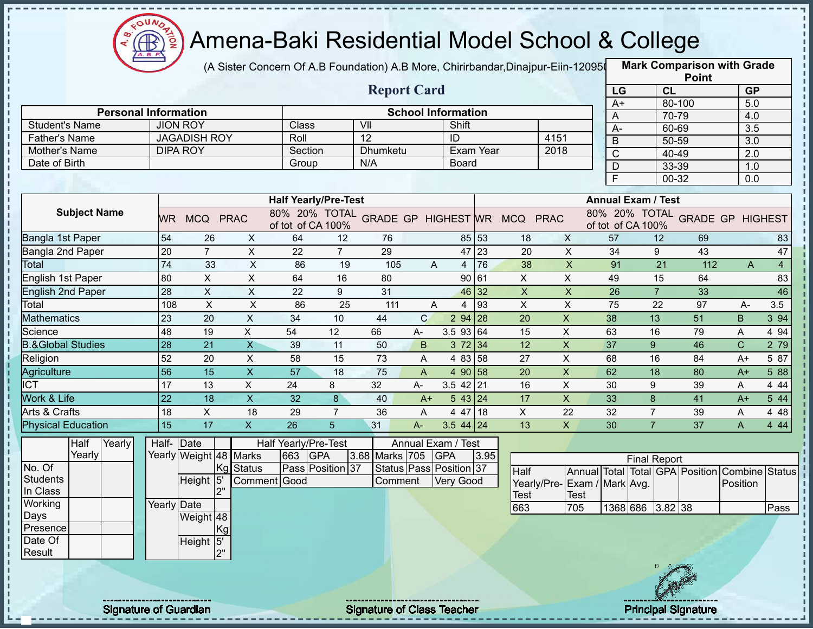

(A Sister Concern Of A.B Foundation) A.B More, Chirirbandar,Dinajpur-Eiin-120950

|                                |                 |                                        |                           |                             |                  |                                   |              |                           |                   |                                            |                           |                |                           | <b>Point</b>                    |              |                |
|--------------------------------|-----------------|----------------------------------------|---------------------------|-----------------------------|------------------|-----------------------------------|--------------|---------------------------|-------------------|--------------------------------------------|---------------------------|----------------|---------------------------|---------------------------------|--------------|----------------|
|                                |                 |                                        |                           |                             |                  | <b>Report Card</b>                |              |                           |                   |                                            |                           | LG             |                           | CL                              | <b>GP</b>    |                |
| <b>Personal Information</b>    |                 |                                        |                           |                             |                  |                                   |              |                           |                   |                                            |                           | $A+$           |                           | 80-100                          | 5.0          |                |
|                                |                 |                                        |                           |                             |                  |                                   |              | <b>School Information</b> |                   |                                            |                           | A              |                           | 70-79                           | 4.0          |                |
| <b>Student's Name</b>          |                 | <b>JION ROY</b><br><b>JAGADISH ROY</b> |                           | Class                       |                  | VII<br>$\overline{12}$            |              | Shift<br>ID               |                   |                                            |                           | $A-$           |                           | 60-69                           | 3.5          |                |
| <b>Father's Name</b>           |                 | <b>DIPA ROY</b>                        |                           | Roll<br>Section             |                  | <b>Dhumketu</b>                   |              | <b>Exam Year</b>          |                   | 4151<br>2018                               |                           | $\overline{B}$ |                           | 50-59                           | 3.0          |                |
| Mother's Name<br>Date of Birth |                 |                                        |                           |                             |                  | N/A                               |              |                           |                   |                                            |                           | $\overline{C}$ |                           | 40-49                           | 2.0          |                |
|                                |                 |                                        |                           | Group                       |                  |                                   |              | <b>Board</b>              |                   |                                            |                           | $\mathsf D$    |                           | 33-39                           | 1.0          |                |
|                                |                 |                                        |                           |                             |                  |                                   |              |                           |                   |                                            |                           | F              |                           | 00-32                           | 0.0          |                |
|                                |                 |                                        |                           | <b>Half Yearly/Pre-Test</b> |                  |                                   |              |                           |                   |                                            |                           |                | <b>Annual Exam / Test</b> |                                 |              |                |
| <b>Subject Name</b>            |                 | WR MCQ PRAC                            |                           | of tot of CA 100%           |                  |                                   |              |                           |                   | 80% 20% TOTAL GRADE GP HIGHEST WR MCQ PRAC |                           |                | of tot of CA 100%         | 80% 20% TOTAL GRADE GP HIGHEST  |              |                |
| Bangla 1st Paper               | 54              | 26                                     | X                         | 64                          | 12               | 76                                |              | 85 53                     |                   | 18                                         | $\mathsf{X}$              | 57             | 12                        | 69                              |              | 83             |
| Bangla 2nd Paper               | 20              | $\overline{7}$                         | $\pmb{\times}$            | 22                          | $\overline{7}$   | 29                                |              | 47 23                     |                   | 20                                         | X                         | 34             | 9                         | 43                              |              | 47             |
| Total                          | 74              | 33                                     | $\mathsf X$               | 86                          | 19               | 105                               | A            |                           | $4 \overline{76}$ | 38                                         | $\boldsymbol{\mathsf{X}}$ | 91             | 21                        | 112                             | A            | $\overline{4}$ |
| English 1st Paper              | 80              | X                                      | $\pmb{\times}$            | 64                          | 16               | 80                                |              | 90 61                     |                   | $\mathsf X$                                | X                         | 49             | 15                        | 64                              |              | 83             |
| <b>English 2nd Paper</b>       | 28              | $\mathsf X$                            | $\boldsymbol{\mathsf{X}}$ | 22                          | 9                | 31                                |              | 46 32                     |                   | $\pmb{\times}$                             | $\mathsf X$               | 26             | $\overline{7}$            | 33                              |              | 46             |
| Total                          | 108             | $\boldsymbol{\mathsf{X}}$              | $\mathsf X$               | 86                          | 25               | 111                               | A            | 4                         | 93                | $\mathsf X$                                | $\pmb{\mathsf{X}}$        | 75             | 22                        | 97                              | A-           | 3.5            |
| <b>Mathematics</b>             | 23              | 20                                     | $\pmb{\times}$            | 34                          | 10               | 44                                | $\mathsf{C}$ | $294$ 28                  |                   | 20                                         | $\pmb{\times}$            | 38             | 13                        | 51                              | B            | 3 94           |
| Science                        | 48              | 19                                     | X                         | 54                          | 12               | 66                                | A-           | 3.5 93 64                 |                   | 15                                         | X                         | 63             | 16                        | 79                              | Α            | 4 9 4          |
| <b>B.&amp;Global Studies</b>   | 28              | 21                                     | $\overline{X}$            | 39                          | 11               | 50                                | B            | 372 34                    |                   | 12                                         | $\mathsf X$               | 37             | 9                         | 46                              | $\mathsf{C}$ | 2 79           |
| Religion                       | 52              | 20                                     | $\sf X$                   | 58                          | 15               | 73                                | A            | 4 83 58                   |                   | 27                                         | $\mathsf X$               | 68             | 16                        | 84                              | $A+$         | 5 87           |
| Agriculture                    | $\overline{56}$ | 15                                     | $\mathsf X$               | 57                          | 18               | 75                                | A            | 4 90 58                   |                   | 20                                         | $\boldsymbol{\mathsf{X}}$ | 62             | 18                        | 80                              | $A+$         | 5 88           |
| <b>ICT</b>                     | 17              | 13                                     | $\pmb{\times}$            | 24                          | 8                | 32                                | A-           | $3.5$ 42 21               |                   | 16                                         | $\pmb{\times}$            | 30             | 9                         | 39                              | A            | 4 4 4          |
| Work & Life                    | 22              | 18                                     | $\overline{X}$            | 32                          | $\bf{8}$         | 40                                | $A+$         | 543 24                    |                   | 17                                         | $\overline{X}$            | 33             | 8                         | 41                              | $A+$         | 5 44           |
| Arts & Crafts                  | 18              | X                                      | 18                        | 29                          | $\overline{7}$   | 36                                | A            | 4 47 18                   |                   | $\mathsf X$                                | 22                        | 32             | $\overline{7}$            | 39                              | Α            | 4 4 8          |
| <b>Physical Education</b>      | 15              | 17                                     | $\mathsf{X}$              | 26                          | 5                | 31                                | A-           | $3.544$ 24                |                   | 13                                         | $\mathsf{X}$              | 30             | $\overline{7}$            | 37                              | A            | 4 4 4          |
| Half<br>Yearly                 | Half- Date      |                                        |                           | Half Yearly/Pre-Test        |                  |                                   |              | Annual Exam / Test        |                   |                                            |                           |                |                           |                                 |              |                |
| Yearly                         |                 | Yearly Weight 48 Marks                 |                           | 663                         | <b>GPA</b>       | 3.68 Marks 705                    |              | <b>GPA</b>                | 3.95              |                                            |                           |                | <b>Final Report</b>       |                                 |              |                |
| No. Of                         |                 |                                        | <b>Status</b><br>IKg      |                             | Pass Position 37 |                                   |              | Status Pass Position 37   |                   | Half                                       |                           |                |                           | Annual Total Total GPA Position | Combine      | <b>Status</b>  |
| <b>Students</b>                |                 | Height 5'                              |                           | Comment Good                |                  | Comment                           |              | <b>Very Good</b>          |                   | Yearly/Pre-                                | Exam / Mark Avg.          |                |                           |                                 | Position     |                |
| In Class                       |                 | 2"                                     |                           |                             |                  |                                   |              |                           |                   | Test                                       | <b>Test</b>               |                |                           |                                 |              |                |
| Working                        | Yearly Date     |                                        |                           |                             |                  |                                   |              |                           |                   | 663                                        | 705                       |                | 1368 686 3.82 38          |                                 |              | Pass           |
| Days                           |                 | Weight 48                              |                           |                             |                  |                                   |              |                           |                   |                                            |                           |                |                           |                                 |              |                |
| Presence                       |                 |                                        | Kg                        |                             |                  |                                   |              |                           |                   |                                            |                           |                |                           |                                 |              |                |
| Date Of                        |                 | Height 5'                              |                           |                             |                  |                                   |              |                           |                   |                                            |                           |                |                           |                                 |              |                |
| Result                         |                 | 2"                                     |                           |                             |                  |                                   |              |                           |                   |                                            |                           |                |                           |                                 |              |                |
|                                |                 |                                        |                           |                             |                  |                                   |              |                           |                   |                                            |                           |                |                           |                                 |              |                |
|                                |                 |                                        |                           |                             |                  |                                   |              |                           |                   |                                            |                           |                |                           |                                 |              |                |
|                                |                 |                                        |                           |                             |                  |                                   |              |                           |                   |                                            |                           |                |                           |                                 |              |                |
| <b>Signature of Guardian</b>   |                 |                                        |                           |                             |                  | <b>Signature of Class Teacher</b> |              |                           |                   |                                            |                           |                |                           | <b>Principal Signature</b>      |              |                |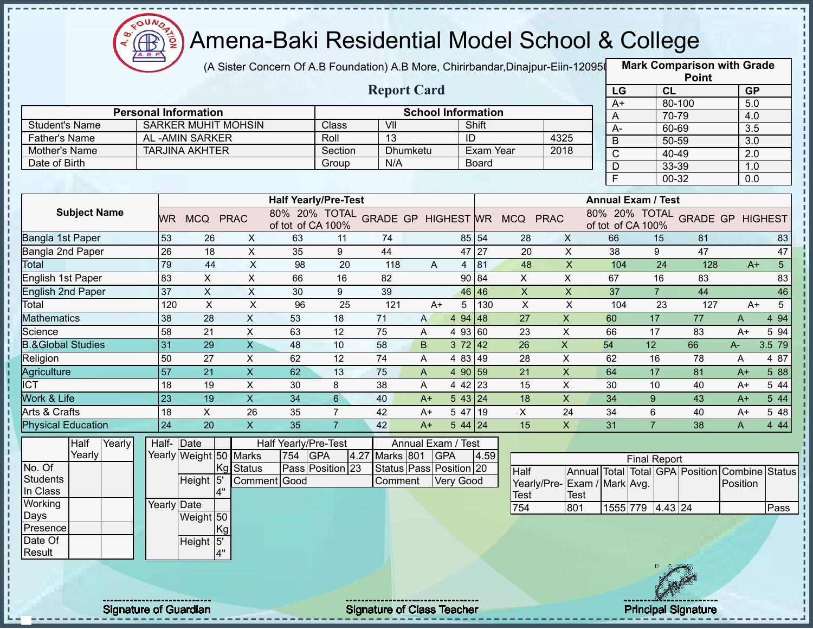

(A Sister Concern Of A.B Foundation) A.B More, Chirirbandar,Dinajpur-Eiin-120950

|                                       |                              |                             |                            |                             |                  |                                   |      |                           |           |                                            |                           |                |                           | <b>Point</b>                            |           |                |
|---------------------------------------|------------------------------|-----------------------------|----------------------------|-----------------------------|------------------|-----------------------------------|------|---------------------------|-----------|--------------------------------------------|---------------------------|----------------|---------------------------|-----------------------------------------|-----------|----------------|
|                                       |                              |                             |                            |                             |                  | <b>Report Card</b>                |      |                           |           |                                            |                           | LG             | CL                        |                                         | <b>GP</b> |                |
|                                       |                              |                             |                            |                             |                  |                                   |      |                           |           |                                            |                           | $A+$           |                           | 80-100                                  | 5.0       |                |
|                                       |                              | <b>Personal Information</b> |                            |                             |                  |                                   |      | <b>School Information</b> |           |                                            |                           | A              |                           | 70-79                                   | 4.0       |                |
| <b>Student's Name</b>                 |                              | AL-AMIN SARKER              | <b>SARKER MUHIT MOHSIN</b> |                             | Class<br>Roll    | VII<br>$\overline{13}$            |      | ID                        | Shift     |                                            | 4325                      | $A -$          |                           | 60-69                                   | 3.5       |                |
| <b>Father's Name</b><br>Mother's Name |                              | <b>TARJINA AKHTER</b>       |                            |                             | Section          | <b>Dhumketu</b>                   |      |                           | Exam Year |                                            | 2018                      | $\overline{B}$ |                           | 50-59                                   | 3.0       |                |
| Date of Birth                         |                              |                             |                            |                             | Group            | N/A                               |      |                           | Board     |                                            |                           | $\mathsf C$    |                           | 40-49                                   | 2.0       |                |
|                                       |                              |                             |                            |                             |                  |                                   |      |                           |           |                                            |                           | D              |                           | 33-39                                   | 1.0       |                |
|                                       |                              |                             |                            |                             |                  |                                   |      |                           |           |                                            |                           | F              |                           | 00-32                                   | 0.0       |                |
|                                       |                              |                             |                            | <b>Half Yearly/Pre-Test</b> |                  |                                   |      |                           |           |                                            |                           |                | <b>Annual Exam / Test</b> |                                         |           |                |
| <b>Subject Name</b>                   | <b>WR</b>                    | MCQ PRAC                    |                            | of tot of CA 100%           |                  |                                   |      |                           |           | 80% 20% TOTAL GRADE GP HIGHEST WR MCQ PRAC |                           |                | of tot of CA 100%         | 80% 20% TOTAL GRADE GP HIGHEST          |           |                |
| Bangla 1st Paper                      | 53                           | 26                          | X                          | 63                          | 11               | 74                                |      |                           | 85 54     | 28                                         | X                         | 66             | 15                        | 81                                      |           | 83             |
| Bangla 2nd Paper                      | 26                           | 18                          | $\pmb{\times}$             | 35                          | 9                | 44                                |      | 47 27                     |           | 20                                         | $\mathsf{X}$              | 38             | 9                         | 47                                      |           | 47             |
| <b>Total</b>                          | 79                           | 44                          | $\times$                   | 98                          | 20               | 118                               | A    |                           | $4$ 81    | 48                                         | $\boldsymbol{\mathsf{X}}$ | 104            | 24                        | 128                                     | $A+$      | 5 <sup>1</sup> |
| <b>English 1st Paper</b>              | 83                           | X                           | X                          | 66                          | 16               | 82                                |      |                           | 90 84     | X                                          | X                         | 67             | 16                        | 83                                      |           | 83             |
| <b>English 2nd Paper</b>              | 37                           | $\pmb{\times}$              | X                          | 30                          | 9                | 39                                |      | 46 46                     |           | $\boldsymbol{X}$                           | $\pmb{\times}$            | 37             | $\overline{7}$            | 44                                      |           | 46             |
| Total                                 | 120                          | $\pmb{\times}$              | $\mathsf X$                | 96                          | 25               | 121                               | $A+$ | 5                         | 130       | $\pmb{\times}$                             | $\boldsymbol{\mathsf{X}}$ | 104            | 23                        | 127                                     | $A+$      | 5              |
| <b>Mathematics</b>                    | 38                           | 28                          | X                          | 53                          | 18               | 71                                | A    | 4 94 48                   |           | 27                                         | $\pmb{\mathsf{X}}$        | 60             | 17                        | 77                                      | A         | 4 9 4          |
| Science                               | 58                           | 21                          | X                          | 63                          | 12               | 75                                | A    | 4 93 60                   |           | 23                                         | $\pmb{\times}$            | 66             | 17                        | 83                                      | $A+$      | 5 94           |
| <b>B.&amp;Global Studies</b>          | 31                           | 29                          | $\overline{X}$             | 48                          | 10               | 58                                | B    | 372   42                  |           | 26                                         | $\pmb{\times}$            | 54             | 12                        | 66                                      | A-        | 3.5 79         |
| Religion                              | 50                           | 27                          | $\mathsf X$                | 62                          | 12               | 74                                | A    | 4 83 49                   |           | 28                                         | $\mathsf X$               | 62             | 16                        | 78                                      | A         | 4 87           |
| Agriculture                           | $\overline{57}$              | 21                          | $\mathsf X$                | 62                          | 13               | 75                                | A    | 4 90 59                   |           | 21                                         | $\boldsymbol{\mathsf{X}}$ | 64             | 17                        | 81                                      | $A+$      | 5 88           |
| <b>ICT</b>                            | 18                           | 19                          | X                          | 30                          | 8                | 38                                | A    | 4 42 23                   |           | 15                                         | $\pmb{\times}$            | 30             | 10                        | 40                                      | $A+$      | 5 44           |
| Work & Life                           | 23                           | 19                          | $\overline{X}$             | 34                          | $6\phantom{a}$   | 40                                | $A+$ | 5 43 24                   |           | 18                                         | $\overline{X}$            | 34             | 9                         | 43                                      | $A+$      | 5 4 4          |
| Arts & Crafts                         | 18                           | X                           | 26                         | 35                          | $\overline{7}$   | 42                                | $A+$ | 5 47 19                   |           | X                                          | 24                        | 34             | 6                         | 40                                      | $A+$      | 5 48           |
| <b>Physical Education</b>             | 24                           | 20                          | $\boldsymbol{\mathsf{X}}$  | 35                          | $\overline{7}$   | 42                                | $A+$ | $544$ 24                  |           | 15                                         | $\mathsf{X}$              | 31             | $\overline{7}$            | 38                                      | A         | 4 4 4          |
| Half<br>Yearly                        |                              | Half- Date                  |                            | Half Yearly/Pre-Test        |                  |                                   |      | Annual Exam / Test        |           |                                            |                           |                |                           |                                         |           |                |
| Yearly                                |                              | Yearly Weight 50 Marks      |                            | 754                         | <b>GPA</b>       | Marks 801<br>4.27                 |      | <b>GPA</b>                | 4.59      |                                            |                           |                | <b>Final Report</b>       |                                         |           |                |
| No. Of                                |                              |                             | <b>Status</b><br>ΙKg       |                             | Pass Position 23 | Status Pass Position 20           |      |                           |           | Half                                       |                           |                |                           | Annual Total Total GPA Position Combine |           | <b>Status</b>  |
| <b>Students</b>                       |                              | Height 5'                   |                            | Comment Good                |                  | Comment                           |      | Very Good                 |           | Yearly/Pre- Exam / Mark Avg.               |                           |                |                           |                                         | Position  |                |
| In Class                              |                              | 4"                          |                            |                             |                  |                                   |      |                           |           | Test                                       | <b>Test</b>               |                |                           |                                         |           |                |
| Working                               |                              | Yearly Date                 |                            |                             |                  |                                   |      |                           |           | 754                                        | 801                       |                | 1555 779 4.43 24          |                                         |           | Pass           |
| Days                                  |                              | Weight 50                   |                            |                             |                  |                                   |      |                           |           |                                            |                           |                |                           |                                         |           |                |
| Presence                              |                              |                             | Kg                         |                             |                  |                                   |      |                           |           |                                            |                           |                |                           |                                         |           |                |
| Date Of<br>Result                     |                              | Height <sup>5'</sup>        | 4"                         |                             |                  |                                   |      |                           |           |                                            |                           |                |                           |                                         |           |                |
|                                       |                              |                             |                            |                             |                  |                                   |      |                           |           |                                            |                           |                |                           |                                         |           |                |
|                                       |                              |                             |                            |                             |                  |                                   |      |                           |           |                                            |                           |                |                           |                                         |           |                |
|                                       |                              |                             |                            |                             |                  |                                   |      |                           |           |                                            |                           |                |                           |                                         |           |                |
|                                       | <b>Signature of Guardian</b> |                             |                            |                             |                  | <b>Signature of Class Teacher</b> |      |                           |           |                                            |                           |                |                           | <b>Principal Signature</b>              |           |                |
|                                       |                              |                             |                            |                             |                  |                                   |      |                           |           |                                            |                           |                |                           |                                         |           |                |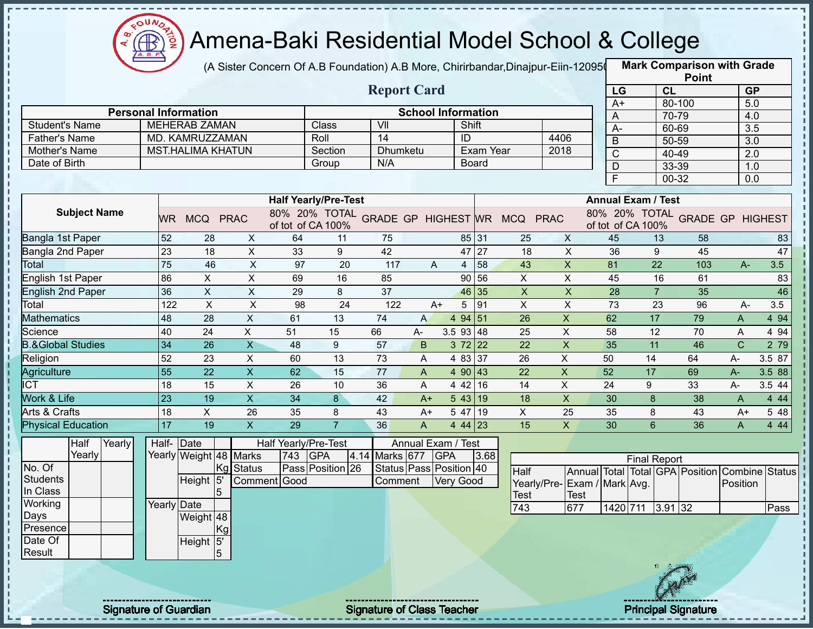

(A Sister Concern Of A.B Foundation) A.B More, Chirirbandar,Dinajpur-Eiin-120950

|                              |                              |                             |                           |                      |                             |                                   |              |                           |                   |                                            |                           |                           |                     |                | <b>Point</b>               |                                         |               |
|------------------------------|------------------------------|-----------------------------|---------------------------|----------------------|-----------------------------|-----------------------------------|--------------|---------------------------|-------------------|--------------------------------------------|---------------------------|---------------------------|---------------------|----------------|----------------------------|-----------------------------------------|---------------|
|                              |                              |                             |                           |                      |                             | <b>Report Card</b>                |              |                           |                   |                                            |                           | LG                        |                     | <b>CL</b>      |                            | <b>GP</b>                               |               |
|                              |                              | <b>Personal Information</b> |                           |                      |                             |                                   |              | <b>School Information</b> |                   |                                            |                           | $A+$                      |                     | 80-100         |                            | 5.0                                     |               |
| <b>Student's Name</b>        |                              | <b>MEHERAB ZAMAN</b>        |                           |                      | Class                       | VII                               |              | Shift                     |                   |                                            |                           | A                         |                     | 70-79          |                            | 4.0                                     |               |
| <b>Father's Name</b>         |                              | MD. KAMRUZZAMAN             |                           |                      | Roll                        | 14                                |              | ID                        |                   |                                            | 4406                      | $A -$                     |                     | 60-69          |                            | 3.5                                     |               |
| Mother's Name                |                              | <b>MST.HALIMA KHATUN</b>    |                           |                      | Section                     | <b>Dhumketu</b>                   |              |                           | Exam Year         |                                            | 2018                      | $\overline{B}$            |                     | 50-59          |                            | $\overline{3.0}$                        |               |
| Date of Birth                |                              |                             |                           |                      | Group                       | N/A                               |              |                           | <b>Board</b>      |                                            |                           | $\mathsf C$               |                     | 40-49          |                            | 2.0                                     |               |
|                              |                              |                             |                           |                      |                             |                                   |              |                           |                   |                                            |                           | D<br>F                    |                     | 33-39<br>00-32 |                            | 1.0<br>0.0                              |               |
|                              |                              |                             |                           |                      |                             |                                   |              |                           |                   |                                            |                           |                           |                     |                |                            |                                         |               |
|                              |                              |                             |                           |                      | <b>Half Yearly/Pre-Test</b> |                                   |              |                           |                   |                                            |                           | <b>Annual Exam / Test</b> |                     |                |                            |                                         |               |
| <b>Subject Name</b>          |                              | WR MCQ PRAC                 |                           | of tot of CA 100%    |                             |                                   |              |                           |                   | 80% 20% TOTAL GRADE GP HIGHEST WR MCQ PRAC |                           | of tot of CA 100%         |                     |                |                            | 80% 20% TOTAL GRADE GP HIGHEST          |               |
| Bangla 1st Paper             | 52                           | 28                          | X                         | 64                   | 11                          | 75                                |              | 85 31                     |                   | 25                                         | $\times$                  | 45                        |                     | 13             | 58                         |                                         | 83            |
| Bangla 2nd Paper             | $\overline{23}$              | 18                          | $\pmb{\times}$            | 33                   | 9                           | 42                                |              |                           | 47 27             | 18                                         | X                         | 36                        |                     | 9              | 45                         |                                         | 47            |
| Total                        | 75                           | 46                          | $\pmb{\times}$            | 97                   | 20                          | 117                               | A            |                           | $4 \overline{58}$ | 43                                         | $\mathsf{X}$              | 81                        |                     | 22             | 103                        | A-                                      | 3.5           |
| English 1st Paper            | 86                           | X                           | $\boldsymbol{\mathsf{X}}$ | 69                   | 16                          | 85                                |              |                           | 90 56             | X                                          | $\times$                  | 45                        |                     | 16             | 61                         |                                         | 83            |
| <b>English 2nd Paper</b>     | 36                           | $\sf X$                     | X                         | 29                   | 8                           | 37                                |              | 46 35                     |                   | $\pmb{\times}$                             | $\boldsymbol{\mathsf{X}}$ | 28                        |                     | $\overline{7}$ | 35                         |                                         | 46            |
| Total                        | 122                          | $\boldsymbol{\mathsf{X}}$   | $\boldsymbol{\mathsf{X}}$ | 98                   | 24                          | 122                               | $A+$         | 5                         | 191               | X                                          | $\pmb{\mathsf{X}}$        | 73                        |                     | 23             | 96                         | $A -$                                   | 3.5           |
| <b>Mathematics</b>           | 48                           | 28                          | $\mathsf X$               | 61                   | 13                          | 74                                | A            | 4 94 51                   |                   | 26                                         | $\pmb{\times}$            | 62                        | 17                  |                | 79                         | A                                       | 4 9 4         |
| Science                      | 40                           | 24                          | X                         | 51                   | 15                          | 66                                | A-           | 3.5 93 48                 |                   | 25                                         | X                         | 58                        | 12                  |                | 70                         | A                                       | 4 94          |
| <b>B.&amp;Global Studies</b> | 34                           | 26                          | $\overline{\mathsf{X}}$   | 48                   | $\boldsymbol{9}$            | 57                                | B            | $372$ 22                  |                   | 22                                         | $\pmb{\times}$            | 35                        | 11                  |                | 46                         | $\overline{C}$                          | 2 79          |
| Religion                     | 52                           | 23                          | $\sf X$                   | 60                   | 13                          | 73                                | A            | 4 83 37                   |                   | 26                                         | $\pmb{\times}$            | 50                        | 14                  |                | 64                         | A-                                      | 3.5 87        |
| Agriculture                  | $\overline{55}$              | 22                          | $\mathsf X$               | 62                   | 15                          | 77                                | A            | 4 90                      | 43                | 22                                         | $\boldsymbol{\mathsf{X}}$ | 52                        | 17                  |                | 69                         | $A -$                                   | 3.5 88        |
| <b>ICT</b>                   | 18                           | 15                          | $\mathsf X$               | 26                   | 10                          | 36                                | A            | 4 4 2                     | 16                | 14                                         | X                         | 24                        | 9                   |                | 33                         | A-                                      | 3.5 44        |
| <b>Work &amp; Life</b>       | 23                           | 19                          | $\overline{X}$            | 34                   | 8                           | 42                                | $A+$         | 543 19                    |                   | 18                                         | $\overline{X}$            | 30                        | 8                   |                | 38                         | A                                       | 4 4 4         |
| Arts & Crafts                | 18                           | X                           | 26                        | 35                   | 8                           | 43                                | $A+$         | 5 47 19                   |                   | X                                          | 25                        | 35                        | 8                   |                | 43                         | $A+$                                    | 5 48          |
| <b>Physical Education</b>    | 17                           | 19                          | $\boldsymbol{\mathsf{X}}$ | 29                   | $\overline{7}$              | 36                                | $\mathsf{A}$ | 44 23                     |                   | 15                                         | $\mathsf{X}$              | 30                        | 6                   |                | 36                         | A                                       | 4 4 4         |
| Half<br>Yearly               |                              | Half- Date                  |                           | Half Yearly/Pre-Test |                             |                                   |              | Annual Exam / Test        |                   |                                            |                           |                           |                     |                |                            |                                         |               |
| Yearly                       |                              | Yearly Weight 48 Marks      |                           | 743                  | <b>GPA</b>                  | 4.14 Marks 677                    |              | <b>GPA</b>                | 3.68              |                                            |                           |                           | <b>Final Report</b> |                |                            |                                         |               |
| No. Of                       |                              |                             | <b>Status</b><br>IKg      |                      | Pass Position 26            |                                   |              | Status Pass Position 40   |                   | Half                                       |                           |                           |                     |                |                            | Annual Total Total GPA Position Combine | <b>Status</b> |
| <b>Students</b>              |                              | Height <sup>15</sup>        |                           | Comment Good         |                             | Comment                           |              | <b>Very Good</b>          |                   | Yearly/Pre-                                | Exam / Mark Avg.          |                           |                     |                |                            | Position                                |               |
| In Class                     |                              | 15                          |                           |                      |                             |                                   |              |                           |                   | Test                                       | Test                      |                           |                     |                |                            |                                         |               |
| Working                      |                              | Yearly Date                 |                           |                      |                             |                                   |              |                           |                   | 743                                        | 677                       |                           | 1420 711 3.91 32    |                |                            |                                         | Pass          |
| Days<br>Presence             |                              | Weight 48                   |                           |                      |                             |                                   |              |                           |                   |                                            |                           |                           |                     |                |                            |                                         |               |
| Date Of                      |                              | Height 5'                   | Kg                        |                      |                             |                                   |              |                           |                   |                                            |                           |                           |                     |                |                            |                                         |               |
| Result                       |                              | 5                           |                           |                      |                             |                                   |              |                           |                   |                                            |                           |                           |                     |                |                            |                                         |               |
|                              |                              |                             |                           |                      |                             |                                   |              |                           |                   |                                            |                           |                           |                     |                |                            |                                         |               |
|                              |                              |                             |                           |                      |                             |                                   |              |                           |                   |                                            |                           |                           |                     |                |                            |                                         |               |
|                              |                              |                             |                           |                      |                             |                                   |              |                           |                   |                                            |                           |                           |                     |                |                            |                                         |               |
|                              |                              |                             |                           |                      |                             |                                   |              |                           |                   |                                            |                           |                           |                     |                |                            |                                         |               |
|                              | <b>Signature of Guardian</b> |                             |                           |                      |                             | <b>Signature of Class Teacher</b> |              |                           |                   |                                            |                           |                           |                     |                | <b>Principal Signature</b> |                                         |               |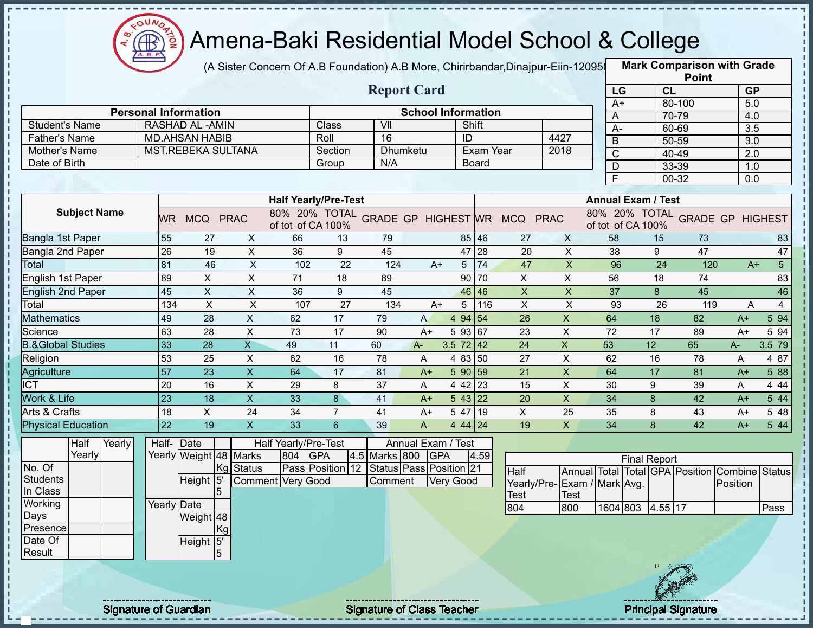

(A Sister Concern Of A.B Foundation) A.B More, Chirirbandar,Dinajpur-Eiin-120950

|                              |                                                   |                           |                           |                             |                |                                   |                           |                      |              |                                            |                           |                |                           | <b>Point</b>                            |           |                        |
|------------------------------|---------------------------------------------------|---------------------------|---------------------------|-----------------------------|----------------|-----------------------------------|---------------------------|----------------------|--------------|--------------------------------------------|---------------------------|----------------|---------------------------|-----------------------------------------|-----------|------------------------|
|                              | <b>Report Card</b><br><b>Personal Information</b> |                           |                           |                             |                |                                   |                           |                      |              |                                            |                           | LG             |                           | <b>CL</b>                               | <b>GP</b> |                        |
|                              |                                                   |                           |                           |                             |                |                                   | <b>School Information</b> |                      |              |                                            |                           | $A+$           |                           | 80-100                                  | 5.0       |                        |
| <b>Student's Name</b>        |                                                   | <b>RASHAD AL -AMIN</b>    |                           |                             | Class          | VII                               |                           | Shift                |              |                                            |                           | A              |                           | 70-79                                   | 4.0       |                        |
| <b>Father's Name</b>         |                                                   | <b>MD.AHSAN HABIB</b>     |                           |                             | Roll           | 16                                |                           | ID                   |              |                                            | 4427                      | А-             |                           | 60-69                                   | 3.5       |                        |
| Mother's Name                |                                                   | MST.REBEKA SULTANA        |                           |                             | Section        | Dhumketu                          |                           |                      | Exam Year    |                                            | 2018                      | B              |                           | 50-59                                   | 3.0       |                        |
| Date of Birth                |                                                   |                           |                           |                             | Group          | N/A                               |                           |                      | <b>Board</b> |                                            |                           | $\overline{C}$ |                           | 40-49                                   | 2.0       |                        |
|                              |                                                   |                           |                           |                             |                |                                   |                           |                      |              |                                            |                           | D              |                           | 33-39                                   | 1.0       |                        |
|                              |                                                   |                           |                           |                             |                |                                   |                           |                      |              |                                            |                           | E              |                           | 00-32                                   | 0.0       |                        |
|                              |                                                   |                           |                           | <b>Half Yearly/Pre-Test</b> |                |                                   |                           |                      |              |                                            |                           |                | <b>Annual Exam / Test</b> |                                         |           |                        |
| <b>Subject Name</b>          | <b>WR</b>                                         | MCQ PRAC                  |                           | of tot of CA 100%           |                |                                   |                           |                      |              | 80% 20% TOTAL GRADE GP HIGHEST WR MCQ PRAC |                           |                | of tot of CA 100%         | 80% 20% TOTAL GRADE GP HIGHEST          |           |                        |
| Bangla 1st Paper             | 55                                                | 27                        | X                         | 66                          | 13             | 79                                |                           |                      | 85 46        | 27                                         | $\mathsf{X}$              | 58             | 15                        | 73                                      |           | 83                     |
| Bangla 2nd Paper             | 26                                                | 19                        | $\pmb{\times}$            | 36                          | 9              | 45                                |                           | 47                   | 28           | 20                                         | X                         | 38             | 9                         | 47                                      |           | 47                     |
| Total                        | 81                                                | 46                        | $\boldsymbol{\mathsf{X}}$ | 102                         | 22             | 124                               | $A+$                      | 5                    | 74           | 47                                         | $\pmb{\times}$            | 96             | 24                        | 120                                     |           | 5 <sup>1</sup><br>$A+$ |
| English 1st Paper            | 89                                                | X                         | X                         | 71                          | 18             | 89                                |                           | 90                   | 70           | X                                          | X                         | 56             | 18                        | 74                                      |           | 83                     |
| <b>English 2nd Paper</b>     | 45                                                | $\pmb{\times}$            | X                         | 36                          | 9              | 45                                |                           | 46                   | 46           | $\pmb{\times}$                             | $\boldsymbol{\mathsf{X}}$ | 37             | 8                         | 45                                      |           | 46                     |
| Total                        | 134                                               | $\boldsymbol{\mathsf{X}}$ | $\times$                  | 107                         | 27             | 134                               | $A+$                      | 5                    | 116          | $\mathsf X$                                | $\pmb{\times}$            | 93             | 26                        | 119                                     | A         | $\overline{4}$         |
| <b>Mathematics</b>           | 49                                                | 28                        | $\times$                  | 62                          | 17             | 79                                | A                         | 4 94 54              |              | 26                                         | $\pmb{\mathsf{X}}$        | 64             | 18                        | 82                                      | $A+$      | 5 94                   |
| Science                      | 63                                                | 28                        | X                         | 73                          | 17             | 90                                | $A+$                      | 5 93 67              |              | 23                                         | X                         | 72             | 17                        | 89                                      | $A+$      | 5 94                   |
| <b>B.&amp;Global Studies</b> | 33                                                | 28                        | $\overline{X}$            | 49                          | 11             | 60                                | $A -$                     | $3.5 \ 72 \ 42$      |              | 24                                         | $\pmb{\times}$            | 53             | 12                        | 65                                      | A-        | 3.5 79                 |
| Religion                     | 53                                                | 25                        | $\sf X$                   | 62                          | 16             | 78                                | A                         | 4 83 50              |              | 27                                         | $\boldsymbol{\mathsf{X}}$ | 62             | 16                        | 78                                      | A         | 4 87                   |
| Agriculture                  | 57                                                | 23                        | $\mathsf X$               | 64                          | 17             | 81                                | $A+$                      | 5 90 59              |              | 21                                         | $\pmb{\times}$            | 64             | 17                        | 81                                      | $A+$      | 5 88                   |
| $\overline{IC}$              | 20                                                | 16                        | $\boldsymbol{\mathsf{X}}$ | 29                          | 8              | 37                                | A                         | 4 42 23              |              | 15                                         | $\pmb{\mathsf{X}}$        | 30             | 9                         | 39                                      | A         | 4 4 4                  |
| Work & Life                  | 23                                                | 18                        | $\overline{X}$            | 33                          | 8              | 41                                | $A+$                      | $5 \, 43 \,   \, 22$ |              | 20                                         | $\mathsf{X}$              | 34             | 8                         | 42                                      | $A+$      | 5 44                   |
| Arts & Crafts                | 18                                                | X                         | 24                        | 34                          | $\overline{7}$ | 41                                | $A+$                      | 5 47 19              |              | X                                          | 25                        | 35             | 8                         | 43                                      | $A+$      | 5 48                   |
| <b>Physical Education</b>    | 22                                                | 19                        | $\pmb{\times}$            | 33                          | 6              | 39                                | A                         | 4 44 24              |              | 19                                         | $\mathsf{x}$              | 34             | 8                         | 42                                      | $A+$      | 5 44                   |
| Half<br>Yearly               |                                                   | Half-Date                 |                           | Half Yearly/Pre-Test        |                |                                   | Annual Exam / Test        |                      |              |                                            |                           |                |                           |                                         |           |                        |
| Yearly                       |                                                   | Yearly Weight 48 Marks    |                           | <b>GPA</b><br>804           |                | 4.5 Marks 800                     | <b>GPA</b>                |                      | 4.59         |                                            |                           |                |                           |                                         |           |                        |
| No. Of                       |                                                   | Kg                        | <b>Status</b>             | Pass Position 12            |                | Status Pass Position 21           |                           |                      |              | Half                                       |                           |                | <b>Final Report</b>       | Annual Total Total GPA Position Combine |           | <b>Status</b>          |
| <b>Students</b>              |                                                   | Height 5                  |                           | <b>Comment Very Good</b>    |                | Comment                           |                           | <b>Very Good</b>     |              | Yearly/Pre-Exam / Mark Avg.                |                           |                |                           |                                         | Position  |                        |
| In Class                     |                                                   | 5                         |                           |                             |                |                                   |                           |                      |              | Test                                       | <b>Test</b>               |                |                           |                                         |           |                        |
| Working                      | Yearly Date                                       |                           |                           |                             |                |                                   |                           |                      |              | 804                                        | 800                       |                | 1604 803 4.55 17          |                                         |           | Pass                   |
| Days                         |                                                   | Weight 48                 |                           |                             |                |                                   |                           |                      |              |                                            |                           |                |                           |                                         |           |                        |
| Presence                     |                                                   | Kgl                       |                           |                             |                |                                   |                           |                      |              |                                            |                           |                |                           |                                         |           |                        |
| Date Of                      |                                                   | Height 5'                 |                           |                             |                |                                   |                           |                      |              |                                            |                           |                |                           |                                         |           |                        |
| Result                       |                                                   | 5                         |                           |                             |                |                                   |                           |                      |              |                                            |                           |                |                           |                                         |           |                        |
|                              |                                                   |                           |                           |                             |                |                                   |                           |                      |              |                                            |                           |                |                           |                                         |           |                        |
|                              |                                                   |                           |                           |                             |                |                                   |                           |                      |              |                                            |                           |                |                           |                                         |           |                        |
|                              | <b>Signature of Guardian</b>                      |                           |                           |                             |                | <b>Signature of Class Teacher</b> |                           |                      |              |                                            |                           |                |                           | <b>Principal Signature</b>              |           |                        |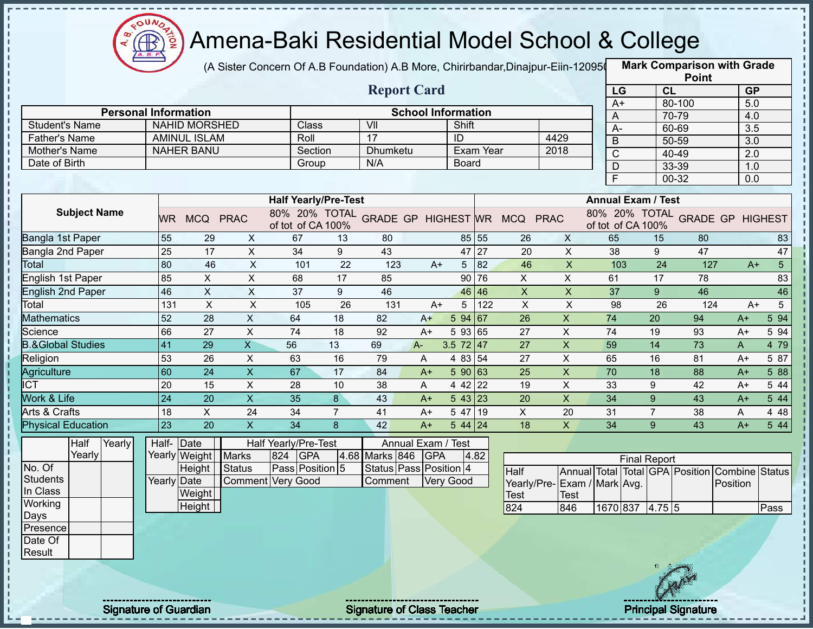

(A Sister Concern Of A.B Foundation) A.B More, Chirirbandar,Dinajpur-Eiin-120950

|                                       |                              |                                          |                |                             |                |                        |                           |                                   |           |                                            |                           |                           |                     |                | <b>Point</b>                            |                  |                        |
|---------------------------------------|------------------------------|------------------------------------------|----------------|-----------------------------|----------------|------------------------|---------------------------|-----------------------------------|-----------|--------------------------------------------|---------------------------|---------------------------|---------------------|----------------|-----------------------------------------|------------------|------------------------|
|                                       |                              |                                          |                |                             |                | <b>Report Card</b>     |                           |                                   |           |                                            |                           | LG                        |                     | CL             |                                         | <b>GP</b>        |                        |
|                                       |                              |                                          |                |                             |                |                        |                           |                                   |           |                                            |                           | $A+$                      |                     |                | 80-100                                  | 5.0              |                        |
|                                       | <b>Personal Information</b>  |                                          |                |                             |                |                        | <b>School Information</b> |                                   |           |                                            |                           | A                         |                     |                | 70-79                                   | 4.0              |                        |
| <b>Student's Name</b>                 |                              | <b>NAHID MORSHED</b>                     |                | Class                       |                | VII<br>17              |                           | Shift                             |           |                                            |                           | $A -$                     |                     |                | 60-69                                   | $\overline{3.5}$ |                        |
| <b>Father's Name</b><br>Mother's Name |                              | <b>AMINUL ISLAM</b><br><b>NAHER BANU</b> |                | Roll<br>Section             |                | Dhumketu               |                           | ID                                | Exam Year |                                            | 4429<br>2018              | $\overline{B}$            |                     |                | 50-59                                   | $\overline{3.0}$ |                        |
| Date of Birth                         |                              |                                          |                | Group                       |                | N/A                    |                           | <b>Board</b>                      |           |                                            |                           | $\mathsf C$               |                     |                | 40-49                                   | 2.0              |                        |
|                                       |                              |                                          |                |                             |                |                        |                           |                                   |           |                                            |                           | $\mathsf D$               |                     |                | 33-39                                   | 1.0              |                        |
|                                       |                              |                                          |                |                             |                |                        |                           |                                   |           |                                            |                           | F                         |                     |                | 00-32                                   | 0.0              |                        |
|                                       |                              |                                          |                | <b>Half Yearly/Pre-Test</b> |                |                        |                           |                                   |           |                                            |                           | <b>Annual Exam / Test</b> |                     |                |                                         |                  |                        |
| <b>Subject Name</b>                   |                              | WR MCQ PRAC                              |                | of tot of CA 100%           |                |                        |                           |                                   |           | 80% 20% TOTAL GRADE GP HIGHEST WR MCQ PRAC |                           | of tot of CA 100%         |                     |                | 80% 20% TOTAL GRADE GP HIGHEST          |                  |                        |
| Bangla 1st Paper                      | 55                           | 29                                       | $\mathsf{X}$   | 67                          | 13             | 80                     |                           |                                   | 85 55     | 26                                         | X                         | 65                        |                     | 15             | 80                                      |                  | 83                     |
| Bangla 2nd Paper                      | $\overline{25}$              | 17                                       | $\sf X$        | 34                          | 9              | 43                     |                           |                                   | 47 27     | 20                                         | $\mathsf{X}$              | 38                        |                     | 9              | 47                                      |                  | 47                     |
| Total                                 | 80                           | 46                                       | $\pmb{\times}$ | 101                         | 22             | 123                    | $A+$                      |                                   | 5 82      | 46                                         | $\mathsf{X}$              | 103                       |                     | 24             | 127                                     |                  | 5 <sup>5</sup><br>$A+$ |
| English 1st Paper                     | 85                           | X                                        | X              | 68                          | 17             | 85                     |                           |                                   | 90 76     | X                                          | X                         | 61                        |                     | 17             | 78                                      |                  | 83                     |
| <b>English 2nd Paper</b>              | 46                           | $\mathsf X$                              | $\mathsf{X}$   | 37                          | 9              | 46                     |                           |                                   | 46 46     | $\mathsf{X}$                               | $\mathsf{X}$              | 37                        |                     | 9              | 46                                      |                  | 46                     |
| Total                                 | 131                          | X                                        | $\pmb{\times}$ | 105                         | 26             | 131                    | $A+$                      | 5                                 | 122       | $\mathsf X$                                | $\boldsymbol{\mathsf{X}}$ | 98                        |                     | 26             | 124                                     |                  | 5<br>$A+$              |
| <b>Mathematics</b>                    | 52                           | 28                                       | $\pmb{\times}$ | 64                          | 18             | 82                     | $A+$                      | 594 67                            |           | 26                                         | $\pmb{\times}$            | 74                        |                     | 20             | 94                                      | $A+$             | 5 94                   |
| Science                               | 66                           | 27                                       | $\pmb{\times}$ | 74                          | 18             | 92                     | $A+$                      | 5 93 65                           |           | 27                                         | X                         | 74                        |                     | 19             | 93                                      | $A+$             | 5 94                   |
| <b>B.&amp;Global Studies</b>          | 41                           | 29                                       | $\overline{X}$ | 56                          | 13             | 69                     | $A -$                     | 3.5 $72 \mid 47$                  |           | 27                                         | $\mathsf{X}$              | 59                        |                     | 14             | 73                                      | A                | 4 79                   |
| Religion                              | 53                           | 26                                       | $\times$       | 63                          | 16             | 79                     | A                         | 4 83 54                           |           | 27                                         | $\pmb{\times}$            | 65                        |                     | 16             | 81                                      | $A+$             | 5 87                   |
| Agriculture                           | 60                           | 24                                       | $\pmb{\times}$ | 67                          | 17             | 84                     | $A+$                      | 5 90 63                           |           | 25                                         | $\pmb{\times}$            | 70                        |                     | 18             | 88                                      | $A+$             | 5 88                   |
| $\overline{IC}$                       | 20                           | 15                                       | $\mathsf X$    | 28                          | 10             | 38                     | A                         | 4 42 22                           |           | 19                                         | $\mathsf X$               | 33                        |                     | 9              | 42                                      | $A+$             | 5 44                   |
| Work & Life                           | 24                           | 20                                       | $\overline{X}$ | 35                          | 8              | 43                     | $A+$                      | 543 23                            |           | 20                                         | $\mathsf{x}$              | 34                        |                     | 9              | 43                                      | $A+$             | 5 44                   |
| Arts & Crafts                         | 18                           | X                                        | 24             | 34                          | $\overline{7}$ | 41                     | $A+$                      | 5 47 19                           |           | X                                          | 20                        | 31                        |                     | $\overline{7}$ | 38                                      | Α                | 4 4 8                  |
| <b>Physical Education</b>             | 23                           | 20                                       | $\pmb{\times}$ | 34                          | 8              | 42                     | $A+$                      | $544$ 24                          |           | 18                                         | $\mathsf{X}$              | 34                        |                     | 9              | 43                                      | $A+$             | 544                    |
| Half<br>Yearly                        | Half-Date                    |                                          |                | <b>Half Yearly/Pre-Test</b> |                | Annual Exam / Test     |                           |                                   |           |                                            |                           |                           |                     |                |                                         |                  |                        |
| Yearly                                |                              | Yearly Weight                            | <b>Marks</b>   | GPA<br>824                  |                | 4.68 Marks 846         | <b>GPA</b>                |                                   | 4.82      |                                            |                           |                           | <b>Final Report</b> |                |                                         |                  |                        |
| No. Of                                |                              | Height                                   | Status         | Pass Position 5             |                | Status Pass Position 4 |                           |                                   |           | Half                                       |                           |                           |                     |                | Annual Total Total GPA Position Combine |                  | <b>Status</b>          |
| <b>Students</b>                       | Yearly Date                  |                                          | Comment        | <b>Very Good</b>            |                | Comment                |                           | Very Good                         |           | Yearly/Pre-Exam / Mark Avg.                |                           |                           |                     |                |                                         | Position         |                        |
| In Class                              |                              | Weight                                   |                |                             |                |                        |                           |                                   |           | <b>Test</b>                                | Test                      |                           |                     |                |                                         |                  |                        |
| Working                               |                              | Height                                   |                |                             |                |                        |                           |                                   |           | 824                                        | 846                       |                           | 1670 837 4.75 5     |                |                                         |                  | Pass                   |
| Days                                  |                              |                                          |                |                             |                |                        |                           |                                   |           |                                            |                           |                           |                     |                |                                         |                  |                        |
| Presence                              |                              |                                          |                |                             |                |                        |                           |                                   |           |                                            |                           |                           |                     |                |                                         |                  |                        |
| Date Of                               |                              |                                          |                |                             |                |                        |                           |                                   |           |                                            |                           |                           |                     |                |                                         |                  |                        |
| Result                                |                              |                                          |                |                             |                |                        |                           |                                   |           |                                            |                           |                           |                     |                |                                         |                  |                        |
|                                       |                              |                                          |                |                             |                |                        |                           |                                   |           |                                            |                           |                           |                     |                |                                         |                  |                        |
|                                       | <b>Signature of Guardian</b> |                                          |                |                             |                |                        |                           | <b>Signature of Class Teacher</b> |           |                                            |                           |                           |                     |                | <b>Principal Signature</b>              |                  |                        |

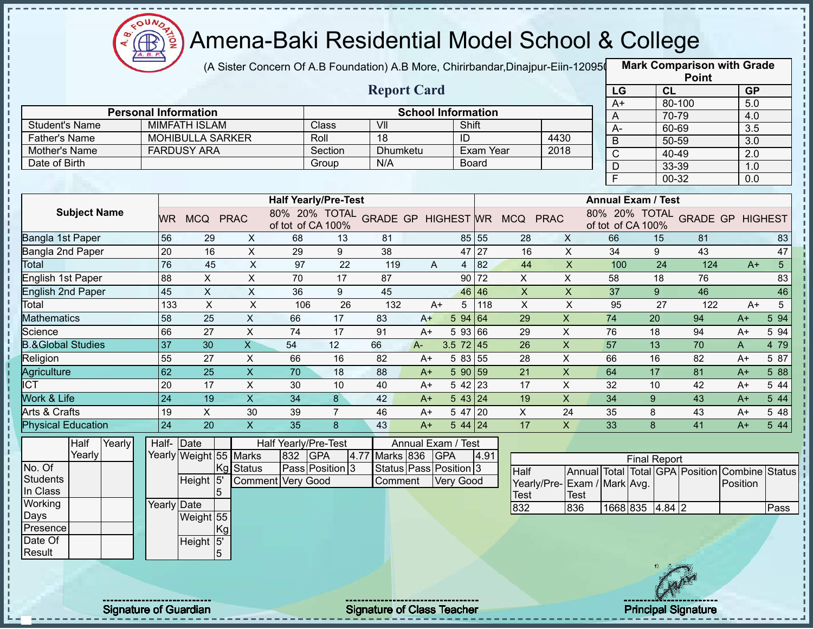

(A Sister Concern Of A.B Foundation) A.B More, Chirirbandar,Dinajpur-Eiin-120950

|                              |                              |                           |                           |                             |                 |                                   |                           |                  |              |                                            |                           |                  |                           | <b>Point</b>                    |                  |                |
|------------------------------|------------------------------|---------------------------|---------------------------|-----------------------------|-----------------|-----------------------------------|---------------------------|------------------|--------------|--------------------------------------------|---------------------------|------------------|---------------------------|---------------------------------|------------------|----------------|
|                              |                              |                           |                           |                             |                 | <b>Report Card</b>                |                           |                  |              |                                            |                           | LG               |                           | CL                              | <b>GP</b>        |                |
|                              | <b>Personal Information</b>  |                           |                           |                             |                 |                                   | <b>School Information</b> |                  |              |                                            |                           | $A+$             |                           | 80-100                          | 5.0              |                |
| <b>Student's Name</b>        |                              | <b>MIMFATH ISLAM</b>      |                           |                             | Class           | VII                               |                           | Shift            |              |                                            |                           | A                |                           | 70-79                           | 4.0              |                |
| <b>Father's Name</b>         |                              | <b>MOHIBULLA SARKER</b>   |                           |                             | Roll            | 18                                |                           | ID               |              |                                            | 4430                      | $A -$            |                           | 60-69                           | $\overline{3.5}$ |                |
| Mother's Name                |                              | <b>FARDUSY ARA</b>        |                           |                             | Section         | Dhumketu                          |                           |                  | Exam Year    |                                            | 2018                      | $\overline{B}$   |                           | 50-59                           | $\overline{3.0}$ |                |
| Date of Birth                |                              |                           |                           |                             | Group           | N/A                               |                           |                  | <b>Board</b> |                                            |                           | $\mathsf{C}$     |                           | 40-49                           | 2.0              |                |
|                              |                              |                           |                           |                             |                 |                                   |                           |                  |              |                                            |                           | $\mathsf D$<br>F |                           | 33-39<br>00-32                  | 1.0<br>0.0       |                |
|                              |                              |                           |                           |                             |                 |                                   |                           |                  |              |                                            |                           |                  |                           |                                 |                  |                |
|                              |                              |                           |                           | <b>Half Yearly/Pre-Test</b> |                 |                                   |                           |                  |              |                                            |                           |                  | <b>Annual Exam / Test</b> |                                 |                  |                |
| <b>Subject Name</b>          | WR.                          | MCQ PRAC                  |                           | of tot of CA 100%           |                 |                                   |                           |                  |              | 80% 20% TOTAL GRADE GP HIGHEST WR MCQ PRAC |                           |                  | of tot of CA 100%         | 80% 20% TOTAL GRADE GP HIGHEST  |                  |                |
| Bangla 1st Paper             | 56                           | 29                        | X                         | 68                          | 13              | 81                                |                           |                  | 85 55        | 28                                         | X                         | 66               | 15                        | 81                              |                  | 83             |
| Bangla 2nd Paper             | 20                           | 16                        | X                         | 29                          | 9               | 38                                |                           |                  | 47 27        | 16                                         | $\mathsf{X}$              | 34               | 9                         | 43                              |                  | 47             |
| Total                        | 76                           | 45                        | $\pmb{\times}$            | 97                          | 22              | 119                               | A                         | 4                | 82           | 44                                         | $\boldsymbol{\mathsf{X}}$ | 100              | 24                        | 124                             | $A+$             | 5 <sup>5</sup> |
| English 1st Paper            | 88                           | $\pmb{\times}$            | X                         | 70                          | 17              | 87                                |                           |                  | 90 72        | X                                          | X                         | 58               | 18                        | 76                              |                  | 83             |
| <b>English 2nd Paper</b>     | 45                           | $\mathsf X$               | $\sf X$                   | 36                          | 9               | 45                                |                           |                  | 46 46        | $\boldsymbol{\mathsf{X}}$                  | $\boldsymbol{\mathsf{X}}$ | 37               | 9 <sup>°</sup>            | 46                              |                  | 46             |
| Total                        | 133                          | $\boldsymbol{\mathsf{X}}$ | $\boldsymbol{\mathsf{X}}$ | 106                         | 26              | 132                               | $A+$                      | 5                | 118          | $\boldsymbol{\mathsf{X}}$                  | $\boldsymbol{\mathsf{X}}$ | 95               | 27                        | 122                             | $A+$             | 5              |
| <b>Mathematics</b>           | 58                           | 25                        | $\pmb{\times}$            | 66                          | 17              | 83                                | $A+$                      | 5 94 64          |              | 29                                         | $\boldsymbol{\mathsf{X}}$ | 74               | 20                        | 94                              | $A+$             | 5 94           |
| Science                      | 66                           | 27                        | $\pmb{\times}$            | 74                          | 17              | 91                                | $A+$                      | 5 93 66          |              | 29                                         | X                         | 76               | 18                        | 94                              | $A+$             | 5 94           |
| <b>B.&amp;Global Studies</b> | 37                           | 30                        | $\overline{X}$            | 54                          | 12              | 66                                | A-                        | 3.5 $72 \mid 45$ |              | 26                                         | $\boldsymbol{\mathsf{X}}$ | 57               | 13                        | 70                              | A                | 4 79           |
| Religion                     | 55                           | 27                        | $\sf X$                   | 66                          | 16              | 82                                | $A+$                      | 5 83 55          |              | 28                                         | $\mathsf{X}$              | 66               | 16                        | 82                              | $A+$             | 5 87           |
| Agriculture                  | 62                           | 25                        | $\boldsymbol{\mathsf{X}}$ | 70                          | 18              | 88                                | $A+$                      | 5 90 59          |              | 21                                         | $\boldsymbol{\mathsf{X}}$ | 64               | 17                        | 81                              | $A+$             | 5 88           |
| $\overline{ICT}$             | 20                           | 17                        | $\mathsf X$               | 30                          | 10              | 40                                | $A+$                      | 5 42 23          |              | 17                                         | $\boldsymbol{\mathsf{X}}$ | 32               | 10                        | 42                              | $A+$             | 5 44           |
| Work & Life                  | 24                           | 19                        | $\overline{X}$            | 34                          | $\overline{8}$  | 42                                | $A+$                      | 543 24           |              | 19                                         | $\overline{\mathsf{x}}$   | 34               | 9                         | 43                              | $A+$             | 5 44           |
| Arts & Crafts                | 19                           | X                         | 30                        | 39                          | $\overline{7}$  | 46                                | $A+$                      | 5 47 20          |              | X                                          | 24                        | 35               | 8                         | 43                              | $A+$             | 5 48           |
| <b>Physical Education</b>    | 24                           | 20                        | $\mathsf{X}$              | 35                          | 8               | 43                                | $A+$                      | $544$ 24         |              | 17                                         | $\mathsf{X}$              | 33               | 8                         | 41                              | $A+$             | 5 4 4          |
| Half<br>Yearly               |                              | Half- Date                |                           | Half Yearly/Pre-Test        |                 |                                   | Annual Exam / Test        |                  |              |                                            |                           |                  |                           |                                 |                  |                |
| Yearly                       |                              | Yearly Weight 55 Marks    |                           | 832 GPA                     |                 | Marks 836<br>4.77                 |                           | <b>GPA</b>       | 4.91         |                                            |                           |                  | <b>Final Report</b>       |                                 |                  |                |
| No. Of                       |                              | Kg                        | Status                    |                             | Pass Position 3 | Status Pass Position 3            |                           |                  |              | Half                                       |                           |                  |                           | Annual Total Total GPA Position | Combine          | <b>Status</b>  |
| Students                     |                              | Height 5                  |                           | <b>Comment Very Good</b>    |                 | Comment                           |                           | Very Good        |              | Yearly/Pre- Exam / Mark Avg.               |                           |                  |                           |                                 | Position         |                |
| In Class                     |                              | 5                         |                           |                             |                 |                                   |                           |                  |              | Test                                       | <b>Test</b>               |                  |                           |                                 |                  |                |
| Working                      | Yearly Date                  |                           |                           |                             |                 |                                   |                           |                  |              | 832                                        | 836                       |                  | 1668 835 4.84 2           |                                 |                  | Pass           |
| Days<br>Presence             |                              | Weight 55                 |                           |                             |                 |                                   |                           |                  |              |                                            |                           |                  |                           |                                 |                  |                |
| Date Of                      |                              | Kgl                       |                           |                             |                 |                                   |                           |                  |              |                                            |                           |                  |                           |                                 |                  |                |
| Result                       |                              | Height 5'<br>5            |                           |                             |                 |                                   |                           |                  |              |                                            |                           |                  |                           |                                 |                  |                |
|                              |                              |                           |                           |                             |                 |                                   |                           |                  |              |                                            |                           |                  |                           |                                 |                  |                |
|                              |                              |                           |                           |                             |                 |                                   |                           |                  |              |                                            |                           |                  |                           |                                 |                  |                |
|                              |                              |                           |                           |                             |                 |                                   |                           |                  |              |                                            |                           |                  |                           |                                 |                  |                |
|                              | <b>Signature of Guardian</b> |                           |                           |                             |                 | <b>Signature of Class Teacher</b> |                           |                  |              |                                            |                           |                  |                           | <b>Principal Signature</b>      |                  |                |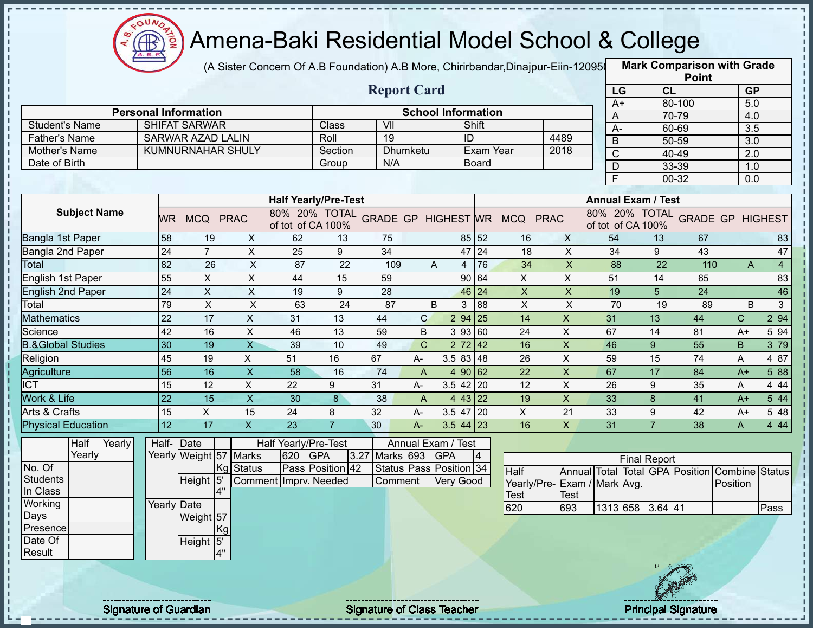

(A Sister Concern Of A.B Foundation) A.B More, Chirirbandar,Dinajpur-Eiin-120950

|                              |                              |                           |                           |                             |                  |                                   |                 |                           |                 |                                            |                           |                |                           | <b>Point</b>                            |              |                |
|------------------------------|------------------------------|---------------------------|---------------------------|-----------------------------|------------------|-----------------------------------|-----------------|---------------------------|-----------------|--------------------------------------------|---------------------------|----------------|---------------------------|-----------------------------------------|--------------|----------------|
|                              |                              |                           |                           |                             |                  | <b>Report Card</b>                |                 |                           |                 |                                            |                           | LG             |                           | CL                                      |              | <b>GP</b>      |
|                              | <b>Personal Information</b>  |                           |                           |                             |                  |                                   |                 | <b>School Information</b> |                 |                                            |                           | $A+$           |                           | 80-100                                  |              | 5.0            |
| <b>Student's Name</b>        |                              | <b>SHIFAT SARWAR</b>      |                           |                             | Class            | VII                               |                 | Shift                     |                 |                                            |                           | A              |                           | 70-79                                   | 4.0          |                |
| Father's Name                |                              | <b>SARWAR AZAD LALIN</b>  |                           |                             | Roll             | $\overline{19}$                   |                 | ID                        |                 |                                            | 4489                      | A-             |                           | 60-69                                   |              | 3.5            |
| Mother's Name                |                              |                           | KUMNURNAHAR SHULY         |                             | Section          |                                   | <b>Dhumketu</b> |                           | Exam Year       |                                            | 2018                      | B              |                           | 50-59                                   |              | 3.0            |
| Date of Birth                |                              |                           |                           |                             | Group            | N/A                               |                 |                           | Board           |                                            |                           | $\overline{C}$ |                           | 40-49                                   | 2.0          |                |
|                              |                              |                           |                           |                             |                  |                                   |                 |                           |                 |                                            |                           | D              |                           | 33-39                                   | 1.0          |                |
|                              |                              |                           |                           |                             |                  |                                   |                 |                           |                 |                                            |                           | F              |                           | 00-32                                   | 0.0          |                |
|                              |                              |                           |                           | <b>Half Yearly/Pre-Test</b> |                  |                                   |                 |                           |                 |                                            |                           |                | <b>Annual Exam / Test</b> |                                         |              |                |
| <b>Subject Name</b>          |                              | WR MCQ PRAC               |                           | of tot of CA 100%           |                  |                                   |                 |                           |                 | 80% 20% TOTAL GRADE GP HIGHEST WR MCQ PRAC |                           |                | of tot of CA 100%         | 80% 20% TOTAL GRADE GP HIGHEST          |              |                |
| Bangla 1st Paper             | 58                           | 19                        | X                         | 62                          | 13               | 75                                |                 |                           | 85 52           | 16                                         | X                         | 54             | 13                        | 67                                      |              | 83             |
| Bangla 2nd Paper             | 24                           | $\overline{7}$            | $\mathsf{X}$              | 25                          | 9                | 34                                |                 |                           | 47 24           | 18                                         | $\pmb{\times}$            | 34             | 9                         | 43                                      |              | 47             |
| Total                        | 82                           | 26                        | $\pmb{\times}$            | 87                          | 22               | 109                               | A               | 4                         | 76              | 34                                         | $\mathsf{X}$              | 88             |                           | 22<br>110                               | A            | $\overline{4}$ |
| <b>English 1st Paper</b>     | 55                           | $\pmb{\times}$            | X                         | 44                          | 15               | 59                                |                 | 90 64                     |                 | X                                          | X                         | 51             | 14                        | 65                                      |              | 83             |
| English 2nd Paper            | 24                           | $\mathsf X$               | X                         | 19                          | 9                | 28                                |                 | 46                        | 24              | $\boldsymbol{\mathsf{X}}$                  | $\mathsf{X}$              | 19             | 5                         | 24                                      |              | 46             |
| Total                        | 79                           | $\boldsymbol{\mathsf{X}}$ | $\pmb{\times}$            | 63                          | 24               | 87                                | B               | 3                         | 88              | $\times$                                   | $\boldsymbol{\mathsf{X}}$ | 70             |                           | 19<br>89                                | B            | $\mathbf{3}$   |
| <b>Mathematics</b>           | 22                           | 17                        | $\times$                  | 31                          | 13               | 44                                | $\mathsf{C}$    | $294$ 25                  |                 | 14                                         | $\boldsymbol{\mathsf{X}}$ | 31             | 13                        | 44                                      | $\mathsf{C}$ | 2 94           |
| Science                      | 42                           | 16                        | X                         | 46                          | 13               | 59                                | B               | 3 93 60                   |                 | 24                                         | X                         | 67             | 14                        | 81                                      | $A+$         | 5 94           |
| <b>B.&amp;Global Studies</b> | 30                           | 19                        | $\overline{\mathsf{X}}$   | 39                          | 10               | 49                                | $\mathsf{C}$    | 272   42                  |                 | 16                                         | $\boldsymbol{\mathsf{X}}$ | 46             | 9                         | 55                                      | B            | 3 79           |
| Religion                     | 45                           | 19                        | $\pmb{\times}$            | 51                          | 16               | 67                                | $A-$            | 3.5 83 48                 |                 | 26                                         | $\boldsymbol{\mathsf{X}}$ | 59             | 15                        | 74                                      | A            | 4 87           |
| Agriculture                  | 56                           | 16                        | $\pmb{\times}$            | 58                          | 16               | 74                                | A               | 4 90 62                   |                 | 22                                         | $\mathsf{X}$              | 67             | 17                        | 84                                      | $A+$         | 5 88           |
| <b>ICT</b>                   | 15                           | 12                        | X                         | 22                          | 9                | 31                                | $A-$            | $3.5$ 42 20               |                 | 12                                         | $\pmb{\times}$            | 26             | 9                         | 35                                      | A            | 4 4 4          |
| Work & Life                  | 22                           | 15                        | $\boldsymbol{\mathsf{X}}$ | 30                          | 8                | 38                                | $\overline{A}$  | 4 43 22                   |                 | 19                                         | $\overline{X}$            | 33             | 8                         | 41                                      | $A+$         | 5 4 4          |
| Arts & Crafts                | 15                           | X                         | 15                        | 24                          | 8                | 32                                | A-              | 3.5 47 20                 |                 | X                                          | 21                        | 33             | 9                         | 42                                      | $A+$         | 5 48           |
| <b>Physical Education</b>    | 12                           | 17                        | $\mathsf X$               | 23                          | $\overline{7}$   | 30                                | A-              | $3.544$ 23                |                 | 16                                         | $\mathsf{X}$              | 31             | $\overline{7}$            | 38                                      | A            | 4 4 4          |
| Half<br>Yearly               | Half-Date                    |                           |                           | Half Yearly/Pre-Test        |                  |                                   |                 | Annual Exam / Test        |                 |                                            |                           |                |                           |                                         |              |                |
| Yearly                       |                              |                           | Yearly Weight 57 Marks    | 620 GPA                     |                  | 3.27                              | Marks 693 GPA   |                           | $\vert 4 \vert$ |                                            |                           |                | <b>Final Report</b>       |                                         |              |                |
| No. Of                       |                              |                           | Kg Status                 |                             | Pass Position 42 |                                   |                 | Status Pass Position 34   |                 | Half                                       |                           |                |                           | Annual Total Total GPA Position Combine |              | <b>Status</b>  |
| <b>Students</b>              |                              | Height 5                  |                           | Comment Imprv. Needed       |                  | Comment                           |                 | <b>Very Good</b>          |                 | Yearly/Pre-Exam / Mark Avg.                |                           |                |                           |                                         | Position     |                |
| In Class                     |                              |                           |                           |                             |                  |                                   |                 |                           |                 | <b>Test</b>                                | Test                      |                |                           |                                         |              |                |
| Working                      | Yearly Date                  |                           |                           |                             |                  |                                   |                 |                           |                 | 620                                        | 693                       |                | 1313 658 3.64 41          |                                         |              | Pass           |
| Days                         |                              | Weight 57                 |                           |                             |                  |                                   |                 |                           |                 |                                            |                           |                |                           |                                         |              |                |
| Presence                     |                              |                           | <b>IKg</b>                |                             |                  |                                   |                 |                           |                 |                                            |                           |                |                           |                                         |              |                |
| Date Of                      |                              | Height 5'                 |                           |                             |                  |                                   |                 |                           |                 |                                            |                           |                |                           |                                         |              |                |
| Result                       |                              |                           |                           |                             |                  |                                   |                 |                           |                 |                                            |                           |                |                           |                                         |              |                |
|                              |                              |                           |                           |                             |                  |                                   |                 |                           |                 |                                            |                           |                |                           |                                         |              |                |
|                              |                              |                           |                           |                             |                  |                                   |                 |                           |                 |                                            |                           |                |                           |                                         |              |                |
|                              | <b>Signature of Guardian</b> |                           |                           |                             |                  | <b>Signature of Class Teacher</b> |                 |                           |                 |                                            |                           |                |                           | <b>Principal Signature</b>              |              |                |
|                              |                              |                           |                           |                             |                  |                                   |                 |                           |                 |                                            |                           |                |                           |                                         |              |                |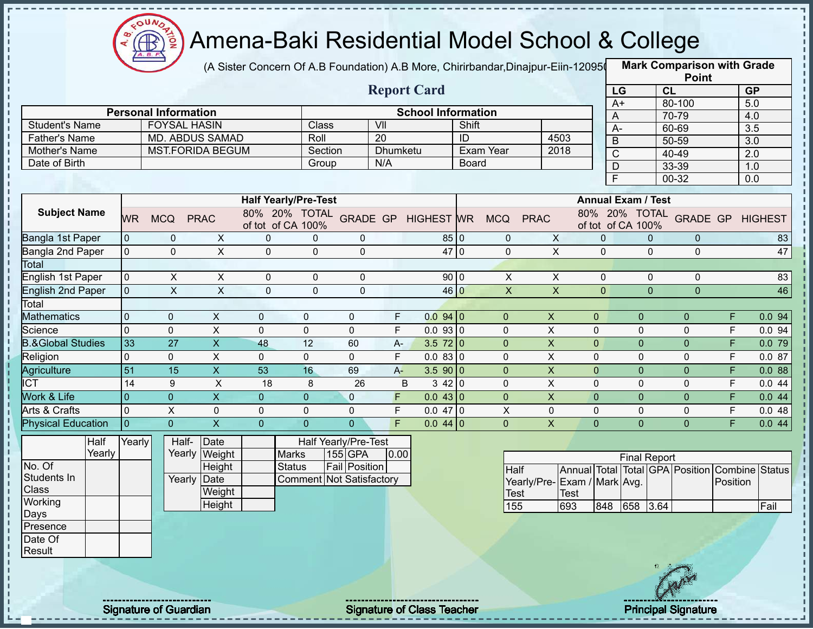

(A Sister Concern Of A.B Foundation) A.B More, Chirirbandar,Dinajpur-Eiin-120950

|                              |                 |                              |                         |                             |                |                                   |          |                                   |              |                  |                             |              |                |                                    | <b>Point</b>                                   |                |                         |
|------------------------------|-----------------|------------------------------|-------------------------|-----------------------------|----------------|-----------------------------------|----------|-----------------------------------|--------------|------------------|-----------------------------|--------------|----------------|------------------------------------|------------------------------------------------|----------------|-------------------------|
|                              |                 |                              |                         |                             |                |                                   |          | <b>Report Card</b>                |              |                  |                             |              | LG             |                                    | CL                                             |                | <b>GP</b>               |
|                              |                 |                              |                         |                             |                |                                   |          |                                   |              |                  |                             |              | $A+$           |                                    | 80-100                                         |                | 5.0                     |
|                              |                 | <b>Personal Information</b>  |                         |                             |                |                                   |          | <b>School Information</b>         |              |                  |                             |              | A              |                                    | 70-79                                          |                | 4.0                     |
| <b>Student's Name</b>        |                 | <b>FOYSAL HASIN</b>          |                         |                             | Class          | VII                               |          |                                   | Shift        |                  |                             |              | $A-$           |                                    | 60-69                                          |                | 3.5                     |
| <b>Father's Name</b>         |                 | MD. ABDUS SAMAD              |                         |                             | Roll           | $\overline{20}$                   |          |                                   | ID           |                  | 4503                        |              | $\overline{B}$ |                                    | 50-59                                          |                | 3.0                     |
| Mother's Name                |                 | <b>MST.FORIDA BEGUM</b>      |                         |                             | Section        |                                   | Dhumketu |                                   |              | <b>Exam Year</b> | 2018                        |              | $\overline{C}$ |                                    | 40-49                                          |                | 2.0                     |
| Date of Birth                |                 |                              |                         |                             | Group          |                                   | N/A      |                                   | <b>Board</b> |                  |                             |              | $\mathsf D$    |                                    | 33-39                                          |                | 1.0                     |
|                              |                 |                              |                         |                             |                |                                   |          |                                   |              |                  |                             |              | F              |                                    | 00-32                                          |                | $0.0\,$                 |
|                              |                 |                              |                         | <b>Half Yearly/Pre-Test</b> |                |                                   |          |                                   |              |                  |                             |              |                | <b>Annual Exam / Test</b>          |                                                |                |                         |
| <b>Subject Name</b>          | <b>WR</b>       | <b>MCQ</b>                   | <b>PRAC</b>             | of tot of CA 100%           |                | 80% 20% TOTAL GRADE GP HIGHEST WR |          |                                   |              | <b>MCQ</b>       | <b>PRAC</b>                 |              |                | 80% 20% TOTAL<br>of tot of CA 100% |                                                |                | <b>GRADE GP HIGHEST</b> |
| Bangla 1st Paper             | 0               | 0                            | $\mathsf{X}$            | $\mathbf 0$                 | 0              | 0                                 |          | 85 0                              |              | 0                | $\mathsf{X}$                |              | $\mathbf 0$    | $\mathbf{0}$                       | $\overline{0}$                                 |                | 83                      |
| Bangla 2nd Paper             | $\overline{0}$  | $\Omega$                     | $\mathsf{X}$            | $\mathbf 0$                 | $\mathbf{0}$   | $\mathbf 0$                       |          | 47 0                              |              | $\mathbf{0}$     | $\mathsf{X}$                |              | $\mathbf 0$    | $\mathbf{0}$                       | $\mathbf 0$                                    |                | 47                      |
| Total                        |                 |                              |                         |                             |                |                                   |          |                                   |              |                  |                             |              |                |                                    |                                                |                |                         |
| English 1st Paper            | $\overline{0}$  | X                            | $\pmb{\times}$          | $\mathbf 0$                 | $\mathbf 0$    | 0                                 |          | 90 0                              |              | X                | X                           |              | $\mathbf 0$    | $\mathbf{0}$                       | 0                                              |                | 83                      |
| <b>English 2nd Paper</b>     | $\overline{0}$  | $\overline{X}$               | $\overline{X}$          | $\mathbf 0$                 | $\mathbf 0$    | $\mathbf{0}$                      |          | 46 0                              |              | $\overline{X}$   | $\overline{X}$              |              | $\overline{0}$ | $\overline{0}$                     | $\overline{0}$                                 |                | 46                      |
| Total                        |                 |                              |                         |                             |                |                                   |          |                                   |              |                  |                             |              |                |                                    |                                                |                |                         |
| <b>Mathematics</b>           | 0               | $\mathbf{0}$                 | X                       | $\mathbf{0}$                | $\mathbf 0$    | 0                                 | F        | 0.0940                            |              | $\mathbf{0}$     | $\boldsymbol{X}$            | $\mathbf 0$  |                | $\overline{0}$                     | $\mathbf{0}$                                   | F              | 0.094                   |
| Science                      | $\overline{0}$  | 0                            | X                       | $\mathbf 0$                 | $\mathbf 0$    | $\mathsf{O}$                      | F        | 0.0930                            |              | 0                | X                           | $\mathbf 0$  |                | $\mathbf 0$                        | 0                                              | F              | 0.094                   |
| <b>B.&amp;Global Studies</b> | 33              | $\overline{27}$              | X                       | 48                          | 12             | 60                                | A-       | $3.5 \ 72 \ 0$                    |              | $\overline{0}$   | $\mathsf{x}$                | $\mathbf 0$  |                | $\mathbf{0}$                       | $\overline{0}$                                 | $\overline{F}$ | 0.079                   |
| Religion                     | $\overline{0}$  | $\overline{0}$               | $\mathsf{X}$            | $\mathbf 0$                 | $\mathbf 0$    | $\mathsf{O}\xspace$               | F        | $0.083$ 0                         |              | $\Omega$         | $\pmb{\times}$              | $\mathbf 0$  |                | $\mathsf{O}$                       | $\mathbf 0$                                    | F              | 0.087                   |
| Agriculture                  | $\overline{51}$ | 15                           | X                       | 53                          | 16             | 69                                | $A -$    | 3.590 0                           |              | $\overline{0}$   | $\mathsf{X}$                | $\mathbf{0}$ |                | $\overline{0}$                     | $\pmb{0}$                                      | F              | 0.088                   |
| <b>ICT</b>                   | 14              | 9                            | X                       | 18                          | 8              | 26                                | B        | 3420                              |              | 0                | $\pmb{\times}$              | $\mathbf 0$  |                | $\mathbf 0$                        | $\mathsf 0$                                    | F              | 0.044                   |
| Work & Life                  | $\overline{0}$  | $\overline{0}$               | X                       | $\mathbf{0}$                | $\overline{0}$ | $\mathbf{0}$                      | F        | 0.043 0                           |              | $\overline{0}$   | $\boldsymbol{\mathsf{X}}$   | $\mathbf 0$  |                | $\pmb{0}$                          | $\pmb{0}$                                      | F              | 0.044                   |
| Arts & Crafts                | $\overline{0}$  | X                            | $\mathbf 0$             | $\mathbf 0$                 | $\mathbf 0$    | $\mathsf{O}$                      | F        | $0.047$ 0                         |              | $\mathsf X$      | 0                           | $\mathbf 0$  |                | 0                                  | 0                                              | F              | 0.048                   |
| <b>Physical Education</b>    | $\overline{0}$  | $\overline{0}$               | $\overline{\mathsf{X}}$ | $\overline{0}$              | $\Omega$       | $\Omega$                          | F        | $0.044$ 0                         |              | $\overline{0}$   | $\overline{X}$              | $\Omega$     |                | $\overline{0}$                     | $\overline{0}$                                 | $\overline{F}$ | 0.044                   |
| Half                         | Yearly          | Half-                        | Date                    |                             |                | Half Yearly/Pre-Test              |          |                                   |              |                  |                             |              |                |                                    |                                                |                |                         |
| Yearly                       |                 |                              | Yearly Weight           |                             | Marks          | 155 GPA                           | 0.00     |                                   |              |                  |                             |              |                | <b>Final Report</b>                |                                                |                |                         |
| No. Of                       |                 |                              | Height                  |                             | <b>Status</b>  | <b>Fail Position</b>              |          |                                   |              | Half             |                             |              |                |                                    | Annual Total Total GPA Position Combine Status |                |                         |
| Students In                  |                 |                              | Yearly Date             |                             |                | <b>Comment Not Satisfactory</b>   |          |                                   |              |                  | Yearly/Pre-Exam / Mark Avg. |              |                |                                    |                                                | Position       |                         |
| <b>Class</b>                 |                 |                              | Weight                  |                             |                |                                   |          |                                   |              | <b>Test</b>      |                             | <b>Test</b>  |                |                                    |                                                |                |                         |
| Working                      |                 |                              | <b>Height</b>           |                             |                |                                   |          |                                   |              | 155              | 693                         |              | 848            | 3.64<br>658                        |                                                |                | Fail                    |
| Days                         |                 |                              |                         |                             |                |                                   |          |                                   |              |                  |                             |              |                |                                    |                                                |                |                         |
| Presence<br>Date Of          |                 |                              |                         |                             |                |                                   |          |                                   |              |                  |                             |              |                |                                    |                                                |                |                         |
|                              |                 |                              |                         |                             |                |                                   |          |                                   |              |                  |                             |              |                |                                    |                                                |                |                         |
| Result                       |                 |                              |                         |                             |                |                                   |          |                                   |              |                  |                             |              |                |                                    |                                                |                |                         |
|                              |                 |                              |                         |                             |                |                                   |          |                                   |              |                  |                             |              |                |                                    |                                                |                |                         |
|                              |                 |                              |                         |                             |                |                                   |          |                                   |              |                  |                             |              |                |                                    |                                                |                |                         |
|                              |                 | <b>Signature of Guardian</b> |                         |                             |                |                                   |          | <b>Signature of Class Teacher</b> |              |                  |                             |              |                |                                    | <b>Principal Signature</b>                     |                |                         |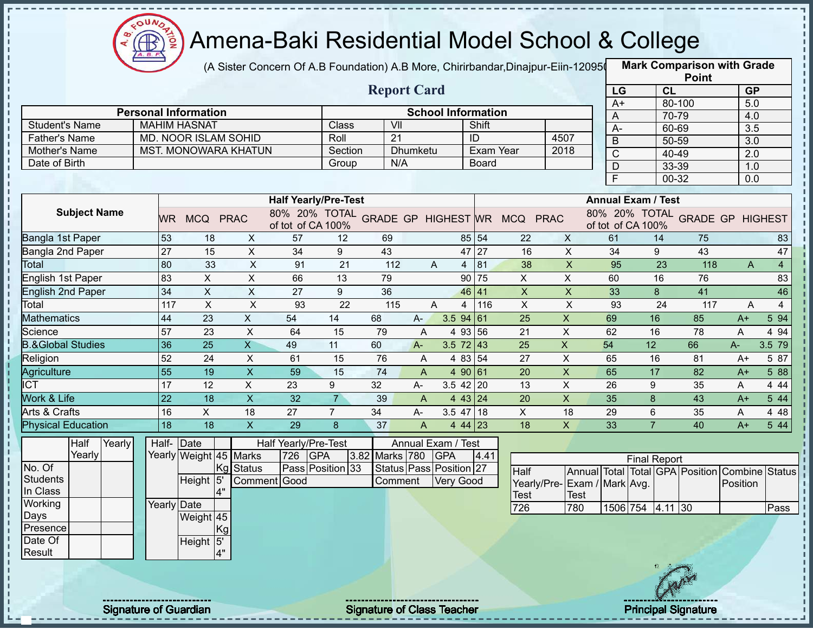

 $\mathbf I$ ţ J.  $\mathbf{I}$ т

f,  $\mathbf I$  $\mathbf{I}$  $\mathbf{I}$  $\mathbf I$ 

ł

### Amena-Baki Residential Model School & College

(A Sister Concern Of A.B Foundation) A.B More, Chirirbandar,Dinajpur-Eiin-120950

**Mark Comparison with Grade**

|                                |                 |                                                     |                           |                                            |                 |     |                           |                           |              |                           |                             |                 |                           |                 | <b>Point</b>                                   |                  |                |
|--------------------------------|-----------------|-----------------------------------------------------|---------------------------|--------------------------------------------|-----------------|-----|---------------------------|---------------------------|--------------|---------------------------|-----------------------------|-----------------|---------------------------|-----------------|------------------------------------------------|------------------|----------------|
|                                |                 |                                                     |                           |                                            |                 |     | <b>Report Card</b>        |                           |              |                           |                             | LG              |                           | CL              |                                                | <b>GP</b>        |                |
|                                |                 |                                                     |                           |                                            |                 |     |                           |                           |              |                           |                             | $A+$            |                           | 80-100          |                                                | 5.0              |                |
|                                |                 | <b>Personal Information</b>                         |                           |                                            |                 | VII |                           | <b>School Information</b> |              |                           |                             | A               |                           | 70-79           |                                                | 4.0              |                |
| Student's Name                 |                 | <b>MAHIM HASNAT</b>                                 |                           |                                            | Class           | 21  |                           |                           | Shift<br>ID  |                           | 4507                        | A-              |                           | 60-69           |                                                | $\overline{3.5}$ |                |
| Father's Name<br>Mother's Name |                 | MD. NOOR ISLAM SOHID<br><b>MST. MONOWARA KHATUN</b> |                           |                                            | Roll<br>Section |     | Dhumketu                  |                           | Exam Year    |                           | 2018                        | B               |                           | 50-59           |                                                | 3.0              |                |
| Date of Birth                  |                 |                                                     |                           |                                            | Group           |     | N/A                       |                           | <b>Board</b> |                           |                             | $\overline{C}$  |                           | 40-49           |                                                | 2.0              |                |
|                                |                 |                                                     |                           |                                            |                 |     |                           |                           |              |                           |                             | $\overline{D}$  |                           | 33-39           |                                                | 1.0              |                |
|                                |                 |                                                     |                           |                                            |                 |     |                           |                           |              |                           |                             | F               |                           | $00 - 32$       |                                                | $\overline{0.0}$ |                |
|                                |                 |                                                     |                           | <b>Half Yearly/Pre-Test</b>                |                 |     |                           |                           |              |                           |                             |                 | <b>Annual Exam / Test</b> |                 |                                                |                  |                |
| <b>Subject Name</b>            |                 | WR MCQ PRAC                                         |                           | 80% 20% TOTAL GRADE GP HIGHEST WR MCQ PRAC |                 |     |                           |                           |              |                           |                             |                 |                           |                 | 80% 20% TOTAL GRADE GP HIGHEST                 |                  |                |
|                                |                 |                                                     |                           | of tot of CA 100%                          |                 |     |                           |                           |              |                           |                             |                 | of tot of CA 100%         |                 |                                                |                  |                |
| Bangla 1st Paper               | 53              | 18                                                  | X                         | 57                                         | $12 \,$         | 69  |                           |                           | 85 54        | 22                        | $\mathsf{X}$                | 61              |                           | 14              | 75                                             |                  | 83             |
| Bangla 2nd Paper               | 27              | 15                                                  | $\pmb{\times}$            | $\overline{34}$                            | 9               | 43  |                           |                           | 47 27        | 16                        | $\pmb{\times}$              | $\overline{34}$ |                           | 9               | 43                                             |                  | 47             |
| Total                          | 80              | 33                                                  | $\overline{X}$            | 91                                         | $\overline{21}$ | 112 | A                         | $\overline{4}$            | 81           | 38                        | $\overline{X}$              | 95              |                           | $\overline{23}$ | 118                                            | A                | $\overline{4}$ |
| <b>English 1st Paper</b>       | 83              | $\overline{X}$                                      | $\overline{\mathsf{x}}$   | 66                                         | 13              | 79  |                           |                           | 90 75        | $\overline{X}$            | $\overline{X}$              | 60              |                           | 16              | 76                                             |                  | 83             |
| English 2nd Paper              | $\overline{34}$ | $\mathsf X$                                         | $\pmb{\times}$            | $\overline{27}$                            | 9               | 36  |                           |                           | 46 41        | $\boldsymbol{\mathsf{X}}$ | $\pmb{\times}$              | 33              |                           | 8               | 41                                             |                  | 46             |
| Total                          | 117             | $\pmb{\times}$                                      | $\boldsymbol{\mathsf{X}}$ | 93                                         | 22              | 115 | A                         | $\overline{4}$            | 116          | $\boldsymbol{\mathsf{X}}$ | $\pmb{\times}$              | 93              |                           | 24              | 117                                            | A                | $\overline{4}$ |
| <b>Mathematics</b>             | 44              | 23                                                  | $\boldsymbol{\mathsf{X}}$ | 54                                         | 14              | 68  | A-                        | 3.594 61                  |              | 25                        | $\mathsf X$                 | 69              | 16                        |                 | 85                                             | A+               | 5 94           |
| Science                        | 57              | 23                                                  | $\mathsf X$               | 64                                         | 15              | 79  | A                         | 4 93 56                   |              | 21                        | $\pmb{\times}$              | 62              | 16                        |                 | 78                                             | A                | 4 9 4          |
| <b>B.&amp;Global Studies</b>   | 36              | $\overline{25}$                                     | $\overline{X}$            | 49                                         | 11              | 60  | $A -$                     | $3.5$ 72 43               |              | 25                        | $\boldsymbol{\mathsf{X}}$   | 54              | 12                        |                 | 66                                             | A-               | 3.5 79         |
| Religion                       | 52              | 24                                                  | X                         | 61                                         | 15              | 76  | A                         | 4 83 54                   |              | 27                        | $\boldsymbol{\mathsf{X}}$   | 65              | 16                        |                 | 81                                             | A+               | 5 87           |
| Agriculture                    | $\overline{55}$ | 19                                                  | $\overline{\mathsf{x}}$   | 59                                         | 15              | 74  | $\overline{A}$            | 4 90 61                   |              | 20                        | $\overline{X}$              | 65              | $\overline{17}$           |                 | 82                                             | $A+$             | 5 88           |
| <b>ICT</b>                     | 17              | 12                                                  | $\mathsf{X}$              | 23                                         | 9               | 32  | A-                        | $3.5$ 42 20               |              | 13                        | $\mathsf X$                 | 26              | 9                         |                 | 35                                             | A                | 4 4 4          |
| Work & Life                    | $\overline{22}$ | $\overline{18}$                                     | $\overline{\mathsf{x}}$   | $\overline{32}$                            | $\overline{7}$  | 39  | $\overline{A}$            | 4 43 24                   |              | 20                        | $\overline{\mathsf{x}}$     | 35              | $\delta$                  |                 | 43                                             | $A+$             | 5 4 4          |
| Arts & Crafts                  | 16              | $\mathsf{X}$                                        | 18                        | 27                                         | $\overline{7}$  | 34  | A-                        | $3.5$ 47 18               |              | $\pmb{\times}$            | 18                          | 29              | $\,6$                     |                 | 35                                             | A                | 4 4 8          |
| <b>Physical Education</b>      | $\overline{18}$ | $\overline{18}$                                     | $\overline{\mathsf{x}}$   | 29                                         | 8               | 37  | $\boldsymbol{\mathsf{A}}$ | $444$ 23                  |              | 18                        | $\mathsf{X}$                | 33              | $\overline{7}$            |                 | $\overline{40}$                                | $A+$             | 5 44           |
| Half<br>Yearly                 | Half-Date       |                                                     |                           | Half Yearly/Pre-Test                       |                 |     | Annual Exam / Test        |                           |              |                           |                             |                 |                           |                 |                                                |                  |                |
| Yearly                         |                 | Yearly Weight 45 Marks                              |                           | 726 GPA                                    |                 |     | 3.82 Marks 780 GPA        |                           | 4.41         |                           |                             |                 | <b>Final Report</b>       |                 |                                                |                  |                |
| No. Of                         |                 |                                                     | Kg Status                 | Pass Position 33                           |                 |     | Status Pass Position 27   |                           |              | Half                      |                             |                 |                           |                 | Annual Total Total GPA Position Combine Status |                  |                |
| <b>Students</b>                |                 | Height <sup>15</sup>                                |                           | Comment Good                               |                 |     | Comment                   | Very Good                 |              |                           | Yearly/Pre-Exam / Mark Avg. |                 |                           |                 |                                                | Position         |                |
| In Class                       |                 | 4"                                                  |                           |                                            |                 |     |                           |                           |              | <b>Test</b>               | Test                        |                 |                           |                 |                                                |                  |                |
| Working<br>Days                | Yearly Date     |                                                     |                           |                                            |                 |     |                           |                           |              | 726                       | 780                         |                 | 1506 754 4.11 30          |                 |                                                |                  | Pass           |
| Presence                       |                 | Weight 45<br>Kg                                     |                           |                                            |                 |     |                           |                           |              |                           |                             |                 |                           |                 |                                                |                  |                |
| Date Of                        |                 | Height 5'                                           |                           |                                            |                 |     |                           |                           |              |                           |                             |                 |                           |                 |                                                |                  |                |
| Result                         |                 | 4"                                                  |                           |                                            |                 |     |                           |                           |              |                           |                             |                 |                           |                 |                                                |                  |                |
|                                |                 |                                                     |                           |                                            |                 |     |                           |                           |              |                           |                             |                 |                           |                 |                                                |                  |                |
|                                |                 |                                                     |                           |                                            |                 |     |                           |                           |              |                           |                             |                 |                           |                 |                                                |                  |                |
|                                |                 |                                                     |                           |                                            |                 |     |                           |                           |              |                           |                             |                 |                           |                 |                                                |                  |                |
|                                |                 |                                                     |                           |                                            |                 |     |                           |                           |              |                           |                             |                 |                           |                 |                                                |                  |                |

Signature of Guardian Signature of Class Teacher Principal Signature 2014

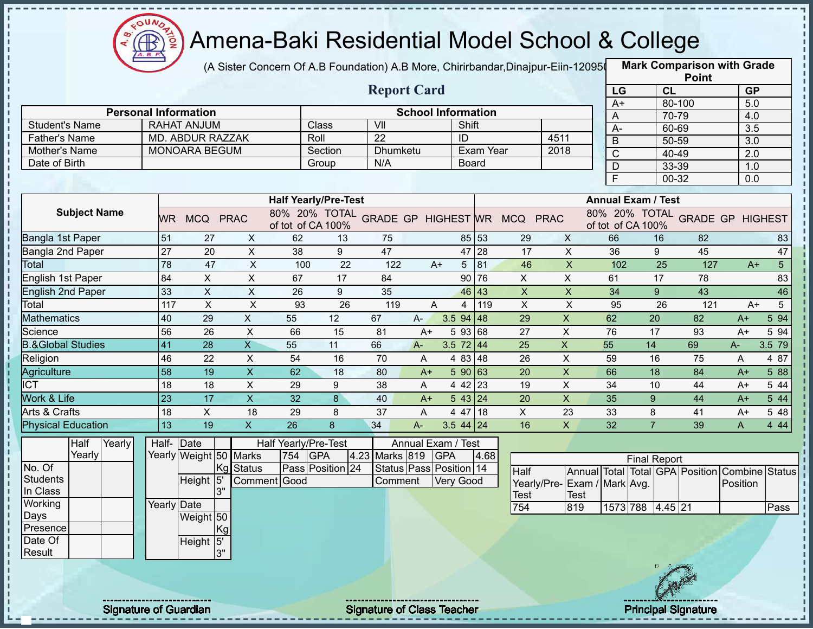

(A Sister Concern Of A.B Foundation) A.B More, Chirirbandar,Dinajpur-Eiin-120950

|                                       |                              |                                               |                         |                             |          |                                   |                           |                  |           |                                            |                           |                |                           | <b>Point</b>                            |           |                |
|---------------------------------------|------------------------------|-----------------------------------------------|-------------------------|-----------------------------|----------|-----------------------------------|---------------------------|------------------|-----------|--------------------------------------------|---------------------------|----------------|---------------------------|-----------------------------------------|-----------|----------------|
|                                       |                              |                                               |                         |                             |          | <b>Report Card</b>                |                           |                  |           |                                            |                           | LG             |                           | CL                                      | <b>GP</b> |                |
|                                       | <b>Personal Information</b>  |                                               |                         |                             |          |                                   |                           |                  |           |                                            |                           | $A+$           |                           | 80-100                                  | 5.0       |                |
|                                       |                              |                                               |                         |                             | Class    | VII                               | <b>School Information</b> | Shift            |           |                                            |                           | A              |                           | 70-79                                   | 4.0       |                |
| <b>Student's Name</b>                 |                              | <b>RAHAT ANJUM</b><br><b>MD. ABDUR RAZZAK</b> |                         | Roll                        |          | $\overline{22}$                   |                           | ID               |           | 4511                                       |                           | $A -$          |                           | 60-69                                   | 3.5       |                |
| <b>Father's Name</b><br>Mother's Name |                              | <b>MONOARA BEGUM</b>                          |                         |                             | Section  | <b>Dhumketu</b>                   |                           |                  | Exam Year |                                            | 2018                      | $\mathsf B$    |                           | 50-59                                   | 3.0       |                |
| Date of Birth                         |                              |                                               |                         |                             | Group    | N/A                               |                           | <b>Board</b>     |           |                                            |                           | $\overline{C}$ |                           | 40-49                                   | 2.0       |                |
|                                       |                              |                                               |                         |                             |          |                                   |                           |                  |           |                                            |                           | D              |                           | 33-39                                   | 1.0       |                |
|                                       |                              |                                               |                         |                             |          |                                   |                           |                  |           |                                            |                           | Ē              |                           | 00-32                                   | 0.0       |                |
|                                       |                              |                                               |                         | <b>Half Yearly/Pre-Test</b> |          |                                   |                           |                  |           |                                            |                           |                | <b>Annual Exam / Test</b> |                                         |           |                |
| <b>Subject Name</b>                   |                              | WR MCQ PRAC                                   |                         | of tot of CA 100%           |          |                                   |                           |                  |           | 80% 20% TOTAL GRADE GP HIGHEST WR MCQ PRAC |                           |                | of tot of CA 100%         | 80% 20% TOTAL GRADE GP HIGHEST          |           |                |
| Bangla 1st Paper                      | 51                           | 27                                            | X                       | 62                          | 13       | 75                                |                           | 85 53            |           | 29                                         | X                         | 66             | 16                        | 82                                      |           | 83             |
| Bangla 2nd Paper                      | $\overline{27}$              | 20                                            | X                       | 38                          | 9        | 47                                |                           | 47 28            |           | 17                                         | $\mathsf{X}$              | 36             | 9                         | 45                                      |           | 47             |
| Total                                 | 78                           | 47                                            | $\pmb{\times}$          | 100                         | 22       | 122                               | $A+$                      | 5 <sup>5</sup>   | 81        | 46                                         | $\pmb{\times}$            | 102            | 25                        | 127                                     | $A+$      | 5 <sup>1</sup> |
| English 1st Paper                     | 84                           | $\mathsf X$                                   | $\pmb{\times}$          | 67                          | 17       | 84                                |                           | 90 76            |           | X                                          | X                         | 61             | 17                        | 78                                      |           | 83             |
| <b>English 2nd Paper</b>              | 33                           | $\sf X$                                       | $\mathsf X$             | 26                          | 9        | 35                                |                           | 46 43            |           | $\boldsymbol{\mathsf{X}}$                  | $\pmb{\times}$            | 34             | 9                         | 43                                      |           | 46             |
| Total                                 | 117                          | $\boldsymbol{\mathsf{X}}$                     | $\times$                | 93                          | 26       | 119                               | A                         | 4                | 119       | $\boldsymbol{\mathsf{X}}$                  | $\boldsymbol{\mathsf{X}}$ | 95             | 26                        | 121                                     | $A+$      | 5              |
| <b>Mathematics</b>                    | 40                           | 29                                            | $\mathsf X$             | 55                          | 12       | 67                                | $A -$                     | $3.594$ 48       |           | 29                                         | $\pmb{\times}$            | 62             | 20                        | 82                                      | $A+$      | 5 94           |
| Science                               | 56                           | 26                                            | X                       | 66                          | 15       | 81                                | $A+$                      | 5 93 68          |           | 27                                         | X                         | 76             | 17                        | 93                                      | $A+$      | 5 94           |
| <b>B.&amp;Global Studies</b>          | 41                           | 28                                            | $\overline{\mathsf{x}}$ | 55                          | 11       | 66                                | $A -$                     | 3.5 $72 \mid 44$ |           | 25                                         | $\pmb{\times}$            | 55             | 14                        | 69                                      | A-        | 3.5 79         |
| Religion                              | 46                           | 22                                            | $\mathsf X$             | 54                          | 16       | 70                                | Α                         | 4 83 48          |           | 26                                         | $\boldsymbol{\mathsf{X}}$ | 59             | 16                        | 75                                      | Α         | 4 87           |
| Agriculture                           | 58                           | 19                                            | $\mathsf X$             | 62                          | 18       | 80                                | $A+$                      | 590 63           |           | 20                                         | $\boldsymbol{\mathsf{X}}$ | 66             | 18                        | 84                                      | $A+$      | 5 88           |
| <b>ICT</b>                            | 18                           | 18                                            | $\pmb{\times}$          | 29                          | 9        | 38                                | A                         | 4 42 23          |           | 19                                         | $\boldsymbol{\mathsf{X}}$ | 34             | 10                        | 44                                      | $A+$      | 5 4 4          |
| Work & Life                           | 23                           | $\overline{17}$                               | $\overline{\mathsf{x}}$ | 32                          | $\bf{8}$ | 40                                | $A+$                      | 5 43 24          |           | 20                                         | $\overline{X}$            | 35             | 9                         | 44                                      | $A+$      | 5 44           |
| Arts & Crafts                         | 18                           | $\pmb{\times}$                                | 18                      | 29                          | 8        | 37                                | A                         | 4 47 18          |           | $\pmb{\times}$                             | 23                        | 33             | 8                         | 41                                      | $A+$      | 5 48           |
| <b>Physical Education</b>             | 13                           | 19                                            | $\overline{X}$          | 26                          | 8        | 34                                | $A-$                      | $3.544$ 24       |           | 16                                         | $\mathsf{X}$              | 32             | $\overline{7}$            | 39                                      | A         | 4 4 4          |
| Half<br>Yearly                        |                              | Half- Date                                    |                         | Half Yearly/Pre-Test        |          |                                   | Annual Exam / Test        |                  |           |                                            |                           |                |                           |                                         |           |                |
| Yearly                                |                              | Yearly Weight 50 Marks                        |                         | 754<br><b>GPA</b>           |          | 4.23 Marks 819                    | <b>GPA</b>                |                  | 4.68      |                                            |                           |                |                           |                                         |           |                |
| No. Of                                |                              |                                               | Kg Status               | Pass Position 24            |          | Status Pass Position 14           |                           |                  |           | Half                                       |                           |                | <b>Final Report</b>       | Annual Total Total GPA Position Combine |           | <b>Status</b>  |
| <b>Students</b>                       |                              | Height <sup>15</sup>                          |                         | Comment Good                |          | Comment                           |                           | Very Good        |           | Yearly/Pre-Exam / Mark Avg.                |                           |                |                           |                                         | Position  |                |
| In Class                              |                              | 3"                                            |                         |                             |          |                                   |                           |                  |           | Test                                       | <b>Test</b>               |                |                           |                                         |           |                |
| Working                               |                              | Yearly Date                                   |                         |                             |          |                                   |                           |                  |           | 754                                        | 819                       |                | 1573 788 4.45 21          |                                         |           | Pass           |
| Days                                  |                              | Weight 50                                     |                         |                             |          |                                   |                           |                  |           |                                            |                           |                |                           |                                         |           |                |
| Presence                              |                              |                                               | Kg                      |                             |          |                                   |                           |                  |           |                                            |                           |                |                           |                                         |           |                |
| Date Of                               |                              | Height 5'                                     |                         |                             |          |                                   |                           |                  |           |                                            |                           |                |                           |                                         |           |                |
| Result                                |                              |                                               | 3"                      |                             |          |                                   |                           |                  |           |                                            |                           |                |                           |                                         |           |                |
|                                       |                              |                                               |                         |                             |          |                                   |                           |                  |           |                                            |                           |                |                           |                                         |           |                |
|                                       |                              |                                               |                         |                             |          |                                   |                           |                  |           |                                            |                           |                |                           |                                         |           |                |
|                                       |                              |                                               |                         |                             |          |                                   |                           |                  |           |                                            |                           |                |                           |                                         |           |                |
|                                       | <b>Signature of Guardian</b> |                                               |                         |                             |          | <b>Signature of Class Teacher</b> |                           |                  |           |                                            |                           |                |                           | <b>Principal Signature</b>              |           |                |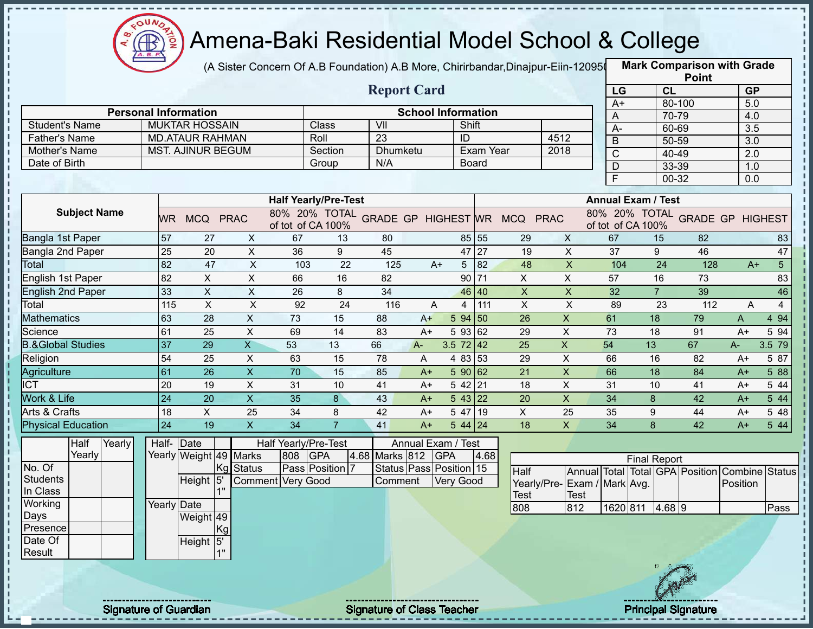

(A Sister Concern Of A.B Foundation) A.B More, Chirirbandar,Dinajpur-Eiin-120950

|                              |                              |                           |                           |                             |                |                                   |                           |                      |           |                                            |                           |                  |                           | <b>Point</b>                    |                  |                |
|------------------------------|------------------------------|---------------------------|---------------------------|-----------------------------|----------------|-----------------------------------|---------------------------|----------------------|-----------|--------------------------------------------|---------------------------|------------------|---------------------------|---------------------------------|------------------|----------------|
|                              |                              |                           |                           |                             |                | <b>Report Card</b>                |                           |                      |           |                                            |                           | LG               |                           | CL                              | <b>GP</b>        |                |
|                              | <b>Personal Information</b>  |                           |                           |                             |                |                                   | <b>School Information</b> |                      |           |                                            |                           | $A+$             |                           | 80-100                          | 5.0              |                |
| <b>Student's Name</b>        |                              | <b>MUKTAR HOSSAIN</b>     |                           |                             | Class          | VII                               |                           | Shift                |           |                                            |                           | A                |                           | 70-79                           | 4.0              |                |
| <b>Father's Name</b>         |                              | <b>MD.ATAUR RAHMAN</b>    |                           | Roll                        |                | $\overline{23}$                   |                           | ID                   |           |                                            | 4512                      | $A -$            |                           | 60-69                           | 3.5              |                |
| Mother's Name                |                              | <b>MST. AJINUR BEGUM</b>  |                           |                             | Section        | <b>Dhumketu</b>                   |                           |                      | Exam Year |                                            | 2018                      | $\mathsf B$      |                           | 50-59                           | $\overline{3.0}$ |                |
| Date of Birth                |                              |                           |                           |                             | Group          | N/A                               |                           | <b>Board</b>         |           |                                            |                           | $\overline{C}$   |                           | 40-49                           | 2.0              |                |
|                              |                              |                           |                           |                             |                |                                   |                           |                      |           |                                            |                           | $\mathsf D$<br>F |                           | 33-39<br>00-32                  | 1.0<br>0.0       |                |
|                              |                              |                           |                           |                             |                |                                   |                           |                      |           |                                            |                           |                  |                           |                                 |                  |                |
|                              |                              |                           |                           | <b>Half Yearly/Pre-Test</b> |                |                                   |                           |                      |           |                                            |                           |                  | <b>Annual Exam / Test</b> |                                 |                  |                |
| <b>Subject Name</b>          | WR.                          | MCQ PRAC                  |                           | of tot of CA 100%           |                |                                   |                           |                      |           | 80% 20% TOTAL GRADE GP HIGHEST WR MCQ PRAC |                           |                  | of tot of CA 100%         | 80% 20% TOTAL GRADE GP HIGHEST  |                  |                |
| Bangla 1st Paper             | 57                           | 27                        | X                         | 67                          | 13             | 80                                |                           |                      | 85 55     | 29                                         | X                         | 67               | 15                        | 82                              |                  | 83             |
| Bangla 2nd Paper             | 25                           | 20                        | X                         | 36                          | 9              | 45                                |                           | 47 27                |           | 19                                         | $\mathsf{X}$              | 37               | 9                         | 46                              |                  | 47             |
| Total                        | 82                           | 47                        | $\boldsymbol{\mathsf{X}}$ | 103                         | 22             | 125                               | $A+$                      | 5 <sup>5</sup>       | 82        | 48                                         | $\boldsymbol{\mathsf{X}}$ | 104              | 24                        | 128                             | $A+$             | 5 <sup>5</sup> |
| English 1st Paper            | 82                           | X                         | X                         | 66                          | 16             | 82                                |                           |                      | 90 71     | X                                          | X                         | 57               | 16                        | 73                              |                  | 83             |
| <b>English 2nd Paper</b>     | 33                           | $\mathsf X$               | $\mathsf X$               | 26                          | 8              | 34                                |                           | 46 40                |           | $\boldsymbol{\mathsf{X}}$                  | $\boldsymbol{\mathsf{X}}$ | 32               | $\overline{7}$            | 39                              |                  | 46             |
| Total                        | 115                          | $\boldsymbol{\mathsf{X}}$ | $\boldsymbol{\mathsf{X}}$ | 92                          | 24             | 116                               | A                         | 4                    | 1111      | $\boldsymbol{\mathsf{X}}$                  | $\boldsymbol{\mathsf{X}}$ | 89               | 23                        | 112                             | Α                | $\overline{4}$ |
| <b>Mathematics</b>           | 63                           | 28                        | $\pmb{\times}$            | 73                          | 15             | 88                                | $A+$                      | $594$ 50             |           | 26                                         | $\boldsymbol{\mathsf{X}}$ | 61               | 18                        | 79                              | Α                | 4 9 4          |
| Science                      | 61                           | 25                        | $\pmb{\times}$            | 69                          | 14             | 83                                | $A+$                      | 5 93 62              |           | 29                                         | X                         | 73               | 18                        | 91                              | $A+$             | 5 94           |
| <b>B.&amp;Global Studies</b> | 37                           | 29                        | $\overline{X}$            | 53                          | 13             | 66                                | $A -$                     | 3.5 $72 \mid 42$     |           | 25                                         | $\mathsf X$               | 54               | 13                        | 67                              | $A-$             | 3.5 79         |
| Religion                     | 54                           | 25                        | $\sf X$                   | 63                          | 15             | 78                                | A                         | 4 83 53              |           | 29                                         | $\mathsf{X}$              | 66               | 16                        | 82                              | $A+$             | 5 87           |
| Agriculture                  | 61                           | 26                        | $\mathsf X$               | 70                          | 15             | 85                                | $A+$                      | 590 62               |           | 21                                         | $\boldsymbol{\mathsf{X}}$ | 66               | 18                        | 84                              | $A+$             | 5 88           |
| $\overline{ICT}$             | 20                           | 19                        | $\mathsf X$               | 31                          | 10             | 41                                | $A+$                      | 5 42 21              |           | 18                                         | $\pmb{\times}$            | 31               | 10                        | 41                              | $A+$             | 5 44           |
| Work & Life                  | 24                           | 20                        | $\overline{X}$            | 35                          | 8              | 43                                | $A+$                      | $5 \, 43 \,   \, 22$ |           | 20                                         | $\overline{\mathsf{x}}$   | 34               | 8                         | 42                              | $A+$             | 5 44           |
| Arts & Crafts                | 18                           | X                         | 25                        | 34                          | 8              | 42                                | $A+$                      | 5 47 19              |           | X                                          | 25                        | 35               | 9                         | 44                              | $A+$             | 5 48           |
| <b>Physical Education</b>    | 24                           | 19                        | $\mathsf{X}$              | 34                          | $\overline{7}$ | 41                                | $A+$                      | $544$ 24             |           | 18                                         | $\mathsf{X}$              | 34               | 8                         | 42                              | $A+$             | 5 4 4          |
| Half<br>Yearly               |                              | Half- Date                |                           | Half Yearly/Pre-Test        |                |                                   | Annual Exam / Test        |                      |           |                                            |                           |                  |                           |                                 |                  |                |
| Yearly                       |                              | Yearly Weight 49 Marks    |                           | 808<br><b>GPA</b>           |                | 4.68 Marks 812                    |                           | <b>GPA</b>           | 4.68      |                                            |                           |                  | <b>Final Report</b>       |                                 |                  |                |
| No. Of                       |                              | Kg                        | <b>Status</b>             | Pass Position 7             |                | Status Pass Position 15           |                           |                      |           | Half                                       |                           |                  |                           | Annual Total Total GPA Position | Combine          | <b>Status</b>  |
| Students                     |                              | Height 5                  |                           | <b>Comment Very Good</b>    |                | Comment                           |                           | Very Good            |           | Yearly/Pre- Exam / Mark Avg.               |                           |                  |                           |                                 | Position         |                |
| In Class                     |                              |                           |                           |                             |                |                                   |                           |                      |           | Test                                       | <b>Test</b>               |                  |                           |                                 |                  |                |
| Working                      | Yearly Date                  |                           |                           |                             |                |                                   |                           |                      |           | 808                                        | 812                       | 1620 811         |                           | 4.68 9                          |                  | Pass           |
| Days                         |                              | Weight 49                 |                           |                             |                |                                   |                           |                      |           |                                            |                           |                  |                           |                                 |                  |                |
| Presence<br>Date Of          |                              |                           | Kgl                       |                             |                |                                   |                           |                      |           |                                            |                           |                  |                           |                                 |                  |                |
| Result                       |                              | Height 5'                 |                           |                             |                |                                   |                           |                      |           |                                            |                           |                  |                           |                                 |                  |                |
|                              |                              |                           |                           |                             |                |                                   |                           |                      |           |                                            |                           |                  |                           |                                 |                  |                |
|                              |                              |                           |                           |                             |                |                                   |                           |                      |           |                                            |                           |                  |                           |                                 |                  |                |
|                              |                              |                           |                           |                             |                |                                   |                           |                      |           |                                            |                           |                  |                           |                                 |                  |                |
|                              |                              |                           |                           |                             |                |                                   |                           |                      |           |                                            |                           |                  |                           |                                 |                  |                |
|                              | <b>Signature of Guardian</b> |                           |                           |                             |                | <b>Signature of Class Teacher</b> |                           |                      |           |                                            |                           |                  |                           | <b>Principal Signature</b>      |                  |                |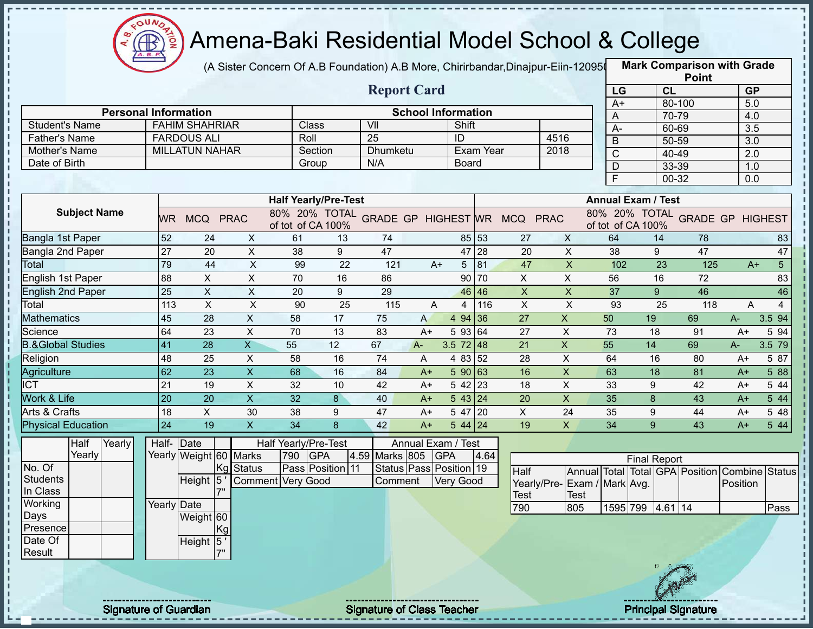

(A Sister Concern Of A.B Foundation) A.B More, Chirirbandar,Dinajpur-Eiin-120950

|                              |                 |                        |                           |                             |                 |                                   |                           |                         |           |                                            |                           |                           |                     |                | <b>LOILI</b>                                   |                         |                  |
|------------------------------|-----------------|------------------------|---------------------------|-----------------------------|-----------------|-----------------------------------|---------------------------|-------------------------|-----------|--------------------------------------------|---------------------------|---------------------------|---------------------|----------------|------------------------------------------------|-------------------------|------------------|
|                              |                 |                        |                           |                             |                 | <b>Report Card</b>                |                           |                         |           |                                            |                           | LG                        |                     | CL             |                                                | GP                      |                  |
| <b>Personal Information</b>  |                 |                        |                           |                             |                 |                                   | <b>School Information</b> |                         |           |                                            |                           | $A+$                      |                     | 80-100         |                                                | 5.0                     |                  |
| <b>Student's Name</b>        |                 | <b>FAHIM SHAHRIAR</b>  |                           | Class                       |                 | $\overline{\mathsf{V}}$           |                           | Shift                   |           |                                            |                           | A<br>$\overline{A}$       |                     | 70-79<br>60-69 |                                                | 4.0<br>$\overline{3.5}$ |                  |
| <b>Father's Name</b>         |                 | <b>FARDOUS ALI</b>     |                           | Roll                        |                 | 25                                |                           | ID                      |           |                                            | 4516                      | $\mathsf B$               |                     | 50-59          |                                                | 3.0                     |                  |
| Mother's Name                |                 | <b>MILLATUN NAHAR</b>  |                           | Section                     |                 | Dhumketu                          |                           |                         | Exam Year | 2018                                       |                           | $\overline{C}$            |                     | 40-49          |                                                | $\overline{2.0}$        |                  |
| Date of Birth                |                 |                        |                           | Group                       |                 | N/A                               |                           | <b>Board</b>            |           |                                            |                           | D                         |                     | 33-39          |                                                | 1.0                     |                  |
|                              |                 |                        |                           |                             |                 |                                   |                           |                         |           |                                            |                           | $\overline{\mathsf{F}}$   |                     | $00 - 32$      |                                                | 0.0                     |                  |
|                              |                 |                        |                           | <b>Half Yearly/Pre-Test</b> |                 |                                   |                           |                         |           |                                            |                           | <b>Annual Exam / Test</b> |                     |                |                                                |                         |                  |
| <b>Subject Name</b>          |                 | WR MCQ PRAC            |                           | of tot of CA 100%           |                 |                                   |                           |                         |           | 80% 20% TOTAL GRADE GP HIGHEST WR MCQ PRAC |                           | of tot of CA 100%         |                     |                | 80% 20% TOTAL GRADE GP HIGHEST                 |                         |                  |
| Bangla 1st Paper             | 52              | 24                     | X                         | 61                          | 13              | 74                                |                           |                         | 85 53     | 27                                         | $\mathsf{X}$              | 64                        |                     | 14             | 78                                             |                         | 83               |
| Bangla 2nd Paper             | $\overline{27}$ | $\overline{20}$        | $\boldsymbol{\mathsf{X}}$ | 38                          | $\overline{9}$  | 47                                |                           |                         | 47 28     | $\overline{20}$                            | $\overline{X}$            | 38                        | 9                   |                | 47                                             |                         | 47               |
| Total                        | 79              | 44                     | $\overline{X}$            | 99                          | $\overline{22}$ | 121                               | $A+$                      | $5\phantom{.0}$         | 81        | 47                                         | $\boldsymbol{\mathsf{X}}$ | 102                       |                     | 23             | 125                                            | $A+$                    | 5 <sup>1</sup>   |
| English 1st Paper            | 88              | $\pmb{\times}$         | $\overline{X}$            | 70                          | 16              | 86                                |                           |                         | 90 70     | $\overline{X}$                             | $\mathsf X$               | 56                        |                     | 16             | 72                                             |                         | 83               |
| English 2nd Paper            | 25              | $\pmb{\times}$         | $\boldsymbol{\mathsf{X}}$ | 20                          | 9               | 29                                |                           |                         | 46 46     | $\boldsymbol{\mathsf{X}}$                  | $\overline{X}$            | 37                        | 9                   |                | 46                                             |                         | 46               |
| Total                        | 113             | $\pmb{\times}$         | $\boldsymbol{\mathsf{X}}$ | 90                          | 25              | 115                               | A                         | $\overline{\mathbf{4}}$ | 116       | $\boldsymbol{\mathsf{X}}$                  | $\overline{X}$            | 93                        |                     | 25             | 118                                            | A                       | $\overline{4}$   |
| <b>Mathematics</b>           | 45              | $\overline{28}$        | $\mathsf X$               | 58                          | 17              | 75                                | $\mathsf{A}$              | 4 94 36                 |           | $\overline{27}$                            | $\mathsf X$               | 50                        | 19                  |                | 69                                             | $A-$                    | 3.5 94           |
| Science                      | 64              | 23                     | $\pmb{\times}$            | 70                          | 13              | 83                                | $A+$                      | 5 93 64                 |           | 27                                         | $\boldsymbol{\mathsf{X}}$ | 73                        | 18                  |                | 91                                             | $A+$                    | 5 94             |
| <b>B.&amp;Global Studies</b> | 41              | $\overline{28}$        | $\overline{X}$            | 55                          | $\overline{12}$ | 67                                | $A -$                     | $3.5 \ 72 \ 48$         |           | $\overline{21}$                            | $\overline{X}$            | 55                        | 14                  |                | 69                                             | $A-$                    | 3.5 79           |
| Religion                     | 48              | 25                     | $\mathsf X$               | 58                          | 16              | 74                                | A                         | 4 83 52                 |           | 28                                         | $\overline{X}$            | 64                        | 16                  |                | 80                                             | $A+$                    | 5 87             |
| Agriculture                  | 62              | $\overline{23}$        | $\overline{\mathsf{x}}$   | 68                          | 16              | 84                                | $A+$                      | 59063                   |           | 16                                         | $\overline{X}$            | 63                        | $\overline{18}$     |                | 81                                             | $A+$                    | 5 88             |
| $\overline{IC}$              | 21              | 19                     | $\pmb{\times}$            | 32                          | 10              | 42                                | $A+$                      | $542$ 23                |           | 18                                         | $\overline{X}$            | 33                        | 9                   |                | 42                                             | $A+$                    | 5 44             |
| Work & Life                  | 20              | 20                     | $\overline{X}$            | 32                          | $\mathbf{8}$    | 40                                | $A+$                      | 543 24                  |           | 20                                         | $\overline{\mathsf{x}}$   | 35                        | 8                   |                | 43                                             | $A+$                    | 544              |
| Arts & Crafts                | 18              | $\pmb{\times}$         | 30                        | 38                          | 9               | 47                                | $A+$                      | $\overline{5}$ 47 20    |           | X                                          | 24                        | 35                        | 9                   |                | 44                                             | $A+$                    | 5 48             |
| <b>Physical Education</b>    | $\overline{24}$ | 19                     | $\overline{\mathsf{x}}$   | $\overline{34}$             | $\overline{8}$  | $\overline{42}$                   | $A+$                      | $544$ 24                |           | $\overline{19}$                            | $\overline{\mathsf{x}}$   | $\overline{34}$           | $\overline{9}$      |                | 43                                             | $A+$                    | $5\overline{44}$ |
| Half<br>Yearly               |                 | Half-Date              |                           | Half Yearly/Pre-Test        |                 |                                   | Annual Exam / Test        |                         |           |                                            |                           |                           |                     |                |                                                |                         |                  |
| Yearly                       |                 | Yearly Weight 60 Marks |                           | 790<br><b>GPA</b>           |                 | 4.59 Marks 805                    | <b>GPA</b>                |                         | 4.64      |                                            |                           |                           | <b>Final Report</b> |                |                                                |                         |                  |
| No. Of                       |                 |                        | Kg Status                 | Pass Position 11            |                 |                                   | Status Pass Position 19   |                         |           | <b>Half</b>                                |                           |                           |                     |                | Annual Total Total GPA Position Combine Status |                         |                  |
| <b>Students</b>              |                 | Height $\overline{5}$  |                           | Comment Very Good           |                 | Comment                           |                           | Very Good               |           | Yearly/Pre-                                |                           | Exam / Mark Avg.          |                     |                |                                                | Position                |                  |
| In Class<br>Working          |                 |                        |                           |                             |                 |                                   |                           |                         |           | <b>Test</b>                                | <b>Test</b>               |                           |                     |                |                                                |                         |                  |
| Days                         | Yearly Date     | Weight 60              |                           |                             |                 |                                   |                           |                         |           | 790                                        | 805                       |                           | 1595 799 4.61 14    |                |                                                |                         | Pass             |
| Presence                     |                 | Kg                     |                           |                             |                 |                                   |                           |                         |           |                                            |                           |                           |                     |                |                                                |                         |                  |
| Date Of                      |                 | Height 5'              |                           |                             |                 |                                   |                           |                         |           |                                            |                           |                           |                     |                |                                                |                         |                  |
| Result                       |                 | 7"                     |                           |                             |                 |                                   |                           |                         |           |                                            |                           |                           |                     |                |                                                |                         |                  |
|                              |                 |                        |                           |                             |                 |                                   |                           |                         |           |                                            |                           |                           |                     |                |                                                |                         |                  |
|                              |                 |                        |                           |                             |                 |                                   |                           |                         |           |                                            |                           |                           |                     |                |                                                |                         |                  |
|                              |                 |                        |                           |                             |                 |                                   |                           |                         |           |                                            |                           |                           |                     |                |                                                |                         |                  |
| <b>Signature of Guardian</b> |                 |                        |                           |                             |                 | <b>Signature of Class Teacher</b> |                           |                         |           |                                            |                           |                           |                     |                | <b>Principal Signature</b>                     |                         |                  |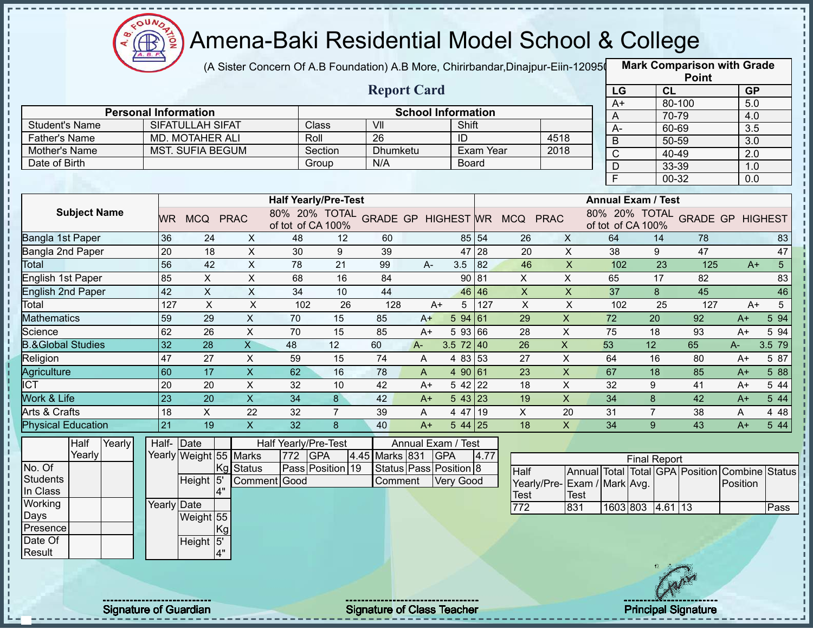

(A Sister Concern Of A.B Foundation) A.B More, Chirirbandar,Dinajpur-Eiin-120950

|                              |                              |                           |                           |                             |                  |                                   |                           |                  |           |                                            |                           |                |                           |         | <b>Point</b>                            |           |                |
|------------------------------|------------------------------|---------------------------|---------------------------|-----------------------------|------------------|-----------------------------------|---------------------------|------------------|-----------|--------------------------------------------|---------------------------|----------------|---------------------------|---------|-----------------------------------------|-----------|----------------|
|                              |                              |                           |                           |                             |                  | <b>Report Card</b>                |                           |                  |           |                                            |                           | LG             |                           | CL      |                                         | <b>GP</b> |                |
|                              | <b>Personal Information</b>  |                           |                           |                             |                  |                                   |                           |                  |           |                                            |                           | $A+$           |                           | 80-100  |                                         | 5.0       |                |
| <b>Student's Name</b>        |                              | <b>SIFATULLAH SIFAT</b>   |                           |                             | Class            | VII                               | <b>School Information</b> | Shift            |           |                                            |                           | A              |                           | 70-79   |                                         | 4.0       |                |
| <b>Father's Name</b>         |                              | MD. MOTAHER ALI           |                           | Roll                        |                  | $\overline{26}$                   |                           | ID               |           |                                            | 4518                      | A-             |                           | 60-69   |                                         | 3.5       |                |
| Mother's Name                |                              | <b>MST. SUFIA BEGUM</b>   |                           |                             | Section          | <b>Dhumketu</b>                   |                           |                  | Exam Year |                                            | 2018                      | $\mathsf B$    |                           | 50-59   |                                         | 3.0       |                |
| Date of Birth                |                              |                           |                           |                             | Group            | N/A                               |                           | <b>Board</b>     |           |                                            |                           | $\overline{C}$ |                           | 40-49   |                                         | 2.0       |                |
|                              |                              |                           |                           |                             |                  |                                   |                           |                  |           |                                            |                           | D<br>F         |                           | 33-39   |                                         | 1.0       |                |
|                              |                              |                           |                           |                             |                  |                                   |                           |                  |           |                                            |                           |                |                           | 00-32   |                                         | 0.0       |                |
|                              |                              |                           |                           | <b>Half Yearly/Pre-Test</b> |                  |                                   |                           |                  |           |                                            |                           |                | <b>Annual Exam / Test</b> |         |                                         |           |                |
| <b>Subject Name</b>          |                              | WR MCQ PRAC               |                           | of tot of CA 100%           |                  |                                   |                           |                  |           | 80% 20% TOTAL GRADE GP HIGHEST WR MCQ PRAC |                           |                | of tot of CA 100%         |         | 80% 20% TOTAL GRADE GP HIGHEST          |           |                |
| Bangla 1st Paper             | 36                           | 24                        | X                         | 48                          | 12               | 60                                |                           |                  | 85 54     | 26                                         | X                         | 64             | 14                        |         | 78                                      |           | 83             |
| Bangla 2nd Paper             | 20                           | 18                        | $\pmb{\times}$            | 30                          | 9                | 39                                |                           |                  | 47 28     | 20                                         | $\mathsf X$               | 38             | 9                         |         | 47                                      |           | 47             |
| Total                        | 56                           | 42                        | $\boldsymbol{\mathsf{X}}$ | 78                          | 21               | 99                                | $A-$                      | 3.5              | 82        | 46                                         | $\pmb{\times}$            | 102            |                           | 23      | 125                                     | $A+$      | 5 <sup>1</sup> |
| English 1st Paper            | 85                           | $\pmb{\times}$            | $\pmb{\times}$            | 68                          | 16               | 84                                |                           |                  | 90 81     | X                                          | X                         | 65             | 17                        |         | 82                                      |           | 83             |
| <b>English 2nd Paper</b>     | 42                           | $\boldsymbol{\mathsf{X}}$ | X                         | 34                          | 10               | 44                                |                           |                  | 46 46     | $\pmb{\times}$                             | $\boldsymbol{\mathsf{X}}$ | 37             | 8                         |         | 45                                      |           | 46             |
| Total                        | 127                          | $\boldsymbol{\mathsf{X}}$ | $\times$                  | 102                         | 26               | 128                               | $A+$                      | 5                | 127       | $\times$                                   | X                         | 102            |                           | 25      | 127                                     | $A+$      | 5              |
| <b>Mathematics</b>           | 59                           | 29                        | $\boldsymbol{\mathsf{X}}$ | 70                          | 15               | 85                                | $A+$                      | 5 94 61          |           | 29                                         | $\pmb{\times}$            | 72             | 20                        |         | 92                                      | $A+$      | 5 94           |
| Science                      | 62                           | 26                        | $\pmb{\times}$            | 70                          | 15               | 85                                | $A+$                      | 5 93 66          |           | 28                                         | X                         | 75             | 18                        |         | 93                                      | A+        | 5 94           |
| <b>B.&amp;Global Studies</b> | 32                           | 28                        | $\overline{\mathsf{X}}$   | 48                          | 12               | 60                                | $A -$                     | $3.5 \ 72 \ 40$  |           | 26                                         | $\pmb{\times}$            | 53             | 12                        |         | 65                                      | A-        | 3.5 79         |
| Religion                     | 47                           | 27                        | $\sf X$                   | 59                          | 15               | 74                                | A                         | 4 83 53          |           | 27                                         | $\boldsymbol{\mathsf{X}}$ | 64             | 16                        |         | 80                                      | A+        | 5 87           |
| Agriculture                  | 60                           | 17                        | $\boldsymbol{\mathsf{X}}$ | 62                          | 16               | 78                                | A                         | 490 61           |           | 23                                         | $\boldsymbol{\mathsf{X}}$ | 67             | 18                        |         | 85                                      | $A+$      | 5 88           |
| $\overline{ICT}$             | 20                           | 20                        | $\pmb{\times}$            | 32                          | 10               | 42                                | $A+$                      | 5 42 22          |           | 18                                         | $\pmb{\times}$            | 32             | 9                         |         | 41                                      | $A+$      | 5 44           |
| Work & Life                  | 23                           | 20                        | $\overline{X}$            | 34                          | 8                | 42                                | $A+$                      | 543 23           |           | 19                                         | $\overline{X}$            | 34             | 8                         |         | 42                                      | $A+$      | 5 44           |
| Arts & Crafts                | 18                           | X                         | 22                        | 32                          | $\overline{7}$   | 39                                | A                         | 4 47 19          |           | X                                          | 20                        | 31             | $\overline{7}$            |         | 38                                      | A         | 4 4 8          |
| <b>Physical Education</b>    | 21                           | 19                        | $\pmb{\times}$            | 32                          | 8                | 40                                | $A+$                      | 5 44 25          |           | 18                                         | $\mathsf{X}$              | 34             | 9                         |         | 43                                      | $A+$      | 5 44           |
| Half<br>Yearly               | Half- Date                   |                           |                           | Half Yearly/Pre-Test        |                  |                                   | Annual Exam / Test        |                  |           |                                            |                           |                |                           |         |                                         |           |                |
| Yearly                       |                              | Yearly Weight 55 Marks    |                           | <b>GPA</b><br>772           |                  | 4.45 Marks 831                    |                           | <b>GPA</b>       | 4.77      |                                            |                           |                | <b>Final Report</b>       |         |                                         |           |                |
| No. Of                       |                              |                           | Kg<br><b>Status</b>       |                             | Pass Position 19 |                                   | Status Pass Position 8    |                  |           | Half                                       |                           |                |                           |         | Annual Total Total GPA Position Combine |           | <b>Status</b>  |
| <b>Students</b>              |                              | Height 5                  |                           | Comment Good                |                  | Comment                           |                           | <b>Very Good</b> |           | Yearly/Pre- Exam / Mark Avg.               |                           |                |                           |         |                                         | Position  |                |
| In Class                     |                              | 4"                        |                           |                             |                  |                                   |                           |                  |           | Test                                       | <b>Test</b>               |                |                           |         |                                         |           |                |
| Working                      | Yearly Date                  |                           |                           |                             |                  |                                   |                           |                  |           | 772                                        | 831                       | 1603 803       |                           | 4.61 13 |                                         |           | Pass           |
| Days                         |                              | Weight 55                 |                           |                             |                  |                                   |                           |                  |           |                                            |                           |                |                           |         |                                         |           |                |
| Presence                     |                              |                           | Kgl                       |                             |                  |                                   |                           |                  |           |                                            |                           |                |                           |         |                                         |           |                |
| Date Of<br>Result            |                              | Height 5'<br>4"           |                           |                             |                  |                                   |                           |                  |           |                                            |                           |                |                           |         |                                         |           |                |
|                              |                              |                           |                           |                             |                  |                                   |                           |                  |           |                                            |                           |                |                           |         |                                         |           |                |
|                              |                              |                           |                           |                             |                  |                                   |                           |                  |           |                                            |                           |                |                           |         |                                         |           |                |
|                              |                              |                           |                           |                             |                  |                                   |                           |                  |           |                                            |                           |                |                           |         |                                         |           |                |
|                              | <b>Signature of Guardian</b> |                           |                           |                             |                  | <b>Signature of Class Teacher</b> |                           |                  |           |                                            |                           |                |                           |         | <b>Principal Signature</b>              |           |                |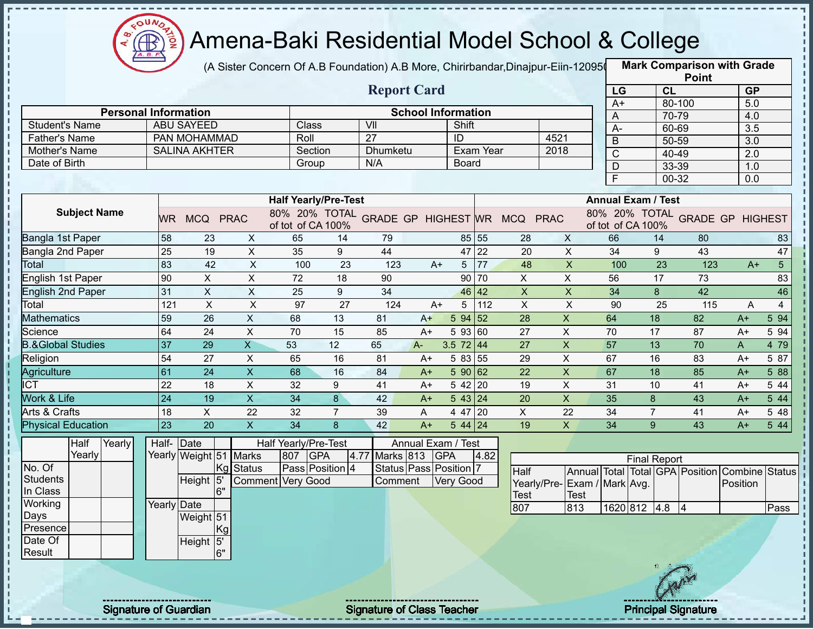

### Amena-Baki Residential Model School & College

(A Sister Concern Of A.B Foundation) A.B More, Chirirbandar,Dinajpur-Eiin-120950

**Mark Comparison with Grade**

| <b>Personal Information</b><br><b>Student's Name</b><br>Father's Name<br>Mother's Name<br>Date of Birth<br><b>Subject Name</b><br><b>Bangla 1st Paper</b><br>Bangla 2nd Paper<br>Total<br><b>English 1st Paper</b><br><b>English 2nd Paper</b><br>Total<br><b>Mathematics</b><br>Science | <b>ABU SAYEED</b>  | PAN MOHAMMAD<br><b>SALINA AKHTER</b> |                           | Class                                       |                 | <b>Report Card</b>                         | <b>School Information</b> |                   |              |                           |                             | LG<br>$A+$     |                           | CL<br>80-100 |     | <b>GP</b><br>5.0                               |                |
|------------------------------------------------------------------------------------------------------------------------------------------------------------------------------------------------------------------------------------------------------------------------------------------|--------------------|--------------------------------------|---------------------------|---------------------------------------------|-----------------|--------------------------------------------|---------------------------|-------------------|--------------|---------------------------|-----------------------------|----------------|---------------------------|--------------|-----|------------------------------------------------|----------------|
|                                                                                                                                                                                                                                                                                          |                    |                                      |                           |                                             |                 |                                            |                           |                   |              |                           |                             |                |                           |              |     |                                                |                |
|                                                                                                                                                                                                                                                                                          |                    |                                      |                           |                                             |                 |                                            |                           |                   |              |                           |                             |                |                           |              |     |                                                |                |
|                                                                                                                                                                                                                                                                                          |                    |                                      |                           |                                             |                 |                                            |                           |                   |              |                           |                             | A              |                           | 70-79        |     | 4.0                                            |                |
|                                                                                                                                                                                                                                                                                          |                    |                                      |                           |                                             |                 | VII<br>$\overline{27}$                     |                           | Shift             |              |                           |                             | $A -$          |                           | 60-69        |     | 3.5                                            |                |
|                                                                                                                                                                                                                                                                                          |                    |                                      |                           | Roll<br>Section                             |                 | Dhumketu                                   |                           | ID                | Exam Year    |                           | 4521<br>2018                | B              |                           | 50-59        |     | 3.0                                            |                |
|                                                                                                                                                                                                                                                                                          |                    |                                      |                           | Group                                       |                 | N/A                                        |                           | Board             |              |                           |                             | $\mathsf{C}$   |                           | 40-49        |     | 2.0                                            |                |
|                                                                                                                                                                                                                                                                                          |                    |                                      |                           |                                             |                 |                                            |                           |                   |              |                           |                             | $\overline{D}$ |                           | 33-39        |     | 1.0                                            |                |
|                                                                                                                                                                                                                                                                                          |                    |                                      |                           |                                             |                 |                                            |                           |                   |              |                           |                             | $\overline{F}$ |                           | 00-32        |     | $\overline{0.0}$                               |                |
|                                                                                                                                                                                                                                                                                          |                    |                                      |                           | <b>Half Yearly/Pre-Test</b>                 |                 |                                            |                           |                   |              |                           |                             |                | <b>Annual Exam / Test</b> |              |     |                                                |                |
|                                                                                                                                                                                                                                                                                          |                    | WR MCQ PRAC                          |                           | of tot of CA 100%                           |                 | 80% 20% TOTAL GRADE GP HIGHEST WR MCQ PRAC |                           |                   |              |                           |                             |                | of tot of CA 100%         |              |     | 80% 20% TOTAL GRADE GP HIGHEST                 |                |
|                                                                                                                                                                                                                                                                                          | 58                 | 23                                   | X                         | 65                                          | 14              | 79                                         |                           | 85 55             |              | 28                        | $\mathsf{X}$                | 66             |                           | 14           | 80  |                                                | 83             |
|                                                                                                                                                                                                                                                                                          | $\overline{25}$    | 19                                   | $\overline{X}$            | 35                                          | 9               | 44                                         |                           | 47 22             |              | $\overline{20}$           | $\overline{X}$              | 34             |                           | 9            | 43  |                                                | 47             |
|                                                                                                                                                                                                                                                                                          | 83                 | 42                                   | $\pmb{\times}$            | 100                                         | 23              | 123                                        | $A+$                      | $5 \overline{77}$ |              | 48                        | $\mathsf X$                 | 100            |                           | 23           | 123 | $A+$                                           | 5 <sup>5</sup> |
|                                                                                                                                                                                                                                                                                          | 90                 | $\mathsf{X}$                         | $\overline{\mathsf{x}}$   | $\overline{72}$                             | $\overline{18}$ | 90                                         |                           | 90 70             |              | $\overline{X}$            | $\overline{X}$              | 56             |                           | 17           | 73  |                                                | 83             |
|                                                                                                                                                                                                                                                                                          | 31                 | $\pmb{\times}$                       | $\mathsf X$               | 25                                          | 9               | 34                                         |                           | 46 42             |              | $\boldsymbol{\mathsf{X}}$ | $\mathsf{X}$                | 34             |                           | 8            | 42  |                                                | 46             |
|                                                                                                                                                                                                                                                                                          | 121                | $\mathsf{X}$                         | $\mathsf{x}$              | 97                                          | 27              | 124                                        | $A+$                      |                   | $5 \mid 112$ | $\mathsf{X}$              | $\pmb{\times}$              | 90             |                           | 25           | 115 | A                                              | $\overline{4}$ |
|                                                                                                                                                                                                                                                                                          | 59                 | $\overline{26}$                      | $\mathsf{X}$              | 68                                          | 13              | 81                                         | $A+$                      | 5 94 52           |              | $\overline{28}$           | $\mathsf X$                 | 64             | 18                        |              | 82  | $A+$                                           | 5 94           |
|                                                                                                                                                                                                                                                                                          | 64                 | 24                                   | $\pmb{\times}$            | 70                                          | 15              | 85                                         | $A+$                      | 5 93 60           |              | 27                        | $\pmb{\times}$              | 70             | 17                        |              | 87  | A+                                             | 5 94           |
| <b>B.&amp;Global Studies</b>                                                                                                                                                                                                                                                             | 37                 | 29                                   | $\overline{X}$            | 53                                          | 12              | 65                                         | $A -$                     | $3.5 \ 72 \ 44$   |              | 27                        | $\pmb{\times}$              | 57             | 13                        |              | 70  | A                                              | 4 79           |
| Religion                                                                                                                                                                                                                                                                                 | 54                 | 27                                   | X                         | 65                                          | 16              | 81                                         | A+                        | 5 83 55           |              | 29                        | $\boldsymbol{\mathsf{X}}$   | 67             | 16                        |              | 83  | $A+$                                           | 5 87           |
| Agriculture                                                                                                                                                                                                                                                                              | 61                 | 24                                   | $\boldsymbol{\mathsf{X}}$ | 68                                          | 16              | 84                                         | $A+$                      | 590 62            |              | 22                        | $\overline{\mathsf{x}}$     | 67             | 18                        |              | 85  | $A+$                                           | 5 88           |
| <b>ICT</b>                                                                                                                                                                                                                                                                               | 22                 | 18                                   | X                         | 32                                          | 9               | 41                                         | $A+$                      | $542$ 20          |              | 19                        | $\boldsymbol{\mathsf{X}}$   | 31             | 10                        |              | 41  | A+                                             | 5 44           |
| Work & Life                                                                                                                                                                                                                                                                              | 24                 | $\overline{19}$                      | $\overline{\mathsf{x}}$   | $\overline{34}$                             | 8               | 42                                         | $A+$                      | $543$ 24          |              | 20                        | $\mathsf X$                 | 35             | 8                         |              | 43  | $A+$                                           | 5 44           |
| Arts & Crafts                                                                                                                                                                                                                                                                            | 18                 | $\mathsf{X}$                         | 22                        | 32                                          | $\overline{7}$  | 39                                         | A                         | 4 47 20           |              | X                         | 22                          | 34             | $\overline{7}$            |              | 41  | A+                                             | 5 48           |
| <b>Physical Education</b>                                                                                                                                                                                                                                                                | 23                 | $\overline{20}$                      | $\overline{\mathsf{x}}$   | $\overline{34}$                             | 8               | 42                                         | $A+$                      | $544$ 24          |              | 19                        | $\mathsf X$                 | 34             | 9                         |              | 43  | $A+$                                           | 5 4 4          |
| Half<br>Yearly                                                                                                                                                                                                                                                                           | Half- Date         |                                      |                           | Half Yearly/Pre-Test                        |                 |                                            | Annual Exam / Test        |                   |              |                           |                             |                |                           |              |     |                                                |                |
| Yearly<br>No. Of                                                                                                                                                                                                                                                                         |                    | Yearly Weight 51 Marks               |                           | 807 GPA                                     |                 | 4.77 Marks 813 GPA                         |                           |                   | 4.82         |                           |                             |                | <b>Final Report</b>       |              |     |                                                |                |
| <b>Students</b>                                                                                                                                                                                                                                                                          |                    | Kg<br>Height 5'                      | <b>Status</b>             | Pass Position 4<br><b>Comment Very Good</b> |                 |                                            | Status Pass Position 7    |                   |              | <b>Half</b>               |                             |                |                           |              |     | Annual Total Total GPA Position Combine Status |                |
| In Class                                                                                                                                                                                                                                                                                 |                    | 6"                                   |                           |                                             |                 | Comment                                    |                           | Very Good         |              |                           | Yearly/Pre-Exam / Mark Avg. |                |                           |              |     | Position                                       |                |
| Working                                                                                                                                                                                                                                                                                  | <b>Yearly Date</b> |                                      |                           |                                             |                 |                                            |                           |                   |              | <b>Test</b>               | <b>Test</b><br>813          |                |                           |              |     |                                                |                |
| Days                                                                                                                                                                                                                                                                                     |                    | Weight 51                            |                           |                                             |                 |                                            |                           |                   |              | 807                       |                             |                | 1620 812 4.8 4            |              |     |                                                | Pass           |
| Presence                                                                                                                                                                                                                                                                                 |                    | Kg                                   |                           |                                             |                 |                                            |                           |                   |              |                           |                             |                |                           |              |     |                                                |                |
| Date Of                                                                                                                                                                                                                                                                                  |                    | Height 5'                            |                           |                                             |                 |                                            |                           |                   |              |                           |                             |                |                           |              |     |                                                |                |
| Result                                                                                                                                                                                                                                                                                   |                    | 6"                                   |                           |                                             |                 |                                            |                           |                   |              |                           |                             |                |                           |              |     |                                                |                |
|                                                                                                                                                                                                                                                                                          |                    |                                      |                           |                                             |                 |                                            |                           |                   |              |                           |                             |                |                           |              |     |                                                |                |
|                                                                                                                                                                                                                                                                                          |                    |                                      |                           |                                             |                 |                                            |                           |                   |              |                           |                             |                |                           |              |     |                                                |                |
|                                                                                                                                                                                                                                                                                          |                    |                                      |                           |                                             |                 |                                            |                           |                   |              |                           |                             |                |                           |              |     |                                                |                |

Signature of Guardian Signature of Class Teacher Principal Signature 25/47/47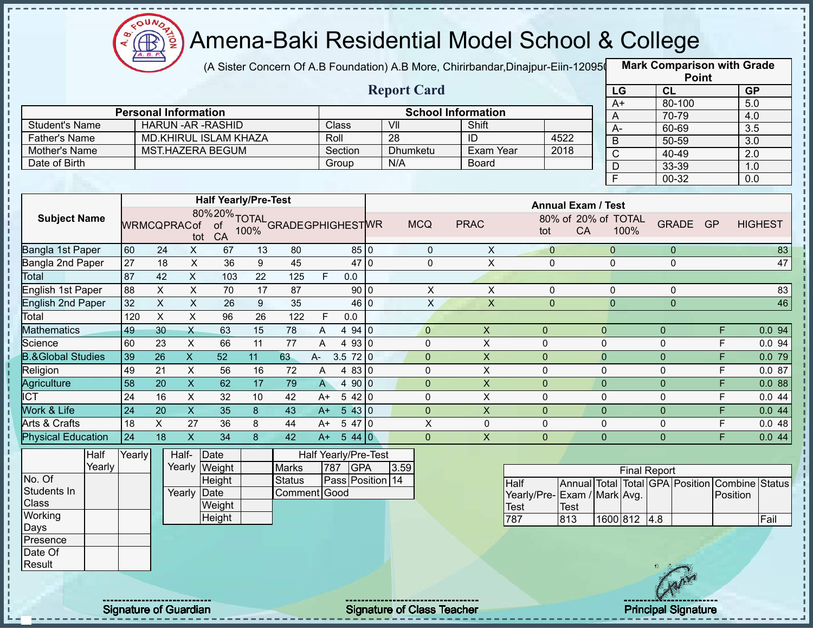

(A Sister Concern Of A.B Foundation) A.B More, Chirirbandar,Dinajpur-Eiin-120950

**Mark Comparison with Grade**

|                      |                              |         | <b>Report Card</b> |                           |      |
|----------------------|------------------------------|---------|--------------------|---------------------------|------|
|                      | <b>Personal Information</b>  |         |                    | <b>School Information</b> |      |
| Student's Name       | HARUN -AR -RASHID            | Class   | VII                | Shift                     |      |
| <b>Father's Name</b> | <b>MD.KHIRUL ISLAM KHAZA</b> | Roll    | -28                | ID                        | 4522 |
| Mother's Name        | <b>MST.HAZERA BEGUM</b>      | Section | <b>Dhumketu</b>    | Exam Year                 | 2018 |
| Date of Birth        |                              | Group   | N/A                | Board                     |      |
|                      |                              |         |                    |                           |      |

|                 | <b>Point</b> |                  |
|-----------------|--------------|------------------|
| LG              | CL           | <b>GP</b>        |
| $\overline{A+}$ | 80-100       | 5.0              |
| Α               | 70-79        | 4.0              |
| А-              | 60-69        | 3.5              |
| B               | 50-59        | $\overline{3.0}$ |
| C               | 40-49        | 2.0              |
| D               | 33-39        | 1.0              |
| F               | 00-32        | 0.0              |

|                              |     |                    |    |     | <b>Half Yearly/Pre-Test</b> |                                               |              |                |     |              |             |               | <b>Annual Exam / Test</b>  |                |           |                |
|------------------------------|-----|--------------------|----|-----|-----------------------------|-----------------------------------------------|--------------|----------------|-----|--------------|-------------|---------------|----------------------------|----------------|-----------|----------------|
| <b>Subject Name</b>          |     | <b>WRMCQPRACof</b> |    |     |                             | 80%20% TOTAL<br>ACof of 100% GRADEGPHIGHESTWR |              |                |     | <b>MCQ</b>   | <b>PRAC</b> | 80% of<br>tot | 20% of TOTAL<br>CA<br>100% | <b>GRADE</b>   | <b>GP</b> | <b>HIGHEST</b> |
| Bangla 1st Paper             | 60  | 24                 | X  | 67  | 13                          | 80                                            |              | 85 0           |     | $\mathbf 0$  | X           | $\mathbf{0}$  | 0                          | $\mathbf{0}$   |           | 83             |
| Bangla 2nd Paper             | 27  | 18                 | X  | 36  | 9                           | 45                                            |              | 47             | 'lo | 0            | X           | 0             | 0                          | 0              |           | 47             |
| Total                        | 87  | 42                 | X  | 103 | 22                          | 125                                           | F            | 0.0            |     |              |             |               |                            |                |           |                |
| English 1st Paper            | 88  | X                  | X  | 70  | 17                          | 87                                            |              | 90 0           |     | X            | X           | $\Omega$      | 0                          | 0              |           | 83             |
| <b>English 2nd Paper</b>     | 32  | X                  | X  | 26  | 9                           | 35                                            |              | 46 0           |     | X            | X           | $\mathbf 0$   | $\mathbf 0$                | $\mathbf 0$    |           | 46             |
| Total                        | 120 | X                  | X  | 96  | 26                          | 122                                           | F            | 0.0            |     |              |             |               |                            |                |           |                |
| <b>Mathematics</b>           | 49  | 30                 | X  | 63  | 15                          | 78                                            | A            | 94 0<br>4      |     | $\mathbf{0}$ | X           | $\Omega$      | $\Omega$                   | $\Omega$       | F         | 0.0 94         |
| Science                      | 60  | 23                 | X  | 66  | 11                          | 77                                            | A            | 93 0<br>4      |     | 0            | X           | $\Omega$      | $\Omega$                   | 0              | F.        | 0.094          |
| <b>B.&amp;Global Studies</b> | 39  | 26                 | X. | 52  | 11                          | 63                                            | A-           | $3.5 \ 72 \ 0$ |     | $\mathbf{0}$ | X           | 0             | $\mathbf{0}$               | $\Omega$       | F.        | 0.079          |
| Religion                     | 49  | 21                 | X  | 56  | 16                          | 72                                            | A            | 4830           |     | 0            | X           | 0             | $\mathbf{0}$               | 0              | F         | 0.087          |
| Agriculture                  | 58  | 20                 | X  | 62  | 17                          | 79                                            | $\mathsf{A}$ | 4 90 0         |     | $\mathbf{0}$ | X           | 0             | $\mathbf{0}$               | 0              | F.        | 0.088          |
| <b>ICT</b>                   | 24  | 16                 | X  | 32  | 10                          | 42                                            | $A+$         | 542 0          |     | 0            | X           | 0             | $\mathbf{0}$               | $\mathbf{0}$   | F         | 0.044          |
| <b>Nork &amp; Life</b>       | 24  | 20                 | X  | 35  | 8                           | 43                                            | $A+$         | 5430           |     | $\mathbf{0}$ | X           | 0             | $\mathbf{0}$               | $\mathbf{0}$   | F         | 0.044          |
| Arts & Crafts                | 18  | X                  | 27 | 36  | 8                           | 44                                            | A+           | 5470           |     | X            | $\Omega$    | $\Omega$      | $\mathbf{0}$               | $\mathbf{0}$   | F.        | 0.048          |
| <b>Physical Education</b>    | 24  | 18                 | X  | 34  | 8                           | 42                                            | $A+$         | 5440           |     | $\Omega$     | X           | 0             | $\Omega$                   | $\overline{0}$ | F.        | 0.044          |

|             | Half   | Yearly | Half-  | Date   |               |     | Half Yearly/Pre-Test |      |
|-------------|--------|--------|--------|--------|---------------|-----|----------------------|------|
|             | Yearly |        | Yearly | Weight | <b>Marks</b>  | 787 | <b>GPA</b>           | 3.59 |
| No. Of      |        |        |        | Height | <b>Status</b> |     | Pass Position 14     |      |
| Students In |        |        | Yearly | Date   | Comment Good  |     |                      |      |
| Class       |        |        |        | Weight |               |     |                      |      |
| Working     |        |        |        | Height |               |     |                      |      |
| Days        |        |        |        |        |               |     |                      |      |
| Presence    |        |        |        |        |               |     |                      |      |
| Date Of     |        |        |        |        |               |     |                      |      |
| Result      |        |        |        |        |               |     |                      |      |

|                              |       |              | <b>Final Report</b> |  |                                                |       |
|------------------------------|-------|--------------|---------------------|--|------------------------------------------------|-------|
| Half                         |       |              |                     |  | Annual Total Total GPA Position Combine Status |       |
| Yearly/Pre- Exam / Mark Avg. |       |              |                     |  | <b>Position</b>                                |       |
| <b>Test</b>                  | 'Test |              |                     |  |                                                |       |
| 787                          | 813   | 1600 812 4.8 |                     |  |                                                | lFail |

Signature of Guardian Signature of Class Teacher Principal Signature 26/47/47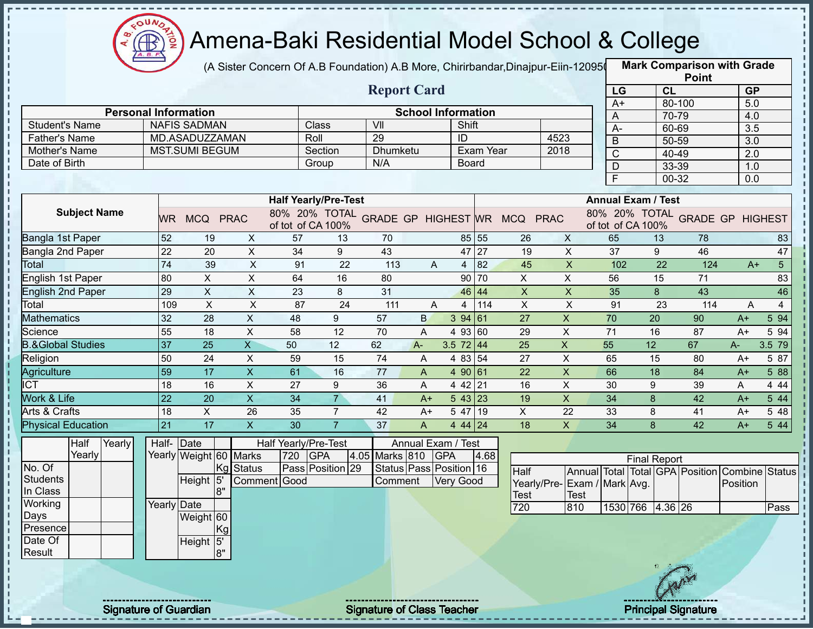

(A Sister Concern Of A.B Foundation) A.B More, Chirirbandar,Dinajpur-Eiin-120950

|                                       |                              |                           |                           |                             |                  |                                   |                           |                  |           |                                            |                           |                |                           | <b>Point</b>                    |           |                |
|---------------------------------------|------------------------------|---------------------------|---------------------------|-----------------------------|------------------|-----------------------------------|---------------------------|------------------|-----------|--------------------------------------------|---------------------------|----------------|---------------------------|---------------------------------|-----------|----------------|
|                                       |                              |                           |                           |                             |                  | <b>Report Card</b>                |                           |                  |           |                                            |                           | LG             |                           | CL                              | <b>GP</b> |                |
|                                       |                              |                           |                           |                             |                  |                                   |                           |                  |           |                                            |                           | $A+$           |                           | 80-100                          | 5.0       |                |
| <b>Student's Name</b>                 | <b>Personal Information</b>  | <b>NAFIS SADMAN</b>       |                           |                             | Class            | VII                               | <b>School Information</b> | Shift            |           |                                            |                           | A              |                           | $70 - 79$                       | 4.0       |                |
|                                       |                              | MD.ASADUZZAMAN            |                           | Roll                        |                  | 29                                |                           | ID               |           |                                            | 4523                      | $A -$          |                           | 60-69                           | 3.5       |                |
| <b>Father's Name</b><br>Mother's Name |                              | <b>MST.SUMI BEGUM</b>     |                           |                             | Section          | Dhumketu                          |                           |                  | Exam Year |                                            | 2018                      | $\overline{B}$ |                           | 50-59                           | 3.0       |                |
| Date of Birth                         |                              |                           |                           |                             | Group            | N/A                               |                           | <b>Board</b>     |           |                                            |                           | $\overline{C}$ |                           | 40-49                           | 2.0       |                |
|                                       |                              |                           |                           |                             |                  |                                   |                           |                  |           |                                            |                           | D              |                           | 33-39                           | 1.0       |                |
|                                       |                              |                           |                           |                             |                  |                                   |                           |                  |           |                                            |                           | E              |                           | 00-32                           | 0.0       |                |
|                                       |                              |                           |                           | <b>Half Yearly/Pre-Test</b> |                  |                                   |                           |                  |           |                                            |                           |                | <b>Annual Exam / Test</b> |                                 |           |                |
| <b>Subject Name</b>                   |                              | WR MCQ PRAC               |                           | of tot of CA 100%           |                  |                                   |                           |                  |           | 80% 20% TOTAL GRADE GP HIGHEST WR MCQ PRAC |                           |                | of tot of CA 100%         | 80% 20% TOTAL GRADE GP HIGHEST  |           |                |
| Bangla 1st Paper                      | 52                           | 19                        | X                         | 57                          | 13               | 70                                |                           |                  | 85 55     | 26                                         | $\mathsf{X}$              | 65             | 13                        | 78                              |           | 83             |
| Bangla 2nd Paper                      | 22                           | 20                        | $\pmb{\times}$            | 34                          | 9                | 43                                |                           | 47 27            |           | 19                                         | $\mathsf X$               | 37             | 9                         | 46                              |           | 47             |
| Total                                 | 74                           | 39                        | $\mathsf X$               | 91                          | 22               | 113                               | A                         | 4                | 82        | 45                                         | $\boldsymbol{\mathsf{X}}$ | 102            | 22                        | 124                             | $A+$      | 5 <sup>5</sup> |
| English 1st Paper                     | 80                           | $\pmb{\times}$            | X                         | 64                          | 16               | 80                                |                           |                  | 90 70     | X                                          | X                         | 56             | 15                        | 71                              |           | 83             |
| <b>English 2nd Paper</b>              | 29                           | $\boldsymbol{\mathsf{X}}$ | X                         | 23                          | 8                | 31                                |                           | 46 44            |           | $\boldsymbol{\mathsf{X}}$                  | $\boldsymbol{\mathsf{X}}$ | 35             | 8                         | 43                              |           | 46             |
| Total                                 | 109                          | $\times$                  | $\mathsf X$               | 87                          | 24               | 111                               | A                         | 4                | 114       | $\boldsymbol{\mathsf{X}}$                  | $\pmb{\times}$            | 91             | 23                        | 114                             | A         | 4              |
| <b>Mathematics</b>                    | 32                           | 28                        | $\boldsymbol{\mathsf{X}}$ | 48                          | 9                | 57                                | B                         | 394 61           |           | 27                                         | $\pmb{\times}$            | 70             | 20                        | 90                              | $A+$      | 5 94           |
| Science                               | 55                           | 18                        | X                         | 58                          | 12               | 70                                | A                         | 4 93 60          |           | 29                                         | X                         | 71             | 16                        | 87                              | $A+$      | 5 94           |
| <b>B.&amp;Global Studies</b>          | $\overline{37}$              | 25                        | $\overline{\mathsf{X}}$   | 50                          | 12               | 62                                | $A -$                     | 3.5 $72 \mid 44$ |           | 25                                         | $\boldsymbol{\mathsf{X}}$ | 55             | 12                        | 67                              | A-        | 3.5 79         |
| Religion                              | 50                           | 24                        | $\mathsf X$               | 59                          | 15               | 74                                | A                         | 4 83 54          |           | 27                                         | $\times$                  | 65             | 15                        | 80                              | $A+$      | 5 87           |
| Agriculture                           | 59                           | 17                        | $\mathsf X$               | 61                          | 16               | 77                                | A                         | 4 90 61          |           | 22                                         | $\pmb{\times}$            | 66             | 18                        | 84                              | $A+$      | 5 88           |
| $\overline{ICT}$                      | 18                           | 16                        | $\pmb{\times}$            | 27                          | 9                | 36                                | A                         | 4 42 21          |           | 16                                         | $\mathsf X$               | 30             | 9                         | 39                              | A         | 4 4 4          |
| Work & Life                           | $\overline{22}$              | 20                        | $\overline{X}$            | 34                          | $\overline{7}$   | 41                                | $A+$                      | 543 23           |           | 19                                         | $\overline{X}$            | 34             | 8                         | 42                              | $A+$      | 5 4 4          |
| Arts & Crafts                         | 18                           | X                         | 26                        | 35                          | $\overline{7}$   | 42                                | $A+$                      | 5 47 19          |           | X                                          | 22                        | 33             | 8                         | 41                              | $A+$      | 5 48           |
| <b>Physical Education</b>             | 21                           | 17                        | $\pmb{\times}$            | 30                          | $\overline{7}$   | 37                                | A                         | 4 44 24          |           | 18                                         | $\mathsf{X}$              | 34             | 8                         | 42                              | $A+$      | 5 44           |
| Half<br>Yearly                        | Half-                        | $\vert$ Date              |                           | Half Yearly/Pre-Test        |                  |                                   | Annual Exam / Test        |                  |           |                                            |                           |                |                           |                                 |           |                |
| Yearly                                |                              | Yearly Weight 60 Marks    |                           | 720                         | <b>GPA</b>       | 4.05 Marks 810                    | <b>GPA</b>                |                  | 4.68      |                                            |                           |                | <b>Final Report</b>       |                                 |           |                |
| No. Of                                |                              | Kg                        | <b>Status</b>             |                             | Pass Position 29 |                                   | Status Pass Position 16   |                  |           | Half                                       |                           |                |                           | Annual Total Total GPA Position | Combine   | <b>Status</b>  |
| <b>Students</b>                       |                              | Height 5                  |                           | Comment Good                |                  | Comment                           |                           | <b>Very Good</b> |           | Yearly/Pre-Exam / Mark Avg.                |                           |                |                           |                                 | Position  |                |
| In Class                              |                              | 8"                        |                           |                             |                  |                                   |                           |                  |           | Test                                       | <b>Test</b>               |                |                           |                                 |           |                |
| Working                               | Yearly Date                  |                           |                           |                             |                  |                                   |                           |                  |           | 720                                        | 810                       |                | 1530 766 4.36 26          |                                 |           | Pass           |
| Days                                  |                              | Weight 60                 |                           |                             |                  |                                   |                           |                  |           |                                            |                           |                |                           |                                 |           |                |
| Presence                              |                              | Kgl                       |                           |                             |                  |                                   |                           |                  |           |                                            |                           |                |                           |                                 |           |                |
| Date Of                               |                              | Height 5'                 |                           |                             |                  |                                   |                           |                  |           |                                            |                           |                |                           |                                 |           |                |
| Result                                |                              | 8"                        |                           |                             |                  |                                   |                           |                  |           |                                            |                           |                |                           |                                 |           |                |
|                                       |                              |                           |                           |                             |                  |                                   |                           |                  |           |                                            |                           |                |                           |                                 |           |                |
|                                       |                              |                           |                           |                             |                  |                                   |                           |                  |           |                                            |                           |                |                           |                                 |           |                |
|                                       |                              |                           |                           |                             |                  |                                   |                           |                  |           |                                            |                           |                |                           |                                 |           |                |
|                                       | <b>Signature of Guardian</b> |                           |                           |                             |                  | <b>Signature of Class Teacher</b> |                           |                  |           |                                            |                           |                |                           | <b>Principal Signature</b>      |           |                |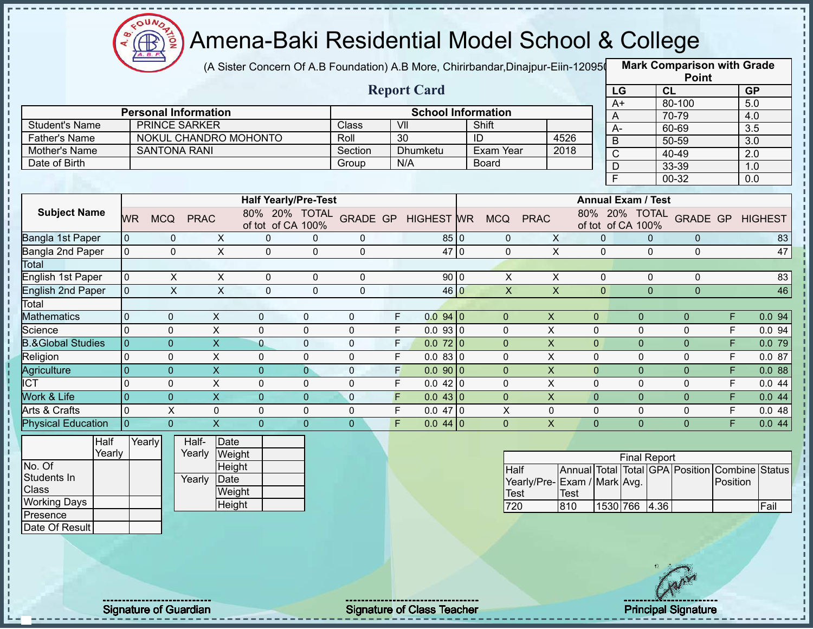

(A Sister Concern Of A.B Foundation) A.B More, Chirirbandar,Dinajpur-Eiin-120950

**Mark Comparison with Grade**

|                              |                |                             |                         |                             |                |                                   |                         |                           |                           |                             |                           |                     |                | <b>Point</b>                            |          |                  |
|------------------------------|----------------|-----------------------------|-------------------------|-----------------------------|----------------|-----------------------------------|-------------------------|---------------------------|---------------------------|-----------------------------|---------------------------|---------------------|----------------|-----------------------------------------|----------|------------------|
|                              |                |                             |                         |                             |                |                                   |                         | <b>Report Card</b>        |                           |                             |                           | LG                  | CL             |                                         |          | GP               |
|                              |                |                             |                         |                             |                |                                   |                         |                           |                           |                             | $A+$                      |                     |                | 80-100                                  |          | 5.0              |
|                              |                | <b>Personal Information</b> |                         |                             |                |                                   |                         | <b>School Information</b> |                           |                             | $\overline{A}$            |                     |                | 70-79                                   |          | 4.0              |
| <b>Student's Name</b>        |                | <b>PRINCE SARKER</b>        |                         |                             |                | Class                             | $\overline{\mathsf{V}}$ |                           | Shift                     |                             | $A -$                     |                     |                | 60-69                                   |          | $\overline{3.5}$ |
| <b>Father's Name</b>         |                | NOKUL CHANDRO MOHONTO       |                         |                             |                | Roll                              | 30                      |                           | ID                        | 4526                        | $\overline{B}$            |                     |                | 50-59                                   |          | 3.0              |
| Mother's Name                |                | <b>SANTONA RANI</b>         |                         |                             |                | Section                           |                         | Dhumketu                  | Exam Year                 | 2018                        | $\mathsf{C}$              |                     |                | 40-49                                   |          | 2.0              |
| Date of Birth                |                |                             |                         |                             |                | Group                             | N/A                     |                           | <b>Board</b>              |                             | $\overline{D}$            |                     |                | 33-39                                   |          | 1.0              |
|                              |                |                             |                         |                             |                |                                   |                         |                           |                           |                             | $\overline{F}$            |                     |                | $00 - 32$                               |          | 0.0              |
|                              |                |                             |                         | <b>Half Yearly/Pre-Test</b> |                |                                   |                         |                           |                           |                             | <b>Annual Exam / Test</b> |                     |                |                                         |          |                  |
| <b>Subject Name</b>          | <b>WR</b>      | <b>MCQ</b><br><b>PRAC</b>   |                         | of tot of CA 100%           |                | 80% 20% TOTAL GRADE GP HIGHEST WR |                         |                           | <b>MCQ</b><br><b>PRAC</b> |                             | of tot of CA 100%         |                     |                | 80% 20% TOTAL GRADE GP HIGHEST          |          |                  |
| Bangla 1st Paper             | $\overline{0}$ | 0                           | $\pmb{\times}$          | $\pmb{0}$                   | $\mathbf 0$    | 0                                 |                         | 85 0                      | $\mathbf 0$               | $\mathsf X$                 | $\mathbf{0}$              |                     | $\Omega$       | $\mathbf 0$                             |          | 83               |
| Bangla 2nd Paper             | $\overline{0}$ | $\overline{0}$              | $\overline{X}$          | $\mathbf 0$                 | $\mathbf 0$    | $\mathbf 0$                       |                         | 47 0                      | $\mathbf 0$               | $\overline{X}$              | $\mathbf{0}$              |                     | $\Omega$       | $\mathbf 0$                             |          | 47               |
| Total                        |                |                             |                         |                             |                |                                   |                         |                           |                           |                             |                           |                     |                |                                         |          |                  |
| <b>English 1st Paper</b>     | $\overline{0}$ | X                           | $\pmb{\times}$          | $\pmb{0}$                   | $\mathbf 0$    | 0                                 |                         | 90 0                      | $\mathsf{X}$              | $\boldsymbol{\mathsf{X}}$   | $\mathbf 0$               |                     | $\Omega$       | $\mathbf 0$                             |          | 83               |
| <b>English 2nd Paper</b>     | $\overline{0}$ | $\mathsf{X}$                | $\mathsf{x}$            | $\mathbf 0$                 | $\mathbf{0}$   | $\Omega$                          |                         | 46 0                      | $\mathsf{X}$              | $\boldsymbol{\mathsf{X}}$   | $\mathbf{0}$              |                     | $\overline{0}$ | $\Omega$                                |          | 46               |
| Total                        |                |                             |                         |                             |                |                                   |                         |                           |                           |                             |                           |                     |                |                                         |          |                  |
| <b>Mathematics</b>           | $\overline{0}$ | $\mathbf 0$                 | $\pmb{\times}$          | $\mathbf 0$                 | $\mathbf{0}$   | $\mathbf 0$                       | F                       | 0.0940                    | $\overline{0}$            | $\boldsymbol{\mathsf{X}}$   | $\mathbf{0}$              | $\overline{0}$      |                | $\mathbf{0}$                            | F.       | 0.094            |
| Science                      | $\overline{0}$ | $\Omega$                    | $\mathsf{X}$            | $\mathbf{0}$                | $\Omega$       | $\pmb{0}$                         | F                       | 0.0930                    | $\mathbf{0}$              | X                           | $\Omega$                  | 0                   |                | $\mathbf 0$                             | F        | 0.094            |
| <b>B.&amp;Global Studies</b> | $\overline{0}$ | $\overline{0}$              | $\overline{\mathsf{x}}$ | $\overline{0}$              | $\mathbf 0$    | $\pmb{0}$                         | F                       | 0.072 0                   | $\overline{0}$            | $\mathsf{X}% _{0}$          | $\mathbf{0}$              | $\overline{0}$      |                | $\pmb{0}$                               | F        | 0.079            |
| Religion                     | $\overline{0}$ | $\mathbf{0}$                | $\times$                | $\mathbf{0}$                | $\mathbf{0}$   | $\mathbf 0$                       | F                       | 0.0830                    | $\Omega$                  | $\boldsymbol{\mathsf{X}}$   | $\mathbf 0$               | 0                   |                | $\mathbf 0$                             | E        | 0.087            |
| Agriculture                  | $\mathbf{0}$   | $\overline{0}$              | $\overline{X}$          | $\overline{0}$              | $\overline{0}$ | $\mathbf 0$                       | F                       | 0.0900                    | $\overline{0}$            | X                           | $\overline{0}$            | $\overline{0}$      |                | $\mathbf 0$                             | F        | 0.088            |
| <b>ICT</b>                   | $\overline{0}$ | $\mathbf 0$                 | X                       | $\Omega$                    | $\Omega$       | $\mathbf 0$                       | F                       | 0.042 0                   | 0                         | X                           | 0                         | 0                   |                | $\mathbf 0$                             | F        | 0.044            |
| <b>Work &amp; Life</b>       | $\overline{0}$ | $\overline{0}$              | $\overline{\mathsf{x}}$ | $\overline{0}$              | $\Omega$       | $\mathbf{0}$                      | $\overline{F}$          | 0.043 0                   | $\overline{0}$            | $\overline{\mathsf{x}}$     | $\overline{0}$            | $\overline{0}$      |                | $\overline{0}$                          | F        | 0.044            |
| Arts & Crafts                | $\overline{0}$ | $\pmb{\times}$              | $\pmb{0}$               | $\mathbf 0$                 | 0              | $\pmb{0}$                         | F                       | $0.047$ 0                 | $\pmb{\times}$            | $\pmb{0}$                   | $\mathbf 0$               | 0                   |                | $\pmb{0}$                               | F        | 0.048            |
| <b>Physical Education</b>    | $\overline{0}$ | $\overline{0}$              | $\overline{X}$          | $\overline{0}$              | $\overline{0}$ | $\overline{0}$                    | F.                      | $0.044$ 0                 | $\Omega$                  | $\overline{\mathsf{X}}$     | $\mathbf{0}$              | $\overline{0}$      |                | $\overline{0}$                          | F        | 0.044            |
| Half                         |                | Yearly<br>Half-             | Date                    |                             |                |                                   |                         |                           |                           |                             |                           |                     |                |                                         |          |                  |
| Yearly                       |                | Yearly                      | Weight                  |                             |                |                                   |                         |                           |                           |                             |                           | <b>Final Report</b> |                |                                         |          |                  |
| No. Of                       |                |                             | Height                  |                             |                |                                   |                         |                           | <b>Half</b>               |                             |                           |                     |                | Annual Total Total GPA Position Combine |          | Status           |
| Students In                  |                | Yearly                      | Date                    |                             |                |                                   |                         |                           |                           | Yearly/Pre-Exam / Mark Avg. |                           |                     |                |                                         | Position |                  |
| Class                        |                |                             | Weight                  |                             |                |                                   |                         |                           | Test                      | <b>Test</b>                 |                           |                     |                |                                         |          |                  |
| <b>Working Days</b>          |                |                             | Height                  |                             |                |                                   |                         |                           | 720                       | 810                         |                           | 1530 766 4.36       |                |                                         |          | Fail             |
| Presence                     |                |                             |                         |                             |                |                                   |                         |                           |                           |                             |                           |                     |                |                                         |          |                  |
| Date Of Result               |                |                             |                         |                             |                |                                   |                         |                           |                           |                             |                           |                     |                |                                         |          |                  |



I,

Signature of Guardian Signature of Class Teacher Principal Signature 28/47/47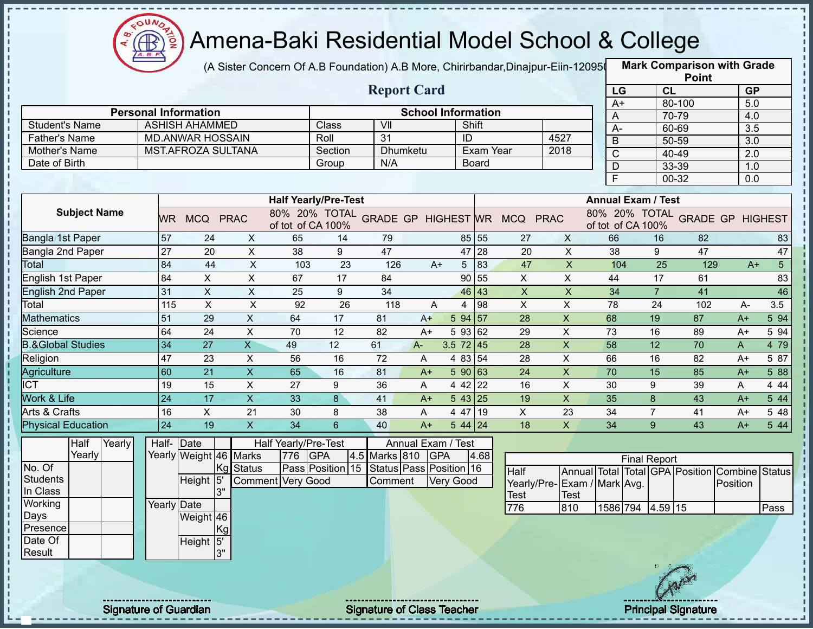

(A Sister Concern Of A.B Foundation) A.B More, Chirirbandar,Dinajpur-Eiin-120950

|                              |                              |                             |                           |                             |         |                                   |      |                           |              |                                            |                           |                |                           | <b>Point</b>                            |                  |                |
|------------------------------|------------------------------|-----------------------------|---------------------------|-----------------------------|---------|-----------------------------------|------|---------------------------|--------------|--------------------------------------------|---------------------------|----------------|---------------------------|-----------------------------------------|------------------|----------------|
|                              |                              |                             |                           |                             |         | <b>Report Card</b>                |      |                           |              |                                            |                           | LG             |                           | CL                                      | <b>GP</b>        |                |
|                              |                              | <b>Personal Information</b> |                           |                             |         |                                   |      | <b>School Information</b> |              |                                            |                           | $A+$           |                           | 80-100                                  | 5.0              |                |
| <b>Student's Name</b>        |                              | <b>ASHISH AHAMMED</b>       |                           |                             | Class   | VII                               |      | Shift                     |              |                                            |                           | A              |                           | 70-79                                   | 4.0              |                |
| <b>Father's Name</b>         |                              | <b>MD.ANWAR HOSSAIN</b>     |                           |                             | Roll    | 31                                |      | ID                        |              |                                            | 4527                      | А-             |                           | 60-69                                   | 3.5              |                |
| Mother's Name                |                              | MST.AFROZA SULTANA          |                           |                             | Section | Dhumketu                          |      |                           | Exam Year    |                                            | 2018                      | $\overline{B}$ |                           | 50-59                                   | $\overline{3.0}$ |                |
| Date of Birth                |                              |                             |                           |                             | Group   | N/A                               |      |                           | <b>Board</b> |                                            |                           | C              |                           | 40-49                                   | 2.0              |                |
|                              |                              |                             |                           |                             |         |                                   |      |                           |              |                                            |                           | D<br>E         |                           | 33-39                                   | 1.0              |                |
|                              |                              |                             |                           |                             |         |                                   |      |                           |              |                                            |                           |                |                           | 00-32                                   | 0.0              |                |
|                              |                              |                             |                           | <b>Half Yearly/Pre-Test</b> |         |                                   |      |                           |              |                                            |                           |                | <b>Annual Exam / Test</b> |                                         |                  |                |
| <b>Subject Name</b>          | <b>WR</b>                    | MCQ PRAC                    |                           | of tot of CA 100%           |         |                                   |      |                           |              | 80% 20% TOTAL GRADE GP HIGHEST WR MCQ PRAC |                           |                | of tot of CA 100%         | 80% 20% TOTAL GRADE GP HIGHEST          |                  |                |
| Bangla 1st Paper             | 57                           | 24                          | X                         | 65                          | 14      | 79                                |      |                           | 85 55        | 27                                         | $\mathsf{X}$              | 66             | 16                        | 82                                      |                  | 83             |
| Bangla 2nd Paper             | $\overline{27}$              | 20                          | $\mathsf{X}$              | 38                          | 9       | 47                                |      |                           | 47 28        | 20                                         | X                         | 38             | 9                         | 47                                      |                  | 47             |
| Total                        | 84                           | 44                          | $\boldsymbol{\mathsf{X}}$ | 103                         | 23      | 126                               | $A+$ | 5                         | 83           | 47                                         | $\pmb{\times}$            | 104            | 25                        | 129                                     | $A+$             | 5 <sup>1</sup> |
| English 1st Paper            | 84                           | $\pmb{\times}$              | X                         | 67                          | 17      | 84                                |      |                           | 90 55        | X                                          | X                         | 44             | 17                        | 61                                      |                  | 83             |
| English 2nd Paper            | 31                           | $\boldsymbol{\mathsf{X}}$   | X                         | 25                          | 9       | 34                                |      | 46                        | 43           | $\boldsymbol{\mathsf{X}}$                  | $\boldsymbol{\mathsf{X}}$ | 34             | $\overline{7}$            | 41                                      |                  | 46             |
| Total                        | 115                          | $\times$                    | $\boldsymbol{\mathsf{X}}$ | 92                          | 26      | 118                               | A    | 4                         | 98           | $\boldsymbol{\mathsf{X}}$                  | $\pmb{\times}$            | 78             | 24                        | 102                                     | A-               | 3.5            |
| <b>Mathematics</b>           | 51                           | 29                          | $\boldsymbol{\mathsf{X}}$ | 64                          | 17      | 81                                | $A+$ | 594 57                    |              | 28                                         | $\mathsf{X}$              | 68             | 19                        | 87                                      | $A+$             | 5 94           |
| Science                      | 64                           | 24                          | $\pmb{\times}$            | 70                          | 12      | 82                                | $A+$ | 5 93 62                   |              | 29                                         | X                         | 73             | 16                        | 89                                      | $A+$             | 5 94           |
| <b>B.&amp;Global Studies</b> | 34                           | 27                          | $\overline{\mathsf{X}}$   | 49                          | 12      | 61                                | A-   | $3.5$ 72 45               |              | 28                                         | $\boldsymbol{\mathsf{X}}$ | 58             | 12                        | 70                                      | A                | 4 79           |
| Religion                     | 47                           | 23                          | $\boldsymbol{\mathsf{X}}$ | 56                          | 16      | 72                                | Α    | 4 83 54                   |              | 28                                         | $\pmb{\times}$            | 66             | 16                        | 82                                      | $A+$             | 5 87           |
| Agriculture                  | 60                           | 21                          | $\mathsf X$               | 65                          | 16      | 81                                | $A+$ | 5 90 63                   |              | 24                                         | $\pmb{\mathsf{X}}$        | 70             | 15                        | 85                                      | $A+$             | 5 88           |
| <b>ICT</b>                   | 19                           | 15                          | $\mathsf X$               | 27                          | 9       | 36                                | A    | 4 42 22                   |              | 16                                         | X                         | 30             | 9                         | 39                                      | A                | 4 4 4          |
| <b>Work &amp; Life</b>       | 24                           | 17                          | $\overline{X}$            | 33                          | 8       | 41                                | $A+$ | 543 25                    |              | 19                                         | $\pmb{\mathsf{X}}$        | 35             | 8                         | 43                                      | $A+$             | 5 44           |
| Arts & Crafts                | 16                           | X                           | 21                        | 30                          | 8       | 38                                | A    | 4 47 19                   |              | X                                          | 23                        | 34             | $\overline{7}$            | 41                                      | $A+$             | 5 48           |
| <b>Physical Education</b>    | 24                           | 19                          | $\boldsymbol{\mathsf{X}}$ | 34                          | 6       | 40                                | $A+$ | $544$   24                |              | 18                                         | $\mathsf{x}$              | 34             | $9^{\circ}$               | 43                                      | $A+$             | 5 44           |
| Half<br>Yearly               | Half-                        | $\vert$ Date                |                           | Half Yearly/Pre-Test        |         |                                   |      | Annual Exam / Test        |              |                                            |                           |                |                           |                                         |                  |                |
| Yearly                       |                              | Yearly Weight 46 Marks      |                           | 776<br><b>GPA</b>           |         | 4.5 Marks 810                     | GPA  |                           | 4.68         |                                            |                           |                | <b>Final Report</b>       |                                         |                  |                |
| No. Of                       |                              |                             | Kg Status                 | Pass Position 15            |         | Status Pass Position 16           |      |                           |              | Half                                       |                           |                |                           | Annual Total Total GPA Position Combine |                  | <b>Status</b>  |
| <b>Students</b>              |                              | Height 5                    |                           | <b>Comment Very Good</b>    |         | Comment                           |      | <b>Very Good</b>          |              | Yearly/Pre-Exam / Mark Avg.                |                           |                |                           |                                         | Position         |                |
| In Class                     |                              | 3"                          |                           |                             |         |                                   |      |                           |              | Test                                       | <b>Test</b>               |                |                           |                                         |                  |                |
| Working                      |                              | Yearly Date                 |                           |                             |         |                                   |      |                           |              | 776                                        | 810                       |                | 1586 794 4.59 15          |                                         |                  | Pass           |
| Days                         |                              | Weight 46                   |                           |                             |         |                                   |      |                           |              |                                            |                           |                |                           |                                         |                  |                |
| Presence                     |                              | Kg                          |                           |                             |         |                                   |      |                           |              |                                            |                           |                |                           |                                         |                  |                |
| Date Of<br>Result            |                              | Height 5'<br>3"             |                           |                             |         |                                   |      |                           |              |                                            |                           |                |                           |                                         |                  |                |
|                              |                              |                             |                           |                             |         |                                   |      |                           |              |                                            |                           |                |                           |                                         |                  |                |
|                              |                              |                             |                           |                             |         |                                   |      |                           |              |                                            |                           |                |                           |                                         |                  |                |
|                              |                              |                             |                           |                             |         |                                   |      |                           |              |                                            |                           |                |                           |                                         |                  |                |
|                              |                              |                             |                           |                             |         |                                   |      |                           |              |                                            |                           |                |                           |                                         |                  |                |
|                              | <b>Signature of Guardian</b> |                             |                           |                             |         | <b>Signature of Class Teacher</b> |      |                           |              |                                            |                           |                |                           | <b>Principal Signature</b>              |                  |                |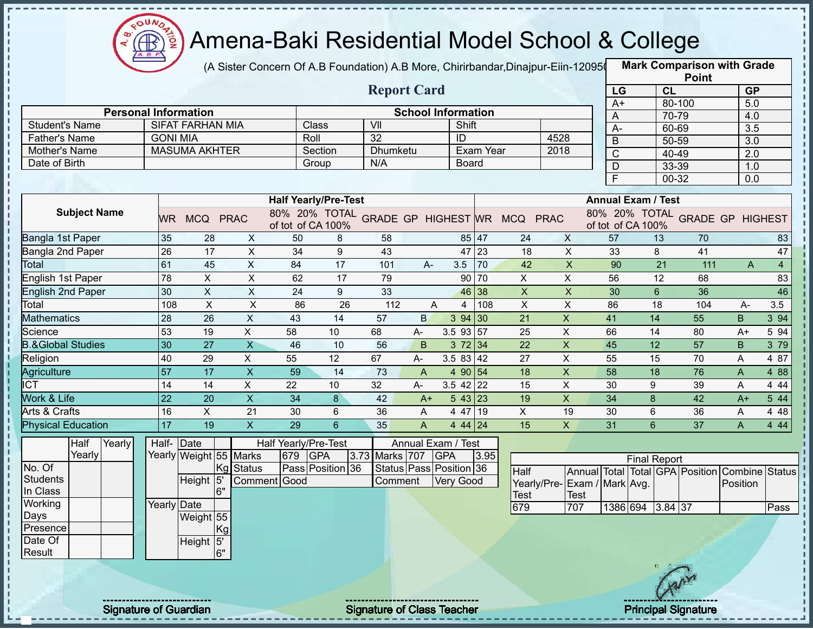

(A Sister Concern Of A.B Foundation) A.B More, Chirirbandar,Dinajpur-Eiin-120950

|                              |                 |                         |                           |                             |                  |                                   |                |                           |           |                                            |                           |                     |                           | <b>Point</b>                    |                  |                |
|------------------------------|-----------------|-------------------------|---------------------------|-----------------------------|------------------|-----------------------------------|----------------|---------------------------|-----------|--------------------------------------------|---------------------------|---------------------|---------------------------|---------------------------------|------------------|----------------|
|                              |                 |                         |                           |                             |                  | <b>Report Card</b>                |                |                           |           |                                            |                           | LG                  | <b>CL</b>                 |                                 | <b>GP</b>        |                |
| <b>Personal Information</b>  |                 |                         |                           |                             |                  |                                   |                | <b>School Information</b> |           |                                            |                           | $A+$                |                           | 80-100                          | 5.0              |                |
| <b>Student's Name</b>        |                 | <b>SIFAT FARHAN MIA</b> |                           | Class                       |                  | VII                               |                | Shift                     |           |                                            |                           | A                   |                           | 70-79                           | 4.0              |                |
| <b>Father's Name</b>         | <b>GONI MIA</b> |                         |                           | Roll                        |                  | $\overline{32}$                   |                | ID                        |           | 4528                                       |                           | A-                  |                           | 60-69                           | 3.5              |                |
| Mother's Name                |                 | <b>MASUMA AKHTER</b>    |                           |                             | Section          | Dhumketu                          |                |                           | Exam Year | 2018                                       |                           | $\overline{B}$      |                           | 50-59                           | $\overline{3.0}$ |                |
| Date of Birth                |                 |                         |                           |                             | Group            | N/A                               |                | <b>Board</b>              |           |                                            |                           | $\overline{C}$      |                           | 40-49                           | 2.0              |                |
|                              |                 |                         |                           |                             |                  |                                   |                |                           |           |                                            |                           | D<br>$\overline{F}$ |                           | 33-39                           | 1.0              |                |
|                              |                 |                         |                           |                             |                  |                                   |                |                           |           |                                            |                           |                     |                           | 00-32                           | 0.0              |                |
|                              |                 |                         |                           | <b>Half Yearly/Pre-Test</b> |                  |                                   |                |                           |           |                                            |                           |                     | <b>Annual Exam / Test</b> |                                 |                  |                |
| <b>Subject Name</b>          | <b>WR</b>       | MCQ PRAC                |                           | of tot of CA 100%           |                  |                                   |                |                           |           | 80% 20% TOTAL GRADE GP HIGHEST WR MCQ PRAC |                           |                     | of tot of CA 100%         | 80% 20% TOTAL GRADE GP HIGHEST  |                  |                |
| Bangla 1st Paper             | 35              | 28                      | X                         | 50                          | 8                | 58                                |                | 85 47                     |           | 24                                         | $\mathsf{X}$              | 57                  | 13                        | 70                              |                  | 83             |
| Bangla 2nd Paper             | 26              | 17                      | X                         | 34                          | 9                | 43                                |                | 47 23                     |           | 18                                         | $\mathsf{X}$              | 33                  | 8                         | 41                              |                  | 47             |
| Total                        | 61              | 45                      | $\pmb{\times}$            | 84                          | 17               | 101                               | $A-$           | 3.5                       | 170       | 42                                         | $\mathsf X$               | 90                  | 21                        | 111                             | A                | $\overline{4}$ |
| English 1st Paper            | 78              | $\pmb{\times}$          | $\pmb{\times}$            | 62                          | 17               | 79                                |                |                           | 90 70     | X                                          | X                         | 56                  | 12                        | 68                              |                  | 83             |
| <b>English 2nd Paper</b>     | 30              | $\pmb{\times}$          | X                         | 24                          | 9                | 33                                |                | 46 38                     |           | $\boldsymbol{\mathsf{X}}$                  | $\mathsf{X}$              | 30                  | 6                         | 36                              |                  | 46             |
| Total                        | 108             | $\times$                | $\boldsymbol{\mathsf{X}}$ | 86                          | 26               | 112                               | A              | 4                         | 108       | $\boldsymbol{\mathsf{X}}$                  | $\pmb{\times}$            | 86                  | 18                        | 104                             | A-               | 3.5            |
| <b>Mathematics</b>           | 28              | 26                      | $\times$                  | 43                          | 14               | 57                                | B              | 3 94 30                   |           | 21                                         | $\boldsymbol{\mathsf{X}}$ | 41                  | 14                        | 55                              | B                | 3 94           |
| Science                      | 53              | 19                      | X                         | 58                          | 10               | 68                                | $A-$           | $3.5$ 93 57               |           | 25                                         | X                         | 66                  | 14                        | 80                              | $A+$             | 5 94           |
| <b>B.&amp;Global Studies</b> | 30              | 27                      | $\overline{\mathsf{X}}$   | 46                          | 10               | 56                                | B              | 372 34                    |           | 22                                         | $\boldsymbol{\mathsf{X}}$ | 45                  | 12                        | 57                              | B                | 3 79           |
| Religion                     | 40              | 29                      | X                         | 55                          | 12               | 67                                | A-             | $3.583$ 42                |           | 27                                         | $\pmb{\times}$            | 55                  | 15                        | 70                              | A                | 4 87           |
| Agriculture                  | $\overline{57}$ | 17                      | $\pmb{\times}$            | 59                          | 14               | 73                                | A              | 4 90 54                   |           | 18                                         | $\boldsymbol{\mathsf{X}}$ | 58                  | 18                        | 76                              | A                | 4 8 8          |
| $\overline{\text{ICT}}$      | 14              | 14                      | X                         | 22                          | 10               | 32                                | A-             | $3.5$ 42 22               |           | 15                                         | $\pmb{\times}$            | 30                  | 9                         | 39                              | A                | 4 4 4          |
| <b>Work &amp; Life</b>       | 22              | 20                      | $\overline{X}$            | 34                          | 8                | 42                                | $A+$           | 543 23                    |           | 19                                         | $\overline{X}$            | 34                  | 8                         | 42                              | $A+$             | 5 44           |
| Arts & Crafts                | 16              | X                       | 21                        | 30                          | 6                | 36                                | A              | 4 47 19                   |           | X                                          | 19                        | 30                  | 6                         | 36                              | A                | 4 4 8          |
| <b>Physical Education</b>    | 17              | 19                      | $\mathsf{X}$              | 29                          | 6                | 35                                | $\overline{A}$ | 4 44 24                   |           | 15                                         | $\mathsf{X}$              | 31                  | 6                         | 37                              | A                | 4 4 4          |
| Half<br>Yearly               | Half-           | $\vert$ Date            |                           | Half Yearly/Pre-Test        |                  |                                   |                | Annual Exam / Test        |           |                                            |                           |                     |                           |                                 |                  |                |
| Yearly                       |                 | Yearly Weight 55 Marks  |                           | 679                         | <b>GPA</b>       | 3.73 Marks 707                    |                | <b>GPA</b>                | 3.95      |                                            |                           |                     | <b>Final Report</b>       |                                 |                  |                |
| No. Of                       |                 |                         | Kg Status                 |                             | Pass Position 36 |                                   |                | Status Pass Position 36   |           | Half                                       |                           |                     |                           | Annual Total Total GPA Position | Combine          | <b>Status</b>  |
| <b>Students</b>              |                 | Height 5                |                           | Comment Good                |                  | Comment                           |                | Very Good                 |           | Yearly/Pre-                                | Exam / Mark Avg.          |                     |                           |                                 | Position         |                |
| In Class                     |                 | 6"                      |                           |                             |                  |                                   |                |                           |           | Test                                       | Test                      |                     |                           |                                 |                  |                |
| Working                      | Yearly Date     |                         |                           |                             |                  |                                   |                |                           |           | 679                                        | 707                       |                     | 1386 694 3.84 37          |                                 |                  | Pass           |
| Days                         |                 | Weight 55               |                           |                             |                  |                                   |                |                           |           |                                            |                           |                     |                           |                                 |                  |                |
| Presence<br>Date Of          |                 | Kg                      |                           |                             |                  |                                   |                |                           |           |                                            |                           |                     |                           |                                 |                  |                |
| Result                       |                 | Height 5'<br>6"         |                           |                             |                  |                                   |                |                           |           |                                            |                           |                     |                           |                                 |                  |                |
|                              |                 |                         |                           |                             |                  |                                   |                |                           |           |                                            |                           |                     |                           |                                 |                  |                |
|                              |                 |                         |                           |                             |                  |                                   |                |                           |           |                                            |                           |                     |                           |                                 |                  |                |
|                              |                 |                         |                           |                             |                  |                                   |                |                           |           |                                            |                           |                     |                           |                                 |                  |                |
| <b>Signature of Guardian</b> |                 |                         |                           |                             |                  | <b>Signature of Class Teacher</b> |                |                           |           |                                            |                           |                     |                           | <b>Principal Signature</b>      |                  |                |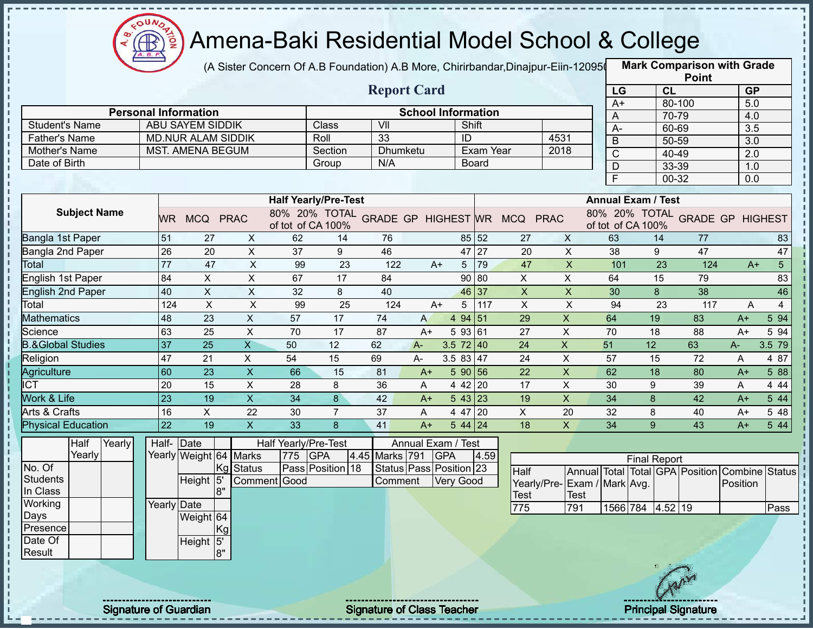

(A Sister Concern Of A.B Foundation) A.B More, Chirirbandar,Dinajpur-Eiin-120950

|                              |                              |                             |                           |                             |                  |                                   |      |                           |              |                                            |                           |                  |                           | <b>Point</b>                            |                  |                |
|------------------------------|------------------------------|-----------------------------|---------------------------|-----------------------------|------------------|-----------------------------------|------|---------------------------|--------------|--------------------------------------------|---------------------------|------------------|---------------------------|-----------------------------------------|------------------|----------------|
|                              |                              |                             |                           |                             |                  | <b>Report Card</b>                |      |                           |              |                                            |                           | LG               | CL                        |                                         | <b>GP</b>        |                |
|                              |                              | <b>Personal Information</b> |                           |                             |                  |                                   |      | <b>School Information</b> |              |                                            |                           | $A+$             |                           | 80-100                                  | 5.0              |                |
| <b>Student's Name</b>        |                              | ABU SAYEM SIDDIK            |                           |                             | Class            | VII                               |      | Shift                     |              |                                            |                           | A                |                           | 70-79                                   | 4.0              |                |
| <b>Father's Name</b>         |                              | <b>MD.NUR ALAM SIDDIK</b>   |                           |                             | Roll             | $\overline{33}$                   |      | ID                        |              |                                            | 4531                      | $A -$            |                           | 60-69                                   | 3.5              |                |
| Mother's Name                |                              | MST. AMENA BEGUM            |                           |                             | Section          | <b>Dhumketu</b>                   |      |                           | Exam Year    |                                            | 2018                      | $\overline{B}$   |                           | 50-59                                   | $\overline{3.0}$ |                |
| Date of Birth                |                              |                             |                           |                             | Group            | N/A                               |      |                           | <b>Board</b> |                                            |                           | $\overline{C}$   |                           | 40-49                                   | $\overline{2.0}$ |                |
|                              |                              |                             |                           |                             |                  |                                   |      |                           |              |                                            |                           | $\mathsf D$<br>F |                           | 33-39<br>00-32                          | 1.0<br>0.0       |                |
|                              |                              |                             |                           |                             |                  |                                   |      |                           |              |                                            |                           |                  |                           |                                         |                  |                |
|                              |                              |                             |                           | <b>Half Yearly/Pre-Test</b> |                  |                                   |      |                           |              |                                            |                           |                  | <b>Annual Exam / Test</b> |                                         |                  |                |
| <b>Subject Name</b>          | <b>WR</b>                    | MCQ PRAC                    |                           | of tot of CA 100%           |                  |                                   |      |                           |              | 80% 20% TOTAL GRADE GP HIGHEST WR MCQ PRAC |                           |                  | of tot of CA 100%         | 80% 20% TOTAL GRADE GP HIGHEST          |                  |                |
| Bangla 1st Paper             | 51                           | 27                          | X                         | 62                          | 14               | 76                                |      |                           | 85 52        | 27                                         | X                         | 63               | 14                        | 77                                      |                  | 83             |
| Bangla 2nd Paper             | 26                           | 20                          | X                         | 37                          | 9                | 46                                |      |                           | 47 27        | 20                                         | $\pmb{\times}$            | 38               | 9                         | 47                                      |                  | 47             |
| Total                        | 77                           | 47                          | $\pmb{\times}$            | 99                          | 23               | 122                               | $A+$ |                           | 5 79         | 47                                         | $\boldsymbol{\mathsf{X}}$ | 101              | 23                        | 124                                     | $A+$             | 5 <sup>1</sup> |
| English 1st Paper            | 84                           | $\boldsymbol{\mathsf{X}}$   | $\pmb{\times}$            | 67                          | 17               | 84                                |      |                           | 90 80        | X                                          | X                         | 64               | 15                        | 79                                      |                  | 83             |
| <b>English 2nd Paper</b>     | 40                           | $\pmb{\times}$              | X                         | 32                          | 8                | 40                                |      |                           | 46 37        | $\boldsymbol{\mathsf{X}}$                  | $\pmb{\times}$            | 30               | 8                         | 38                                      |                  | 46             |
| Total                        | 124                          | $\boldsymbol{\mathsf{X}}$   | $\boldsymbol{\mathsf{X}}$ | 99                          | 25               | 124                               | $A+$ | 5                         | 1117         | $\boldsymbol{\mathsf{X}}$                  | $\pmb{\times}$            | 94               | 23                        | 117                                     | A                | $\overline{4}$ |
| <b>Mathematics</b>           | 48                           | 23                          | $\pmb{\times}$            | 57                          | 17               | 74                                | A    | 4 94 51                   |              | 29                                         | $\pmb{\times}$            | 64               | 19                        | 83                                      | $A+$             | 5 94           |
| Science                      | 63                           | 25                          | X                         | 70                          | 17               | 87                                | $A+$ | 593 61                    |              | 27                                         | X                         | 70               | 18                        | 88                                      | $A+$             | 5 94           |
| <b>B.&amp;Global Studies</b> | 37                           | 25                          | $\overline{\mathsf{X}}$   | 50                          | 12               | 62                                | A-   | $3.5 \ 72 \ 40$           |              | 24                                         | $\mathsf{X}$              | 51               | 12                        | 63                                      | A-               | 3.5 79         |
| Religion                     | 47                           | 21                          | $\pmb{\times}$            | 54                          | 15               | 69                                | A-   | $3.583$ 47                |              | 24                                         | $\mathsf X$               | 57               | 15                        | 72                                      | A                | 4 87           |
| Agriculture                  | 60                           | 23                          | $\mathsf X$               | 66                          | 15               | 81                                | $A+$ | 5 90 56                   |              | 22                                         | $\mathsf X$               | 62               | 18                        | 80                                      | $A+$             | 5 88           |
| $\overline{\text{ICT}}$      | 20                           | 15                          | $\pmb{\times}$            | 28                          | 8                | 36                                | A    | 4 42 20                   |              | 17                                         | $\pmb{\times}$            | 30               | 9                         | 39                                      | A                | 4 4 4          |
| <b>Work &amp; Life</b>       | 23                           | 19                          | $\overline{\mathsf{x}}$   | 34                          | 8                | 42                                | $A+$ | 543 23                    |              | 19                                         | $\overline{X}$            | 34               | 8                         | 42                                      | $A+$             | 5 44           |
| Arts & Crafts                | 16                           | $\mathsf X$                 | 22                        | 30                          | $\overline{7}$   | 37                                | A    | 4 47 20                   |              | $\mathsf X$                                | 20                        | 32               | 8                         | 40                                      | $A+$             | 5 48           |
| <b>Physical Education</b>    | 22                           | 19                          | $\pmb{\times}$            | 33                          | 8                | 41                                | $A+$ | $544$ 24                  |              | 18                                         | $\mathsf{X}$              | 34               | 9                         | 43                                      | $A+$             | 5 44           |
| Half<br>Yearly               |                              | Half-Date                   |                           | Half Yearly/Pre-Test        |                  |                                   |      | Annual Exam / Test        |              |                                            |                           |                  |                           |                                         |                  |                |
| Yearly                       |                              | Yearly Weight 64 Marks      |                           | 775 GPA                     |                  | 4.45 Marks 791                    |      | <b>GPA</b>                | 4.59         |                                            |                           |                  | <b>Final Report</b>       |                                         |                  |                |
| No. Of                       |                              |                             | Kg Status                 |                             | Pass Position 18 |                                   |      | Status Pass Position 23   |              | Half                                       |                           |                  |                           | Annual Total Total GPA Position Combine |                  | <b>Status</b>  |
| Students                     |                              | Height 5                    |                           | Comment Good                |                  | Comment                           |      | <b>Very Good</b>          |              | Yearly/Pre-                                | Exam / Mark Avg.          |                  |                           |                                         | Position         |                |
| In Class                     |                              | 8"                          |                           |                             |                  |                                   |      |                           |              | Test                                       | <b>Test</b>               |                  |                           |                                         |                  |                |
| Working                      | Yearly Date                  |                             |                           |                             |                  |                                   |      |                           |              | 775                                        | 791                       |                  | 1566 784 4.52 19          |                                         |                  | Pass           |
| Days                         |                              | Weight 64                   |                           |                             |                  |                                   |      |                           |              |                                            |                           |                  |                           |                                         |                  |                |
| Presence<br>Date Of          |                              | Kgl                         |                           |                             |                  |                                   |      |                           |              |                                            |                           |                  |                           |                                         |                  |                |
| Result                       |                              | Height 5'<br>8"             |                           |                             |                  |                                   |      |                           |              |                                            |                           |                  |                           |                                         |                  |                |
|                              |                              |                             |                           |                             |                  |                                   |      |                           |              |                                            |                           |                  |                           |                                         |                  |                |
|                              |                              |                             |                           |                             |                  |                                   |      |                           |              |                                            |                           |                  |                           |                                         |                  |                |
|                              |                              |                             |                           |                             |                  |                                   |      |                           |              |                                            |                           |                  |                           |                                         |                  |                |
|                              |                              |                             |                           |                             |                  |                                   |      |                           |              |                                            |                           |                  |                           |                                         |                  |                |
|                              | <b>Signature of Guardian</b> |                             |                           |                             |                  | <b>Signature of Class Teacher</b> |      |                           |              |                                            |                           |                  |                           | <b>Principal Signature</b>              |                  |                |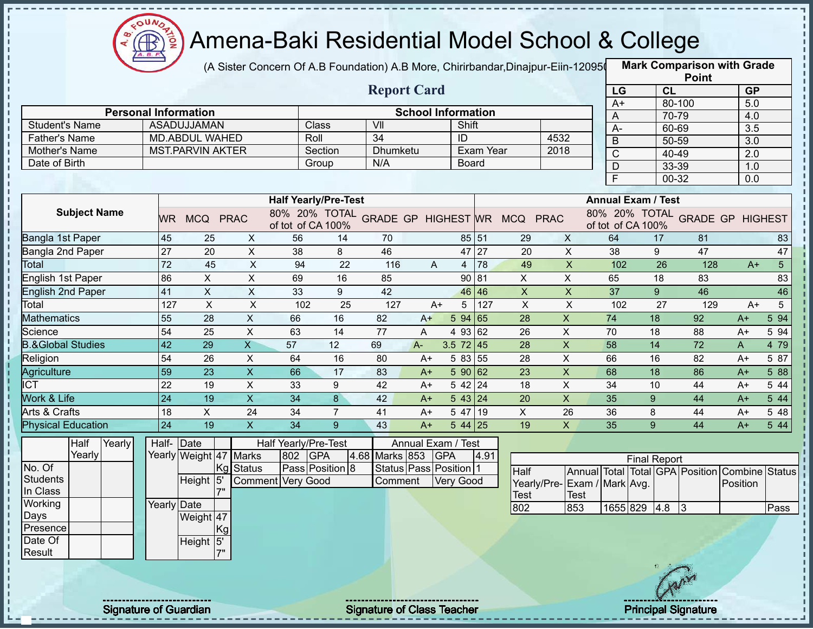

(A Sister Concern Of A.B Foundation) A.B More, Chirirbandar,Dinajpur-Eiin-120950

**Mark Comparison with Grade**

|                                               |                 |                               |                           |                                                                           |                |                        |      |                           |                  |                           |                           |                                        |                           |                | <b>Point</b> |                                         |                       |
|-----------------------------------------------|-----------------|-------------------------------|---------------------------|---------------------------------------------------------------------------|----------------|------------------------|------|---------------------------|------------------|---------------------------|---------------------------|----------------------------------------|---------------------------|----------------|--------------|-----------------------------------------|-----------------------|
|                                               |                 |                               |                           |                                                                           |                | <b>Report Card</b>     |      |                           |                  |                           |                           | LG                                     |                           | CL             |              | <b>GP</b>                               |                       |
|                                               |                 | <b>Personal Information</b>   |                           |                                                                           |                |                        |      | <b>School Information</b> |                  |                           |                           | $A+$                                   |                           | 80-100         |              | 5.0                                     |                       |
|                                               |                 |                               |                           |                                                                           |                | VII                    |      |                           |                  |                           |                           | A                                      |                           | 70-79          |              | 4.0                                     |                       |
| <b>Student's Name</b><br><b>Father's Name</b> |                 | ASADUJJAMAN<br>MD.ABDUL WAHED |                           | Class<br>Roll                                                             |                | $\overline{34}$        |      | Shift<br>$\overline{ID}$  |                  |                           | 4532                      | $A-$                                   |                           | 60-69          |              | $\overline{3.5}$                        |                       |
| Mother's Name                                 |                 | <b>MST.PARVIN AKTER</b>       |                           |                                                                           | Section        | Dhumketu               |      |                           | <b>Exam Year</b> |                           | 2018                      | B                                      |                           | 50-59          |              | 3.0                                     |                       |
| Date of Birth                                 |                 |                               |                           | Group                                                                     |                | N/A                    |      | <b>Board</b>              |                  |                           |                           | $\overline{C}$                         |                           | 40-49          |              | $\overline{2.0}$                        |                       |
|                                               |                 |                               |                           |                                                                           |                |                        |      |                           |                  |                           |                           | $\mathsf D$<br>$\overline{\mathsf{F}}$ |                           | 33-39<br>00-32 |              | 1.0<br>$\overline{0.0}$                 |                       |
|                                               |                 |                               |                           |                                                                           |                |                        |      |                           |                  |                           |                           |                                        |                           |                |              |                                         |                       |
| <b>Subject Name</b>                           |                 | WR MCQ PRAC                   |                           | <b>Half Yearly/Pre-Test</b><br>80% 20% TOTAL GRADE GP HIGHEST WR MCQ PRAC |                |                        |      |                           |                  |                           |                           |                                        | <b>Annual Exam / Test</b> |                |              | 80% 20% TOTAL GRADE GP HIGHEST          |                       |
| Bangla 1st Paper                              | 45              | 25                            | X                         | of tot of CA 100%<br>56                                                   | 14             | 70                     |      |                           | 85 51            | 29                        | $\times$                  | 64                                     | of tot of CA 100%         | 17             | 81           |                                         |                       |
| Bangla 2nd Paper                              | $\overline{27}$ | $\overline{20}$               | $\mathsf X$               | 38                                                                        | 8              | 46                     |      |                           | 47 27            | 20                        | $\overline{X}$            | $\overline{38}$                        |                           | 9              | 47           |                                         | 83<br>$\overline{47}$ |
| Total                                         | $\overline{72}$ | 45                            | $\pmb{\times}$            | 94                                                                        | 22             | 116                    | A    | $\overline{4}$            | 78               | 49                        | $\boldsymbol{\mathsf{X}}$ | 102                                    |                           | 26             | 128          | $A+$                                    | 5 <sup>5</sup>        |
| English 1st Paper                             | 86              | $\overline{X}$                | $\overline{X}$            | 69                                                                        | 16             | 85                     |      |                           | 90 81            | $\overline{X}$            | $\overline{X}$            | 65                                     |                           | 18             | 83           |                                         | 83                    |
| <b>English 2nd Paper</b>                      | 41              | $\pmb{\times}$                | $\mathsf X$               | 33                                                                        | 9              | 42                     |      |                           | 46 46            | $\boldsymbol{\mathsf{X}}$ | $\boldsymbol{\mathsf{X}}$ | 37                                     |                           | 9              | 46           |                                         | 46                    |
| Total                                         | 127             | $\mathsf{X}$                  | X                         | 102                                                                       | 25             | 127                    | $A+$ | 5 <sup>5</sup>            | 127              | $\boldsymbol{\mathsf{X}}$ | $\times$                  | 102                                    |                           | 27             | 129          | $A+$                                    | 5                     |
| <b>Mathematics</b>                            | $\overline{55}$ | 28                            | $\mathsf{X}$              | 66                                                                        | 16             | 82                     | $A+$ | 594 65                    |                  | $\overline{28}$           | $\overline{X}$            | 74                                     |                           | 18             | 92           | A+                                      | 5 94                  |
| Science                                       | 54              | 25                            | $\mathsf{X}$              | 63                                                                        | 14             | 77                     | A    | 4 93 62                   |                  | 26                        | $\times$                  | 70                                     |                           | 18             | 88           | A+                                      | 5 94                  |
| <b>B.&amp;Global Studies</b>                  | 42              | 29                            | $\overline{\mathsf{X}}$   | 57                                                                        | 12             | 69                     | $A-$ | $3.5$ 72 45               |                  | 28                        | $\mathsf{X}$              | 58                                     |                           | 14             | 72           | A                                       | 4 79                  |
| Religion                                      | 54              | 26                            | $\boldsymbol{X}$          | 64                                                                        | 16             | 80                     | A+   | 5 83 55                   |                  | 28                        | $\mathsf X$               | 66                                     |                           | 16             | 82           | $A+$                                    | 5 87                  |
| Agriculture                                   | 59              | 23                            | $\boldsymbol{\mathsf{X}}$ | 66                                                                        | 17             | 83                     | $A+$ | 590 62                    |                  | 23                        | $\overline{\mathsf{x}}$   | 68                                     | 18                        |                | 86           | $A+$                                    | 5 88                  |
| <b>ICT</b>                                    | $\overline{22}$ | 19                            | $\pmb{\times}$            | 33                                                                        | 9              | 42                     | $A+$ | $542$ 24                  |                  | 18                        | $\pmb{\times}$            | 34                                     |                           | 10             | 44           | A+                                      | 5 44                  |
| Work & Life                                   | 24              | 19                            | $\overline{\mathsf{x}}$   | $\overline{34}$                                                           | 8              | 42                     | $A+$ | $\overline{5}$ 43 24      |                  | 20                        | $\mathsf{X}$              | 35                                     | 9                         |                | 44           | $A+$                                    | 5 44                  |
| Arts & Crafts                                 | 18              | $\mathsf{X}$                  | 24                        | 34                                                                        | $\overline{7}$ | 41                     | $A+$ | 5 47 19                   |                  | $\times$                  | 26                        | 36                                     | 8                         |                | 44           | A+                                      | 5 48                  |
| <b>Physical Education</b>                     | $\overline{24}$ | 19                            | $\boldsymbol{\mathsf{X}}$ | $\overline{34}$                                                           | 9              | 43                     | $A+$ | $544$ 25                  |                  | 19                        | $\pmb{\times}$            | 35                                     | 9                         |                | 44           | $A+$                                    | 5 4 4                 |
| Half<br>Yearly                                |                 | Half- Date                    |                           | Half Yearly/Pre-Test                                                      |                |                        |      | Annual Exam / Test        |                  |                           |                           |                                        |                           |                |              |                                         |                       |
| Yearly                                        |                 | Yearly Weight 47 Marks        |                           | 802 GPA                                                                   |                | 4.68 Marks 853 GPA     |      |                           | 4.91             |                           |                           |                                        | <b>Final Report</b>       |                |              |                                         |                       |
| No. Of<br><b>Students</b>                     |                 | Height 5'                     | <b>Kg</b> Status          | Pass Position 8                                                           |                | Status Pass Position 1 |      |                           |                  | Half                      |                           |                                        |                           |                |              | Annual Total Total GPA Position Combine | <b>Status</b>         |
| In Class                                      |                 |                               |                           | Comment Very Good                                                         |                | Comment                |      | <b>Very Good</b>          |                  | Yearly/Pre-               | Exam / Mark Avg.          |                                        |                           |                |              | Position                                |                       |
| Working                                       | Yearly Date     |                               |                           |                                                                           |                |                        |      |                           |                  | <b>Test</b>               | <b>Test</b>               |                                        |                           |                |              |                                         |                       |
| Days                                          |                 | Weight 47                     |                           |                                                                           |                |                        |      |                           |                  | 802                       | 853                       |                                        | 1655 829 4.8 3            |                |              |                                         | Pass                  |
| Presence                                      |                 | Kg                            |                           |                                                                           |                |                        |      |                           |                  |                           |                           |                                        |                           |                |              |                                         |                       |
| Date Of                                       |                 | Height 5'                     |                           |                                                                           |                |                        |      |                           |                  |                           |                           |                                        |                           |                |              |                                         |                       |
| Result                                        |                 | 7"                            |                           |                                                                           |                |                        |      |                           |                  |                           |                           |                                        |                           |                |              |                                         |                       |
|                                               |                 |                               |                           |                                                                           |                |                        |      |                           |                  |                           |                           |                                        |                           |                |              |                                         |                       |
|                                               |                 |                               |                           |                                                                           |                |                        |      |                           |                  |                           |                           |                                        |                           |                |              |                                         |                       |
|                                               |                 |                               |                           |                                                                           |                |                        |      |                           |                  |                           |                           |                                        |                           |                |              |                                         |                       |

Signature of Guardian Signature of Class Teacher **Signature of Class Teacher** Principal Signature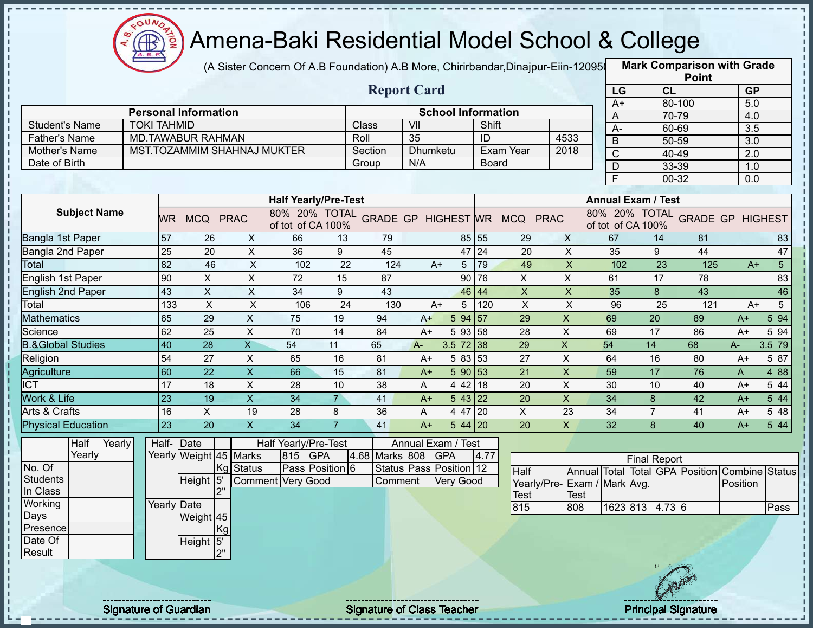

(A Sister Concern Of A.B Foundation) A.B More, Chirirbandar,Dinajpur-Eiin-120950

**Mark Comparison with Grade**

|                              |                    |                 |                             |                           |                                                                 |                 |                |                         |                           |       |                           |                           |                                                     |                     | <b>Point</b> |                  |                 |
|------------------------------|--------------------|-----------------|-----------------------------|---------------------------|-----------------------------------------------------------------|-----------------|----------------|-------------------------|---------------------------|-------|---------------------------|---------------------------|-----------------------------------------------------|---------------------|--------------|------------------|-----------------|
|                              |                    |                 |                             |                           |                                                                 |                 |                | <b>Report Card</b>      |                           |       |                           |                           | LG                                                  | CL                  |              | GP               |                 |
|                              |                    |                 |                             |                           |                                                                 |                 |                |                         |                           |       |                           |                           | $A+$                                                |                     | 80-100       | 5.0              |                 |
|                              |                    |                 | <b>Personal Information</b> |                           |                                                                 |                 |                |                         | <b>School Information</b> |       |                           |                           | A                                                   |                     | 70-79        | 4.0              |                 |
| <b>Student's Name</b>        | <b>TOKI TAHMID</b> |                 |                             |                           |                                                                 |                 | Class          | VII                     |                           | Shift |                           |                           | A-                                                  | 60-69               |              | $\overline{3.5}$ |                 |
| <b>Father's Name</b>         |                    |                 | <b>MD.TAWABUR RAHMAN</b>    |                           |                                                                 |                 | Roll           | 35                      |                           | ID    |                           | 4533                      | B                                                   | 50-59               |              | 3.0              |                 |
| Mother's Name                |                    |                 | MST.TOZAMMIM SHAHNAJ MUKTER |                           |                                                                 |                 | Section        | Dhumketu                |                           |       | Exam Year                 | 2018                      | C                                                   | 40-49               |              | 2.0              |                 |
| Date of Birth                |                    |                 |                             |                           |                                                                 |                 | Group          | N/A                     |                           | Board |                           |                           | D                                                   | 33-39               |              | 1.0              |                 |
|                              |                    |                 |                             |                           |                                                                 |                 |                |                         |                           |       |                           |                           | F                                                   | $00 - 32$           |              | 0.0              |                 |
|                              |                    |                 |                             |                           | <b>Half Yearly/Pre-Test</b>                                     |                 |                |                         |                           |       |                           |                           | <b>Annual Exam / Test</b>                           |                     |              |                  |                 |
| <b>Subject Name</b>          |                    |                 |                             |                           |                                                                 |                 |                |                         |                           |       |                           |                           |                                                     |                     |              |                  |                 |
|                              |                    |                 | WR MCQ PRAC                 |                           | 80% 20% TOTAL GRADE GP HIGHEST WR MCQ PRAC<br>of tot of CA 100% |                 |                |                         |                           |       |                           |                           | 80% 20% TOTAL GRADE GP HIGHEST<br>of tot of CA 100% |                     |              |                  |                 |
| Bangla 1st Paper             |                    | 57              | 26                          | $\mathsf{X}$              | 66                                                              | 13              | 79             |                         |                           | 85 55 | 29                        | $\mathsf{X}$              | 67                                                  | 14                  | 81           |                  | 83              |
| Bangla 2nd Paper             |                    | 25              | 20                          | $\boldsymbol{\mathsf{X}}$ | 36                                                              | 9               | 45             |                         |                           | 47 24 | 20                        | $\mathsf X$               | 35                                                  | 9                   | 44           |                  | 47              |
| Total                        |                    | 82              | 46                          | $\mathsf X$               | 102                                                             | 22              | 124            | $A+$                    | $5\overline{)}$           | 79    | 49                        | $\mathsf{X}$              | 102                                                 | 23                  | 125          | $A+$             | 5 <sup>5</sup>  |
| English 1st Paper            |                    | 90              | X                           | X                         | 72                                                              | 15              | 87             |                         |                           | 90 76 | $\mathsf{X}$              | $\mathsf{X}$              | 61                                                  | 17                  | 78           |                  | 83              |
| English 2nd Paper            |                    | 43              | $\mathsf X$                 | $\mathsf X$               | 34                                                              | 9               | 43             |                         |                           | 46 44 | $\boldsymbol{\mathsf{X}}$ | $\boldsymbol{\mathsf{X}}$ | 35                                                  | 8                   | 43           |                  | 46              |
| Total                        |                    | 133             | $\pmb{\times}$              | $\boldsymbol{\mathsf{X}}$ | 106                                                             | 24              | 130            | $A+$                    | 5                         | 120   | $\boldsymbol{\mathsf{X}}$ | $\boldsymbol{\mathsf{X}}$ | 96                                                  | 25                  | 121          | $A+$             | $5\overline{)}$ |
| <b>Mathematics</b>           |                    | 65              | 29                          | $\mathsf X$               | 75                                                              | 19              | 94             | $A+$                    | 5 94 57                   |       | 29                        | $\pmb{\times}$            | 69                                                  | $\overline{20}$     | 89           | $A+$             | 5 94            |
| Science                      |                    | 62              | 25                          | $\overline{\mathsf{x}}$   | 70                                                              | $\overline{14}$ | 84             | A+                      | 5 93 58                   |       | 28                        | $\boldsymbol{\mathsf{X}}$ | 69                                                  | 17                  | 86           | $A+$             | 5 94            |
| <b>B.&amp;Global Studies</b> |                    | 40              | 28                          | $\overline{X}$            | 54                                                              | 11              | 65             | $A -$                   | $3.5 \ 72 \ 38$           |       | 29                        | $\overline{X}$            | 54                                                  | 14                  | 68           | A-               | 3.5 79          |
| Religion                     |                    | 54              | 27                          | $\overline{\mathsf{x}}$   | 65                                                              | 16              | 81             | $A+$                    | 5 83 53                   |       | $\overline{27}$           | $\overline{\mathsf{x}}$   | 64                                                  | 16                  | 80           | $A+$             | 5 87            |
| Agriculture                  |                    | 60              | $\overline{22}$             | $\overline{X}$            | 66                                                              | 15              | 81             | $A+$                    | 5 90 53                   |       | 21                        | $\boldsymbol{\mathsf{X}}$ | 59                                                  | 17                  | 76           | $\mathsf{A}$     | 4 8 8           |
| $\overline{IC}$              |                    | $\overline{17}$ | 18                          | $\boldsymbol{\mathsf{X}}$ | 28                                                              | 10              | 38             | A                       | 4 42 18                   |       | 20                        | $\boldsymbol{\mathsf{X}}$ | 30                                                  | 10                  | 40           | $A+$             | 5 4 4           |
| Work & Life                  |                    | $\overline{23}$ | $\overline{19}$             | $\overline{X}$            | $\overline{34}$                                                 | $\overline{7}$  | 41             | $A+$                    | $5 \, 43 \,   \, 22$      |       | 20                        | $\overline{X}$            | $\overline{34}$                                     | $\boldsymbol{8}$    | 42           | $A+$             | 5 44            |
| Arts & Crafts                |                    | 16              | $\mathsf{X}$                | 19                        | 28                                                              | 8               | 36             | A                       | 4 47 20                   |       | $\mathsf X$               | 23                        | 34                                                  | $\overline{7}$      | 41           | $A+$             | 5 48            |
| <b>Physical Education</b>    |                    | $\overline{23}$ | $\overline{20}$             | $\overline{\mathsf{x}}$   | 34                                                              | $\overline{7}$  | 41             | $A+$                    | $544$ 20                  |       | $\overline{20}$           | $\mathsf{X}$              | $\overline{32}$                                     | 8                   | 40           | $A+$             | 544             |
| Half<br>Yearly               |                    | Half- Date      |                             |                           | Half Yearly/Pre-Test                                            |                 |                | Annual Exam / Test      |                           |       |                           |                           |                                                     |                     |              |                  |                 |
| Yearly                       |                    |                 | Yearly Weight 45 Marks      |                           | 815 GPA                                                         |                 | 4.68 Marks 808 |                         | <b>GPA</b>                | 4.77  |                           |                           |                                                     | <b>Final Report</b> |              |                  |                 |
| No. Of                       |                    |                 | Kg                          | <b>Status</b>             | Pass Position 6                                                 |                 |                | Status Pass Position 12 |                           |       | Half                      |                           | Annual Total Total GPA Position Combine Status      |                     |              |                  |                 |
| <b>Students</b>              |                    |                 | Height <sup>15'</sup>       |                           | Comment Very Good                                               |                 | Comment        |                         | Very Good                 |       |                           |                           | Yearly/Pre-Exam / Mark Avg.                         |                     |              | Position         |                 |
| In Class                     |                    |                 | 2"                          |                           |                                                                 |                 |                |                         |                           |       | <b>Test</b>               | <b>Test</b>               |                                                     |                     |              |                  |                 |
| Working                      |                    | Yearly Date     |                             |                           |                                                                 |                 |                |                         |                           |       | 815                       | 808                       |                                                     | 1623 813 4.73 6     |              |                  | Pass            |
| Days<br>Presence             |                    |                 | Weight 45                   |                           |                                                                 |                 |                |                         |                           |       |                           |                           |                                                     |                     |              |                  |                 |
| Date Of                      |                    |                 | Kg                          |                           |                                                                 |                 |                |                         |                           |       |                           |                           |                                                     |                     |              |                  |                 |
| Result                       |                    |                 | Height 5'<br>2"             |                           |                                                                 |                 |                |                         |                           |       |                           |                           |                                                     |                     |              |                  |                 |
|                              |                    |                 |                             |                           |                                                                 |                 |                |                         |                           |       |                           |                           |                                                     |                     |              |                  |                 |
|                              |                    |                 |                             |                           |                                                                 |                 |                |                         |                           |       |                           |                           |                                                     |                     |              |                  |                 |
|                              |                    |                 |                             |                           |                                                                 |                 |                |                         |                           |       |                           |                           |                                                     |                     |              |                  |                 |

Signature of Guardian Signature of Class T Teacher Principal Signature 33/47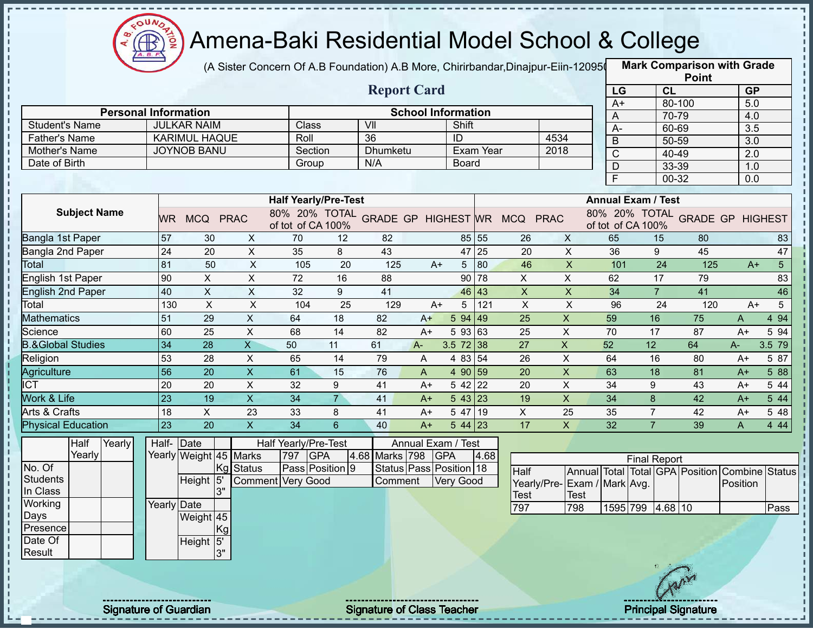

(A Sister Concern Of A.B Foundation) A.B More, Chirirbandar,Dinajpur-Eiin-120950

**Mark Comparison with Grade**

| <b>Report Card</b><br>CL<br><b>GP</b><br>LG<br>5.0<br>80-100<br>$A+$<br><b>Personal Information</b><br><b>School Information</b><br>70-79<br>4.0<br>A<br>Shift<br><b>Student's Name</b><br><b>JULKAR NAIM</b><br>Class<br>VII<br>$\overline{3.5}$<br>$A -$<br>60-69<br><b>KARIMUL HAQUE</b><br>4534<br>36<br><b>Father's Name</b><br>Roll<br>ID<br>50-59<br>$\overline{3.0}$<br>B<br><b>JOYNOB BANU</b><br>Exam Year<br>2018<br>Mother's Name<br>Section<br>Dhumketu<br>$\mathsf{C}$<br>40-49<br>2.0<br>Date of Birth<br>N/A<br>Group<br><b>Board</b><br>$\overline{D}$<br>33-39<br>1.0<br>$00 - 32$<br>$\overline{0.0}$<br><b>Half Yearly/Pre-Test</b><br><b>Annual Exam / Test</b><br><b>Subject Name</b><br>80% 20% TOTAL GRADE GP HIGHEST WR MCQ PRAC<br>80% 20% TOTAL GRADE GP HIGHEST<br>WR MCQ PRAC<br>of tot of CA 100%<br>of tot of CA 100%<br>57<br>Bangla 1st Paper<br>85 55<br>65<br>30<br>$\mathsf{X}$<br>70<br>82<br>$\mathsf{X}$<br>15<br>12<br>26<br>80<br>83<br>$\overline{X}$<br>43<br>47 25<br>$\overline{X}$<br>36<br>45<br>47<br>Bangla 2nd Paper<br>24<br>20<br>35<br>8<br>20<br>9<br>81<br>$\mathsf{X}$<br>46<br>$\mathsf X$<br>$\overline{24}$<br>5 <sup>5</sup><br>50<br>105<br>20<br>125<br>$5 \vert 80$<br>101<br>125<br>Total<br>$A+$<br>$A+$<br><b>English 1st Paper</b><br>$\mathsf{X}$<br>$\pmb{\times}$<br>90 78<br>$\mathsf{X}$<br>$\overline{X}$<br>83<br>90<br>72<br>16<br>88<br>62<br>17<br>79<br>$\mathsf{X}$<br>41<br><b>English 2nd Paper</b><br>40<br>X<br>32<br>9<br>46 43<br>$\boldsymbol{\mathsf{X}}$<br>$\mathsf{X}$<br>$\overline{7}$<br>41<br>34<br>46<br>$\boldsymbol{\mathsf{X}}$<br>$\pmb{\times}$<br>5<br>121<br>$\mathsf X$<br>$\boldsymbol{\mathsf{X}}$<br>5 <sup>5</sup><br>Total<br>25<br>129<br>96<br>24<br>120<br>130<br>104<br>$A+$<br>$A+$<br>51<br>$\pmb{\times}$<br>$\mathsf X$<br><b>Mathematics</b><br>29<br>5 94 49<br>25<br>59<br>75<br>4 9 4<br>64<br>18<br>82<br>16<br>$A+$<br>A<br>60<br>$\mathsf X$<br>$\overline{5}$ 93 63<br>$\pmb{\times}$<br>Science<br>25<br>68<br>14<br>82<br>25<br>70<br>17<br>87<br>$A+$<br>5 94<br>$A+$<br><b>B.&amp;Global Studies</b><br>34<br>$\overline{28}$<br>$\overline{X}$<br>$\boldsymbol{\mathsf{X}}$<br>52<br>50<br>11<br>61<br>$3.5 \ 72 \ 38$<br>27<br>12<br>64<br>3.5 79<br>$A -$<br>A-<br>53<br>Religion<br>X<br>4 83 54<br>26<br>$\boldsymbol{\mathsf{X}}$<br>28<br>65<br>14<br>79<br>64<br>16<br>80<br>A+<br>5 87<br>A<br>$\overline{X}$<br>$\overline{X}$<br>$\overline{56}$<br>$\overline{20}$<br>$\overline{20}$<br>63<br>$\overline{18}$<br>61<br>15<br>76<br>4 90 59<br>81<br>Agriculture<br>$\overline{A}$<br>5 88<br>$A+$<br>$\pmb{\times}$<br>20<br>20<br>$\pmb{\times}$<br>9<br>$542\overline{22}$<br>20<br>34<br>9<br><b>ICT</b><br>32<br>41<br>43<br>5 4 4<br>$A+$<br>$A+$<br>Work & Life<br>$\overline{23}$<br>$\overline{\mathsf{x}}$<br>$\overline{7}$<br>$\mathsf{x}$<br>19<br>34<br>543 23<br>19<br>34<br>8<br>42<br>41<br>5 44<br>$A+$<br>$A+$<br>Arts & Crafts<br>$\mathsf{X}$<br>5 47 19<br>$\boldsymbol{\mathsf{X}}$<br>18<br>23<br>33<br>8<br>41<br>25<br>35<br>$\overline{7}$<br>42<br>$A+$<br>A+<br>5 48<br>23<br>$\overline{20}$<br>$\pmb{\times}$<br>$\overline{34}$<br>$6\overline{6}$<br>$\mathsf{x}$<br>32<br>$\overline{7}$<br><b>Physical Education</b><br>40<br>$544$ 23<br>17<br>39<br>4 4 4<br>A |
|-------------------------------------------------------------------------------------------------------------------------------------------------------------------------------------------------------------------------------------------------------------------------------------------------------------------------------------------------------------------------------------------------------------------------------------------------------------------------------------------------------------------------------------------------------------------------------------------------------------------------------------------------------------------------------------------------------------------------------------------------------------------------------------------------------------------------------------------------------------------------------------------------------------------------------------------------------------------------------------------------------------------------------------------------------------------------------------------------------------------------------------------------------------------------------------------------------------------------------------------------------------------------------------------------------------------------------------------------------------------------------------------------------------------------------------------------------------------------------------------------------------------------------------------------------------------------------------------------------------------------------------------------------------------------------------------------------------------------------------------------------------------------------------------------------------------------------------------------------------------------------------------------------------------------------------------------------------------------------------------------------------------------------------------------------------------------------------------------------------------------------------------------------------------------------------------------------------------------------------------------------------------------------------------------------------------------------------------------------------------------------------------------------------------------------------------------------------------------------------------------------------------------------------------------------------------------------------------------------------------------------------------------------------------------------------------------------------------------------------------------------------------------------------------------------------------------------------------------------------------------------------------------------------------------------------------------------------------------------------------------------------------------------------------------------------------------------------------------------------------------------------------------------------------------------------------------------------------------------------------------------------------------------------------------------------------------------------------------|
|                                                                                                                                                                                                                                                                                                                                                                                                                                                                                                                                                                                                                                                                                                                                                                                                                                                                                                                                                                                                                                                                                                                                                                                                                                                                                                                                                                                                                                                                                                                                                                                                                                                                                                                                                                                                                                                                                                                                                                                                                                                                                                                                                                                                                                                                                                                                                                                                                                                                                                                                                                                                                                                                                                                                                                                                                                                                                                                                                                                                                                                                                                                                                                                                                                                                                                                                                 |
|                                                                                                                                                                                                                                                                                                                                                                                                                                                                                                                                                                                                                                                                                                                                                                                                                                                                                                                                                                                                                                                                                                                                                                                                                                                                                                                                                                                                                                                                                                                                                                                                                                                                                                                                                                                                                                                                                                                                                                                                                                                                                                                                                                                                                                                                                                                                                                                                                                                                                                                                                                                                                                                                                                                                                                                                                                                                                                                                                                                                                                                                                                                                                                                                                                                                                                                                                 |
|                                                                                                                                                                                                                                                                                                                                                                                                                                                                                                                                                                                                                                                                                                                                                                                                                                                                                                                                                                                                                                                                                                                                                                                                                                                                                                                                                                                                                                                                                                                                                                                                                                                                                                                                                                                                                                                                                                                                                                                                                                                                                                                                                                                                                                                                                                                                                                                                                                                                                                                                                                                                                                                                                                                                                                                                                                                                                                                                                                                                                                                                                                                                                                                                                                                                                                                                                 |
|                                                                                                                                                                                                                                                                                                                                                                                                                                                                                                                                                                                                                                                                                                                                                                                                                                                                                                                                                                                                                                                                                                                                                                                                                                                                                                                                                                                                                                                                                                                                                                                                                                                                                                                                                                                                                                                                                                                                                                                                                                                                                                                                                                                                                                                                                                                                                                                                                                                                                                                                                                                                                                                                                                                                                                                                                                                                                                                                                                                                                                                                                                                                                                                                                                                                                                                                                 |
|                                                                                                                                                                                                                                                                                                                                                                                                                                                                                                                                                                                                                                                                                                                                                                                                                                                                                                                                                                                                                                                                                                                                                                                                                                                                                                                                                                                                                                                                                                                                                                                                                                                                                                                                                                                                                                                                                                                                                                                                                                                                                                                                                                                                                                                                                                                                                                                                                                                                                                                                                                                                                                                                                                                                                                                                                                                                                                                                                                                                                                                                                                                                                                                                                                                                                                                                                 |
|                                                                                                                                                                                                                                                                                                                                                                                                                                                                                                                                                                                                                                                                                                                                                                                                                                                                                                                                                                                                                                                                                                                                                                                                                                                                                                                                                                                                                                                                                                                                                                                                                                                                                                                                                                                                                                                                                                                                                                                                                                                                                                                                                                                                                                                                                                                                                                                                                                                                                                                                                                                                                                                                                                                                                                                                                                                                                                                                                                                                                                                                                                                                                                                                                                                                                                                                                 |
|                                                                                                                                                                                                                                                                                                                                                                                                                                                                                                                                                                                                                                                                                                                                                                                                                                                                                                                                                                                                                                                                                                                                                                                                                                                                                                                                                                                                                                                                                                                                                                                                                                                                                                                                                                                                                                                                                                                                                                                                                                                                                                                                                                                                                                                                                                                                                                                                                                                                                                                                                                                                                                                                                                                                                                                                                                                                                                                                                                                                                                                                                                                                                                                                                                                                                                                                                 |
|                                                                                                                                                                                                                                                                                                                                                                                                                                                                                                                                                                                                                                                                                                                                                                                                                                                                                                                                                                                                                                                                                                                                                                                                                                                                                                                                                                                                                                                                                                                                                                                                                                                                                                                                                                                                                                                                                                                                                                                                                                                                                                                                                                                                                                                                                                                                                                                                                                                                                                                                                                                                                                                                                                                                                                                                                                                                                                                                                                                                                                                                                                                                                                                                                                                                                                                                                 |
|                                                                                                                                                                                                                                                                                                                                                                                                                                                                                                                                                                                                                                                                                                                                                                                                                                                                                                                                                                                                                                                                                                                                                                                                                                                                                                                                                                                                                                                                                                                                                                                                                                                                                                                                                                                                                                                                                                                                                                                                                                                                                                                                                                                                                                                                                                                                                                                                                                                                                                                                                                                                                                                                                                                                                                                                                                                                                                                                                                                                                                                                                                                                                                                                                                                                                                                                                 |
|                                                                                                                                                                                                                                                                                                                                                                                                                                                                                                                                                                                                                                                                                                                                                                                                                                                                                                                                                                                                                                                                                                                                                                                                                                                                                                                                                                                                                                                                                                                                                                                                                                                                                                                                                                                                                                                                                                                                                                                                                                                                                                                                                                                                                                                                                                                                                                                                                                                                                                                                                                                                                                                                                                                                                                                                                                                                                                                                                                                                                                                                                                                                                                                                                                                                                                                                                 |
|                                                                                                                                                                                                                                                                                                                                                                                                                                                                                                                                                                                                                                                                                                                                                                                                                                                                                                                                                                                                                                                                                                                                                                                                                                                                                                                                                                                                                                                                                                                                                                                                                                                                                                                                                                                                                                                                                                                                                                                                                                                                                                                                                                                                                                                                                                                                                                                                                                                                                                                                                                                                                                                                                                                                                                                                                                                                                                                                                                                                                                                                                                                                                                                                                                                                                                                                                 |
|                                                                                                                                                                                                                                                                                                                                                                                                                                                                                                                                                                                                                                                                                                                                                                                                                                                                                                                                                                                                                                                                                                                                                                                                                                                                                                                                                                                                                                                                                                                                                                                                                                                                                                                                                                                                                                                                                                                                                                                                                                                                                                                                                                                                                                                                                                                                                                                                                                                                                                                                                                                                                                                                                                                                                                                                                                                                                                                                                                                                                                                                                                                                                                                                                                                                                                                                                 |
|                                                                                                                                                                                                                                                                                                                                                                                                                                                                                                                                                                                                                                                                                                                                                                                                                                                                                                                                                                                                                                                                                                                                                                                                                                                                                                                                                                                                                                                                                                                                                                                                                                                                                                                                                                                                                                                                                                                                                                                                                                                                                                                                                                                                                                                                                                                                                                                                                                                                                                                                                                                                                                                                                                                                                                                                                                                                                                                                                                                                                                                                                                                                                                                                                                                                                                                                                 |
|                                                                                                                                                                                                                                                                                                                                                                                                                                                                                                                                                                                                                                                                                                                                                                                                                                                                                                                                                                                                                                                                                                                                                                                                                                                                                                                                                                                                                                                                                                                                                                                                                                                                                                                                                                                                                                                                                                                                                                                                                                                                                                                                                                                                                                                                                                                                                                                                                                                                                                                                                                                                                                                                                                                                                                                                                                                                                                                                                                                                                                                                                                                                                                                                                                                                                                                                                 |
|                                                                                                                                                                                                                                                                                                                                                                                                                                                                                                                                                                                                                                                                                                                                                                                                                                                                                                                                                                                                                                                                                                                                                                                                                                                                                                                                                                                                                                                                                                                                                                                                                                                                                                                                                                                                                                                                                                                                                                                                                                                                                                                                                                                                                                                                                                                                                                                                                                                                                                                                                                                                                                                                                                                                                                                                                                                                                                                                                                                                                                                                                                                                                                                                                                                                                                                                                 |
|                                                                                                                                                                                                                                                                                                                                                                                                                                                                                                                                                                                                                                                                                                                                                                                                                                                                                                                                                                                                                                                                                                                                                                                                                                                                                                                                                                                                                                                                                                                                                                                                                                                                                                                                                                                                                                                                                                                                                                                                                                                                                                                                                                                                                                                                                                                                                                                                                                                                                                                                                                                                                                                                                                                                                                                                                                                                                                                                                                                                                                                                                                                                                                                                                                                                                                                                                 |
|                                                                                                                                                                                                                                                                                                                                                                                                                                                                                                                                                                                                                                                                                                                                                                                                                                                                                                                                                                                                                                                                                                                                                                                                                                                                                                                                                                                                                                                                                                                                                                                                                                                                                                                                                                                                                                                                                                                                                                                                                                                                                                                                                                                                                                                                                                                                                                                                                                                                                                                                                                                                                                                                                                                                                                                                                                                                                                                                                                                                                                                                                                                                                                                                                                                                                                                                                 |
|                                                                                                                                                                                                                                                                                                                                                                                                                                                                                                                                                                                                                                                                                                                                                                                                                                                                                                                                                                                                                                                                                                                                                                                                                                                                                                                                                                                                                                                                                                                                                                                                                                                                                                                                                                                                                                                                                                                                                                                                                                                                                                                                                                                                                                                                                                                                                                                                                                                                                                                                                                                                                                                                                                                                                                                                                                                                                                                                                                                                                                                                                                                                                                                                                                                                                                                                                 |
|                                                                                                                                                                                                                                                                                                                                                                                                                                                                                                                                                                                                                                                                                                                                                                                                                                                                                                                                                                                                                                                                                                                                                                                                                                                                                                                                                                                                                                                                                                                                                                                                                                                                                                                                                                                                                                                                                                                                                                                                                                                                                                                                                                                                                                                                                                                                                                                                                                                                                                                                                                                                                                                                                                                                                                                                                                                                                                                                                                                                                                                                                                                                                                                                                                                                                                                                                 |
|                                                                                                                                                                                                                                                                                                                                                                                                                                                                                                                                                                                                                                                                                                                                                                                                                                                                                                                                                                                                                                                                                                                                                                                                                                                                                                                                                                                                                                                                                                                                                                                                                                                                                                                                                                                                                                                                                                                                                                                                                                                                                                                                                                                                                                                                                                                                                                                                                                                                                                                                                                                                                                                                                                                                                                                                                                                                                                                                                                                                                                                                                                                                                                                                                                                                                                                                                 |
|                                                                                                                                                                                                                                                                                                                                                                                                                                                                                                                                                                                                                                                                                                                                                                                                                                                                                                                                                                                                                                                                                                                                                                                                                                                                                                                                                                                                                                                                                                                                                                                                                                                                                                                                                                                                                                                                                                                                                                                                                                                                                                                                                                                                                                                                                                                                                                                                                                                                                                                                                                                                                                                                                                                                                                                                                                                                                                                                                                                                                                                                                                                                                                                                                                                                                                                                                 |
|                                                                                                                                                                                                                                                                                                                                                                                                                                                                                                                                                                                                                                                                                                                                                                                                                                                                                                                                                                                                                                                                                                                                                                                                                                                                                                                                                                                                                                                                                                                                                                                                                                                                                                                                                                                                                                                                                                                                                                                                                                                                                                                                                                                                                                                                                                                                                                                                                                                                                                                                                                                                                                                                                                                                                                                                                                                                                                                                                                                                                                                                                                                                                                                                                                                                                                                                                 |
|                                                                                                                                                                                                                                                                                                                                                                                                                                                                                                                                                                                                                                                                                                                                                                                                                                                                                                                                                                                                                                                                                                                                                                                                                                                                                                                                                                                                                                                                                                                                                                                                                                                                                                                                                                                                                                                                                                                                                                                                                                                                                                                                                                                                                                                                                                                                                                                                                                                                                                                                                                                                                                                                                                                                                                                                                                                                                                                                                                                                                                                                                                                                                                                                                                                                                                                                                 |
|                                                                                                                                                                                                                                                                                                                                                                                                                                                                                                                                                                                                                                                                                                                                                                                                                                                                                                                                                                                                                                                                                                                                                                                                                                                                                                                                                                                                                                                                                                                                                                                                                                                                                                                                                                                                                                                                                                                                                                                                                                                                                                                                                                                                                                                                                                                                                                                                                                                                                                                                                                                                                                                                                                                                                                                                                                                                                                                                                                                                                                                                                                                                                                                                                                                                                                                                                 |
| $A+$                                                                                                                                                                                                                                                                                                                                                                                                                                                                                                                                                                                                                                                                                                                                                                                                                                                                                                                                                                                                                                                                                                                                                                                                                                                                                                                                                                                                                                                                                                                                                                                                                                                                                                                                                                                                                                                                                                                                                                                                                                                                                                                                                                                                                                                                                                                                                                                                                                                                                                                                                                                                                                                                                                                                                                                                                                                                                                                                                                                                                                                                                                                                                                                                                                                                                                                                            |
| Half<br>Half- Date<br>Half Yearly/Pre-Test<br>Annual Exam / Test<br>Yearly                                                                                                                                                                                                                                                                                                                                                                                                                                                                                                                                                                                                                                                                                                                                                                                                                                                                                                                                                                                                                                                                                                                                                                                                                                                                                                                                                                                                                                                                                                                                                                                                                                                                                                                                                                                                                                                                                                                                                                                                                                                                                                                                                                                                                                                                                                                                                                                                                                                                                                                                                                                                                                                                                                                                                                                                                                                                                                                                                                                                                                                                                                                                                                                                                                                                      |
| Yearly<br>Yearly Weight 45 Marks<br><b>GPA</b><br>4.68 Marks 798<br><b>GPA</b><br>797<br>4.68<br><b>Final Report</b>                                                                                                                                                                                                                                                                                                                                                                                                                                                                                                                                                                                                                                                                                                                                                                                                                                                                                                                                                                                                                                                                                                                                                                                                                                                                                                                                                                                                                                                                                                                                                                                                                                                                                                                                                                                                                                                                                                                                                                                                                                                                                                                                                                                                                                                                                                                                                                                                                                                                                                                                                                                                                                                                                                                                                                                                                                                                                                                                                                                                                                                                                                                                                                                                                            |
| No. Of<br>Pass Position 9<br>Status Pass Position 18<br>Kg Status<br>Annual Total Total GPA Position Combine Status<br>Half                                                                                                                                                                                                                                                                                                                                                                                                                                                                                                                                                                                                                                                                                                                                                                                                                                                                                                                                                                                                                                                                                                                                                                                                                                                                                                                                                                                                                                                                                                                                                                                                                                                                                                                                                                                                                                                                                                                                                                                                                                                                                                                                                                                                                                                                                                                                                                                                                                                                                                                                                                                                                                                                                                                                                                                                                                                                                                                                                                                                                                                                                                                                                                                                                     |
| Students<br>5'<br>Height<br>Comment Very Good<br>Very Good<br>Comment<br>Yearly/Pre-Exam / Mark Avg.<br>Position<br>In Class<br>3"                                                                                                                                                                                                                                                                                                                                                                                                                                                                                                                                                                                                                                                                                                                                                                                                                                                                                                                                                                                                                                                                                                                                                                                                                                                                                                                                                                                                                                                                                                                                                                                                                                                                                                                                                                                                                                                                                                                                                                                                                                                                                                                                                                                                                                                                                                                                                                                                                                                                                                                                                                                                                                                                                                                                                                                                                                                                                                                                                                                                                                                                                                                                                                                                              |
| <b>Test</b><br>Test<br>Working<br>Yearly Date                                                                                                                                                                                                                                                                                                                                                                                                                                                                                                                                                                                                                                                                                                                                                                                                                                                                                                                                                                                                                                                                                                                                                                                                                                                                                                                                                                                                                                                                                                                                                                                                                                                                                                                                                                                                                                                                                                                                                                                                                                                                                                                                                                                                                                                                                                                                                                                                                                                                                                                                                                                                                                                                                                                                                                                                                                                                                                                                                                                                                                                                                                                                                                                                                                                                                                   |
| 797<br>1595 799 4.68 10<br>Pass<br>798<br>Days<br>Weight 45                                                                                                                                                                                                                                                                                                                                                                                                                                                                                                                                                                                                                                                                                                                                                                                                                                                                                                                                                                                                                                                                                                                                                                                                                                                                                                                                                                                                                                                                                                                                                                                                                                                                                                                                                                                                                                                                                                                                                                                                                                                                                                                                                                                                                                                                                                                                                                                                                                                                                                                                                                                                                                                                                                                                                                                                                                                                                                                                                                                                                                                                                                                                                                                                                                                                                     |
| Presence<br>Kg                                                                                                                                                                                                                                                                                                                                                                                                                                                                                                                                                                                                                                                                                                                                                                                                                                                                                                                                                                                                                                                                                                                                                                                                                                                                                                                                                                                                                                                                                                                                                                                                                                                                                                                                                                                                                                                                                                                                                                                                                                                                                                                                                                                                                                                                                                                                                                                                                                                                                                                                                                                                                                                                                                                                                                                                                                                                                                                                                                                                                                                                                                                                                                                                                                                                                                                                  |
| Date Of<br>Height 5'                                                                                                                                                                                                                                                                                                                                                                                                                                                                                                                                                                                                                                                                                                                                                                                                                                                                                                                                                                                                                                                                                                                                                                                                                                                                                                                                                                                                                                                                                                                                                                                                                                                                                                                                                                                                                                                                                                                                                                                                                                                                                                                                                                                                                                                                                                                                                                                                                                                                                                                                                                                                                                                                                                                                                                                                                                                                                                                                                                                                                                                                                                                                                                                                                                                                                                                            |
| Result<br>3"                                                                                                                                                                                                                                                                                                                                                                                                                                                                                                                                                                                                                                                                                                                                                                                                                                                                                                                                                                                                                                                                                                                                                                                                                                                                                                                                                                                                                                                                                                                                                                                                                                                                                                                                                                                                                                                                                                                                                                                                                                                                                                                                                                                                                                                                                                                                                                                                                                                                                                                                                                                                                                                                                                                                                                                                                                                                                                                                                                                                                                                                                                                                                                                                                                                                                                                                    |
|                                                                                                                                                                                                                                                                                                                                                                                                                                                                                                                                                                                                                                                                                                                                                                                                                                                                                                                                                                                                                                                                                                                                                                                                                                                                                                                                                                                                                                                                                                                                                                                                                                                                                                                                                                                                                                                                                                                                                                                                                                                                                                                                                                                                                                                                                                                                                                                                                                                                                                                                                                                                                                                                                                                                                                                                                                                                                                                                                                                                                                                                                                                                                                                                                                                                                                                                                 |
| Any                                                                                                                                                                                                                                                                                                                                                                                                                                                                                                                                                                                                                                                                                                                                                                                                                                                                                                                                                                                                                                                                                                                                                                                                                                                                                                                                                                                                                                                                                                                                                                                                                                                                                                                                                                                                                                                                                                                                                                                                                                                                                                                                                                                                                                                                                                                                                                                                                                                                                                                                                                                                                                                                                                                                                                                                                                                                                                                                                                                                                                                                                                                                                                                                                                                                                                                                             |
|                                                                                                                                                                                                                                                                                                                                                                                                                                                                                                                                                                                                                                                                                                                                                                                                                                                                                                                                                                                                                                                                                                                                                                                                                                                                                                                                                                                                                                                                                                                                                                                                                                                                                                                                                                                                                                                                                                                                                                                                                                                                                                                                                                                                                                                                                                                                                                                                                                                                                                                                                                                                                                                                                                                                                                                                                                                                                                                                                                                                                                                                                                                                                                                                                                                                                                                                                 |

Signature of Guardian Signature of Class Teacher **Signature of Class Teacher Principal Signature**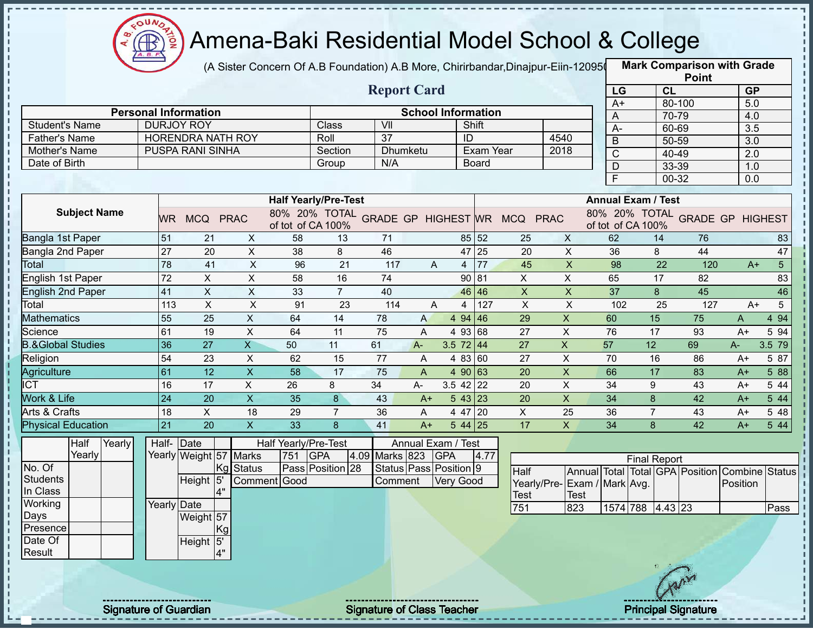

I,

### Amena-Baki Residential Model School & College

(A Sister Concern Of A.B Foundation) A.B More, Chirirbandar,Dinajpur-Eiin-120950

|                                       |                              |                                        |                           |                      |                             |                                   |       |                              |              |                                            |                           |                |                           | <b>Point</b>                            |                  |                 |
|---------------------------------------|------------------------------|----------------------------------------|---------------------------|----------------------|-----------------------------|-----------------------------------|-------|------------------------------|--------------|--------------------------------------------|---------------------------|----------------|---------------------------|-----------------------------------------|------------------|-----------------|
|                                       |                              |                                        |                           |                      |                             | <b>Report Card</b>                |       |                              |              |                                            |                           | LG             |                           | CL                                      | <b>GP</b>        |                 |
|                                       |                              |                                        |                           |                      |                             |                                   |       |                              |              |                                            |                           | $A+$           |                           | 80-100                                  | 5.0              |                 |
|                                       |                              | <b>Personal Information</b>            |                           |                      |                             |                                   |       | <b>School Information</b>    |              |                                            |                           | A              |                           | 70-79                                   | 4.0              |                 |
| <b>Student's Name</b>                 |                              | <b>DURJOY ROY</b><br>HORENDRA NATH ROY |                           |                      | Class<br>Roll               | VII<br>$\overline{37}$            |       | Shift<br>ID                  |              |                                            | 4540                      | $A -$          |                           | 60-69                                   | 3.5              |                 |
| <b>Father's Name</b><br>Mother's Name |                              | PUSPA RANI SINHA                       |                           |                      | Section                     | Dhumketu                          |       |                              | Exam Year    |                                            | 2018                      | $\overline{B}$ |                           | 50-59                                   | $\overline{3.0}$ |                 |
| Date of Birth                         |                              |                                        |                           |                      | Group                       | N/A                               |       |                              | <b>Board</b> |                                            |                           | $\mathsf{C}$   |                           | 40-49                                   | 2.0              |                 |
|                                       |                              |                                        |                           |                      |                             |                                   |       |                              |              |                                            |                           | $\mathsf D$    |                           | 33-39                                   | 1.0              |                 |
|                                       |                              |                                        |                           |                      |                             |                                   |       |                              |              |                                            |                           | F              |                           | 00-32                                   | 0.0              |                 |
|                                       |                              |                                        |                           |                      | <b>Half Yearly/Pre-Test</b> |                                   |       |                              |              |                                            |                           |                | <b>Annual Exam / Test</b> |                                         |                  |                 |
| <b>Subject Name</b>                   |                              | WR MCQ PRAC                            |                           | of tot of CA 100%    |                             |                                   |       |                              |              | 80% 20% TOTAL GRADE GP HIGHEST WR MCQ PRAC |                           |                | of tot of CA 100%         | 80% 20% TOTAL GRADE GP HIGHEST          |                  |                 |
| Bangla 1st Paper                      | 51                           | 21                                     | X                         | 58                   | 13                          | 71                                |       |                              | 85 52        | 25                                         | X                         | 62             | 14                        | 76                                      |                  | 83              |
| Bangla 2nd Paper                      | 27                           | 20                                     | $\boldsymbol{\mathsf{X}}$ | 38                   | 8                           | 46                                |       |                              | 47 25        | 20                                         | $\mathsf{X}$              | 36             | 8                         | 44                                      |                  | 47              |
| <b>Total</b>                          | 78                           | 41                                     | $\boldsymbol{\mathsf{X}}$ | 96                   | 21                          | 117                               | A     |                              | $4 \mid 77$  | 45                                         | $\boldsymbol{\mathsf{X}}$ | 98             | 22                        | 120                                     | $A+$             | 5 <sup>1</sup>  |
| <b>English 1st Paper</b>              | 72                           | $\mathsf{X}$                           | X                         | 58                   | 16                          | 74                                |       |                              | 90 81        | X                                          | X                         | 65             | 17                        | 82                                      |                  | 83              |
| <b>English 2nd Paper</b>              | 41                           | $\boldsymbol{\mathsf{X}}$              | X                         | 33                   | $\overline{7}$              | 40                                |       |                              | 46 46        | $\boldsymbol{\mathsf{X}}$                  | $\mathsf{X}$              | 37             | 8                         | 45                                      |                  | 46              |
| Total                                 | 113                          | $\pmb{\times}$                         | $\pmb{\times}$            | 91                   | 23                          | 114                               | A     | 4                            | 127          | $\times$                                   | $\boldsymbol{\mathsf{X}}$ | 102            | 25                        | 127                                     | $A+$             | $5\overline{)}$ |
| <b>Mathematics</b>                    | 55                           | 25                                     | X                         | 64                   | 14                          | 78                                | A     | 4 94 46                      |              | 29                                         | $\pmb{\times}$            | 60             | 15                        | 75                                      | Α                | 4 9 4           |
| Science                               | 61                           | 19                                     | X                         | 64                   | 11                          | 75                                | A     | 4 93 68                      |              | 27                                         | X                         | 76             | 17                        | 93                                      | $A+$             | 5 94            |
| <b>B.&amp;Global Studies</b>          | 36                           | 27                                     | $\overline{X}$            | 50                   | 11                          | 61                                | $A -$ | 3.5 $72 \mid 44$             |              | 27                                         | $\mathsf X$               | 57             | 12                        | 69                                      | A-               | 3.5 79          |
| Religion                              | 54                           | 23                                     | $\mathsf X$               | 62                   | 15                          | 77                                | A     | 4 83 60                      |              | 27                                         | $\sf X$                   | 70             | 16                        | 86                                      | $A+$             | 5 87            |
| Agriculture                           | 61                           | 12                                     | $\mathsf X$               | 58                   | 17                          | 75                                | A     | 4 90 63                      |              | 20                                         | $\pmb{\times}$            | 66             | 17                        | 83                                      | $A+$             | 5 88            |
| <b>ICT</b>                            | 16                           | 17                                     | $\mathsf{X}$              | 26                   | 8                           | 34                                | A-    | $3.5$ 42 22                  |              | 20                                         | $\pmb{\times}$            | 34             | 9                         | 43                                      | $A+$             | 5 4 4           |
| Work & Life                           | 24                           | 20                                     | $\overline{X}$            | 35                   | 8                           | 43                                | $A+$  | 543 23                       |              | 20                                         | $\overline{X}$            | 34             | 8                         | 42                                      | $A+$             | 5 4 4           |
| Arts & Crafts                         | 18                           | X                                      | 18                        | 29                   | $\overline{7}$              | 36                                | A     | 4 47 20                      |              | X                                          | 25                        | 36             | $\overline{7}$            | 43                                      | $A+$             | 5 48            |
| <b>Physical Education</b>             | 21                           | 20                                     | $\mathsf{X}$              | 33                   | 8                           | 41                                | $A+$  | $544$ 25                     |              | 17                                         | $\mathsf{X}$              | 34             | 8                         | 42                                      | $A+$             | 5 44            |
| Half<br>Yearly                        | Half- Date                   |                                        |                           | Half Yearly/Pre-Test |                             |                                   |       | Annual Exam / Test           |              |                                            |                           |                |                           |                                         |                  |                 |
| Yearly                                |                              | Yearly Weight 57 Marks                 |                           | 751                  | <b>GPA</b>                  | 4.09 Marks 823                    |       | <b>GPA</b>                   | 4.77         |                                            |                           |                | <b>Final Report</b>       |                                         |                  |                 |
| No. Of                                |                              |                                        | <b>Status</b><br> Kg      |                      | Pass Position 28            |                                   |       | Status   Pass   Position   9 |              | Half                                       |                           |                |                           | Annual Total Total GPA Position Combine |                  | <b>Status</b>   |
| <b>Students</b>                       |                              | Height 5                               |                           | Comment Good         |                             | Comment                           |       | <b>Very Good</b>             |              | Yearly/Pre-Exam / Mark Avg.                |                           |                |                           |                                         | Position         |                 |
| In Class                              |                              | 4"                                     |                           |                      |                             |                                   |       |                              |              | Test                                       | <b>Test</b>               |                |                           |                                         |                  |                 |
| Working                               | Yearly Date                  |                                        |                           |                      |                             |                                   |       |                              |              | 751                                        | 823                       |                | 1574 788 4.43 23          |                                         |                  | Pass            |
| Days                                  |                              | Weight 57                              |                           |                      |                             |                                   |       |                              |              |                                            |                           |                |                           |                                         |                  |                 |
| Presence                              |                              |                                        | Kg                        |                      |                             |                                   |       |                              |              |                                            |                           |                |                           |                                         |                  |                 |
| Date Of                               |                              | Height 5'                              |                           |                      |                             |                                   |       |                              |              |                                            |                           |                |                           |                                         |                  |                 |
| Result                                |                              |                                        | 4"                        |                      |                             |                                   |       |                              |              |                                            |                           |                |                           |                                         |                  |                 |
|                                       |                              |                                        |                           |                      |                             |                                   |       |                              |              |                                            |                           |                |                           |                                         |                  |                 |
|                                       |                              |                                        |                           |                      |                             |                                   |       |                              |              |                                            |                           |                |                           |                                         |                  |                 |
|                                       |                              |                                        |                           |                      |                             |                                   |       |                              |              |                                            |                           |                |                           |                                         |                  |                 |
|                                       | <b>Signature of Guardian</b> |                                        |                           |                      |                             | <b>Signature of Class Teacher</b> |       |                              |              |                                            |                           |                |                           | <b>Principal Signature</b>              |                  |                 |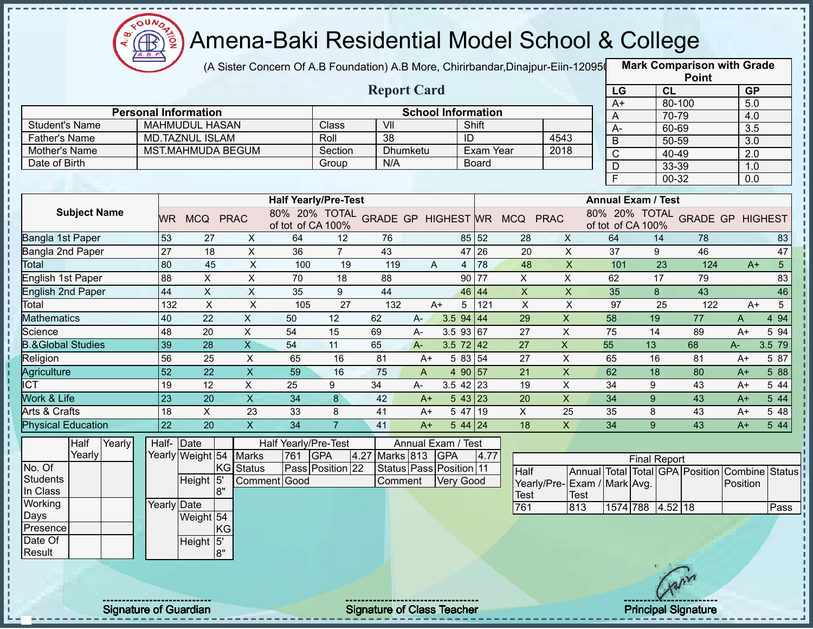

(A Sister Concern Of A.B Foundation) A.B More, Chirirbandar,Dinajpur-Eiin-120950

|                              |                              |                             |                           |                             |                  |                                   |       |                           |              |                                            |                           |                           |                     | <b>Point</b>                    |                  |                |
|------------------------------|------------------------------|-----------------------------|---------------------------|-----------------------------|------------------|-----------------------------------|-------|---------------------------|--------------|--------------------------------------------|---------------------------|---------------------------|---------------------|---------------------------------|------------------|----------------|
|                              |                              |                             |                           |                             |                  | <b>Report Card</b>                |       |                           |              |                                            |                           | LG                        |                     | CL                              | <b>GP</b>        |                |
|                              |                              | <b>Personal Information</b> |                           |                             |                  |                                   |       | <b>School Information</b> |              |                                            |                           | $A+$                      |                     | 80-100                          | 5.0              |                |
| <b>Student's Name</b>        |                              | <b>MAHMUDUL HASAN</b>       |                           |                             | Class            | VII                               |       |                           | Shift        |                                            |                           | Α                         |                     | 70-79                           | 4.0              |                |
| <b>Father's Name</b>         |                              | <b>MD.TAZNUL ISLAM</b>      |                           |                             | Roll             | 38                                |       | ID                        |              |                                            | 4543                      | $A -$                     |                     | 60-69                           | 3.5              |                |
| Mother's Name                |                              | <b>MST.MAHMUDA BEGUM</b>    |                           |                             | Section          | Dhumketu                          |       |                           | Exam Year    |                                            | 2018                      | B                         |                     | 50-59                           | $\overline{3.0}$ |                |
| Date of Birth                |                              |                             |                           |                             | Group            | N/A                               |       |                           | <b>Board</b> |                                            |                           | $\overline{\rm C}$        |                     | 40-49                           | 2.0              |                |
|                              |                              |                             |                           |                             |                  |                                   |       |                           |              |                                            |                           | D<br>F                    |                     | 33-39                           | 1.0              |                |
|                              |                              |                             |                           |                             |                  |                                   |       |                           |              |                                            |                           |                           |                     | 00-32                           | 0.0              |                |
|                              |                              |                             |                           | <b>Half Yearly/Pre-Test</b> |                  |                                   |       |                           |              |                                            |                           | <b>Annual Exam / Test</b> |                     |                                 |                  |                |
| <b>Subject Name</b>          | <b>WR</b>                    | MCQ PRAC                    |                           | of tot of CA 100%           |                  |                                   |       |                           |              | 80% 20% TOTAL GRADE GP HIGHEST WR MCQ PRAC |                           | of tot of CA 100%         |                     | 80% 20% TOTAL GRADE GP HIGHEST  |                  |                |
| Bangla 1st Paper             | 53                           | 27                          | X                         | 64                          | 12               | 76                                |       |                           | 85 52        | 28                                         | $\mathsf{X}$              | 64                        | 14                  | 78                              |                  | 83             |
| Bangla 2nd Paper             | $\overline{27}$              | 18                          | $\boldsymbol{\mathsf{X}}$ | 36                          | $\overline{7}$   | 43                                |       |                           | 47 26        | 20                                         | $\boldsymbol{\mathsf{X}}$ | 37                        | 9                   | 46                              |                  | 47             |
| Total                        | 80                           | 45                          | $\boldsymbol{\mathsf{X}}$ | 100                         | 19               | 119                               | A     | 4                         | 78           | 48                                         | $\mathsf{X}$              | 101                       | 23                  | 124                             | $A+$             | 5 <sup>1</sup> |
| English 1st Paper            | 88                           | $\mathsf X$                 | $\boldsymbol{\mathsf{X}}$ | 70                          | 18               | 88                                |       |                           | 90 77        | X                                          | X                         | 62                        | 17                  | 79                              |                  | 83             |
| <b>English 2nd Paper</b>     | 44                           | $\mathsf X$                 | $\boldsymbol{\mathsf{X}}$ | 35                          | 9                | 44                                |       | 46 44                     |              | $\boldsymbol{\mathsf{X}}$                  | $\boldsymbol{\mathsf{X}}$ | 35                        | 8                   | 43                              |                  | 46             |
| Total                        | 132                          | $\mathsf X$                 | $\boldsymbol{\mathsf{X}}$ | 105                         | 27               | 132                               | $A+$  | 5                         | 121          | $\mathsf X$                                | $\times$                  | 97                        | 25                  | 122                             | $A+$             | 5              |
| <b>Mathematics</b>           | 40                           | 22                          | $\mathsf X$               | 50                          | 12               | 62                                | $A -$ | 3.594   44                |              | 29                                         | $\pmb{\mathsf{X}}$        | 58                        | 19                  | 77                              | A                | 4 9 4          |
| Science                      | 48                           | 20                          | $\mathsf X$               | 54                          | 15               | 69                                | A-    | $3.5$ 93 67               |              | 27                                         | $\mathsf X$               | 75                        | 14                  | 89                              | $A+$             | 5 94           |
| <b>B.&amp;Global Studies</b> | 39                           | 28                          | $\overline{X}$            | 54                          | 11               | 65                                | $A -$ | $3.5 \ 72 \ 42$           |              | 27                                         | $\mathsf{X}$              | 55                        | 13                  | 68                              | $A-$             | 3.5 79         |
| Religion                     | 56                           | 25                          | $\pmb{\times}$            | 65                          | 16               | 81                                | $A+$  | 5 83 54                   |              | 27                                         | $\sf X$                   | 65                        | 16                  | 81                              | A+               | 5 87           |
| Agriculture                  | $\overline{52}$              | 22                          | $\mathsf X$               | 59                          | 16               | 75                                | A     | 4 90 57                   |              | 21                                         | $\mathsf X$               | 62                        | 18                  | 80                              | $A+$             | 5 88           |
| <b>ICT</b>                   | 19                           | 12                          | $\mathsf{X}$              | 25                          | 9                | 34                                | A-    | $3.5$ 42 23               |              | 19                                         | $\mathsf X$               | 34                        | 9                   | 43                              | $A+$             | 5 44           |
| <b>Work &amp; Life</b>       | 23                           | 20                          | $\overline{X}$            | 34                          | 8                | 42                                | $A+$  | 543 23                    |              | 20                                         | $\overline{X}$            | 34                        | 9                   | 43                              | $A+$             | 5 4 4          |
| Arts & Crafts                | 18                           | $\mathsf{X}$                | 23                        | 33                          | 8                | 41                                | $A+$  | 5 47 19                   |              | $\mathsf X$                                | 25                        | 35                        | 8                   | 43                              | $A+$             | 5 48           |
| <b>Physical Education</b>    | 22                           | 20                          | $\mathsf X$               | 34                          | $\overline{7}$   | 41                                | $A+$  | $544$ 24                  |              | 18                                         | $\mathsf{X}$              | 34                        | 9                   | 43                              | $A+$             | 5 4 4          |
| Half<br>Yearly               | Half-Date                    |                             |                           | Half Yearly/Pre-Test        |                  |                                   |       | Annual Exam / Test        |              |                                            |                           |                           |                     |                                 |                  |                |
| Yearly                       |                              | Yearly Weight 54            | <b>Marks</b>              | 761                         | <b>GPA</b>       | Marks 813<br>4.27                 |       | <b>GPA</b>                | 4.77         |                                            |                           |                           | <b>Final Report</b> |                                 |                  |                |
| No. Of                       |                              |                             | KG Status                 |                             | Pass Position 22 |                                   |       | Status Pass Position 11   |              | Half                                       |                           |                           |                     | Annual Total Total GPA Position | Combine          | <b>Status</b>  |
| <b>Students</b>              |                              | Height 5                    |                           | Comment Good                |                  | Comment                           |       | <b>Very Good</b>          |              | Yearly/Pre-Exam / Mark Avg.                |                           |                           |                     |                                 | Position         |                |
| In Class                     |                              | l8"                         |                           |                             |                  |                                   |       |                           |              | <b>Test</b>                                | Test                      |                           |                     |                                 |                  |                |
| Working                      | Yearly Date                  |                             |                           |                             |                  |                                   |       |                           |              | 761                                        | 813                       |                           | 1574 788 4.52 18    |                                 |                  | Pass           |
| Days                         |                              | Weight 54                   |                           |                             |                  |                                   |       |                           |              |                                            |                           |                           |                     |                                 |                  |                |
| Presence                     |                              |                             | KG                        |                             |                  |                                   |       |                           |              |                                            |                           |                           |                     |                                 |                  |                |
| Date Of<br>Result            |                              | Height 5'<br>8"             |                           |                             |                  |                                   |       |                           |              |                                            |                           |                           |                     |                                 |                  |                |
|                              |                              |                             |                           |                             |                  |                                   |       |                           |              |                                            |                           |                           |                     |                                 |                  |                |
|                              |                              |                             |                           |                             |                  |                                   |       |                           |              |                                            |                           |                           |                     |                                 |                  |                |
|                              | <b>Signature of Guardian</b> |                             |                           |                             |                  | <b>Signature of Class Teacher</b> |       |                           |              |                                            |                           |                           |                     | <b>Principal Signature</b>      |                  |                |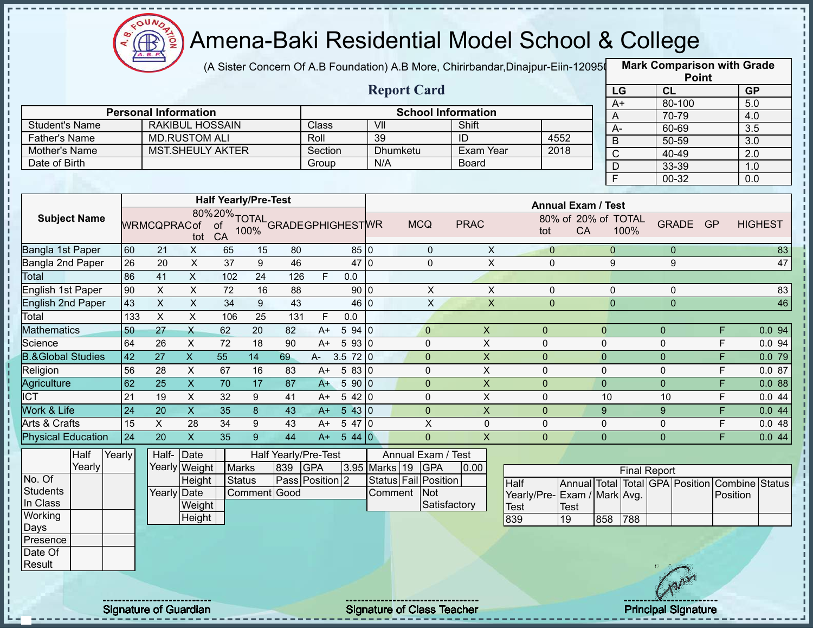

T

J.

п

 $\frac{1}{1}$ 

T. п

Î

 $\mathbf I$ 

# Amena-Baki Residential Model School & College

(A Sister Concern Of A.B Foundation) A.B More, Chirirbandar,Dinajpur-Eiin-120950

**Mark Comparison with Grade**

|                                |                 |                             |                           |                 |                                            |                      |            |         |                 |                       |                           |                             |                           |                  |                     |                | <b>Point</b>            |                                                |
|--------------------------------|-----------------|-----------------------------|---------------------------|-----------------|--------------------------------------------|----------------------|------------|---------|-----------------|-----------------------|---------------------------|-----------------------------|---------------------------|------------------|---------------------|----------------|-------------------------|------------------------------------------------|
|                                |                 |                             |                           |                 |                                            |                      |            |         |                 | <b>Report Card</b>    |                           |                             |                           | LG               |                     | CL             |                         | GP                                             |
|                                |                 |                             |                           |                 |                                            |                      |            |         |                 |                       |                           |                             |                           | $A+$             |                     | 80-100         |                         | 5.0                                            |
|                                |                 | <b>Personal Information</b> |                           |                 |                                            |                      |            |         |                 |                       | <b>School Information</b> |                             |                           | A                |                     | 70-79          |                         | 4.0                                            |
| <b>Student's Name</b>          |                 |                             | <b>RAKIBUL HOSSAIN</b>    |                 |                                            |                      | Class      |         | V <sub>II</sub> |                       | Shift                     |                             |                           | $A-$             |                     | 60-69          |                         | 3.5                                            |
| <b>Father's Name</b>           |                 |                             | <b>MD.RUSTOM ALI</b>      |                 |                                            |                      | Roll       |         | 39              |                       | $\overline{ID}$           |                             | 4552                      | B                |                     | 50-59          |                         | 3.0                                            |
| Mother's Name<br>Date of Birth |                 |                             | MST.SHEULY AKTER          |                 |                                            |                      | Section    |         | N/A             | Dhumketu              | Exam Year<br><b>Board</b> |                             | 2018                      | $\overline{C}$   |                     | 40-49          |                         | $\overline{2.0}$                               |
|                                |                 |                             |                           |                 |                                            |                      | Group      |         |                 |                       |                           |                             |                           | $\overline{D}$   |                     | 33-39          |                         | 1.0                                            |
|                                |                 |                             |                           |                 |                                            |                      |            |         |                 |                       |                           |                             |                           | $\overline{F}$   |                     | $00 - 32$      |                         | 0.0                                            |
|                                |                 |                             |                           |                 | <b>Half Yearly/Pre-Test</b>                |                      |            |         |                 |                       |                           |                             | <b>Annual Exam / Test</b> |                  |                     |                |                         |                                                |
| <b>Subject Name</b>            |                 | <b>WRMCQPRACof</b>          | tot                       | CA              | 80%20%TOTAL<br>of of 199% GRADEGPHIGHESTWR |                      |            |         |                 | <b>MCQ</b>            | <b>PRAC</b>               | tot                         | 80% of 20% of TOTAL<br>CA |                  | 100%                | GRADE GP       |                         | <b>HIGHEST</b>                                 |
| Bangla 1st Paper               | 60              | 21                          | X                         | 65              | 15                                         | 80                   |            | 85 0    |                 | $\mathbf{0}$          | X                         | $\overline{0}$              |                           | $\overline{0}$   |                     | $\overline{0}$ |                         | 83                                             |
| Bangla 2nd Paper               | 26              | 20                          | X                         | $\overline{37}$ | 9                                          | 46                   |            | 47 0    |                 | $\mathbf 0$           | $\pmb{\times}$            | $\mathbf 0$                 |                           | 9                |                     | $9\,$          |                         | 47                                             |
| Total                          | 86              | 41                          | $\mathsf{X}$              | 102             | 24                                         | 126                  | F          | 0.0     |                 |                       |                           |                             |                           |                  |                     |                |                         |                                                |
| English 1st Paper              | 90              | $\mathsf X$                 | $\mathsf{X}$              | 72              | 16                                         | 88                   |            | 90 0    |                 | X                     | X                         | 0                           |                           | 0                |                     | $\mathbf 0$    |                         | 83                                             |
| English 2nd Paper              | 43              | $\mathsf{X}$                | $\mathsf{X}$              | 34              | $\boldsymbol{9}$                           | 43                   |            | 46 0    |                 | $\mathsf X$           | $\mathsf X$               | $\Omega$                    |                           | $\overline{0}$   |                     | $\Omega$       |                         | 46                                             |
| Total                          | 133             | $\pmb{\times}$              | $\mathsf X$               | 106             | 25                                         | 131                  | F          | 0.0     |                 |                       |                           |                             |                           |                  |                     |                |                         |                                                |
| <b>Mathematics</b>             | 50              | 27                          | $\times$                  | 62              | 20                                         | 82                   | $A+$       | 5940    |                 | $\mathbf{0}$          | $\boldsymbol{\mathsf{X}}$ | $\pmb{0}$                   |                           | $\pmb{0}$        |                     | $\overline{0}$ | F                       | 0.094                                          |
| Science                        | 64              | 26                          | $\boldsymbol{\mathsf{X}}$ | 72              | 18                                         | 90                   | $A+$       | 5930    |                 | $\pmb{0}$             | $\mathsf{X}$              | $\pmb{0}$                   |                           | $\mathbf 0$      |                     | $\mathbf 0$    | F                       | 0.094                                          |
| <b>B.&amp;Global Studies</b>   | 42              | $\overline{27}$             | $\overline{X}$            | $\overline{55}$ | 14                                         | 69                   | A-         | 3.572 0 |                 | $\overline{0}$        | $\boldsymbol{\mathsf{X}}$ | $\pmb{0}$                   |                           | $\pmb{0}$        |                     | $\overline{0}$ | F                       | 0.079                                          |
| Religion                       | 56              | 28                          | $\boldsymbol{\mathsf{X}}$ | 67              | 16                                         | 83                   | A+         | 5830    |                 | 0                     | $\mathsf{X}$              | $\mathbf 0$                 |                           | $\pmb{0}$        |                     | $\mathbf 0$    | F                       | 0.087                                          |
| <b>Agriculture</b>             | 62              | $\overline{25}$             | $\overline{\mathsf{x}}$   | $\overline{70}$ | 17                                         | 87                   | $A+$       | 5 90 0  |                 | $\overline{0}$        | $\overline{\mathsf{x}}$   | $\mathbf{0}$                |                           | $\pmb{0}$        |                     | $\overline{0}$ | F                       | 0.088                                          |
| <b>ICT</b>                     | 21              | 19                          | $\mathsf X$               | 32              | 9                                          | 41                   | A+         | 5420    |                 | 0                     | $\mathsf{X}$              | $\mathbf 0$                 |                           | 10               |                     | 10             | F                       | 0.044                                          |
| <b>Work &amp; Life</b>         | $\overline{24}$ | 20                          | $\overline{\mathsf{x}}$   | 35              | 8                                          | 43                   | $A+$       | 5430    |                 | $\mathbf 0$           | $\boldsymbol{\mathsf{X}}$ | $\pmb{0}$                   |                           | $\boldsymbol{9}$ |                     | 9 <sup>°</sup> | F                       | 0.044                                          |
| <b>Arts &amp; Crafts</b>       | 15              | $\mathsf{X}$                | 28                        | 34              | 9                                          | 43                   | $A+$       | 5470    |                 | X                     | 0                         | $\pmb{0}$                   |                           | $\pmb{0}$        |                     | 0              | F                       | 0.048                                          |
| <b>Physical Education</b>      | 24              | 20                          | $\mathsf{X}$              | 35              | 9 <sup>°</sup>                             | 44                   | $A+$       | 544 0   |                 | $\overline{0}$        | $\mathsf{X}$              | $\overline{0}$              |                           | $\mathbf 0$      |                     | $\overline{0}$ | $\overline{\mathsf{F}}$ | 0.044                                          |
| Half<br>Yearly                 |                 | Half-Date                   |                           |                 |                                            | Half Yearly/Pre-Test |            |         |                 | Annual Exam / Test    |                           |                             |                           |                  |                     |                |                         |                                                |
| Yearly                         |                 |                             | Yearly Weight             | <b>Marks</b>    |                                            | 839                  | <b>GPA</b> |         | 3.95 Marks 19   | <b>GPA</b>            | 0.00                      |                             |                           |                  | <b>Final Report</b> |                |                         |                                                |
| No. Of                         |                 |                             | Height                    | <b>Status</b>   |                                            | Pass Position 2      |            |         |                 | Status Fail Position  |                           | <b>Half</b>                 |                           |                  |                     |                |                         | Annual Total Total GPA Position Combine Status |
| <b>Students</b>                |                 | <b>Yearly Date</b>          |                           |                 | Comment Good                               |                      |            |         |                 | Comment<br><b>Not</b> |                           | Yearly/Pre-Exam / Mark Avg. |                           |                  |                     |                |                         | Position                                       |
| In Class                       |                 |                             | Weight                    |                 |                                            |                      |            |         |                 |                       | Satisfactory              | <b>Test</b>                 | <b>Test</b>               |                  |                     |                |                         |                                                |
| Working                        |                 |                             | Height                    |                 |                                            |                      |            |         |                 |                       |                           | 839                         | $ 19\rangle$              | 858              | 788                 |                |                         |                                                |
| Days<br>Presence               |                 |                             |                           |                 |                                            |                      |            |         |                 |                       |                           |                             |                           |                  |                     |                |                         |                                                |
| Date Of                        |                 |                             |                           |                 |                                            |                      |            |         |                 |                       |                           |                             |                           |                  |                     |                |                         |                                                |
| Result                         |                 |                             |                           |                 |                                            |                      |            |         |                 |                       |                           |                             |                           |                  |                     |                |                         |                                                |
|                                |                 |                             |                           |                 |                                            |                      |            |         |                 |                       |                           |                             |                           |                  |                     |                |                         |                                                |

Signature of Guardian Signature of Class T Teacher Principal Signature 37/47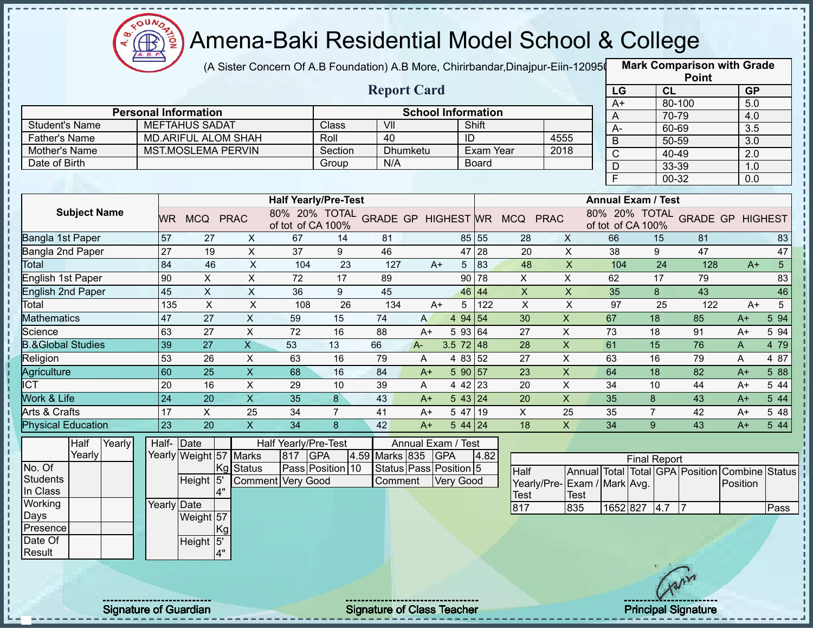

п

## Amena-Baki Residential Model School & College

(A Sister Concern Of A.B Foundation) A.B More, Chirirbandar,Dinajpur-Eiin-120950

|                              |                              |                             |                           |                             |                  |                                   |      |                           |              |                                            |                           |                           |                     |                | <b>Point</b>                    |           |                |
|------------------------------|------------------------------|-----------------------------|---------------------------|-----------------------------|------------------|-----------------------------------|------|---------------------------|--------------|--------------------------------------------|---------------------------|---------------------------|---------------------|----------------|---------------------------------|-----------|----------------|
|                              |                              |                             |                           |                             |                  | <b>Report Card</b>                |      |                           |              |                                            |                           | LG                        |                     | <b>CL</b>      |                                 | <b>GP</b> |                |
|                              |                              | <b>Personal Information</b> |                           |                             |                  |                                   |      | <b>School Information</b> |              |                                            |                           | $A+$                      |                     |                | 80-100                          | 5.0       |                |
| <b>Student's Name</b>        |                              | <b>MEFTAHUS SADAT</b>       |                           |                             | Class            | VII                               |      |                           | Shift        |                                            |                           | A                         |                     | 70-79          |                                 | 4.0       |                |
| <b>Father's Name</b>         |                              | <b>MD.ARIFUL ALOM SHAH</b>  |                           |                             | Roll             | 40                                |      | ID                        |              |                                            | 4555                      | $A -$                     |                     | 60-69          |                                 | 3.5       |                |
| Mother's Name                |                              | <b>MST.MOSLEMA PERVIN</b>   |                           |                             | Section          | Dhumketu                          |      |                           | Exam Year    |                                            | 2018                      | $\overline{B}$            |                     | 50-59          |                                 | 3.0       |                |
| Date of Birth                |                              |                             |                           |                             | Group            | N/A                               |      |                           | <b>Board</b> |                                            |                           | $\overline{C}$            |                     | 40-49          |                                 | 2.0       |                |
|                              |                              |                             |                           |                             |                  |                                   |      |                           |              |                                            |                           | D<br>$\overline{F}$       |                     | 33-39<br>00-32 |                                 | 1.0       |                |
|                              |                              |                             |                           |                             |                  |                                   |      |                           |              |                                            |                           |                           |                     |                |                                 | 0.0       |                |
|                              |                              |                             |                           | <b>Half Yearly/Pre-Test</b> |                  |                                   |      |                           |              |                                            |                           | <b>Annual Exam / Test</b> |                     |                |                                 |           |                |
| <b>Subject Name</b>          | WR I                         | MCQ PRAC                    |                           | of tot of CA 100%           |                  |                                   |      |                           |              | 80% 20% TOTAL GRADE GP HIGHEST WR MCQ PRAC |                           | of tot of CA 100%         |                     |                | 80% 20% TOTAL GRADE GP HIGHEST  |           |                |
| Bangla 1st Paper             | 57                           | 27                          | X                         | 67                          | 14               | 81                                |      |                           | 85 55        | 28                                         | $\mathsf{X}$              | 66                        |                     | 15             | 81                              |           | 83             |
| Bangla 2nd Paper             | 27                           | 19                          | X                         | 37                          | 9                | 46                                |      | 47                        | 28           | 20                                         | $\pmb{\times}$            | 38                        |                     | 9              | 47                              |           | 47             |
| <b>Total</b>                 | 84                           | 46                          | $\pmb{\times}$            | 104                         | 23               | 127                               | $A+$ | 5                         | 83           | 48                                         | $\boldsymbol{\mathsf{X}}$ | 104                       |                     | 24             | 128                             | $A+$      | 5 <sup>5</sup> |
| <b>English 1st Paper</b>     | 90                           | X                           | X                         | 72                          | 17               | 89                                |      |                           | 90 78        | X                                          | X                         | 62                        |                     | 17             | 79                              |           | 83             |
| <b>English 2nd Paper</b>     | 45                           | $\boldsymbol{\mathsf{X}}$   | X                         | 36                          | 9                | 45                                |      |                           | 46 44        | $\pmb{\times}$                             | $\mathsf{X}$              | 35                        |                     | 8              | 43                              |           | 46             |
| Total                        | 135                          | $\boldsymbol{\mathsf{X}}$   | $\boldsymbol{\mathsf{X}}$ | 108                         | 26               | 134                               | $A+$ | 5                         | 122          | $\boldsymbol{\mathsf{X}}$                  | $\mathsf X$               | 97                        |                     | 25             | 122                             | $A+$      | 5              |
| <b>Mathematics</b>           | 47                           | 27                          | $\pmb{\times}$            | 59                          | 15               | 74                                | A    | 4 94 54                   |              | 30                                         | $\boldsymbol{\mathsf{X}}$ | 67                        |                     | 18             | 85                              | $A+$      | 5 94           |
| Science                      | 63                           | 27                          | X                         | 72                          | 16               | 88                                | $A+$ | 5 93 64                   |              | 27                                         | $\boldsymbol{\mathsf{X}}$ | 73                        |                     | 18             | 91                              | $A+$      | 5 94           |
| <b>B.&amp;Global Studies</b> | 39                           | 27                          | $\overline{\mathsf{X}}$   | 53                          | 13               | 66                                | A-   | 3.5 $72 \mid 48$          |              | 28                                         | $\boldsymbol{\mathsf{X}}$ | 61                        |                     | 15             | 76                              | A         | 4 79           |
| Religion                     | 53                           | 26                          | $\mathsf X$               | 63                          | 16               | 79                                | A    | 4 83 52                   |              | 27                                         | $\boldsymbol{\mathsf{X}}$ | 63                        |                     | 16             | 79                              | A         | 4 87           |
| Agriculture                  | 60                           | 25                          | $\mathsf X$               | 68                          | 16               | 84                                | $A+$ | 590 57                    |              | 23                                         | $\pmb{\times}$            | 64                        |                     | 18             | 82                              | $A+$      | 5 88           |
| <b>ICT</b>                   | 20                           | 16                          | $\pmb{\times}$            | 29                          | 10               | 39                                | A    | 4 42 23                   |              | 20                                         | $\boldsymbol{\mathsf{X}}$ | 34                        |                     | 10             | 44                              | $A+$      | 5 44           |
| Work & Life                  | 24                           | 20                          | $\overline{X}$            | 35                          | $\overline{8}$   | 43                                | $A+$ | 543 24                    |              | 20                                         | $\mathsf X$               | 35                        |                     | 8              | 43                              | $A+$      | 5 4 4          |
| Arts & Crafts                | 17                           | $\pmb{\times}$              | 25                        | 34                          | $\overline{7}$   | 41                                | $A+$ | 5 47 19                   |              | $\pmb{\times}$                             | 25                        | 35                        |                     | $\overline{7}$ | 42                              | $A+$      | 5 48           |
| <b>Physical Education</b>    | 23                           | 20                          | $\pmb{\times}$            | 34                          | 8                | 42                                | $A+$ | $544$ 24                  |              | 18                                         | $\mathsf{X}$              | 34                        |                     | 9              | 43                              | $A+$      | 5 44           |
| <b>Half</b><br>Yearly        |                              | Half- Date                  |                           | Half Yearly/Pre-Test        |                  |                                   |      | Annual Exam / Test        |              |                                            |                           |                           |                     |                |                                 |           |                |
| Yearly                       |                              | Yearly Weight 57 Marks      |                           | <b>GPA</b><br>817           |                  | 4.59 Marks 835                    |      | <b>GPA</b>                | 4.82         |                                            |                           |                           | <b>Final Report</b> |                |                                 |           |                |
| No. Of                       |                              |                             | Kg Status                 |                             | Pass Position 10 | Status Pass Position 5            |      |                           |              | Half                                       |                           |                           |                     |                | Annual Total Total GPA Position | Combine   | <b>Status</b>  |
| <b>Students</b>              |                              | Height $\overline{5}$       |                           | <b>Comment Very Good</b>    |                  | Comment                           |      | <b>Very Good</b>          |              | Yearly/Pre-                                | Exam / Mark Avg.          |                           |                     |                |                                 | Position  |                |
| In Class                     |                              | 4"                          |                           |                             |                  |                                   |      |                           |              | Test                                       | <b>Test</b>               |                           |                     |                |                                 |           |                |
| Working                      |                              | Yearly Date                 |                           |                             |                  |                                   |      |                           |              | 817                                        | 835                       |                           | 1652 827 4.7        |                | $\overline{17}$                 |           | Pass           |
| Days                         |                              | Weight 57                   |                           |                             |                  |                                   |      |                           |              |                                            |                           |                           |                     |                |                                 |           |                |
| Presence<br>Date Of          |                              | Kgl                         |                           |                             |                  |                                   |      |                           |              |                                            |                           |                           |                     |                |                                 |           |                |
| Result                       |                              | Height 5'                   |                           |                             |                  |                                   |      |                           |              |                                            |                           |                           |                     |                |                                 |           |                |
|                              |                              |                             |                           |                             |                  |                                   |      |                           |              |                                            |                           |                           |                     |                |                                 |           |                |
|                              |                              |                             |                           |                             |                  |                                   |      |                           |              |                                            |                           |                           |                     |                |                                 |           |                |
|                              |                              |                             |                           |                             |                  |                                   |      |                           |              |                                            |                           |                           |                     |                |                                 |           |                |
|                              |                              |                             |                           |                             |                  |                                   |      |                           |              |                                            |                           |                           |                     |                |                                 |           |                |
|                              | <b>Signature of Guardian</b> |                             |                           |                             |                  | <b>Signature of Class Teacher</b> |      |                           |              |                                            |                           |                           |                     |                | <b>Principal Signature</b>      |           |                |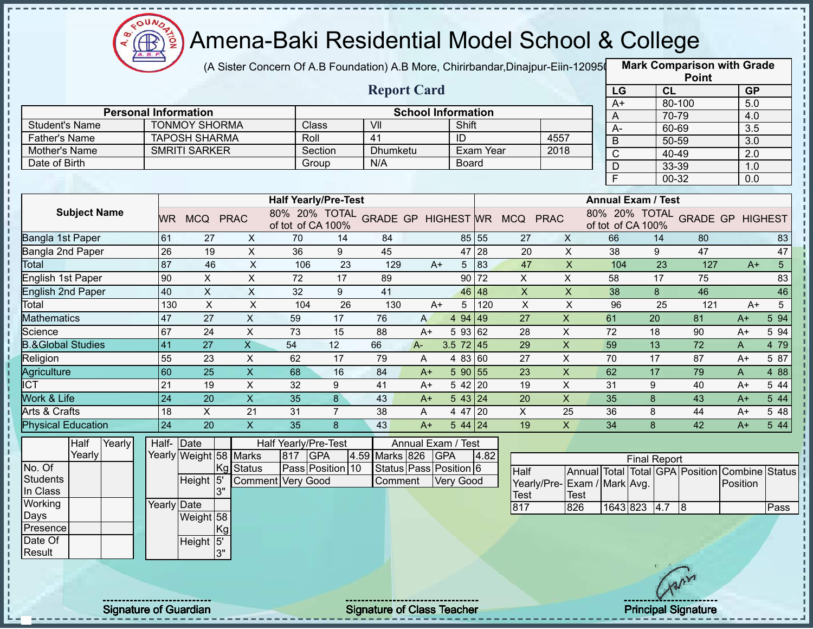

(A Sister Concern Of A.B Foundation) A.B More, Chirirbandar,Dinajpur-Eiin-120950

|                              | <b>Report Card</b>           |                           |                           |                             |                |                                   |                              |                  |           |                                            |                           |                                |                           |           | <b>Point</b>                    |                                |                |
|------------------------------|------------------------------|---------------------------|---------------------------|-----------------------------|----------------|-----------------------------------|------------------------------|------------------|-----------|--------------------------------------------|---------------------------|--------------------------------|---------------------------|-----------|---------------------------------|--------------------------------|----------------|
|                              |                              |                           |                           |                             |                |                                   |                              |                  |           |                                            |                           | LG                             |                           | <b>CL</b> |                                 | <b>GP</b>                      |                |
|                              | <b>Personal Information</b>  |                           |                           |                             |                |                                   | <b>School Information</b>    |                  |           |                                            |                           | $A+$                           |                           | 80-100    |                                 | 5.0                            |                |
| <b>Student's Name</b>        |                              | <b>TONMOY SHORMA</b>      |                           | Class                       |                | VII                               |                              | Shift            |           |                                            |                           | A                              |                           | 70-79     |                                 | 4.0                            |                |
| <b>Father's Name</b>         |                              | <b>TAPOSH SHARMA</b>      |                           | Roll                        |                | 41                                |                              | ID               |           | 4557                                       |                           | A-                             |                           | 60-69     |                                 | 3.5                            |                |
| Mother's Name                |                              | <b>SMRITI SARKER</b>      |                           | Section                     |                | Dhumketu                          |                              |                  | Exam Year |                                            | 2018                      | $\overline{B}$                 |                           | 50-59     |                                 | 3.0                            |                |
| Date of Birth                |                              |                           |                           | Group                       |                | N/A                               |                              | <b>Board</b>     |           |                                            |                           | $\overline{C}$                 |                           | 40-49     |                                 | 2.0                            |                |
|                              |                              |                           |                           |                             |                |                                   |                              |                  |           |                                            |                           | $\mathsf{D}$<br>$\overline{F}$ |                           | 33-39     |                                 | 1.0                            |                |
|                              |                              |                           |                           |                             |                |                                   |                              |                  |           |                                            |                           |                                |                           | 00-32     |                                 | 0.0                            |                |
|                              |                              |                           |                           | <b>Half Yearly/Pre-Test</b> |                |                                   |                              |                  |           |                                            |                           |                                | <b>Annual Exam / Test</b> |           |                                 |                                |                |
| <b>Subject Name</b>          | <b>WR</b>                    | MCQ PRAC                  |                           | of tot of CA 100%           |                |                                   |                              |                  |           | 80% 20% TOTAL GRADE GP HIGHEST WR MCQ PRAC |                           |                                | of tot of CA 100%         |           |                                 | 80% 20% TOTAL GRADE GP HIGHEST |                |
| Bangla 1st Paper             | 61                           | 27                        | X                         | 70                          | 14             | 84                                |                              |                  | 85 55     | 27                                         | $\mathsf{X}$              | 66                             | 14                        |           | 80                              |                                | 83             |
| Bangla 2nd Paper             | 26                           | 19                        | $\pmb{\times}$            | 36                          | 9              | 45                                |                              | 47               | 28        | 20                                         | $\mathsf{X}$              | 38                             | 9                         |           | 47                              |                                | 47             |
| Total                        | 87                           | 46                        | $\boldsymbol{\mathsf{X}}$ | 106                         | 23             | 129                               | $A+$                         | 5                | 83        | 47                                         | $\mathsf X$               | 104                            |                           | 23        | 127                             | $A+$                           | 5 <sup>1</sup> |
| English 1st Paper            | 90                           | X                         | X                         | 72                          | 17             | 89                                |                              |                  | $90$ 72   | X                                          | X                         | 58                             | 17                        |           | 75                              |                                | 83             |
| <b>English 2nd Paper</b>     | 40                           | $\pmb{\times}$            | X                         | 32                          | 9              | 41                                |                              |                  | 46 48     | $\mathsf X$                                | $\mathsf{X}$              | 38                             | 8                         |           | 46                              |                                | 46             |
| Total                        | 130                          | $\boldsymbol{\mathsf{X}}$ | $\pmb{\times}$            | 104                         | 26             | 130                               | $A+$                         | 5                | 120       | $\boldsymbol{\mathsf{X}}$                  | $\pmb{\times}$            | 96                             |                           | 25        | 121                             | $A+$                           | 5              |
| <b>Mathematics</b>           | 47                           | 27                        | $\pmb{\times}$            | 59                          | 17             | 76                                | A                            | 4 94 49          |           | 27                                         | $\boldsymbol{\mathsf{X}}$ | 61                             | 20                        |           | 81                              | $A+$                           | 5 94           |
| Science                      | 67                           | 24                        | X                         | 73                          | 15             | 88                                | $A+$                         | 5 93 62          |           | 28                                         | X                         | 72                             | 18                        |           | 90                              | $A+$                           | 5 94           |
| <b>B.&amp;Global Studies</b> | 41                           | 27                        | $\overline{X}$            | 54                          | 12             | 66                                | $A -$                        | $3.5$ 72 45      |           | 29                                         | $\boldsymbol{\mathsf{X}}$ | 59                             | 13                        |           | 72                              | A                              | 4 79           |
| Religion                     | 55                           | 23                        | $\boldsymbol{\mathsf{X}}$ | 62                          | 17             | 79                                | A                            | 4 83 60          |           | 27                                         | $\boldsymbol{\mathsf{X}}$ | 70                             | 17                        |           | 87                              | $A+$                           | 5 87           |
| Agriculture                  | 60                           | 25                        | $\mathsf X$               | 68                          | 16             | 84                                | $A+$                         | 590 55           |           | 23                                         | $\boldsymbol{\mathsf{X}}$ | 62                             | 17                        |           | 79                              | A                              | 4 8 8          |
| $\overline{ICT}$             | 21                           | 19                        | $\pmb{\times}$            | 32                          | 9              | 41                                | $A+$                         | 5 42 20          |           | 19                                         | $\boldsymbol{\mathsf{X}}$ | 31                             | 9                         |           | 40                              | $A+$                           | 5 44           |
| <b>Work &amp; Life</b>       | 24                           | 20                        | $\overline{X}$            | 35                          | 8              | 43                                | $A+$                         | 543 24           |           | 20                                         | $\overline{X}$            | 35                             | 8                         |           | 43                              | $A+$                           | 5 44           |
| Arts & Crafts                | 18                           | X                         | 21                        | 31                          | $\overline{7}$ | 38                                | A                            | 4 47 20          |           | X                                          | 25                        | 36                             | 8                         |           | 44                              | $A+$                           | 5 48           |
| <b>Physical Education</b>    | 24                           | 20                        | $\mathsf{X}$              | 35                          | 8              | 43                                | $A+$                         | $544$ 24         |           | 19                                         | $\mathsf{X}$              | 34                             | 8                         |           | 42                              | $A+$                           | 544            |
| Half<br>Yearly               | Half-                        | $\vert$ Date              |                           | Half Yearly/Pre-Test        |                |                                   | Annual Exam / Test           |                  |           |                                            |                           |                                |                           |           |                                 |                                |                |
| Yearly                       |                              | Yearly Weight 58 Marks    |                           | <b>GPA</b><br>817           |                | 4.59 Marks 826                    |                              | <b>GPA</b>       | 4.82      |                                            |                           |                                | <b>Final Report</b>       |           |                                 |                                |                |
| No. Of                       |                              |                           | Kg Status                 | Pass Position 10            |                |                                   | Status   Pass   Position   6 |                  |           | Half                                       |                           |                                |                           |           | Annual Total Total GPA Position | Combine                        | <b>Status</b>  |
| <b>Students</b>              |                              | Height 5                  |                           | <b>Comment Very Good</b>    |                | Comment                           |                              | <b>Very Good</b> |           | Yearly/Pre-                                | Exam / Mark Avg.          |                                |                           |           |                                 | Position                       |                |
| In Class                     |                              | 3"                        |                           |                             |                |                                   |                              |                  |           | Test                                       | Test                      |                                |                           |           |                                 |                                |                |
| Working                      | Yearly Date                  |                           |                           |                             |                |                                   |                              |                  |           | 817                                        | 826                       |                                | 1643 823 4.7 8            |           |                                 |                                | Pass           |
| Days                         |                              | Weight 58                 |                           |                             |                |                                   |                              |                  |           |                                            |                           |                                |                           |           |                                 |                                |                |
| Presence<br>Date Of          |                              | Kg                        |                           |                             |                |                                   |                              |                  |           |                                            |                           |                                |                           |           |                                 |                                |                |
| Result                       |                              | Height 5'<br>3"           |                           |                             |                |                                   |                              |                  |           |                                            |                           |                                |                           |           |                                 |                                |                |
|                              |                              |                           |                           |                             |                |                                   |                              |                  |           |                                            |                           |                                |                           |           |                                 |                                |                |
|                              |                              |                           |                           |                             |                |                                   |                              |                  |           |                                            |                           |                                |                           |           |                                 |                                |                |
|                              |                              |                           |                           |                             |                |                                   |                              |                  |           |                                            |                           |                                |                           |           |                                 |                                |                |
|                              |                              |                           |                           |                             |                |                                   |                              |                  |           |                                            |                           |                                |                           |           |                                 |                                |                |
|                              | <b>Signature of Guardian</b> |                           |                           |                             |                | <b>Signature of Class Teacher</b> |                              |                  |           |                                            |                           |                                |                           |           | <b>Principal Signature</b>      |                                |                |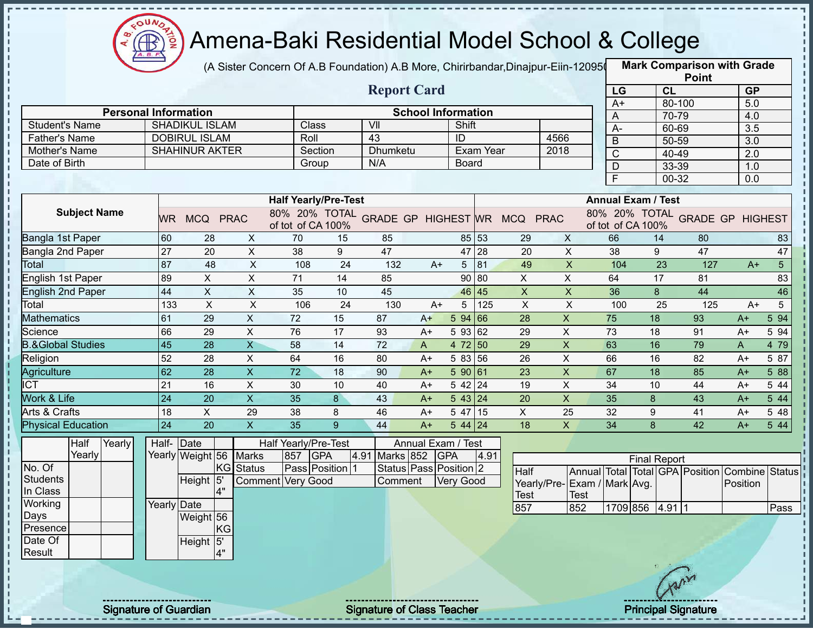

## Amena-Baki Residential Model School & College

(A Sister Concern Of A.B Foundation) A.B More, Chirirbandar,Dinajpur-Eiin-120950

**Mark Comparison with Grade**

|                                |                             |                                               |                            |                                                                 |                 |                        |                           |                      |              |                           |                             |                                  |                     |        | <b>Point</b>                                   |                  |                |
|--------------------------------|-----------------------------|-----------------------------------------------|----------------------------|-----------------------------------------------------------------|-----------------|------------------------|---------------------------|----------------------|--------------|---------------------------|-----------------------------|----------------------------------|---------------------|--------|------------------------------------------------|------------------|----------------|
|                                |                             |                                               |                            |                                                                 |                 | <b>Report Card</b>     |                           |                      |              |                           |                             | LG                               |                     | CL     |                                                | <b>GP</b>        |                |
|                                | <b>Personal Information</b> |                                               |                            |                                                                 |                 |                        | <b>School Information</b> |                      |              |                           |                             | $A+$                             |                     | 80-100 |                                                | 5.0              |                |
|                                |                             |                                               |                            | Class                                                           |                 | VII                    |                           | Shift                |              |                           |                             | A                                |                     | 70-79  |                                                | 4.0              |                |
| <b>Student's Name</b>          |                             | <b>SHADIKUL ISLAM</b><br><b>DOBIRUL ISLAM</b> |                            | Roll                                                            |                 | $\overline{43}$        |                           |                      |              |                           | 4566                        | $A -$                            |                     | 60-69  |                                                | $\overline{3.5}$ |                |
| Father's Name<br>Mother's Name |                             | <b>SHAHINUR AKTER</b>                         |                            | Section                                                         |                 | <b>Dhumketu</b>        |                           | ID                   | Exam Year    |                           | 2018                        | B                                |                     | 50-59  |                                                | 3.0              |                |
| Date of Birth                  |                             |                                               |                            | Group                                                           |                 | N/A                    |                           | <b>Board</b>         |              |                           |                             | $\mathsf{C}$                     |                     | 40-49  |                                                | 2.0              |                |
|                                |                             |                                               |                            |                                                                 |                 |                        |                           |                      |              |                           |                             | $\overline{D}$<br>$\overline{F}$ |                     | 33-39  |                                                | 1.0              |                |
|                                |                             |                                               |                            |                                                                 |                 |                        |                           |                      |              |                           |                             |                                  |                     | 00-32  |                                                | $\overline{0.0}$ |                |
|                                |                             |                                               |                            | <b>Half Yearly/Pre-Test</b>                                     |                 |                        |                           |                      |              |                           |                             | <b>Annual Exam / Test</b>        |                     |        |                                                |                  |                |
| <b>Subject Name</b>            |                             | WR MCQ PRAC                                   |                            | 80% 20% TOTAL GRADE GP HIGHEST WR MCQ PRAC<br>of tot of CA 100% |                 |                        |                           |                      |              |                           |                             | of tot of CA 100%                |                     |        | 80% 20% TOTAL GRADE GP HIGHEST                 |                  |                |
| <b>Bangla 1st Paper</b>        | 60                          | 28                                            | X                          | 70                                                              | 15              | 85                     |                           |                      | 85 53        | 29                        | $\mathsf{X}$                | 66                               |                     | 14     | 80                                             |                  | 83             |
| Bangla 2nd Paper               | 27                          | 20                                            | $\overline{X}$             | 38                                                              | 9               | 47                     |                           |                      | 47 28        | $\overline{20}$           | $\overline{X}$              | $\overline{38}$                  |                     | 9      | 47                                             |                  | 47             |
| Total                          | 87                          | 48                                            | $\pmb{\times}$             | 108                                                             | 24              | 132                    | $A+$                      |                      | $5 \vert 81$ | 49                        | $\mathsf X$                 | 104                              |                     | 23     | 127                                            | $A+$             | 5 <sup>5</sup> |
| <b>English 1st Paper</b>       | 89                          | $\mathsf{X}$                                  | $\overline{\mathsf{x}}$    | 71                                                              | $\overline{14}$ | 85                     |                           |                      | 90 80        | $\overline{X}$            | $\overline{X}$              | 64                               |                     | 17     | 81                                             |                  | 83             |
| <b>English 2nd Paper</b>       | 44                          | $\pmb{\times}$                                | $\mathsf X$                | 35                                                              | 10              | 45                     |                           |                      | 46 45        | $\boldsymbol{\mathsf{X}}$ | $\mathsf{X}$                | 36                               |                     | 8      | 44                                             |                  | 46             |
| Total                          | 133                         | $\mathsf{X}$                                  | $\mathsf{x}$               | 106                                                             | 24              | 130                    | $A+$                      | 5 <sup>5</sup>       | 125          | $\overline{X}$            | $\pmb{\times}$              | 100                              |                     | 25     | 125                                            | $A+$             | 5              |
| <b>Mathematics</b>             | 61                          | $\overline{29}$                               | $\mathsf{X}$               | 72                                                              | 15              | 87                     | $A+$                      | 5 94 66              |              | $\overline{28}$           | $\mathsf X$                 | 75                               |                     | 18     | 93                                             | $A+$             | 5 94           |
| Science                        | 66                          | 29                                            | $\pmb{\times}$             | 76                                                              | 17              | 93                     | A+                        | 59362                |              | 29                        | $\pmb{\times}$              | 73                               |                     | 18     | 91                                             | A+               | 5 94           |
| <b>B.&amp;Global Studies</b>   | 45                          | 28                                            | $\overline{X}$             | 58                                                              | 14              | 72                     | A                         | 4 72 50              |              | 29                        | $\pmb{\times}$              | 63                               |                     | 16     | 79                                             | A                | 4 79           |
| Religion                       | 52                          | 28                                            | X                          | 64                                                              | 16              | 80                     | $A+$                      | 5 83 56              |              | 26                        | $\boldsymbol{\mathsf{X}}$   | 66                               |                     | 16     | 82                                             | $A+$             | 5 87           |
| Agriculture                    | 62                          | 28                                            | $\mathsf{X}$               | $\overline{72}$                                                 | 18              | 90                     | $A+$                      | 590 61               |              | 23                        | $\overline{\mathsf{x}}$     | 67                               |                     | 18     | 85                                             | $A+$             | 5 88           |
| $\overline{ICT}$               | 21                          | 16                                            | X                          | 30                                                              | 10              | 40                     | $A+$                      | $542$ 24             |              | 19                        | $\boldsymbol{\mathsf{X}}$   | 34                               |                     | 10     | 44                                             | A+               | 5 44           |
| Work & Life                    | 24                          | $\overline{20}$                               | $\overline{\mathsf{x}}$    | $\overline{35}$                                                 | 8               | 43                     | $A+$                      | $\overline{5}$ 43 24 |              | 20                        | $\mathsf X$                 | $\overline{35}$                  | 8                   |        | 43                                             | $A+$             | 5 44           |
| Arts & Crafts                  | 18                          | $\mathsf{X}$                                  | 29                         | 38                                                              | 8               | 46                     | $A+$                      | $547$ 15             |              | X                         | 25                          | 32                               | 9                   |        | 41                                             | A+               | 5 48           |
| <b>Physical Education</b>      | 24                          | $\overline{20}$                               | $\mathsf{X}$               | $\overline{35}$                                                 | 9 <sup>°</sup>  | 44                     | $A+$                      | $544$ 24             |              | 18                        | $\mathsf X$                 | 34                               | 8                   |        | 42                                             | $A+$             | 5 4 4          |
| Half<br>Yearly                 |                             | Half- Date                                    |                            | Half Yearly/Pre-Test                                            |                 |                        | Annual Exam / Test        |                      |              |                           |                             |                                  |                     |        |                                                |                  |                |
| Yearly                         |                             | Yearly Weight 56 Marks                        |                            | 857 GPA                                                         | 4.91            | Marks 852 GPA          |                           |                      | 4.91         |                           |                             |                                  | <b>Final Report</b> |        |                                                |                  |                |
| No. Of                         |                             |                                               | <b>KG</b><br><b>Status</b> | Pass Position 1                                                 |                 | Status Pass Position 2 |                           |                      |              | Half                      |                             |                                  |                     |        | Annual Total Total GPA Position Combine Status |                  |                |
| <b>Students</b>                |                             | Height 5'                                     |                            | <b>Comment Very Good</b>                                        |                 | Comment                |                           | Very Good            |              |                           | Yearly/Pre-Exam / Mark Avg. |                                  |                     |        |                                                | Position         |                |
| In Class                       |                             | 4"                                            |                            |                                                                 |                 |                        |                           |                      |              | Test                      | <b>Test</b>                 |                                  |                     |        |                                                |                  |                |
| Working                        |                             | <b>Yearly Date</b>                            |                            |                                                                 |                 |                        |                           |                      |              | 857                       | 852                         |                                  | 1709 856 4.91 1     |        |                                                |                  | Pass           |
| Days                           |                             | Weight 56                                     |                            |                                                                 |                 |                        |                           |                      |              |                           |                             |                                  |                     |        |                                                |                  |                |
| Presence<br>Date Of            |                             |                                               | KG                         |                                                                 |                 |                        |                           |                      |              |                           |                             |                                  |                     |        |                                                |                  |                |
| Result                         |                             | Height 5'<br>4"                               |                            |                                                                 |                 |                        |                           |                      |              |                           |                             |                                  |                     |        |                                                |                  |                |
|                                |                             |                                               |                            |                                                                 |                 |                        |                           |                      |              |                           |                             |                                  |                     |        |                                                |                  |                |
|                                |                             |                                               |                            |                                                                 |                 |                        |                           |                      |              |                           |                             |                                  |                     | Tann   |                                                |                  |                |
|                                |                             |                                               |                            |                                                                 |                 |                        |                           |                      |              |                           |                             |                                  |                     |        |                                                |                  |                |
|                                |                             |                                               |                            |                                                                 |                 |                        |                           |                      |              |                           |                             |                                  |                     |        |                                                |                  |                |

Signature of Guardian Signature of Class Teacher **Signature of Class Teacher Principal Signature**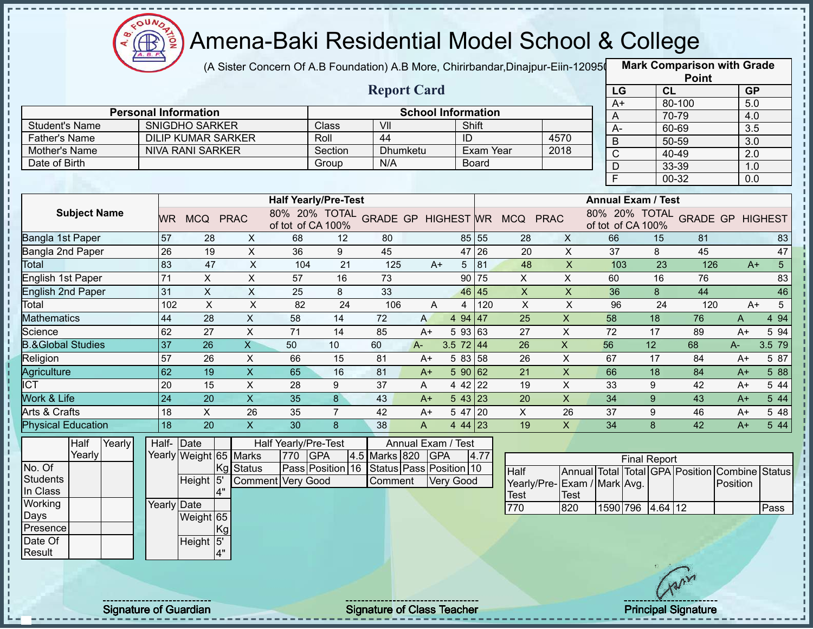

(A Sister Concern Of A.B Foundation) A.B More, Chirirbandar,Dinajpur-Eiin-120950

|                              |                              |                             |                           |                             |                |                                   |      |                                    |              |                                            |                           |             |                            |        | <b>Point</b> |                                         |                |
|------------------------------|------------------------------|-----------------------------|---------------------------|-----------------------------|----------------|-----------------------------------|------|------------------------------------|--------------|--------------------------------------------|---------------------------|-------------|----------------------------|--------|--------------|-----------------------------------------|----------------|
|                              |                              |                             |                           |                             |                | <b>Report Card</b>                |      |                                    |              |                                            |                           | LG          |                            | CL     |              | <b>GP</b>                               |                |
|                              |                              | <b>Personal Information</b> |                           |                             |                |                                   |      |                                    |              |                                            |                           | $A+$        |                            | 80-100 |              | 5.0                                     |                |
| <b>Student's Name</b>        |                              | <b>SNIGDHO SARKER</b>       |                           |                             | Class          | VII                               |      | <b>School Information</b><br>Shift |              |                                            |                           | Α           |                            | 70-79  |              | 4.0                                     |                |
| <b>Father's Name</b>         |                              | <b>DILIP KUMAR SARKER</b>   |                           |                             | Roll           | 44                                |      | ID                                 |              |                                            | 4570                      | $A -$       |                            | 60-69  |              | 3.5                                     |                |
| Mother's Name                |                              | <b>NIVA RANI SARKER</b>     |                           |                             | Section        | <b>Dhumketu</b>                   |      |                                    | Exam Year    |                                            | 2018                      | B           |                            | 50-59  |              | 3.0                                     |                |
| Date of Birth                |                              |                             |                           |                             | Group          | N/A                               |      |                                    | <b>Board</b> |                                            |                           | $\mathsf C$ |                            | 40-49  |              | 2.0                                     |                |
|                              |                              |                             |                           |                             |                |                                   |      |                                    |              |                                            |                           | D           |                            | 33-39  |              | 1.0                                     |                |
|                              |                              |                             |                           |                             |                |                                   |      |                                    |              |                                            |                           | E           |                            | 00-32  |              | 0.0                                     |                |
|                              |                              |                             |                           | <b>Half Yearly/Pre-Test</b> |                |                                   |      |                                    |              |                                            |                           |             | <b>Annual Exam / Test</b>  |        |              |                                         |                |
| <b>Subject Name</b>          | WR.                          | MCQ PRAC                    |                           | of tot of CA 100%           |                |                                   |      |                                    |              | 80% 20% TOTAL GRADE GP HIGHEST WR MCQ PRAC |                           |             | of tot of CA 100%          |        |              | 80% 20% TOTAL GRADE GP HIGHEST          |                |
| Bangla 1st Paper             | 57                           | 28                          | X                         | 68                          | 12             | 80                                |      |                                    | 85 55        | 28                                         | $\mathsf{X}$              | 66          |                            | 15     | 81           |                                         | 83             |
| Bangla 2nd Paper             | 26                           | 19                          | $\mathsf{X}$              | 36                          | 9              | 45                                |      |                                    | 47 26        | 20                                         | $\mathsf{X}$              | 37          | 8                          |        | 45           |                                         | 47             |
| Total                        | 83                           | 47                          | $\boldsymbol{\mathsf{X}}$ | 104                         | 21             | 125                               | $A+$ | 5                                  | 81           | 48                                         | $\pmb{\times}$            | 103         |                            | 23     | 126          | $A+$                                    | 5 <sup>5</sup> |
| English 1st Paper            | 71                           | X                           | X                         | 57                          | 16             | 73                                |      | 90                                 | 75           | X                                          | $\mathsf{X}$              | 60          |                            | 16     | 76           |                                         | 83             |
| <b>English 2nd Paper</b>     | 31                           | $\pmb{\times}$              | X                         | 25                          | 8              | 33                                |      | 46                                 | 45           | $\pmb{\times}$                             | X                         | 36          | 8                          |        | 44           |                                         | 46             |
| Total                        | 102                          | $\boldsymbol{\mathsf{X}}$   | X                         | 82                          | 24             | 106                               | A    | 4                                  | 120          | X                                          | X                         | 96          |                            | 24     | 120          | $A+$                                    | 5              |
| <b>Mathematics</b>           | 44                           | 28                          | $\boldsymbol{\mathsf{X}}$ | 58                          | 14             | 72                                | A    | 4 94 47                            |              | 25                                         | $\mathsf X$               | 58          | 18                         |        | 76           | A                                       | 4 9 4          |
| Science                      | 62                           | 27                          | X                         | 71                          | 14             | 85                                | $A+$ | 5 93 63                            |              | 27                                         | X                         | 72          | 17                         |        | 89           | $A+$                                    | 5 94           |
| <b>B.&amp;Global Studies</b> | 37                           | 26                          | $\overline{\mathsf{X}}$   | 50                          | 10             | 60                                | A-   | 3.5 $72 \mid 44$                   |              | 26                                         | $\pmb{\times}$            | 56          | 12                         |        | 68           | $A -$                                   | 3.5 79         |
| Religion                     | 57                           | 26                          | $\boldsymbol{\mathsf{X}}$ | 66                          | 15             | 81                                | $A+$ | 5 83 58                            |              | 26                                         | X                         | 67          | 17                         |        | 84           | $A+$                                    | 5 87           |
| Agriculture                  | 62                           | 19                          | $\pmb{\times}$            | 65                          | 16             | 81                                | $A+$ | 590 62                             |              | 21                                         | $\boldsymbol{\mathsf{X}}$ | 66          | 18                         |        | 84           | $A+$                                    | 5 88           |
| $\overline{IC}$              | 20                           | 15                          | X                         | 28                          | 9              | 37                                | Α    | $442$ 22                           |              | 19                                         | X                         | 33          | 9                          |        | 42           | $A+$                                    | 5 44           |
| Work & Life                  | 24                           | 20                          | $\overline{\mathsf{x}}$   | 35                          | 8              | 43                                | $A+$ | $5 \, 43 \,   \, 23$               |              | 20                                         | $\mathsf X$               | 34          | 9                          |        | 43           | $A+$                                    | 5 4 4          |
| Arts & Crafts                | 18                           | X                           | 26                        | 35                          | $\overline{7}$ | 42                                | $A+$ | 5 47 20                            |              | X                                          | 26                        | 37          | 9                          |        | 46           | $A+$                                    | 5 48           |
| <b>Physical Education</b>    | 18                           | 20                          | $\pmb{\times}$            | 30                          | 8              | 38                                | A    | 4 44 23                            |              | 19                                         | $\mathsf{X}$              | 34          | 8                          |        | 42           | $A+$                                    | 5 4 4          |
| Half<br>Yearly               |                              | Half-Date                   |                           | Half Yearly/Pre-Test        |                |                                   |      | Annual Exam / Test                 |              |                                            |                           |             |                            |        |              |                                         |                |
| Yearly                       |                              | Yearly Weight 65 Marks      |                           | 770 GPA                     |                | 4.5 Marks 820                     | GPA  |                                    | 4.77         |                                            |                           |             | <b>Final Report</b>        |        |              |                                         |                |
| No. Of                       |                              |                             | Kg Status                 | Pass Position 16            |                | Status Pass Position 10           |      |                                    |              | Half                                       |                           |             |                            |        |              | Annual Total Total GPA Position Combine | <b>Status</b>  |
| <b>Students</b>              |                              | Height 5                    |                           | <b>Comment Very Good</b>    |                | Comment                           |      | <b>Very Good</b>                   |              | Yearly/Pre-Exam / Mark Avg.                |                           |             |                            |        |              | Position                                |                |
| In Class                     |                              | 4"                          |                           |                             |                |                                   |      |                                    |              | <b>Test</b>                                | Test                      |             |                            |        |              |                                         |                |
| Working                      |                              | Yearly Date                 |                           |                             |                |                                   |      |                                    |              | 770                                        | 820                       |             | 1590 796 4.64 12           |        |              |                                         | Pass           |
| Days                         |                              | Weight 65                   |                           |                             |                |                                   |      |                                    |              |                                            |                           |             |                            |        |              |                                         |                |
| Presence                     |                              | Kg                          |                           |                             |                |                                   |      |                                    |              |                                            |                           |             |                            |        |              |                                         |                |
| Date Of<br>Result            |                              | Height 5'<br>4"             |                           |                             |                |                                   |      |                                    |              |                                            |                           |             |                            |        |              |                                         |                |
|                              |                              |                             |                           |                             |                |                                   |      |                                    |              |                                            |                           |             |                            |        |              |                                         |                |
|                              |                              |                             |                           |                             |                |                                   |      |                                    |              |                                            |                           |             |                            |        |              |                                         |                |
|                              |                              |                             |                           |                             |                |                                   |      |                                    |              |                                            |                           |             |                            |        |              |                                         |                |
|                              |                              |                             |                           |                             |                |                                   |      |                                    |              |                                            |                           |             |                            |        |              |                                         |                |
|                              | <b>Signature of Guardian</b> |                             |                           |                             |                | <b>Signature of Class Teacher</b> |      |                                    |              |                                            |                           |             | <b>Principal Signature</b> |        |              |                                         |                |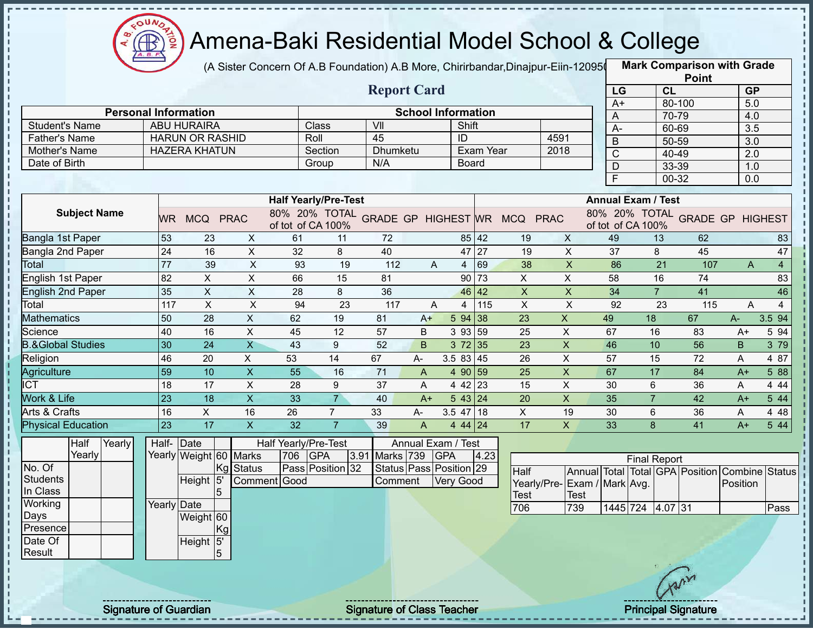

(A Sister Concern Of A.B Foundation) A.B More, Chirirbandar,Dinajpur-Eiin-120950

**Mark Comparison with Grade**

|                                               |                   |                                                   |                           |                      |                             |                         |                           |                  |           |                                            |                           |                         |                                                     | <b>Point</b>    |                  |                |
|-----------------------------------------------|-------------------|---------------------------------------------------|---------------------------|----------------------|-----------------------------|-------------------------|---------------------------|------------------|-----------|--------------------------------------------|---------------------------|-------------------------|-----------------------------------------------------|-----------------|------------------|----------------|
|                                               |                   |                                                   |                           |                      |                             | <b>Report Card</b>      |                           |                  |           |                                            |                           | LG                      | <b>CL</b>                                           |                 | <b>GP</b>        |                |
|                                               |                   |                                                   |                           |                      |                             |                         |                           |                  |           |                                            |                           | $A+$                    |                                                     | 80-100          | 5.0              |                |
|                                               |                   | <b>Personal Information</b><br><b>ABU HURAIRA</b> |                           |                      |                             | $\overline{\mathsf{V}}$ | <b>School Information</b> | Shift            |           |                                            |                           | A                       | 70-79                                               |                 | 4.0              |                |
| <b>Student's Name</b><br><b>Father's Name</b> |                   | <b>HARUN OR RASHID</b>                            |                           |                      | Class<br>Roll               | 45                      |                           | ID               |           |                                            | 4591                      | A-                      | 60-69                                               |                 | $\overline{3.5}$ |                |
|                                               |                   | <b>HAZERA KHATUN</b>                              |                           |                      | Section                     | <b>Dhumketu</b>         |                           |                  | Exam Year |                                            | 2018                      | $\overline{B}$          | 50-59                                               |                 | $\overline{3.0}$ |                |
| Mother's Name<br>Date of Birth                |                   |                                                   |                           |                      |                             | N/A                     |                           | Board            |           |                                            |                           | $\overline{\mathrm{C}}$ | 40-49                                               |                 | $\overline{2.0}$ |                |
|                                               |                   |                                                   |                           |                      | Group                       |                         |                           |                  |           |                                            |                           | $\mathsf D$             | 33-39                                               |                 | 1.0              |                |
|                                               |                   |                                                   |                           |                      |                             |                         |                           |                  |           |                                            |                           | $\overline{F}$          | 00-32                                               |                 | 0.0              |                |
|                                               |                   |                                                   |                           |                      | <b>Half Yearly/Pre-Test</b> |                         |                           |                  |           |                                            |                           |                         | <b>Annual Exam / Test</b>                           |                 |                  |                |
| <b>Subject Name</b>                           | WR.               | MCQ PRAC                                          |                           | of tot of CA 100%    |                             |                         |                           |                  |           | 80% 20% TOTAL GRADE GP HIGHEST WR MCQ PRAC |                           |                         | 80% 20% TOTAL GRADE GP HIGHEST<br>of tot of CA 100% |                 |                  |                |
| Bangla 1st Paper                              | 53                | 23                                                | X                         | 61                   | 11                          | 72                      |                           |                  | 85 42     | 19                                         | $\mathsf{X}$              | 49                      | 13                                                  | 62              |                  | 83             |
| Bangla 2nd Paper                              | $\overline{24}$   | 16                                                | $\mathsf{X}$              | 32                   | 8                           | 40                      |                           |                  | 47 27     | 19                                         | $\mathsf{X}$              | 37                      | 8                                                   | 45              |                  | 47             |
| Total                                         | 77                | 39                                                | X                         | 93                   | 19                          | 112                     | A                         |                  | 4 69      | 38                                         | $\boldsymbol{\mathsf{X}}$ | 86                      | 21                                                  | 107             | $\mathsf{A}$     | $\overline{4}$ |
| English 1st Paper                             | 82                | X                                                 | $\mathsf X$               | 66                   | 15                          | 81                      |                           |                  | 90 73     | $\boldsymbol{\mathsf{X}}$                  | $\sf X$                   | 58                      | 16                                                  | 74              |                  | 83             |
| <b>English 2nd Paper</b>                      | 35                | $\overline{X}$                                    | $\overline{\mathsf{x}}$   | $\overline{28}$      | 8                           | 36                      |                           |                  | 46 42     | $\overline{\mathsf{x}}$                    | $\overline{\mathsf{x}}$   | 34                      | $\overline{7}$                                      | 41              |                  | 46             |
| Total                                         | $\frac{117}{117}$ | $\overline{X}$                                    | $\overline{\mathsf{x}}$   | 94                   | $\overline{23}$             | $\frac{117}{117}$       | A                         | $\overline{4}$   | 115       | $\pmb{\times}$                             | $\overline{X}$            | $\overline{92}$         | $\overline{23}$                                     | 115             | A                | $\overline{4}$ |
| <b>Mathematics</b>                            | 50                | 28                                                | $\mathsf{X}$              | 62                   | 19                          | 81                      | $A+$                      | 5 94 38          |           | 23                                         | $\mathsf{X}$              | 49                      | 18                                                  | 67              | $A -$            | 3.5 94         |
| Science                                       | 40                | 16                                                | $\pmb{\times}$            | 45                   | 12                          | 57                      | B                         | 3 93 59          |           | 25                                         | $\boldsymbol{\mathsf{X}}$ | 67                      | 16                                                  | 83              | A+               | 5 94           |
| <b>B.&amp;Global Studies</b>                  | 30                | 24                                                | $\overline{\mathsf{x}}$   | 43                   | 9                           | 52                      | $\mathsf B$               | 3 72 35          |           | 23                                         | $\pmb{\times}$            | 46                      | 10                                                  | 56              | B                | 3 79           |
| Religion                                      | 46                | 20                                                | $\overline{X}$            | 53                   | 14                          | 67                      | A-                        | 3.58345          |           | 26                                         | $\pmb{\times}$            | 57                      | 15                                                  | 72              | A                | 4 87           |
| <b>Agriculture</b>                            | 59                | 10                                                | $\overline{X}$            | 55                   | 16                          | $\overline{71}$         | $\overline{A}$            | 4 90 59          |           | $\overline{25}$                            | $\overline{X}$            | 67                      | $\overline{17}$                                     | 84              | $A+$             | 5 88           |
| <b>ICT</b>                                    | 18                | 17                                                | $\pmb{\times}$            | 28                   | 9                           | 37                      | A                         | 4 42 23          |           | 15                                         | $\pmb{\times}$            | 30                      | 6                                                   | 36              | A                | 4 4 4          |
| Work & Life                                   | 23                | 18                                                | $\boldsymbol{\mathsf{X}}$ | 33                   | $\overline{7}$              | 40                      | $A+$                      | 543 24           |           | 20                                         | $\mathsf{x}$              | 35                      | $\overline{7}$                                      | 42              | $A+$             | 5 4 4          |
| Arts & Crafts                                 | 16                | $\mathsf{X}$                                      | 16                        | 26                   | $\overline{7}$              | 33                      | A-                        | $3.5$ 47 18      |           | X                                          | 19                        | 30                      | 6                                                   | 36              | A                | 4 4 8          |
| <b>Physical Education</b>                     | 23                | 17                                                | $\overline{\mathsf{x}}$   | 32                   | $\overline{7}$              | 39                      | $\mathsf{A}$              | 44424            |           | $\overline{17}$                            | $\overline{X}$            | 33                      | $\delta$                                            | $\overline{41}$ | $A+$             | 544            |
| Half<br>Yearly                                | Half-Date         |                                                   |                           | Half Yearly/Pre-Test |                             |                         | Annual Exam / Test        |                  |           |                                            |                           |                         |                                                     |                 |                  |                |
| Yearly                                        |                   | Yearly Weight 60 Marks                            |                           | 706                  | <b>GPA</b><br>3.91          | Marks 739               |                           | <b>GPA</b>       | 4.23      |                                            |                           |                         | <b>Final Report</b>                                 |                 |                  |                |
| No. Of                                        |                   |                                                   | Kg Status                 |                      | Pass Position 32            |                         | Status Pass Position 29   |                  |           | <b>Half</b>                                |                           |                         | Annual Total Total GPA Position Combine Status      |                 |                  |                |
| <b>Students</b>                               |                   | Height 5'                                         |                           | Comment Good         |                             | Comment                 |                           | <b>Very Good</b> |           | Yearly/Pre-                                | Exam / Mark Avg.          |                         |                                                     |                 | Position         |                |
| In Class                                      |                   | 5                                                 |                           |                      |                             |                         |                           |                  |           | Test                                       | Test                      |                         |                                                     |                 |                  |                |
| Working                                       | Yearly Date       |                                                   |                           |                      |                             |                         |                           |                  |           | 706                                        | 739                       |                         | 1445 724 4.07 31                                    |                 |                  | Pass           |
| Days                                          |                   | Weight 60                                         |                           |                      |                             |                         |                           |                  |           |                                            |                           |                         |                                                     |                 |                  |                |
| Presence                                      |                   | Kg                                                |                           |                      |                             |                         |                           |                  |           |                                            |                           |                         |                                                     |                 |                  |                |
| Date Of<br>Result                             |                   | Height 5'<br>5                                    |                           |                      |                             |                         |                           |                  |           |                                            |                           |                         |                                                     |                 |                  |                |
|                                               |                   |                                                   |                           |                      |                             |                         |                           |                  |           |                                            |                           |                         |                                                     |                 |                  |                |
|                                               |                   |                                                   |                           |                      |                             |                         |                           |                  |           |                                            |                           |                         | Apri                                                |                 |                  |                |
|                                               |                   |                                                   |                           |                      |                             |                         |                           |                  |           |                                            |                           |                         |                                                     |                 |                  |                |
|                                               |                   |                                                   |                           |                      |                             |                         |                           |                  |           |                                            |                           |                         |                                                     |                 |                  |                |

Signature of Guardian Signature of Class Teacher **Signature of Class Teacher Principal Signature**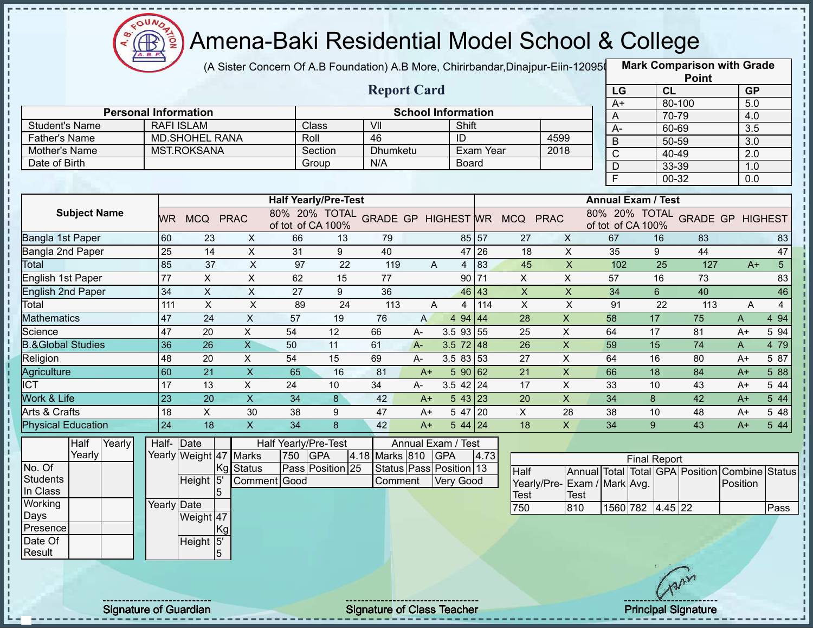

(A Sister Concern Of A.B Foundation) A.B More, Chirirbandar,Dinajpur-Eiin-120950

**Mark Comparison with Grade**

|                                               |                 |                                            |                           |                             |                  | <b>Report Card</b>      |                           |                  |                  |                                            |                           | LG             | <b>CL</b>                                           |                 | <b>GP</b>        |                |
|-----------------------------------------------|-----------------|--------------------------------------------|---------------------------|-----------------------------|------------------|-------------------------|---------------------------|------------------|------------------|--------------------------------------------|---------------------------|----------------|-----------------------------------------------------|-----------------|------------------|----------------|
|                                               |                 |                                            |                           |                             |                  |                         |                           |                  |                  |                                            |                           | $A+$           |                                                     | 80-100          | 5.0              |                |
| <b>Personal Information</b>                   |                 |                                            |                           |                             |                  | $\overline{\mathsf{V}}$ | <b>School Information</b> |                  |                  |                                            |                           | A              | 70-79                                               |                 | 4.0              |                |
| <b>Student's Name</b><br><b>Father's Name</b> |                 | <b>RAFI ISLAM</b><br><b>MD.SHOHEL RANA</b> |                           | Class<br>Roll               |                  | 46                      |                           | Shift            |                  |                                            | 4599                      | A-             | 60-69                                               |                 | $\overline{3.5}$ |                |
|                                               |                 |                                            |                           |                             |                  | Dhumketu                |                           | ID               | <b>Exam Year</b> |                                            | 2018                      | $\mathsf B$    | 50-59                                               |                 | 3.0              |                |
| Mother's Name<br>Date of Birth                |                 | <b>MST.ROKSANA</b>                         |                           | Section<br>Group            |                  | N/A                     |                           | <b>Board</b>     |                  |                                            |                           | $\mathsf{C}$   | 40-49                                               |                 | $\overline{2.0}$ |                |
|                                               |                 |                                            |                           |                             |                  |                         |                           |                  |                  |                                            |                           | $\mathsf D$    | 33-39                                               |                 | 1.0              |                |
|                                               |                 |                                            |                           |                             |                  |                         |                           |                  |                  |                                            |                           | $\overline{F}$ | 00-32                                               |                 | 0.0              |                |
|                                               |                 |                                            |                           | <b>Half Yearly/Pre-Test</b> |                  |                         |                           |                  |                  |                                            |                           |                | <b>Annual Exam / Test</b>                           |                 |                  |                |
| <b>Subject Name</b>                           | WR.             | MCQ PRAC                                   |                           | of tot of CA 100%           |                  |                         |                           |                  |                  | 80% 20% TOTAL GRADE GP HIGHEST WR MCQ PRAC |                           |                | 80% 20% TOTAL GRADE GP HIGHEST<br>of tot of CA 100% |                 |                  |                |
| Bangla 1st Paper                              | 60              | 23                                         | $\mathsf{X}$              | 66                          | 13               | 79                      |                           | 85 57            |                  | 27                                         | $\mathsf{X}$              | 67             | 16                                                  | 83              |                  | 83             |
| Bangla 2nd Paper                              | 25              | $\overline{14}$                            | $\pmb{\times}$            | 31                          | 9                | 40                      |                           |                  | 47 26            | 18                                         | $\overline{X}$            | 35             | 9                                                   | 44              |                  | 47             |
| Total                                         | 85              | 37                                         | $\mathsf{X}$              | 97                          | 22               | 119                     | A                         | $\overline{4}$   | 83               | 45                                         | $\pmb{\times}$            | 102            | 25                                                  | 127             | $A+$             | 5 <sup>7</sup> |
| English 1st Paper                             | 77              | $\mathsf X$                                | $\boldsymbol{\mathsf{X}}$ | 62                          | 15               | 77                      |                           | 90 71            |                  | $\mathsf X$                                | X                         | 57             | 16                                                  | 73              |                  | 83             |
| <b>English 2nd Paper</b>                      | $\overline{34}$ | $\overline{X}$                             | $\mathsf X$               | 27                          | 9                | 36                      |                           |                  | 46 43            | $\overline{\mathsf{x}}$                    | $\overline{X}$            | 34             | $\,6\,$                                             | 40              |                  | 46             |
| Total                                         | 111             | $\mathsf X$                                | $\mathsf X$               | 89                          | 24               | 113                     | A                         | 4                | 114              | $\boldsymbol{\mathsf{X}}$                  | $\boldsymbol{\mathsf{X}}$ | 91             | 22                                                  | 113             | A                | $\overline{4}$ |
| <b>Mathematics</b>                            | 47              | $\overline{24}$                            | $\overline{\mathsf{x}}$   | 57                          | 19               | 76                      | $\mathsf{A}$              | 494   44         |                  | $\overline{28}$                            | $\overline{\mathsf{x}}$   | 58             | 17                                                  | $\overline{75}$ | A                | 4 9 4          |
| Science                                       | 47              | $\overline{20}$                            | $\overline{X}$            | 54                          | $\overline{12}$  | 66                      | $A -$                     | $3.5$ 93 55      |                  | $\overline{25}$                            | $\overline{\mathsf{x}}$   | 64             | $\overline{17}$                                     | 81              | $A+$             | 5 94           |
| <b>B.&amp;Global Studies</b>                  | 36              | $\overline{26}$                            | $\overline{\mathsf{x}}$   | 50                          | 11               | 61                      | $A -$                     | $3.5 \ 72 \ 48$  |                  | $\overline{26}$                            | $\pmb{\times}$            | 59             | 15                                                  | $\overline{74}$ | A                | 4 79           |
| Religion                                      | 48              | 20                                         | $\pmb{\times}$            | 54                          | 15               | 69                      | $A-$                      | $3.583$ 53       |                  | 27                                         | $\mathsf X$               | 64             | 16                                                  | 80              | $A+$             | 5 87           |
| Agriculture                                   | 60              | 21                                         | $\boldsymbol{\mathsf{X}}$ | 65                          | 16               | 81                      | $A+$                      | 590 62           |                  | 21                                         | $\mathsf X$               | 66             | 18                                                  | 84              | $A+$             | 5 88           |
| <b>ICT</b>                                    | 17              | 13                                         | $\overline{X}$            | 24                          | 10               | 34                      | A-                        | $3.5$ 42 24      |                  | 17                                         | $\overline{X}$            | 33             | 10                                                  | 43              | $A+$             | 5 44           |
| <b>Work &amp; Life</b>                        | 23              | 20                                         | $\boldsymbol{\mathsf{X}}$ | 34                          | $\boldsymbol{8}$ | 42                      | $A+$                      | 543 23           |                  | 20                                         | $\overline{\mathsf{x}}$   | 34             | 8                                                   | 42              | $A+$             | 5 44           |
| Arts & Crafts                                 | 18              | $\boldsymbol{\mathsf{X}}$                  | 30                        | 38                          | 9                | 47                      | $A+$                      | $547$ 20         |                  | $\boldsymbol{\mathsf{X}}$                  | 28                        | 38             | 10                                                  | 48              | $A+$             | 5 48           |
| <b>Physical Education</b>                     | 24              | 18                                         | $\overline{X}$            | 34                          | 8                | 42                      | $A+$                      | 5 44 24          |                  | 18                                         | $\mathsf{X}$              | 34             | 9 <sup>°</sup>                                      | 43              | $A+$             | 544            |
| Half<br>Yearly                                | Half- Date      |                                            |                           | Half Yearly/Pre-Test        |                  |                         | Annual Exam / Test        |                  |                  |                                            |                           |                |                                                     |                 |                  |                |
| Yearly                                        |                 | Yearly Weight 47 Marks                     |                           | 750<br><b>GPA</b>           |                  | 4.18 Marks 810          |                           | <b>GPA</b>       | 4.73             |                                            |                           |                | <b>Final Report</b>                                 |                 |                  |                |
| No. Of                                        |                 |                                            | Kg Status                 | Pass Position 25            |                  |                         | Status Pass Position 13   |                  |                  | <b>Half</b>                                |                           |                | Annual Total Total GPA Position Combine Status      |                 |                  |                |
| <b>Students</b>                               |                 | Height 5'                                  | Comment Good              |                             |                  | Comment                 |                           | <b>Very Good</b> |                  | Yearly/Pre-                                | Exam / Mark Avg.          |                |                                                     |                 | Position         |                |
| In Class                                      |                 | 5                                          |                           |                             |                  |                         |                           |                  |                  | <b>Test</b>                                | Test                      |                |                                                     |                 |                  |                |
| Working                                       | Yearly Date     |                                            |                           |                             |                  |                         |                           |                  |                  | 750                                        | 810                       |                | 1560 782 4.45 22                                    |                 |                  | Pass           |
| Days                                          |                 | Weight 47                                  |                           |                             |                  |                         |                           |                  |                  |                                            |                           |                |                                                     |                 |                  |                |
| Presence<br>Date Of                           |                 | Kg                                         |                           |                             |                  |                         |                           |                  |                  |                                            |                           |                |                                                     |                 |                  |                |
| Result                                        |                 | Height 5'<br>5 <sup>5</sup>                |                           |                             |                  |                         |                           |                  |                  |                                            |                           |                |                                                     |                 |                  |                |
|                                               |                 |                                            |                           |                             |                  |                         |                           |                  |                  |                                            |                           |                |                                                     |                 |                  |                |
|                                               |                 |                                            |                           |                             |                  |                         |                           |                  |                  |                                            |                           |                |                                                     |                 |                  |                |
|                                               |                 |                                            |                           |                             |                  |                         |                           |                  |                  |                                            |                           |                | Tron                                                |                 |                  |                |

Signature of Guardian Signature of Class Teacher **Signature of Class Teacher** Principal Signature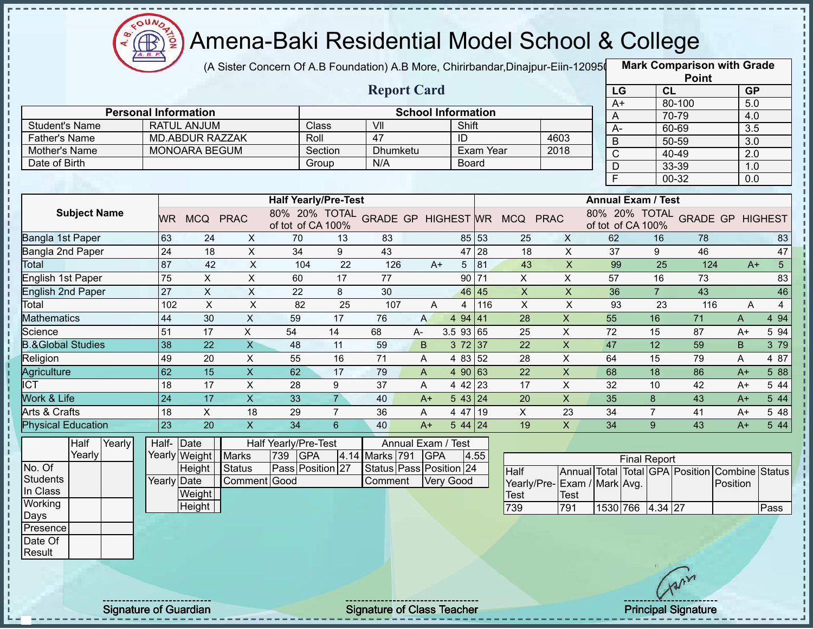

(A Sister Concern Of A.B Foundation) A.B More, Chirirbandar,Dinajpur-Eiin-120950

**Mark Comparison with Grade**

|                              |                             |                      |                           |                             |                 |                         |                    |                           |                    |                                            |                           |                |                           |                 | <b>Point</b>                                   |              |                        |
|------------------------------|-----------------------------|----------------------|---------------------------|-----------------------------|-----------------|-------------------------|--------------------|---------------------------|--------------------|--------------------------------------------|---------------------------|----------------|---------------------------|-----------------|------------------------------------------------|--------------|------------------------|
|                              |                             |                      |                           |                             |                 | <b>Report Card</b>      |                    |                           |                    |                                            |                           | LG             |                           | CL              |                                                |              | <b>GP</b>              |
|                              |                             |                      |                           |                             |                 |                         |                    |                           |                    |                                            |                           | $A+$           |                           |                 | 80-100                                         |              | 5.0                    |
|                              | <b>Personal Information</b> |                      |                           |                             |                 |                         |                    | <b>School Information</b> |                    |                                            |                           | A              |                           |                 | 70-79                                          |              | 4.0                    |
| <b>Student's Name</b>        |                             | <b>RATUL ANJUM</b>   |                           | Class                       |                 | $\overline{\mathsf{V}}$ |                    | Shift                     |                    |                                            |                           | $A-$           |                           |                 | 60-69                                          |              | $\overline{3.5}$       |
| <b>Father's Name</b>         |                             | MD.ABDUR RAZZAK      |                           | Roll                        |                 | 47                      |                    | ID                        |                    |                                            | 4603                      | $\overline{B}$ |                           |                 | $50 - 59$                                      | 3.0          |                        |
| Mother's Name                |                             | <b>MONOARA BEGUM</b> |                           |                             | Section         | <b>Dhumketu</b>         |                    |                           | Exam Year          |                                            | 2018                      | $\overline{C}$ |                           |                 | 40-49                                          | 2.0          |                        |
| Date of Birth                |                             |                      |                           |                             | Group           | N/A                     |                    | <b>Board</b>              |                    |                                            |                           | D              |                           |                 | 33-39                                          |              | 1.0                    |
|                              |                             |                      |                           |                             |                 |                         |                    |                           |                    |                                            |                           | $\overline{F}$ |                           |                 | $00 - 32$                                      | 0.0          |                        |
|                              |                             |                      |                           | <b>Half Yearly/Pre-Test</b> |                 |                         |                    |                           |                    |                                            |                           |                | <b>Annual Exam / Test</b> |                 |                                                |              |                        |
| <b>Subject Name</b>          |                             |                      |                           |                             |                 |                         |                    |                           |                    |                                            |                           |                |                           |                 | 80% 20% TOTAL GRADE GP HIGHEST                 |              |                        |
|                              |                             | WR MCQ PRAC          |                           | of tot of CA 100%           |                 |                         |                    |                           |                    | 80% 20% TOTAL GRADE GP HIGHEST WR MCQ PRAC |                           |                | of tot of CA 100%         |                 |                                                |              |                        |
| Bangla 1st Paper             | 63                          | 24                   | X                         | 70                          | 13              | 83                      |                    |                           | 85 53              | 25                                         | X                         | 62             |                           | 16              | 78                                             |              | 83                     |
| Bangla 2nd Paper             | 24                          | 18                   | $\sf X$                   | 34                          | 9               | 43                      |                    |                           | 47 28              | 18                                         | $\mathsf{X}$              | 37             |                           | 9               | 46                                             |              | 47                     |
| Total                        | 87                          | 42                   | $\pmb{\times}$            | 104                         | $\overline{22}$ | 126                     | $A+$               |                           | $5 \vert 81$       | 43                                         | $\overline{\mathsf{x}}$   | 99             |                           | $\overline{25}$ | 124                                            |              | $\overline{5}$<br>$A+$ |
| English 1st Paper            | $\overline{75}$             | $\pmb{\times}$       | $\overline{X}$            | 60                          | 17              | 77                      |                    |                           | $90$ <sub>71</sub> | $\mathsf X$                                | $\mathsf X$               | 57             |                           | 16              | 73                                             |              | 83                     |
| <b>English 2nd Paper</b>     | $\overline{27}$             | $\pmb{\times}$       | $\overline{X}$            | 22                          | 8               | 30                      |                    |                           | 46 45              | $\boldsymbol{\mathsf{X}}$                  | $\pmb{\times}$            | 36             |                           | $\overline{7}$  | 43                                             |              | 46                     |
| Total                        | 102                         | $\overline{X}$       | $\overline{X}$            | 82                          | $\overline{25}$ | 107                     | $\overline{A}$     | 4                         | 116                | $\mathsf{X}$                               | $\overline{X}$            | 93             |                           | 23              | 116                                            | A            | $\overline{4}$         |
| <b>Mathematics</b>           | 44                          | 30                   | $\pmb{\times}$            | 59                          | 17              | 76                      | $\mathsf{A}$       | 494   41                  |                    | 28                                         | $\mathsf{X}$              | 55             |                           | 16              | 71                                             | $\mathsf{A}$ | 4 9 4                  |
| Science                      | 51                          | 17                   | $\overline{X}$            | 54                          | 14              | 68                      | A-                 | 3.5 93 65                 |                    | $\overline{25}$                            | $\overline{X}$            | 72             |                           | 15              | 87                                             | $A+$         | 5 94                   |
| <b>B.&amp;Global Studies</b> | 38                          | 22                   | $\overline{\mathsf{X}}$   | 48                          | 11              | 59                      | B                  | 372 37                    |                    | 22                                         | $\overline{\mathsf{x}}$   | 47             |                           | 12              | 59                                             | B            | 3 79                   |
| Religion                     | 49                          | 20                   | $\mathsf{X}$              | 55                          | 16              | 71                      | A                  | 4 83 52                   |                    | 28                                         | $\overline{X}$            | 64             |                           | 15              | 79                                             | A            | 4 87                   |
| Agriculture                  | 62                          | 15                   | $\boldsymbol{\mathsf{X}}$ | 62                          | 17              | 79                      | $\mathsf{A}$       | 4 90 63                   |                    | 22                                         | $\boldsymbol{\mathsf{X}}$ | 68             |                           | 18              | 86                                             | $A+$         | 5 88                   |
| <b>ICT</b>                   | 18                          | 17                   | $\boldsymbol{\mathsf{X}}$ | 28                          | 9               | 37                      | A                  | 4 42 23                   |                    | 17                                         | $\mathsf{X}$              | 32             |                           | 10              | 42                                             | A+           | $\overline{5}$ 44      |
| Work & Life                  | $\overline{24}$             | 17                   | $\overline{\mathsf{x}}$   | 33                          | $\overline{7}$  | 40                      | $A+$               | 543 24                    |                    | 20                                         | $\overline{X}$            | 35             |                           | 8               | 43                                             | $A+$         | 544                    |
| Arts & Crafts                | 18                          | $\pmb{\times}$       | 18                        | 29                          | $\overline{7}$  | 36                      | A                  | 4 47 19                   |                    | X                                          | 23                        | 34             |                           | $\overline{7}$  | 41                                             | $A+$         | 5 48                   |
| <b>Physical Education</b>    | 23                          | 20                   | $\boldsymbol{\mathsf{X}}$ | 34                          | $6\overline{6}$ | 40                      | $A+$               | $544$ 24                  |                    | 19                                         | $\mathsf{X}$              | 34             |                           | 9               | 43                                             | $A+$         | 5 44                   |
| Half<br>Yearly               | Half- Date                  |                      |                           | Half Yearly/Pre-Test        |                 |                         | Annual Exam / Test |                           |                    |                                            |                           |                |                           |                 |                                                |              |                        |
| Yearly                       |                             | Yearly Weight Marks  |                           | 739 GPA                     |                 | 4.14 Marks 791          | <b>GPA</b>         |                           | 4.55               |                                            |                           |                | <b>Final Report</b>       |                 |                                                |              |                        |
| No. Of                       |                             | Height               | Status                    | Pass Position 27            |                 | Status Pass Position 24 |                    |                           |                    | <b>Half</b>                                |                           |                |                           |                 | Annual Total Total GPA Position Combine Status |              |                        |
| <b>Students</b>              | Yearly Date                 |                      | Comment Good              |                             |                 | Comment                 |                    | Very Good                 |                    | Yearly/Pre-Exam / Mark Avg.                |                           |                |                           |                 |                                                | Position     |                        |
| In Class                     |                             | Weight               |                           |                             |                 |                         |                    |                           |                    | <b>Test</b>                                | <b>Test</b>               |                |                           |                 |                                                |              |                        |
| Working                      |                             | Height               |                           |                             |                 |                         |                    |                           |                    | 739                                        | 791                       |                | 1530 766 4.34 27          |                 |                                                |              | Pass                   |
| Days                         |                             |                      |                           |                             |                 |                         |                    |                           |                    |                                            |                           |                |                           |                 |                                                |              |                        |
| Presence                     |                             |                      |                           |                             |                 |                         |                    |                           |                    |                                            |                           |                |                           |                 |                                                |              |                        |
| Date Of                      |                             |                      |                           |                             |                 |                         |                    |                           |                    |                                            |                           |                |                           |                 |                                                |              |                        |
| Result                       |                             |                      |                           |                             |                 |                         |                    |                           |                    |                                            |                           |                |                           |                 |                                                |              |                        |
|                              |                             |                      |                           |                             |                 |                         |                    |                           |                    |                                            |                           |                |                           |                 |                                                |              |                        |
|                              |                             |                      |                           |                             |                 |                         |                    |                           |                    |                                            |                           |                |                           |                 | Cron                                           |              |                        |
|                              |                             |                      |                           |                             |                 |                         |                    |                           |                    |                                            |                           |                |                           |                 |                                                |              |                        |

Signature of Guardian Signature of Class Teacher Principal Signature 44-47 Archives Australian Signature 44-47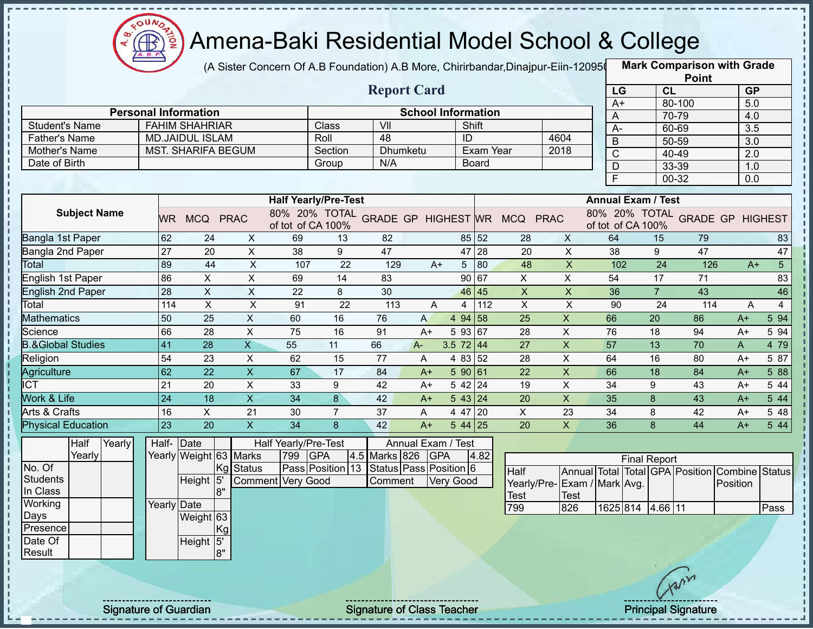

 $\frac{1}{1}$ 

Í

 $\frac{1}{1}$ 

 $\frac{1}{1}$ 

,,,,,,,,,,,,,,,,,,,,,

#### Amena-Baki Residential Model School & College

(A Sister Concern Of A.B Foundation) A.B More, Chirirbandar,Dinajpur-Eiin-120950

**Mark Comparison with Grade**

|                              |                 |                           |                           |                             |                |                                         |                           |                  |           |                                            |                           |                         |                           |                 | <b>Point</b>    |                                                |                  |
|------------------------------|-----------------|---------------------------|---------------------------|-----------------------------|----------------|-----------------------------------------|---------------------------|------------------|-----------|--------------------------------------------|---------------------------|-------------------------|---------------------------|-----------------|-----------------|------------------------------------------------|------------------|
|                              |                 |                           |                           |                             |                | <b>Report Card</b>                      |                           |                  |           |                                            |                           | LG                      |                           | <b>CL</b>       |                 | <b>GP</b>                                      |                  |
|                              |                 |                           |                           |                             |                |                                         |                           |                  |           |                                            |                           | $A+$                    |                           |                 | 80-100          | 5.0                                            |                  |
| <b>Personal Information</b>  |                 |                           |                           |                             |                |                                         | <b>School Information</b> |                  |           |                                            |                           | A                       |                           |                 | 70-79           | 4.0                                            |                  |
| <b>Student's Name</b>        |                 | <b>FAHIM SHAHRIAR</b>     |                           |                             | Class          | VII                                     |                           | Shift            |           |                                            |                           | A-                      |                           |                 | 60-69           | $\overline{3.5}$                               |                  |
| <b>Father's Name</b>         |                 | <b>MD.JAIDUL ISLAM</b>    |                           |                             | Roll           | $\overline{48}$                         |                           | ID               |           |                                            | 4604                      | B                       |                           |                 | 50-59           | 3.0                                            |                  |
| Mother's Name                |                 | <b>MST. SHARIFA BEGUM</b> |                           |                             | Section        | <b>Dhumketu</b><br>N/A                  |                           |                  | Exam Year |                                            | 2018                      | $\overline{C}$          |                           |                 | 40-49           | $\overline{2.0}$                               |                  |
| Date of Birth                |                 |                           |                           |                             | Group          |                                         |                           |                  | Board     |                                            |                           | D                       |                           |                 | 33-39           | 1.0                                            |                  |
|                              |                 |                           |                           |                             |                |                                         |                           |                  |           |                                            |                           | $\overline{\mathsf{F}}$ |                           |                 | 00-32           | 0.0                                            |                  |
|                              |                 |                           |                           | <b>Half Yearly/Pre-Test</b> |                |                                         |                           |                  |           |                                            |                           |                         | <b>Annual Exam / Test</b> |                 |                 |                                                |                  |
| <b>Subject Name</b>          |                 | WR MCQ PRAC               |                           | of tot of CA 100%           |                |                                         |                           |                  |           | 80% 20% TOTAL GRADE GP HIGHEST WR MCQ PRAC |                           |                         | of tot of CA 100%         |                 |                 | 80% 20% TOTAL GRADE GP HIGHEST                 |                  |
| Bangla 1st Paper             | 62              | 24                        | $\mathsf{X}$              | 69                          | 13             | 82                                      |                           |                  | 85 52     | 28                                         | X                         | 64                      |                           | 15              | 79              |                                                | 83               |
| Bangla 2nd Paper             | 27              | 20                        | $\mathsf X$               | 38                          | 9              | 47                                      |                           |                  | 47 28     | 20                                         | $\mathsf{X}$              | 38                      |                           | 9               | 47              |                                                | 47               |
| Total                        | 89              | 44                        | $\mathsf X$               | 107                         | 22             | 129                                     | $A+$                      | 5 <sup>5</sup>   | 80        | 48                                         | $\boldsymbol{\mathsf{X}}$ | 102                     |                           | $\overline{24}$ | 126             | $A+$                                           | $\overline{5}$   |
| <b>English 1st Paper</b>     | 86              | $\pmb{\times}$            | $\overline{X}$            | 69                          | 14             | 83                                      |                           |                  | 90 67     | $\mathsf X$                                | $\overline{X}$            | 54                      |                           | 17              | 71              |                                                | 83               |
| <b>English 2nd Paper</b>     | $\overline{28}$ | $\overline{X}$            | $\overline{X}$            | $\overline{22}$             | 8              | 30                                      |                           |                  | 46 45     | $\overline{X}$                             | $\overline{\mathsf{x}}$   | 36                      |                           | $\overline{7}$  | 43              |                                                | 46               |
| Total                        | 114             | $\pmb{\times}$            | $\boldsymbol{\mathsf{X}}$ | 91                          | 22             | 113                                     | A                         | 4                | 112       | $\boldsymbol{\mathsf{X}}$                  | $\pmb{\times}$            | 90                      |                           | 24              | 114             | A                                              | $\overline{4}$   |
| <b>Mathematics</b>           | 50              | 25                        | $\mathsf{X}$              | 60                          | 16             | 76                                      | $\mathsf{A}$              | 4 94 58          |           | 25                                         | $\boldsymbol{\mathsf{X}}$ | 66                      |                           | 20              | 86              | $A+$                                           | $5\overline{94}$ |
| Science                      | 66              | 28                        | $\pmb{\times}$            | 75                          | 16             | 91                                      | $A+$                      | 5 93 67          |           | 28                                         | $\mathsf X$               | 76                      |                           | 18              | 94              | $A+$                                           | 5 94             |
| <b>B.&amp;Global Studies</b> | 41              | 28                        | $\overline{\mathsf{X}}$   | 55                          | 11             | 66                                      | $A -$                     | $3.5$ 72 44      |           | 27                                         | $\mathsf{X}$              | 57                      |                           | 13              | 70              | A                                              | 4 79             |
| Religion                     | 54              | 23                        | $\pmb{\times}$            | 62                          | 15             | 77                                      | A                         | 4 83 52          |           | 28                                         | $\boldsymbol{\mathsf{X}}$ | 64                      |                           | 16              | 80              | $A+$                                           | 5 87             |
| Agriculture                  | 62              | 22                        | $\mathsf X$               | 67                          | 17             | 84                                      | $A+$                      | 590 61           |           | 22                                         | $\mathsf X$               | 66                      |                           | 18              | 84              | $A+$                                           | 5 88             |
| <b>ICT</b>                   | 21              | 20                        | $\pmb{\times}$            | 33                          | 9              | 42                                      | $A+$                      | 5 42 24          |           | 19                                         | $\boldsymbol{\mathsf{X}}$ | $\overline{34}$         |                           | 9               | 43              | $A+$                                           | 544              |
| Work & Life                  | $\overline{24}$ | 18                        | $\overline{X}$            | $\overline{34}$             | $\overline{8}$ | 42                                      | $A+$                      | 5 43 24          |           | 20                                         | $\overline{\mathsf{x}}$   | 35                      |                           | 8               | 43              | $A+$                                           | 5 44             |
| Arts & Crafts                | 16              | $\mathsf X$               | 21                        | 30                          | $\overline{7}$ | 37                                      | A                         | 4 47 20          |           | $\pmb{\times}$                             | 23                        | 34                      |                           | 8               | 42              | $A+$                                           | 5 48             |
| <b>Physical Education</b>    | $\overline{23}$ | $\overline{20}$           | $\overline{\mathsf{x}}$   | 34                          | $\overline{8}$ | 42                                      | $A+$                      | $544$ 25         |           | $\overline{20}$                            | $\overline{\mathsf{x}}$   | 36                      |                           | 8               | $\overline{44}$ | $A+$                                           | 544              |
| Half<br>Yearly               | Half- Date      |                           |                           | Half Yearly/Pre-Test        |                |                                         | Annual Exam / Test        |                  |           |                                            |                           |                         |                           |                 |                 |                                                |                  |
| Yearly                       |                 | Yearly Weight 63 Marks    |                           | 799                         | <b>GPA</b>     | 4.5 Marks 826 GPA                       |                           |                  | 4.82      |                                            |                           |                         | <b>Final Report</b>       |                 |                 |                                                |                  |
| No. Of                       |                 | Kg                        | <b>Status</b>             |                             |                | Pass Position 13 Status Pass Position 6 |                           |                  |           | Half                                       |                           |                         |                           |                 |                 | Annual Total Total GPA Position Combine Status |                  |
| <b>Students</b>              |                 | Height <sup>15</sup>      |                           | <b>Comment Very Good</b>    |                | Comment                                 |                           | <b>Very Good</b> |           | Yearly/Pre-Exam / Mark Avg.                |                           |                         |                           |                 |                 | Position                                       |                  |
| In Class                     |                 | 8"                        |                           |                             |                |                                         |                           |                  |           | Test                                       | <b>Test</b>               |                         |                           |                 |                 |                                                |                  |
| Working<br>Days              | Yearly Date     |                           |                           |                             |                |                                         |                           |                  |           | 799                                        | 826                       |                         | 1625 814 4.66 11          |                 |                 |                                                | Pass             |
| Presence                     |                 | Weight 63<br>Kg           |                           |                             |                |                                         |                           |                  |           |                                            |                           |                         |                           |                 |                 |                                                |                  |
| Date Of                      |                 | Height <sup>15'</sup>     |                           |                             |                |                                         |                           |                  |           |                                            |                           |                         |                           |                 |                 |                                                |                  |
| Result                       |                 | 8"                        |                           |                             |                |                                         |                           |                  |           |                                            |                           |                         |                           |                 |                 |                                                |                  |
|                              |                 |                           |                           |                             |                |                                         |                           |                  |           |                                            |                           |                         |                           |                 |                 |                                                |                  |
|                              |                 |                           |                           |                             |                |                                         |                           |                  |           |                                            |                           |                         |                           |                 | Arr             |                                                |                  |
|                              |                 |                           |                           |                             |                |                                         |                           |                  |           |                                            |                           |                         |                           |                 |                 |                                                |                  |

Signature of Guardian Signature of Class Teacher Principal Signature 45-47-47.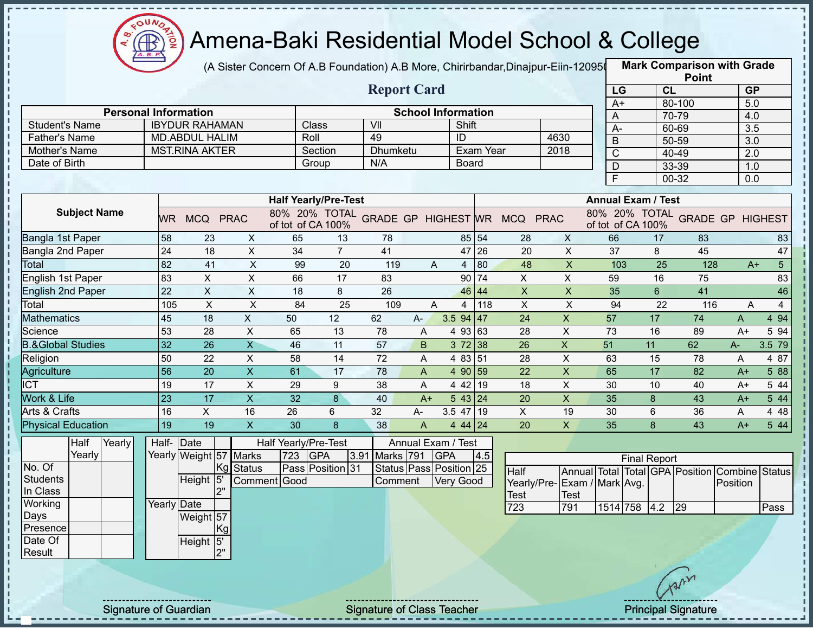

(A Sister Concern Of A.B Foundation) A.B More, Chirirbandar,Dinajpur-Eiin-120950

|                                        |                 |                                                |                           |                                    |                  |                                   |       |                           |           |                              |                           |                |                                    | <b>Point</b>                      |                         |                        |
|----------------------------------------|-----------------|------------------------------------------------|---------------------------|------------------------------------|------------------|-----------------------------------|-------|---------------------------|-----------|------------------------------|---------------------------|----------------|------------------------------------|-----------------------------------|-------------------------|------------------------|
|                                        |                 |                                                |                           |                                    |                  | <b>Report Card</b>                |       |                           |           |                              |                           | LG             |                                    | CL                                | <b>GP</b>               |                        |
|                                        |                 |                                                |                           |                                    |                  |                                   |       |                           |           |                              |                           | $A+$           |                                    | 80-100                            | 5.0                     |                        |
| <b>Personal Information</b>            |                 |                                                |                           |                                    |                  |                                   |       | <b>School Information</b> |           |                              |                           | A              |                                    | 70-79                             | 4.0                     |                        |
| <b>Student's Name</b><br>Father's Name |                 | <b>IBYDUR RAHAMAN</b>                          |                           | Roll                               | Class            | VII<br>49                         |       | Shift<br>ID               |           |                              | 4630                      | A-             |                                    | 60-69                             | $\overline{3.5}$        |                        |
| Mother's Name                          |                 | <b>MD.ABDUL HALIM</b><br><b>MST.RINA AKTER</b> |                           |                                    | Section          | Dhumketu                          |       |                           | Exam Year |                              | 2018                      | B              |                                    | 50-59                             | 3.0                     |                        |
| Date of Birth                          |                 |                                                |                           |                                    |                  | N/A                               |       | <b>Board</b>              |           |                              |                           | $\overline{C}$ |                                    | 40-49                             | $\overline{2.0}$        |                        |
|                                        |                 |                                                |                           |                                    | Group            |                                   |       |                           |           |                              |                           | D              |                                    | 33-39                             | 1.0                     |                        |
|                                        |                 |                                                |                           |                                    |                  |                                   |       |                           |           |                              |                           | F              |                                    | 00-32                             | 0.0                     |                        |
|                                        |                 |                                                |                           | <b>Half Yearly/Pre-Test</b>        |                  |                                   |       |                           |           |                              |                           |                | <b>Annual Exam / Test</b>          |                                   |                         |                        |
| <b>Subject Name</b>                    | WR.             |                                                | MCQ PRAC                  | 80% 20% TOTAL<br>of tot of CA 100% |                  |                                   |       |                           |           | GRADE GP HIGHEST WR MCQ PRAC |                           |                | 80% 20% TOTAL<br>of tot of CA 100% |                                   | <b>GRADE GP HIGHEST</b> |                        |
| Bangla 1st Paper                       | 58              | 23                                             | X                         | 65                                 | 13               | 78                                |       |                           | 85 54     | 28                           | X                         | 66             | 17                                 | 83                                |                         | 83                     |
| Bangla 2nd Paper                       | 24              | 18                                             | $\pmb{\times}$            | 34                                 | $\overline{7}$   | 41                                |       |                           | 47 26     | 20                           | $\boldsymbol{\mathsf{X}}$ | 37             | 8                                  | 45                                |                         | 47                     |
| Total                                  | 82              | 41                                             | $\overline{X}$            | 99                                 | 20               | 119                               | A     | $\overline{4}$            | 80        | 48                           | $\overline{X}$            | 103            | 25                                 | 128                               |                         | 5 <sup>5</sup><br>$A+$ |
| English 1st Paper                      | 83              | X                                              | X                         | 66                                 | 17               | 83                                |       |                           | 90 74     | X                            | X                         | 59             | 16                                 | 75                                |                         | 83                     |
| <b>English 2nd Paper</b>               | 22              | $\boldsymbol{\mathsf{X}}$                      | X                         | 18                                 | 8                | 26                                |       |                           | 46 44     | $\boldsymbol{\mathsf{X}}$    | X                         | 35             | $6\phantom{1}$                     | 41                                |                         | 46                     |
| Total                                  | 105             | $\boldsymbol{\mathsf{X}}$                      | $\boldsymbol{\mathsf{X}}$ | 84                                 | $\overline{25}$  | 109                               | A     | $\overline{4}$            | 118       | $\sf X$                      | $\times$                  | 94             | 22                                 | 116                               | A                       | $\overline{4}$         |
| <b>Mathematics</b>                     | 45              | 18                                             | X                         | 50                                 | 12               | 62                                | $A -$ | $3.5$ 94 47               |           | 24                           | $\boldsymbol{\mathsf{X}}$ | 57             | 17                                 | 74                                | A                       | 4 9 4                  |
| Science                                | 53              | 28                                             | X                         | 65                                 | 13               | 78                                | A     | 4 93 63                   |           | 28                           | X                         | 73             | 16                                 | 89                                | $A+$                    | 5 94                   |
| <b>B.&amp;Global Studies</b>           | 32              | 26                                             | $\overline{\mathsf{X}}$   | 46                                 | 11               | 57                                | B     | 372 38                    |           | 26                           | $\mathsf{X}$              | 51             | 11                                 | 62                                | A-                      | 3.5 79                 |
| Religion                               | 50              | 22                                             | $\pmb{\times}$            | 58                                 | 14               | 72                                | A     | 4 83 51                   |           | 28                           | X                         | 63             | 15                                 | 78                                | A                       | 4 87                   |
| Agriculture                            | $\overline{56}$ | 20                                             | $\pmb{\times}$            | 61                                 | 17               | 78                                | A     | 4 90 59                   |           | 22                           | $\mathsf{X}$              | 65             | 17                                 | 82                                | $A+$                    | 5 88                   |
| <b>ICT</b>                             | 19              | 17                                             | $\pmb{\times}$            | 29                                 | 9                | 38                                | Α     | 4 42 19                   |           | 18                           | X                         | 30             | 10                                 | 40                                | $A+$                    | 5 44                   |
| <b>Work &amp; Life</b>                 | 23              | 17                                             | $\boldsymbol{\mathsf{X}}$ | 32                                 | 8                | 40                                | $A+$  | 543 24                    |           | 20                           | $\boldsymbol{\mathsf{X}}$ | 35             | 8                                  | 43                                | $A+$                    | 5 4 4                  |
| Arts & Crafts                          | 16              | $\pmb{\times}$                                 | 16                        | 26                                 | 6                | 32                                | $A-$  | 3.5 47 19                 |           | X                            | 19                        | 30             | 6                                  | 36                                | A                       | 4 4 8                  |
| <b>Physical Education</b>              | 19              | 19                                             | $\boldsymbol{\mathsf{X}}$ | 30                                 | 8                | 38                                | A     | 4 44 24                   |           | 20                           | $\mathsf{X}$              | 35             | 8                                  | 43                                | $A+$                    | 5 4 4                  |
| Half<br>Yearly                         | Half-Date       |                                                |                           | Half Yearly/Pre-Test               |                  |                                   |       | Annual Exam / Test        |           |                              |                           |                |                                    |                                   |                         |                        |
| Yearly                                 |                 |                                                | Yearly Weight 57 Marks    | 723 GPA                            |                  | 3.91 Marks 791                    |       | <b>GPA</b>                | 4.5       |                              |                           |                | <b>Final Report</b>                |                                   |                         |                        |
| No. Of                                 |                 |                                                | Kg Status                 |                                    | Pass Position 31 | Status Pass Position 25           |       |                           |           | Half                         | Annual Total              |                |                                    | <b>Total GPA Position Combine</b> |                         | <b>Status</b>          |
| <b>Students</b>                        |                 | Height 5                                       |                           | Comment Good                       |                  | Comment                           |       | <b>Very Good</b>          |           | Yearly/Pre-Exam / Mark Avg.  |                           |                |                                    |                                   | <b>Position</b>         |                        |
| In Class                               |                 |                                                | 2"                        |                                    |                  |                                   |       |                           |           | <b>Test</b>                  | Test                      |                |                                    |                                   |                         |                        |
| Working                                | Yearly Date     |                                                |                           |                                    |                  |                                   |       |                           |           | 723                          | 791                       |                | 1514 758 4.2                       | 29                                |                         | Pass                   |
| Days                                   |                 | Weight 57                                      |                           |                                    |                  |                                   |       |                           |           |                              |                           |                |                                    |                                   |                         |                        |
| Presence                               |                 |                                                | Kg                        |                                    |                  |                                   |       |                           |           |                              |                           |                |                                    |                                   |                         |                        |
| Date Of<br>Result                      |                 | Height 5'                                      | 2"                        |                                    |                  |                                   |       |                           |           |                              |                           |                |                                    |                                   |                         |                        |
|                                        |                 |                                                |                           |                                    |                  |                                   |       |                           |           |                              |                           |                |                                    |                                   |                         |                        |
|                                        |                 |                                                |                           |                                    |                  |                                   |       |                           |           |                              |                           |                |                                    |                                   |                         |                        |
| <b>Signature of Guardian</b>           |                 |                                                |                           |                                    |                  | <b>Signature of Class Teacher</b> |       |                           |           |                              |                           |                |                                    | <b>Principal Signature</b>        |                         |                        |